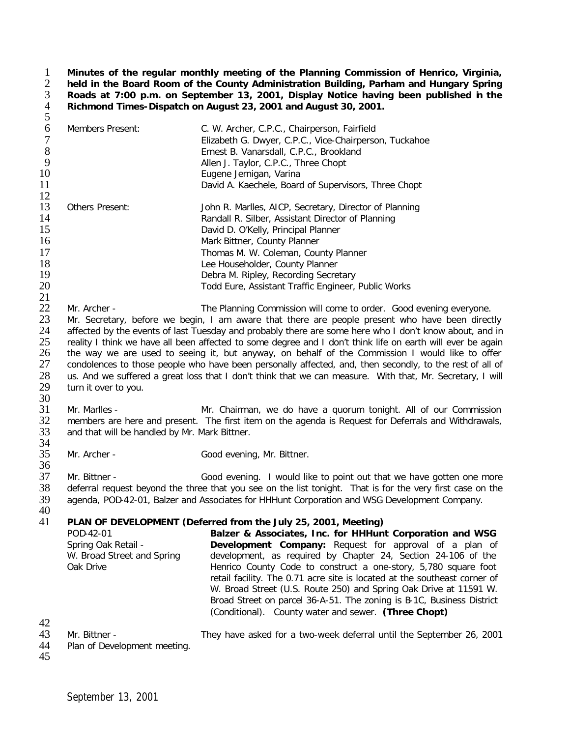1 Minutes of the regular monthly meeting of the Planning Commission of Henrico, Virginia,<br>
2 held in the Board Room of the County Administration Building, Parham and Hungary Spring<br>
2 Roads at 7:00 p.m. on September 13, 20 2 **held in the Board Room of the County Administration Building, Parham and Hungary Spring**  3 **Roads at 7:00 p.m. on September 13, 2001, Display Notice having been published in the**  4 **Richmond Times-Dispatch on August 23, 2001 and August 30, 2001.** 5

| 6<br>8 | Members Present: | C. W. Archer, C.P.C., Chairperson, Fairfield<br>Elizabeth G. Dwyer, C.P.C., Vice-Chairperson, Tuckahoe<br>Ernest B. Vanarsdall, C.P.C., Brookland |
|--------|------------------|---------------------------------------------------------------------------------------------------------------------------------------------------|
| 9      |                  | Allen J. Taylor, C.P.C., Three Chopt                                                                                                              |
| 10     |                  | Eugene Jernigan, Varina                                                                                                                           |
| 11     |                  | David A. Kaechele, Board of Supervisors, Three Chopt                                                                                              |
| 12     |                  |                                                                                                                                                   |
| 13     | Others Present:  | John R. Marlles, AICP, Secretary, Director of Planning                                                                                            |
| 14     |                  | Randall R. Silber, Assistant Director of Planning                                                                                                 |
| 15     |                  | David D. O'Kelly, Principal Planner                                                                                                               |
| 16     |                  | Mark Bittner, County Planner                                                                                                                      |
| 17     |                  | Thomas M. W. Coleman, County Planner                                                                                                              |
| 18     |                  | Lee Householder, County Planner                                                                                                                   |
| 19     |                  | Debra M. Ripley, Recording Secretary                                                                                                              |
| 20     |                  | Todd Eure, Assistant Traffic Engineer, Public Works                                                                                               |
|        |                  |                                                                                                                                                   |

 $\frac{21}{22}$ 22 Mr. Archer - The Planning Commission will come to order. Good evening everyone.<br>23 Mr. Secretary, before we begin. I am aware that there are people present who have been direct 23 Mr. Secretary, before we begin, I am aware that there are people present who have been directly<br>24 affected by the events of last Tuesday and probably there are some here who I don't know about, and in 24 affected by the events of last Tuesday and probably there are some here who I don't know about, and in<br>25 reality I think we have all been affected to some degree and I don't think life on earth will ever be again 25 reality I think we have all been affected to some degree and I don't think life on earth will ever be again<br>26 the way we are used to seeing it, but anyway, on behalf of the Commission I would like to offer 26 the way we are used to seeing it, but anyway, on behalf of the Commission I would like to offer<br>27 condolences to those people who have been personally affected, and, then secondly, to the rest of all of 27 condolences to those people who have been personally affected, and, then secondly, to the rest of all of 28 us. And we suffered a great loss that I don't think that we can measure. With that, Mr. Secretary, I will 28 us. And we suffered a great loss that I don't think that we can measure. With that, Mr. Secretary, I will 29 turn it over to you. turn it over to you.

- 30<br>31 31 Mr. Marlles - Mr. Chairman, we do have a quorum tonight. All of our Commission<br>32 members are here and present. The first item on the agenda is Request for Deferrals and Withdrawals. 32 members are here and present. The first item on the agenda is Request for Deferrals and Withdrawals,<br>33 and that will be handled by Mr. Mark Bittner. and that will be handled by Mr. Mark Bittner.
- 34<br>35 Mr. Archer - Good evening, Mr. Bittner.
- 36<br>37 37 Mr. Bittner - Good evening. I would like to point out that we have gotten one more<br>38 deferral request bevond the three that you see on the list tonight. That is for the very first case on the deferral request beyond the three that you see on the list tonight. That is for the very first case on the 39 agenda, POD-42-01, Balzer and Associates for HHHunt Corporation and WSG Development Company.
- $\frac{40}{41}$

## 41 **PLAN OF DEVELOPMENT** *(Deferred from the July 25, 2001, Meeting)*

- POD-42-01 Spring Oak Retail - W. Broad Street and Spring Oak Drive **Balzer & Associates, Inc. for HHHunt Corporation and WSG Development Company:** Request for approval of a plan of development, as required by Chapter 24, Section 24-106 of the Henrico County Code to construct a one-story, 5,780 square foot retail facility. The 0.71 acre site is located at the southeast corner of W. Broad Street (U.S. Route 250) and Spring Oak Drive at 11591 W. Broad Street on parcel 36-A-51. The zoning is B-1C, Business District (Conditional). County water and sewer. **(Three Chopt)**
- 42<br>43
- 

43 Mr. Bittner - They have asked for a two-week deferral until the September 26, 2001<br>44 Plan of Development meeting.

45

Plan of Development meeting.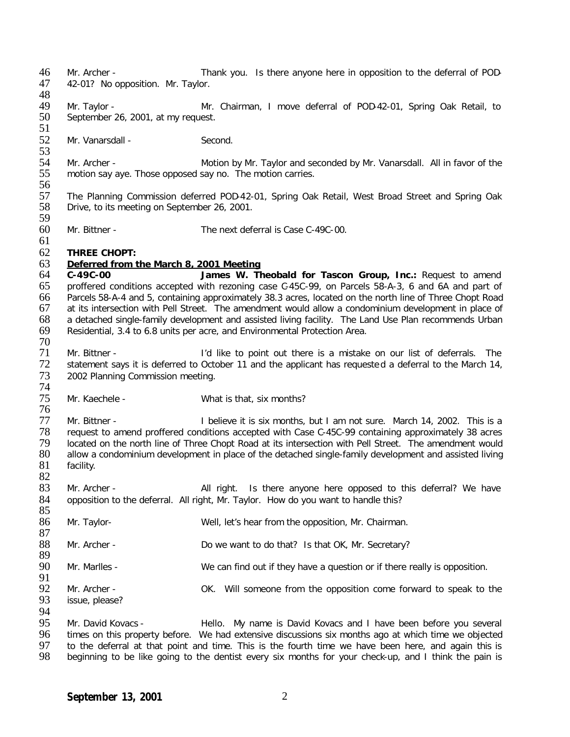46 Mr. Archer - Thank you. Is there anyone here in opposition to the deferral of POD-<br>47 42-01? No opposition. Mr. Taylor. 42-01? No opposition. Mr. Taylor. 48<br>49 49 Mr. Taylor - Mr. Chairman, I move deferral of POD-42-01, Spring Oak Retail, to<br>50 September 26, 2001, at my request. September 26, 2001, at my request. 51

52 Mr. Vanarsdall - Second.

53<br>54 54 Mr. Archer - Motion by Mr. Taylor and seconded by Mr. Vanarsdall. All in favor of the 55 motion say aye. Those opposed say no. The motion carries. motion say aye. Those opposed say no. The motion carries.

56<br>57 57 The Planning Commission deferred POD-42-01, Spring Oak Retail, West Broad Street and Spring Oak<br>58 Drive, to its meeting on September 26, 2001. Drive, to its meeting on September 26, 2001.

59 Mr. Bittner - The next deferral is Case C-49C-00.

#### 62 **THREE CHOPT:**

61

### 63 **Deferred from the March 8, 2001 Meeting**

64 **C-49C-00 James W. Theobald for Tascon Group, Inc.:** Request to amend 65 proffered conditions accepted with rezoning case C-45C-99, on Parcels 58-A-3, 6 and 6A and part of 66 Parcels 58-A-4 and 5, containing approximately 38.3 acres, located on the north line of Three Chopt Road at its intersection with Pell Street. The amendment would allow a condominium development in place of 68 a detached single-family development and assisted living facility. The Land Use Plan recommends Urban<br>69 Residential, 3.4 to 6.8 units per acre, and Environmental Protection Area. Residential, 3.4 to 6.8 units per acre, and Environmental Protection Area.

 $\frac{70}{71}$ 71 Mr. Bittner - I'd like to point out there is a mistake on our list of deferrals. The 72 statement says it is deferred to October 11 and the applicant has requested a deferral to the March 14, 72 statement says it is deferred to October 11 and the applicant has requested a deferral to the March 14,<br>73 2002 Planning Commission meeting. 2002 Planning Commission meeting.

74<br>75 Mr. Kaechele - What is that, six months?

76<br>77 77 Mr. Bittner - I believe it is six months, but I am not sure. March 14, 2002. This is a<br>78 Trequest to amend proffered conditions accepted with Case C-45C-99 containing approximately 38 acres 78 request to amend proffered conditions accepted with Case C-45C-99 containing approximately 38 acres 79 located on the north line of Three Chopt Road at its intersection with Pell Street. The amendment would 70<br>80 allow a condominium development in place of the detached single-family development and assisted living 80 allow a condominium development in place of the detached single-family development and assisted living<br>81 facility. facility.

82<br>83 Mr. Archer - All right. Is there anyone here opposed to this deferral? We have 84 opposition to the deferral. All right, Mr. Taylor. How do you want to handle this?

85<br>86 Mr. Taylor- **Mr. Taylor-** Well, let's hear from the opposition, Mr. Chairman. 87<br>88 Mr. Archer - Do we want to do that? Is that OK, Mr. Secretary? 89<br>90 Mr. Marlles - We can find out if they have a question or if there really is opposition. 91<br>92 92 Mr. Archer - OK. Will someone from the opposition come forward to speak to the 93 issue please? issue, please? 94<br>95

95 Mr. David Kovacs - Thello. My name is David Kovacs and I have been before you several<br>96 times on this property before. We had extensive discussions six months ago at which time we objected 96 times on this property before. We had extensive discussions six months ago at which time we objected<br>97 to the deferral at that point and time. This is the fourth time we have been here, and again this is 97 to the deferral at that point and time. This is the fourth time we have been here, and again this is 98 beginning to be like going to the dentist every six months for your check-up, and I think the pain is beginning to be like going to the dentist every six months for your check-up, and I think the pain is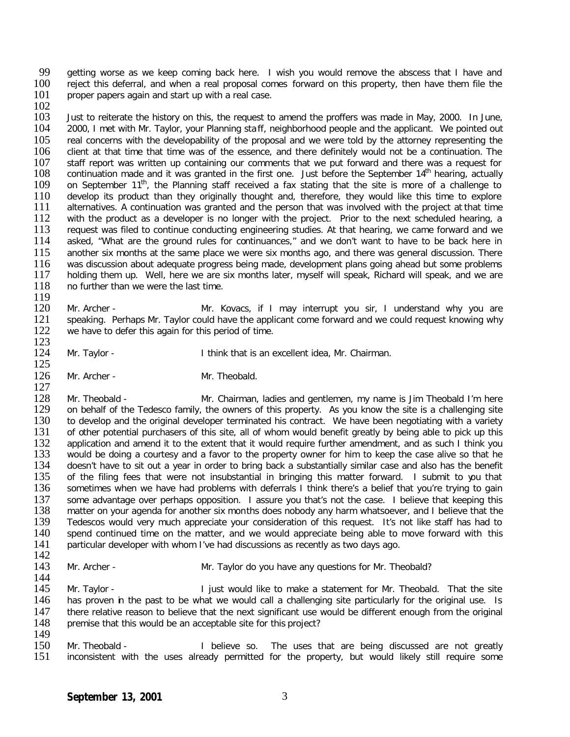99 getting worse as we keep coming back here. I wish you would remove the abscess that I have and <br>100 reiect this deferral, and when a real proposal comes forward on this property, then have them file the 100 reject this deferral, and when a real proposal comes forward on this property, then have them file the 101 proper papers again and start up with a real case. proper papers again and start up with a real case.

 $\frac{102}{103}$ 103 Just to reiterate the history on this, the request to amend the proffers was made in May, 2000. In June, 104 2000, I met with Mr. Taylor, your Planning staff, neighborhood people and the applicant. We pointed out 104 2000, I met with Mr. Taylor, your Planning staff, neighborhood people and the applicant. We pointed out 105 real concerns with the developability of the proposal and we were told by the attorney representing the 105 real concerns with the developability of the proposal and we were told by the attorney representing the 106 client at that time that time was of the essence, and there definitely would not be a continuation. The 106 client at that time that time was of the essence, and there definitely would not be a continuation. The staff report was written up containing our comments that we put forward and there was a request for 107 staff report was written up containing our comments that we put forward and there was a request for 108 continuation made and it was granted in the first one. Just before the September 14<sup>th</sup> hearing, actually 108 continuation made and it was granted in the first one. Just before the September  $14<sup>th</sup>$  hearing, actually 109 on September  $11<sup>th</sup>$ , the Planning staff received a fax stating that the site is more of a challen 109 on September  $11^{th}$ , the Planning staff received a fax stating that the site is more of a challenge to  $110$  develop its product than they originally thought and, therefore, they would like this time to explore 110 develop its product than they originally thought and, therefore, they would like this time to explore<br>111 alternatives. A continuation was granted and the person that was involved with the project at that time 111 alternatives. A continuation was granted and the person that was involved with the project at that time<br>112 with the product as a developer is no longer with the project. Prior to the next scheduled hearing, a 112 with the product as a developer is no longer with the project. Prior to the next scheduled hearing, a<br>113 request was filed to continue conducting engineering studies. At that hearing, we came forward and we 113 request was filed to continue conducting engineering studies. At that hearing, we came forward and we<br>114 asked, "What are the ground rules for continuances," and we don't want to have to be back here in asked, "What are the ground rules for continuances," and we don't want to have to be back here in 115 another six months at the same place we were six months ago, and there was general discussion. There 116 was discussion about adequate progress being made, development plans going ahead but some problems 116 was discussion about adequate progress being made, development plans going ahead but some problems 117 holding them up. Well, here we are six months later, myself will speak. Richard will speak, and we are 117 holding them up. Well, here we are six months later, myself will speak, Richard will speak, and we are 118 no further than we were the last time. no further than we were the last time.

### $\frac{119}{120}$ 120 Mr. Archer - The Mr. Kovacs, if I may interrupt you sir, I understand why you are<br>121 Speaking. Perhaps Mr. Taylor could have the applicant come forward and we could request knowing why 121 speaking. Perhaps Mr. Taylor could have the applicant come forward and we could request knowing why we have to defer this again for this period of time. we have to defer this again for this period of time.

- $\frac{123}{124}$ Mr. Taylor - **I** think that is an excellent idea, Mr. Chairman.
- 126 Mr. Archer Mr. Theobald.

125

 $\frac{127}{128}$ 128 Mr. Theobald - Mr. Chairman, ladies and gentlemen, my name is Jim Theobald I'm here<br>129 on behalf of the Tedesco family, the owners of this property. As you know the site is a challenging site 129 on behalf of the Tedesco family, the owners of this property. As you know the site is a challenging site<br>130 to develop and the original developer terminated his contract. We have been negotiating with a variety 130 to develop and the original developer terminated his contract. We have been negotiating with a variety<br>131 of other potential purchasers of this site, all of whom would benefit greatly by being able to pick up this 131 of other potential purchasers of this site, all of whom would benefit greatly by being able to pick up this<br>132 application and amend it to the extent that it would require further amendment, and as such I think you 132 application and amend it to the extent that it would require further amendment, and as such I think you<br>133 would be doing a courtesy and a favor to the property owner for him to keep the case alive so that he 133 would be doing a courtesy and a favor to the property owner for him to keep the case alive so that he<br>134 doesn't have to sit out a year in order to bring back a substantially similar case and also has the benefit 134 doesn't have to sit out a year in order to bring back a substantially similar case and also has the benefit<br>135 of the filing fees that were not insubstantial in bringing this matter forward. I submit to you that 135 of the filing fees that were not insubstantial in bringing this matter forward. I submit to you that 136 sometimes when we have had problems with deferrals I think there's a belief that vou're trying to gain sometimes when we have had problems with deferrals I think there's a belief that you're trying to gain 137 some advantage over perhaps opposition. I assure you that's not the case. I believe that keeping this 138 matter on vour agenda for another six months does nobody any harm whatsoever, and I believe that the 138 matter on your agenda for another six months does nobody any harm whatsoever, and I believe that the 139 Tedescos would very much appreciate your consideration of this request. It's not like staff has had to 139 Tedescos would very much appreciate your consideration of this request. It's not like staff has had to spend continued time on the matter, and we would appreciate being able to move forward with this 140 spend continued time on the matter, and we would appreciate being able to move forward with this 141 particular developer with whom I've had discussions as recently as two days ago. particular developer with whom I've had discussions as recently as two days ago.

 $\frac{142}{143}$ Mr. Archer - Mr. Taylor do you have any questions for Mr. Theobald?

144<br>145 145 Mr. Taylor - I just would like to make a statement for Mr. Theobald. That the site<br>146 has proven in the past to be what we would call a challenging site particularly for the original use. Is has proven in the past to be what we would call a challenging site particularly for the original use. Is 147 there relative reason to believe that the next significant use would be different enough from the original 148 premise that this would be an acceptable site for this project? premise that this would be an acceptable site for this project?

 $\frac{149}{150}$ 150 Mr. Theobald - I believe so. The uses that are being discussed are not greatly<br>151 inconsistent with the uses already permitted for the property, but would likely still require some inconsistent with the uses already permitted for the property, but would likely still require some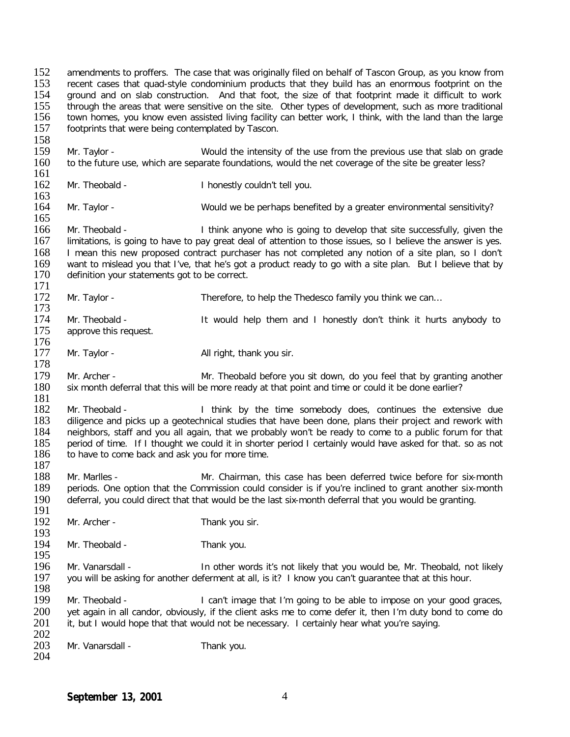152 amendments to proffers. The case that was originally filed on behalf of Tascon Group, as you know from<br>153 recent cases that quad-style condominium products that they build has an enormous footprint on the 153 recent cases that quad-style condominium products that they build has an enormous footprint on the 154 around and on slab construction. And that foot, the size of that footprint made it difficult to work ground and on slab construction. And that foot, the size of that footprint made it difficult to work 155 through the areas that were sensitive on the site. Other types of development, such as more traditional 156 town homes, you know even assisted living facility can better work, I think, with the land than the large 156 town homes, you know even assisted living facility can better work, I think, with the land than the large 157 footprints that were being contemplated by Tascon. footprints that were being contemplated by Tascon.

158<br>159 159 Mr. Taylor - Would the intensity of the use from the previous use that slab on grade<br>160 to the future use, which are separate foundations, would the net coverage of the site be greater less? to the future use, which are separate foundations, would the net coverage of the site be greater less?

 $\frac{161}{162}$ Mr. Theobald - I honestly couldn't tell you.

 $\frac{163}{164}$ Mr. Taylor - Would we be perhaps benefited by a greater environmental sensitivity?

 $\frac{165}{166}$ 166 Mr. Theobald - I think anyone who is going to develop that site successfully, given the 167 limitations, is going to have to pay great deal of attention to those issues, so I believe the answer is ves. limitations, is going to have to pay great deal of attention to those issues, so I believe the answer is yes. 168 I mean this new proposed contract purchaser has not completed any notion of a site plan, so I don't 169 want to mislead you that I've, that he's got a product ready to go with a site plan. But I believe that by 169 want to mislead you that I've, that he's got a product ready to go with a site plan. But I believe that by<br>170 definition vour statements got to be correct. definition your statements got to be correct.

 $\frac{171}{172}$ Mr. Taylor - Therefore, to help the Thedesco family you think we can...

 $\frac{173}{174}$ 174 Mr. Theobald - It would help them and I honestly don't think it hurts anybody to 175 approve this request. approve this request.

 $\frac{176}{177}$ Mr. Taylor - All right, thank you sir.

178<br>179 179 Mr. Archer - Mr. Theobald before you sit down, do you feel that by granting another 180 six month deferral that this will be more ready at that point and time or could it be done earlier? six month deferral that this will be more ready at that point and time or could it be done earlier?

 $\frac{181}{182}$ 182 Mr. Theobald - I think by the time somebody does, continues the extensive due<br>183 diligence and picks up a geotechnical studies that have been done, plans their project and rework with 183 diligence and picks up a geotechnical studies that have been done, plans their project and rework with 184 neighbors, staff and you all again, that we probably won't be ready to come to a public forum for that 184 neighbors, staff and you all again, that we probably won't be ready to come to a public forum for that 185 period of time. If I thought we could it in shorter period I certainly would have asked for that, so as not period of time. If I thought we could it in shorter period I certainly would have asked for that. so as not 186 to have to come back and ask you for more time.

 $\frac{187}{188}$ 188 Mr. Marlles - Mr. Chairman, this case has been deferred twice before for six-month 189 periods. One option that the Commission could consider is if you're inclined to grant another six-month periods. One option that the Commission could consider is if you're inclined to grant another six-month 190 deferral, you could direct that that would be the last six-month deferral that you would be granting.

191<br>192 Mr. Archer - Thank you sir.

193<br>194 Mr. Theobald - Thank you.

195<br>196 196 Mr. Vanarsdall - In other words it's not likely that you would be, Mr. Theobald, not likely 197 vou will be asking for another deferment at all. is it? I know you can't quarantee that at this hour. you will be asking for another deferment at all, is it? I know you can't guarantee that at this hour.

198<br>199 Mr. Theobald - I can't image that I'm going to be able to impose on your good graces, 200 yet again in all candor, obviously, if the client asks me to come defer it, then I'm duty bond to come do <br>201 it, but I would hope that that would not be necessary. I certainly hear what you're saying. it, but I would hope that that would not be necessary. I certainly hear what you're saying.

 $\frac{202}{203}$ Mr. Vanarsdall - Thank you. 204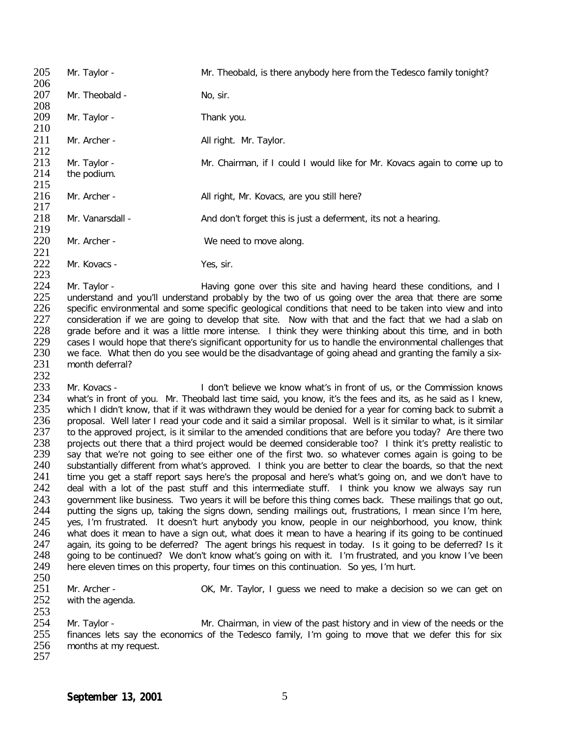205 Mr. Taylor - Mr. Theobald, is there anybody here from the Tedesco family tonight? 206<br>207 Mr. Theobald - No, sir. 208 Mr. Taylor - Thank you. 210 211 Mr. Archer - All right. Mr. Taylor.  $\frac{212}{213}$ 213 Mr. Taylor - Mr. Chairman, if I could I would like for Mr. Kovacs again to come up to 214 the podium. the podium.  $\frac{215}{216}$ Mr. Archer - All right, Mr. Kovacs, are you still here?  $\frac{217}{218}$ Mr. Vanarsdall - And don't forget this is just a deferment, its not a hearing. 219 Mr. Archer - We need to move along.  $\frac{221}{222}$ Mr. Kovacs - Yes, sir. 223<br>224

224 Mr. Taylor - Having gone over this site and having heard these conditions, and I<br>225 understand and you'll understand probably by the two of us going over the area that there are some 225 understand and you'll understand probably by the two of us going over the area that there are some<br>226 specific environmental and some specific geological conditions that need to be taken into view and into 226 specific environmental and some specific geological conditions that need to be taken into view and into 227 consideration if we are going to develop that site. Now with that and the fact that we had a slab on 227 consideration if we are going to develop that site. Now with that and the fact that we had a slab on<br>228 grade before and it was a little more intense. I think they were thinking about this time, and in both 228 grade before and it was a little more intense. I think they were thinking about this time, and in both 229 cases I would hope that there's significant opportunity for us to handle the environmental challenges that 229 cases I would hope that there's significant opportunity for us to handle the environmental challenges that<br>230 we face. What then do you see would be the disadvantage of going ahead and granting the family a six-230 we face. What then do you see would be the disadvantage of going ahead and granting the family a six-<br>231 month deferral? month deferral?

232<br>233 233 Mr. Kovacs - I don't believe we know what's in front of us, or the Commission knows<br>234 what's in front of you. Mr. Theobald last time said, you know, it's the fees and its, as he said as I knew, 234 what's in front of you. Mr. Theobald last time said, you know, it's the fees and its, as he said as I knew,<br>235 which I didn't know, that if it was withdrawn they would be denied for a year for coming back to submit a 235 which I didn't know, that if it was withdrawn they would be denied for a year for coming back to submit a<br>236 proposal. Well later I read vour code and it said a similar proposal. Well is it similar to what, is it simi 236 proposal. Well later I read your code and it said a similar proposal. Well is it similar to what, is it similar<br>237 to the approved project, is it similar to the amended conditions that are before you today? Are there 237 to the approved project, is it similar to the amended conditions that are before you today? Are there two<br>238 projects out there that a third project would be deemed considerable too? I think it's pretty realistic to 238 projects out there that a third project would be deemed considerable too? I think it's pretty realistic to<br>239 say that we're not going to see either one of the first two, so whatever comes again is going to be 239 say that we're not going to see either one of the first two. so whatever comes again is going to be 240 substantially different from what's approved. I think you are better to clear the boards, so that the next 240 substantially different from what's approved. I think you are better to clear the boards, so that the next<br>241 time vou get a staff report savs here's the proposal and here's what's going on, and we don't have to 241 time you get a staff report says here's the proposal and here's what's going on, and we don't have to 242 deal with a lot of the past stuff and this intermediate stuff. I think you know we always say run deal with a lot of the past stuff and this intermediate stuff. I think you know we always say run 243 government like business. Two years it will be before this thing comes back. These mailings that go out,<br>244 putting the signs up, taking the signs down, sending mailings out, frustrations. I mean since I'm here, 244 putting the signs up, taking the signs down, sending mailings out, frustrations, I mean since I'm here, 245 ves, I'm frustrated. It doesn't hurt anybody you know, people in our neighborhood, you know, think 245 yes, I'm frustrated. It doesn't hurt anybody you know, people in our neighborhood, you know, think<br>246 what does it mean to have a sign out, what does it mean to have a hearing if its going to be continued 246 what does it mean to have a sign out, what does it mean to have a hearing if its going to be continued 247 again, its going to be deferred? Is it 247 again, its going to be deferred? The agent brings his request in today. Is it going to be deferred? Is it<br>248 aging to be continued? We don't know what's going on with it. I'm frustrated, and you know I've been 248 going to be continued? We don't know what's going on with it. I'm frustrated, and you know I've been 249 here eleven times on this property, four times on this and the sontinuation. So ves, I'm hurt. here eleven times on this property, four times on this continuation. So yes, I'm hurt.

 $\frac{250}{251}$ 

251 Mr. Archer - OK, Mr. Taylor, I guess we need to make a decision so we can get on 252 with the agenda. with the agenda.

 $\frac{253}{254}$ 254 Mr. Taylor - Mr. Chairman, in view of the past history and in view of the needs or the 255 finances lets say the economics of the Tedesco family, I'm going to move that we defer this for six 255 finances lets say the economics of the Tedesco family, I'm going to move that we defer this for six 256 months at my request. months at my request. 257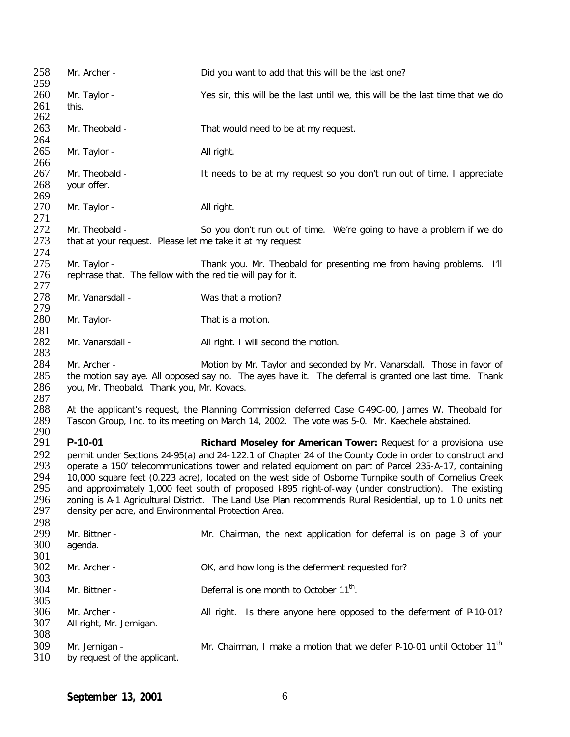258 Mr. Archer - Did you want to add that this will be the last one? 259<br>260 260 Mr. Taylor - Yes sir, this will be the last until we, this will be the last time that we do 261 this.  $\frac{262}{263}$ Mr. Theobald - That would need to be at my request.  $\frac{264}{265}$ Mr. Taylor - All right. 266<br>267 267 Mr. Theobald - It needs to be at my request so you don't run out of time. I appreciate<br>268 your offer. your offer. 269<br>270 Mr. Taylor - All right. 271 272 Mr. Theobald - So you don't run out of time. We're going to have a problem if we do 273 that at your request. Please let me take it at my request that at your request. Please let me take it at my request 274<br>275 275 Mr. Taylor - Thank you. Mr. Theobald for presenting me from having problems. I'll 276 rephrase that. The fellow with the red tie will pay for it. rephrase that. The fellow with the red tie will pay for it. 277<br>278 Mr. Vanarsdall - Was that a motion? 279 Mr. Taylor- That is a motion. 281 Mr. Vanarsdall - All right. I will second the motion. 283 Mr. Archer - **Example 284 Motion by Mr. Taylor and seconded by Mr. Vanarsdall.** Those in favor of 285 the motion say aye. All opposed say no. The ayes have it. The deferral is granted one last time. Thank 286 you, Mr. Theobald. Thank you, Mr. Kovacs. you, Mr. Theobald. Thank you, Mr. Kovacs.  $\frac{287}{288}$ 288 At the applicant's request, the Planning Commission deferred Case C-49C-00, James W. Theobald for 289 Tascon Group, Inc. to its meeting on March 14, 2002. The vote was 5-0. Mr. Kaechele abstained. Tascon Group, Inc. to its meeting on March 14, 2002. The vote was 5-0. Mr. Kaechele abstained. 290<br>291 **P-10-01 Richard Moseley for American Tower:** Request for a provisional use 292 permit under Sections 24-95(a) and 24-122.1 of Chapter 24 of the County Code in order to construct and<br>293 operate a 150' telecommunications tower and related equipment on part of Parcel 235-A-17, containing 293 operate a 150' telecommunications tower and related equipment on part of Parcel 235-A-17, containing<br>294 10.000 square feet (0.223 acre), located on the west side of Osborne Turnpike south of Cornelius Creek 294 10,000 square feet (0.223 acre), located on the west side of Osborne Turnpike south of Cornelius Creek<br>295 and approximately 1,000 feet south of proposed 1895 right-of-way (under construction). The existing 295 and approximately 1,000 feet south of proposed 1895 right-of-way (under construction). The existing 296 zoning is A-1 Agricultural District. The Land Use Plan recommends Rural Residential, up to 1.0 units net 296 zoning is A-1 Agricultural District. The Land Use Plan recommends Rural Residential, up to 1.0 units net 297 density per acre, and Environmental Protection Area. density per acre, and Environmental Protection Area. 298<br>299 299 Mr. Bittner - The Mr. Chairman, the next application for deferral is on page 3 of your 300 agenda. agenda. 301<br>302 Mr. Archer - CK, and how long is the deferment requested for? 303<br>304 Mr. Bittner -  $\blacksquare$  Deferral is one month to October 11<sup>th</sup>. 305 306 Mr. Archer - All right. Is there anyone here opposed to the deferment of P-10-01? 307 All right, Mr. Jernigan. 308 Mr. Jernigan - Mr. Chairman, I make a motion that we defer P-10-01 until October 11<sup>th</sup> 310 by request of the applicant. by request of the applicant.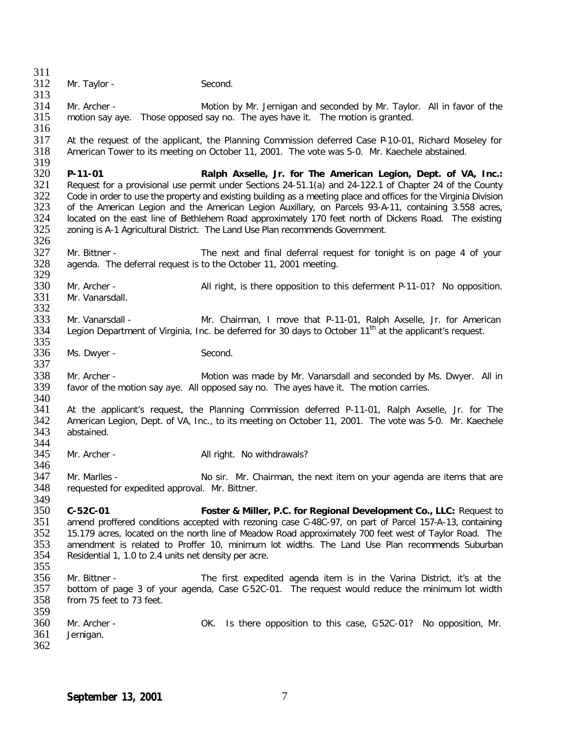$\frac{311}{312}$ Mr. Taylor - Second.  $\frac{313}{314}$ 314 Mr. Archer - Motion by Mr. Jernigan and seconded by Mr. Taylor. All in favor of the 315 motion say aye. Those opposed say no. The ayes have it. The motion is granted. motion say aye. Those opposed say no. The ayes have it. The motion is granted. 316 317 At the request of the applicant, the Planning Commission deferred Case P-10-01, Richard Moseley for 318 American Tower to its meeting on October 11, 2001. The vote was 5-0. Mr. Kaechele abstained. American Tower to its meeting on October 11, 2001. The vote was 5-0. Mr. Kaechele abstained. 319<br>320 320 **P-11-01 Ralph Axselle, Jr. for The American Legion, Dept. of VA, Inc.:** 321 Request for a provisional use permit under Sections 24-51.1(a) and 24-122.1 of Chapter 24 of the County<br>322 Code in order to use the property and existing building as a meeting place and offices for the Virginia Divisi 322 Code in order to use the property and existing building as a meeting place and offices for the Virginia Division<br>323 of the American Legion and the American Legion Auxillary, on Parcels 93-A-11, containing 3.558 acres, 323 of the American Legion and the American Legion Auxillary, on Parcels 93-A-11, containing 3.558 acres, 324 located on the east line of Bethlehem Road approximately 170 feet north of Dickens Road. The existing 324 Iocated on the east line of Bethlehem Road approximately 170 feet north of Dickens Road. The existing 325 zoning is A-1 Agricultural District. The Land Use Plan recommends Government. zoning is A-1 Agricultural District. The Land Use Plan recommends Government. 326<br>327 327 Mr. Bittner - The next and final deferral request for tonight is on page 4 of your agenda. The deferral request is to the October 11, 2001 meeting. agenda. The deferral request is to the October 11, 2001 meeting. 329<br>330 330 Mr. Archer - All right, is there opposition to this deferment P-11-01? No opposition.<br>331 Mr. Vanarsdall. Mr. Vanarsdall. 332<br>333 333 Mr. Vanarsdall - Mr. Chairman, I move that P-11-01, Ralph Axselle, Jr. for American Legion Department of Virginia, Inc. be deferred for 30 days to October 11<sup>th</sup> at the applicant's request. Legion Department of Virginia, Inc. be deferred for 30 days to October  $11<sup>th</sup>$  at the applicant's request. 335<br>336 Ms. Dwyer - Second. 337 338 Mr. Archer - Motion was made by Mr. Vanarsdall and seconded by Ms. Dwyer. All in 339 favor of the motion say aye. All opposed say no. The ayes have it. The motion carries. favor of the motion say aye. All opposed say no. The ayes have it. The motion carries. 340<br>341 341 At the applicant's request, the Planning Commission deferred P-11-01, Ralph Axselle, Jr. for The 342 American Legion, Dept. of VA, Inc., to its meeting on October 11, 2001. The vote was 5-0. Mr. Kaechele 342 American Legion, Dept. of VA, Inc., to its meeting on October 11, 2001. The vote was 5-0. Mr. Kaechele 343 abstained. abstained. 344<br>345 Mr. Archer - All right. No withdrawals? 346<br>347 347 Mr. Marlles - Same Mo sir. Mr. Chairman, the next item on your agenda are items that are 348 requested for expedited approval. Mr. Bittner. requested for expedited approval. Mr. Bittner. 349<br>350 350 **C-52C-01 Foster & Miller, P.C. for Regional Development Co., LLC:** Request to amend proffered conditions accepted with rezoning case C-48C-97, on part of Parcel 157-A-13, containing 352 15.179 acres, located on the north line of Meadow Road approximately 700 feet west of Taylor Road. The 353 amendment is related to Proffer 10, minimum lot widths. The Land Use Plan recommends Suburban 353 amendment is related to Proffer 10, minimum lot widths. The Land Use Plan recommends Suburban<br>354 Residential 1, 1.0 to 2.4 units net density per acre. Residential 1, 1.0 to 2.4 units net density per acre. 355<br>356 356 Mr. Bittner - The first expedited agenda item is in the Varina District, it's at the 357 bottom of page 3 of your agenda, Case C-52C-01. The request would reduce the minimum lot width 357 bottom of page 3 of your agenda, Case C-52C-01. The request would reduce the minimum lot width 358 from 75 feet to 73 feet. from 75 feet to 73 feet. 359<br>360 360 Mr. Archer - OK. Is there opposition to this case, C-52C-01? No opposition, Mr. 361 Jernigan. Jernigan. 362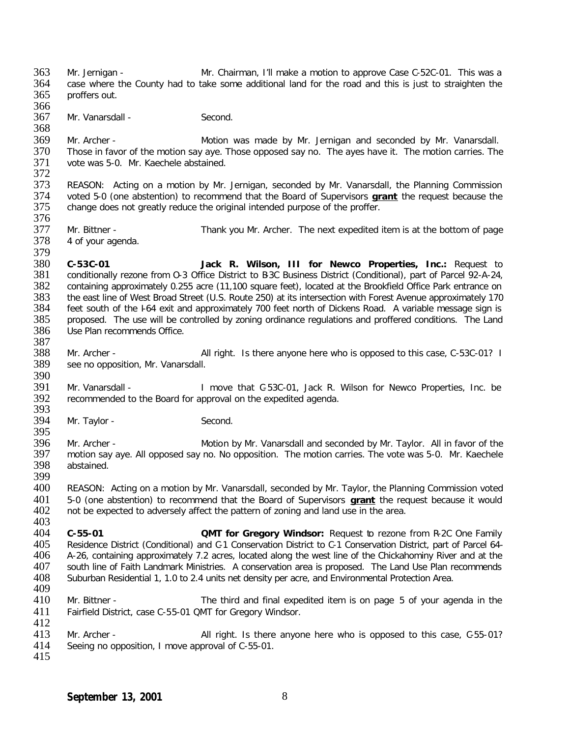363 Mr. Jernigan - Mr. Chairman, I'll make a motion to approve Case C-52C-01. This was a<br>364 case where the County had to take some additional land for the road and this is just to straighten the 364 case where the County had to take some additional land for the road and this is just to straighten the 365 proffers out. proffers out. 366<br>367 Mr. Vanarsdall - Second. 368 369 Mr. Archer - Motion was made by Mr. Jernigan and seconded by Mr. Vanarsdall.<br>370 Those in favor of the motion say aye. Those opposed say no. The ayes have it. The motion carries. The 370 Those in favor of the motion say aye. Those opposed say no. The ayes have it. The motion carries. The 371 vote was 5-0. Mr. Kaechele abstained. vote was 5-0. Mr. Kaechele abstained. 372<br>373 373 REASON: Acting on a motion by Mr. Jernigan, seconded by Mr. Vanarsdall, the Planning Commission<br>374 voted 5-0 (one abstention) to recommend that the Board of Supervisors **grant** the request because the 374 voted 5-0 (one abstention) to recommend that the Board of Supervisors **grant** the request because the change does not greatly reduce the original intended purpose of the proffer. 376<br>377 377 Mr. Bittner - Thank you Mr. Archer. The next expedited item is at the bottom of page 378 4 of your agenda. 4 of your agenda. 379<br>380 380 **C-53C-01 Jack R. Wilson, III for Newco Properties, Inc.:** Request to 381 conditionally rezone from O-3 Office District to B3C Business District (Conditional), part of Parcel 92-A-24,<br>382 containing approximately 0.255 acre (11,100 square feet), located at the Brookfield Office Park entrance 382 containing approximately 0.255 acre (11,100 square feet), located at the Brookfield Office Park entrance on<br>383 the east line of West Broad Street (U.S. Route 250) at its intersection with Forest Avenue approximately 1 383 the east line of West Broad Street (U.S. Route 250) at its intersection with Forest Avenue approximately 170<br>384 feet south of the 164 exit and approximately 700 feet north of Dickens Road. A variable message sign is 384 feet south of the I-64 exit and approximately 700 feet north of Dickens Road. A variable message sign is<br>385 proposed. The use will be controlled by zoning ordinance regulations and proffered conditions. The Land 385 proposed. The use will be controlled by zoning ordinance regulations and proffered conditions. The Land 386 Use Plan recommends Office. Use Plan recommends Office. 387<br>388 388 Mr. Archer - All right. Is there anyone here who is opposed to this case, C-53C-01? I<br>389 see no opposition, Mr. Vanarsdall. see no opposition, Mr. Vanarsdall. 390<br>391 391 Mr. Vanarsdall - I move that C-53C-01, Jack R. Wilson for Newco Properties, Inc. be 392 recommended to the Board for approval on the expedited agenda. recommended to the Board for approval on the expedited agenda. 393<br>394 Mr. Taylor - Second. 395<br>396 Mr. Archer - Motion by Mr. Vanarsdall and seconded by Mr. Taylor. All in favor of the 397 motion say aye. All opposed say no. No opposition. The motion carries. The vote was 5-0. Mr. Kaechele abstained. abstained. 399 REASON: Acting on a motion by Mr. Vanarsdall, seconded by Mr. Taylor, the Planning Commission voted 401 5-0 (one abstention) to recommend that the Board of Supervisors **grant** the request because it would 402 not be expected to adversely affect the pattern of zoning and land use in the area. not be expected to adversely affect the pattern of zoning and land use in the area. 403<br>404 404 **C-55-01 QMT for Gregory Windsor:** Request to rezone from R-2C One Family Residence District (Conditional) and C-1 Conservation District to C-1 Conservation District, part of Parcel 64-406 A-26, containing approximately 7.2 acres, located along the west line of the Chickahominy River and at the<br>407 south line of Faith Landmark Ministries. A conservation area is proposed. The Land Use Plan recommends 407 south line of Faith Landmark Ministries. A conservation area is proposed. The Land Use Plan recommends 408 Suburban Residential 1, 1.0 to 2.4 units net density per acre, and Environmental Protection Area. Suburban Residential 1, 1.0 to 2.4 units net density per acre, and Environmental Protection Area. 409<br>410 Mr. Bittner - The third and final expedited item is on page 5 of your agenda in the 411 Fairfield District, case C-55-01 QMT for Gregory Windsor.  $\frac{412}{413}$ 413 Mr. Archer - All right. Is there anyone here who is opposed to this case, C-55-01?<br>414 Seeing no opposition. I move approval of C-55-01. Seeing no opposition, I move approval of C-55-01. 415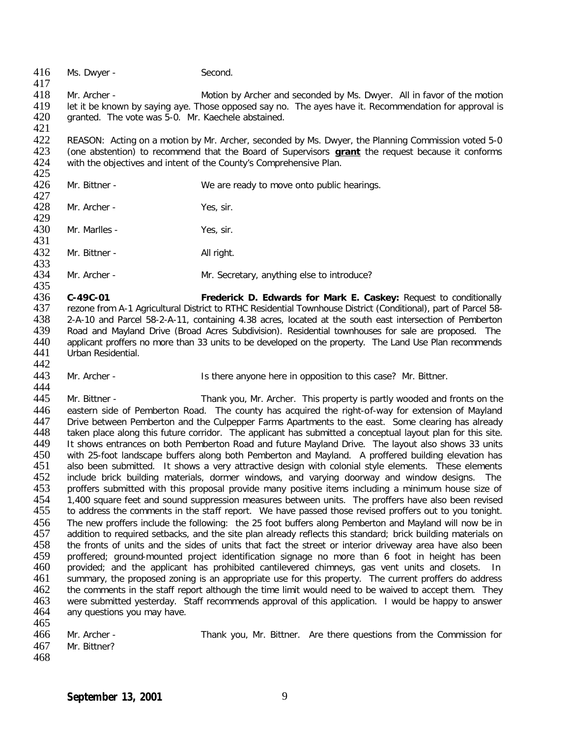416 Ms. Dwyer - Second.  $\frac{417}{418}$ Mr. Archer - Motion by Archer and seconded by Ms. Dwyer. All in favor of the motion 419 let it be known by saying aye. Those opposed say no. The ayes have it. Recommendation for approval is 420 granted. The vote was 5-0. Mr. Kaechele abstained. granted. The vote was 5-0. Mr. Kaechele abstained. 421<br>422 422 REASON: Acting on a motion by Mr. Archer, seconded by Ms. Dwyer, the Planning Commission voted 5-0<br>423 (one abstention) to recommend that the Board of Supervisors **grant** the request because it conforms 423 (one abstention) to recommend that the Board of Supervisors **grant** the request because it conforms with the objectives and intent of the County's Comprehensive Plan. 425<br>426 Mr. Bittner - We are ready to move onto public hearings. 427<br>428 Mr. Archer - Yes, sir. 429<br>430 Mr. Marlles - Yes, sir. 431<br>432 Mr. Bittner - All right. 433<br>434 Mr. Archer - Mr. Secretary, anything else to introduce? 435<br>436 436 **C-49C-01 Frederick D. Edwards for Mark E. Caskey:** Request to conditionally 437 rezone from A-1 Agricultural District to RTHC Residential Townhouse District (Conditional), part of Parcel 58- 438 2-A-10 and Parcel 58-2-A-11, containing 4.38 acres, located at the south east intersection of Pemberton Road and Mayland Drive (Broad Acres Subdivision). Residential townhouses for sale are proposed. The 440 applicant proffers no more than 33 units to be developed on the property. The Land Use Plan recommends 441 Urban Residential. Urban Residential. 442<br>443 Mr. Archer - The Is there anyone here in opposition to this case? Mr. Bittner. 444<br>445 Mr. Bittner - Thank you, Mr. Archer. This property is partly wooded and fronts on the 446 eastern side of Pemberton Road. The county has acquired the right-of-way for extension of Mayland<br>447 Drive between Pemberton and the Culpepper Farms Apartments to the east. Some clearing has already 447 Drive between Pemberton and the Culpepper Farms Apartments to the east. Some clearing has already<br>448 taken place along this future corridor. The applicant has submitted a conceptual layout plan for this site

148 taken place along this future corridor. The applicant has submitted a conceptual layout plan for this site.<br>149 It shows entrances on both Pemberton Road and future Mavland Drive. The layout also shows 33 units 449 It shows entrances on both Pemberton Road and future Mayland Drive. The layout also shows 33 units<br>450 with 25-foot landscape buffers along both Pemberton and Mayland. A proffered building elevation has 450 with 25-foot landscape buffers along both Pemberton and Mayland. A proffered building elevation has<br>451 also been submitted. It shows a very attractive design with colonial style elements. These elements 451 also been submitted. It shows a very attractive design with colonial style elements. These elements<br>452 include brick building materials, dormer windows, and varving doorway and window designs. The 452 include brick building materials, dormer windows, and varying doorway and window designs. The 453 proffers submitted with this proposal provide many positive items including a minimum house size of 453 proffers submitted with this proposal provide many positive items including a minimum house size of 454 and sound suppression measures between terminal and sound suppression measures between terminal and sound the 454 454 1,400 square feet and sound suppression measures between units. The proffers have also been revised 455 to address the comments in the staff report. We have passed those revised proffers out to you tonight. to address the comments in the staff report. We have passed those revised proffers out to you tonight. 456 The new proffers include the following: the 25 foot buffers along Pemberton and Mayland will now be in<br>457 addition to required setbacks, and the site plan already reflects this standard: brick building materials on 457 addition to required setbacks, and the site plan already reflects this standard; brick building materials on<br>458 the fronts of units and the sides of units that fact the street or interior driveway area have also been 458 the fronts of units and the sides of units that fact the street or interior driveway area have also been<br>459 proffered: ground-mounted project identification signage no more than 6 foot in height has been 459 proffered; ground-mounted project identification signage no more than 6 foot in height has been 460 provided; and the applicant has prohibited cantilevered chimneys, gas vent units and closets. In<br>461 summary, the proposed zoning is an appropriate use for this property. The current proffers do address summary, the proposed zoning is an appropriate use for this property. The current proffers do address 462 the comments in the staff report although the time limit would need to be waived to accept them. They 463 were submitted yesterday. Staff recommends approval of this application. I would be happy to answer 464 any questions you may have.

465<br>466 Mr. Archer - Thank you, Mr. Bittner. Are there questions from the Commission for 467 Mr. Bittner? 468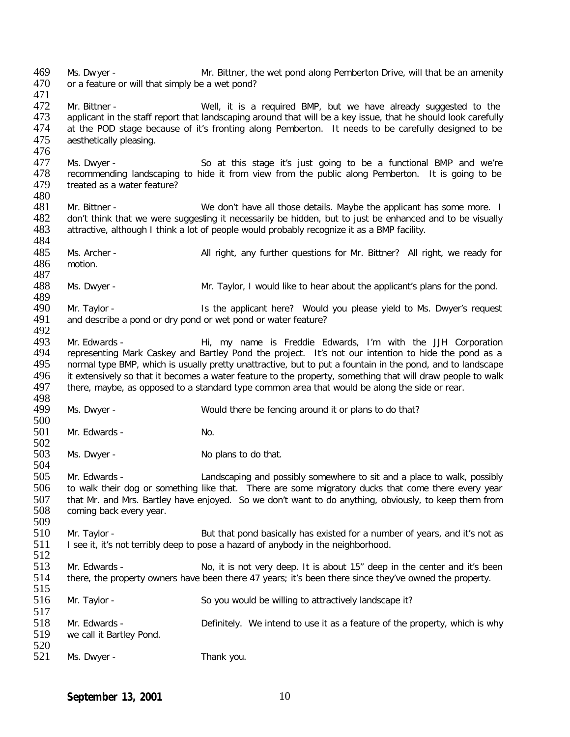469 Ms. Dwyer - Mr. Bittner, the wet pond along Pemberton Drive, will that be an amenity<br>470 or a feature or will that simply be a wet pond? or a feature or will that simply be a wet pond? 471<br>472 AT2 Mr. Bittner - Well, it is a required BMP, but we have already suggested to the<br>473 applicant in the staff report that landscaping around that will be a key issue, that he should look carefully 473 applicant in the staff report that landscaping around that will be a key issue, that he should look carefully<br>474 at the POD stage because of it's fronting along Pemberton. It needs to be carefully designed to be 474 at the POD stage because of it's fronting along Pemberton. It needs to be carefully designed to be 475 aesthetically pleasing. aesthetically pleasing. 476<br>477 477 Ms. Dwyer - So at this stage it's just going to be a functional BMP and we're<br>478 recommending landscaping to hide it from view from the public along Pemberton. It is going to be 478 recommending landscaping to hide it from view from the public along Pemberton. It is going to be 479 treated as a water feature? treated as a water feature? 480<br>481 481 Mr. Bittner - We don't have all those details. Maybe the applicant has some more. I<br>482 don't think that we were suggesting it necessarily be hidden, but to just be enhanced and to be visually 482 don't think that we were suggesting it necessarily be hidden, but to just be enhanced and to be visually 483 attractive, although I think a lot of people would probably recognize it as a BMP facility. attractive, although I think a lot of people would probably recognize it as a BMP facility. 484<br>485 485 Ms. Archer - All right, any further questions for Mr. Bittner? All right, we ready for 486 motion. motion. 487 Ms. Dwyer - Mr. Taylor, I would like to hear about the applicant's plans for the pond. 489<br>490 490 Mr. Taylor - Is the applicant here? Would you please yield to Ms. Dwyer's request and describe a pond or dry pond or wet pond or water feature? and describe a pond or dry pond or wet pond or water feature? 492<br>493 493 Mr. Edwards - Hi, my name is Freddie Edwards, I'm with the JJH Corporation<br>494 representing Mark Caskey and Bartley Pond the project. It's not our intention to hide the pond as a 494 representing Mark Caskey and Bartley Pond the project. It's not our intention to hide the pond as a<br>495 normal type BMP, which is usually pretty unattractive, but to put a fountain in the pond, and to landscape normal type BMP, which is usually pretty unattractive, but to put a fountain in the pond, and to landscape 496 it extensively so that it becomes a water feature to the property, something that will draw people to walk<br>497 there, maybe, as opposed to a standard type common area that would be along the side or rear. there, maybe, as opposed to a standard type common area that would be along the side or rear. 498<br>499 Ms. Dwyer - Would there be fencing around it or plans to do that?  $\frac{500}{501}$ Mr. Edwards - No. 502<br>503 Ms. Dwyer - No plans to do that. 504<br>505 505 Mr. Edwards - Landscaping and possibly somewhere to sit and a place to walk, possibly<br>506 to walk their dog or something like that. There are some migratory ducks that come there every year to walk their dog or something like that. There are some migratory ducks that come there every year 507 that Mr. and Mrs. Bartley have enjoyed. So we don't want to do anything, obviously, to keep them from 508 coming back every vear. coming back every year. 509<br>510 510 Mr. Taylor - But that pond basically has existed for a number of years, and it's not as 511 I see it. it's not terribly deep to pose a hazard of anybody in the neighborhood. 1 see it, it's not terribly deep to pose a hazard of anybody in the neighborhood.  $\frac{512}{513}$ 513 Mr. Edwards - No, it is not very deep. It is about 15" deep in the center and it's been<br>514 there, the property owners have been there 47 years; it's been there since they've owned the property. there, the property owners have been there 47 years; it's been there since they've owned the property. 515<br>516 Mr. Taylor - So you would be willing to attractively landscape it?  $\frac{517}{518}$ 518 Mr. Edwards - Definitely. We intend to use it as a feature of the property, which is why<br>519 we call it Bartley Pond. we call it Bartley Pond.  $\frac{520}{521}$ Ms. Dwyer - Thank you.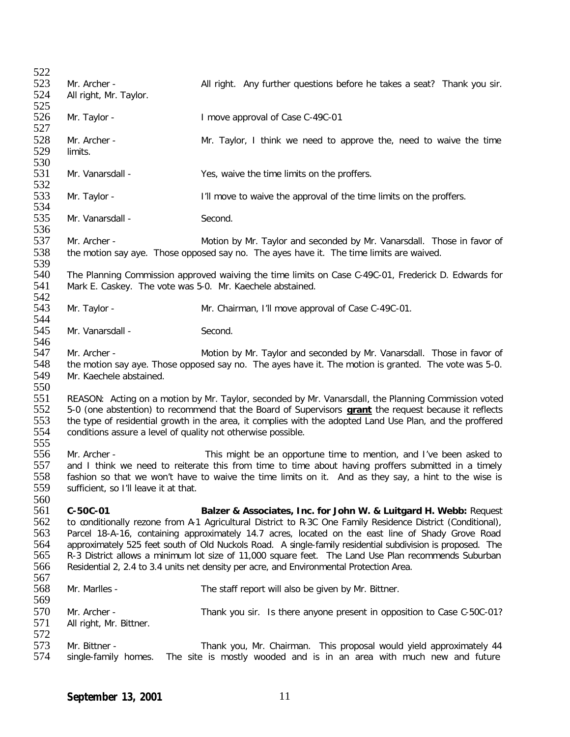| 522                                           |                                                                                                                                                                                                                                                                                                                                                                                                                                                                                                                                                                                                                    |                                                                                                                                                                                                                                                                                                                                  |
|-----------------------------------------------|--------------------------------------------------------------------------------------------------------------------------------------------------------------------------------------------------------------------------------------------------------------------------------------------------------------------------------------------------------------------------------------------------------------------------------------------------------------------------------------------------------------------------------------------------------------------------------------------------------------------|----------------------------------------------------------------------------------------------------------------------------------------------------------------------------------------------------------------------------------------------------------------------------------------------------------------------------------|
| 523<br>524                                    | Mr. Archer -<br>All right, Mr. Taylor.                                                                                                                                                                                                                                                                                                                                                                                                                                                                                                                                                                             | All right. Any further questions before he takes a seat? Thank you sir.                                                                                                                                                                                                                                                          |
| 525<br>526<br>527                             | Mr. Taylor -                                                                                                                                                                                                                                                                                                                                                                                                                                                                                                                                                                                                       | I move approval of Case C-49C-01                                                                                                                                                                                                                                                                                                 |
| 528<br>529<br>530                             | Mr. Archer -<br>limits.                                                                                                                                                                                                                                                                                                                                                                                                                                                                                                                                                                                            | Mr. Taylor, I think we need to approve the, need to waive the time                                                                                                                                                                                                                                                               |
| 531<br>532                                    | Mr. Vanarsdall -                                                                                                                                                                                                                                                                                                                                                                                                                                                                                                                                                                                                   | Yes, waive the time limits on the proffers.                                                                                                                                                                                                                                                                                      |
| 533<br>534                                    | Mr. Taylor -                                                                                                                                                                                                                                                                                                                                                                                                                                                                                                                                                                                                       | I'll move to waive the approval of the time limits on the proffers.                                                                                                                                                                                                                                                              |
| 535<br>536                                    | Mr. Vanarsdall -                                                                                                                                                                                                                                                                                                                                                                                                                                                                                                                                                                                                   | Second.                                                                                                                                                                                                                                                                                                                          |
| 537<br>538                                    | Mr. Archer -                                                                                                                                                                                                                                                                                                                                                                                                                                                                                                                                                                                                       | Motion by Mr. Taylor and seconded by Mr. Vanarsdall. Those in favor of<br>the motion say aye. Those opposed say no. The ayes have it. The time limits are waived.                                                                                                                                                                |
| 539<br>540<br>541<br>542                      | Mark E. Caskey. The vote was 5-0. Mr. Kaechele abstained.                                                                                                                                                                                                                                                                                                                                                                                                                                                                                                                                                          | The Planning Commission approved waiving the time limits on Case C-49C-01, Frederick D. Edwards for                                                                                                                                                                                                                              |
| 543<br>544                                    | Mr. Taylor -                                                                                                                                                                                                                                                                                                                                                                                                                                                                                                                                                                                                       | Mr. Chairman, I'll move approval of Case C-49C-01.                                                                                                                                                                                                                                                                               |
| 545<br>546                                    | Mr. Vanarsdall -                                                                                                                                                                                                                                                                                                                                                                                                                                                                                                                                                                                                   | Second.                                                                                                                                                                                                                                                                                                                          |
| 547<br>548<br>549<br>550                      | Mr. Archer -<br>Mr. Kaechele abstained.                                                                                                                                                                                                                                                                                                                                                                                                                                                                                                                                                                            | Motion by Mr. Taylor and seconded by Mr. Vanarsdall. Those in favor of<br>the motion say aye. Those opposed say no. The ayes have it. The motion is granted. The vote was 5-0.                                                                                                                                                   |
| 551<br>552<br>553<br>554<br>555               | conditions assure a level of quality not otherwise possible.                                                                                                                                                                                                                                                                                                                                                                                                                                                                                                                                                       | REASON: Acting on a motion by Mr. Taylor, seconded by Mr. Vanarsdall, the Planning Commission voted<br>5-0 (one abstention) to recommend that the Board of Supervisors <b>grant</b> the request because it reflects<br>the type of residential growth in the area, it complies with the adopted Land Use Plan, and the proffered |
| 556<br>557<br>558<br>559<br>560               | Mr. Archer -<br>sufficient, so I'll leave it at that.                                                                                                                                                                                                                                                                                                                                                                                                                                                                                                                                                              | This might be an opportune time to mention, and I've been asked to<br>and I think we need to reiterate this from time to time about having proffers submitted in a timely<br>fashion so that we won't have to waive the time limits on it. And as they say, a hint to the wise is                                                |
| 561<br>562<br>563<br>564<br>565<br>566<br>567 | C-50C-01<br>Balzer & Associates, Inc. for John W. & Luitgard H. Webb: Request<br>to conditionally rezone from A-1 Agricultural District to R-3C One Family Residence District (Conditional),<br>Parcel 18-A-16, containing approximately 14.7 acres, located on the east line of Shady Grove Road<br>approximately 525 feet south of Old Nuckols Road. A single-family residential subdivision is proposed. The<br>R-3 District allows a minimum lot size of 11,000 square feet. The Land Use Plan recommends Suburban<br>Residential 2, 2.4 to 3.4 units net density per acre, and Environmental Protection Area. |                                                                                                                                                                                                                                                                                                                                  |
| 568<br>569                                    | Mr. Marlles -                                                                                                                                                                                                                                                                                                                                                                                                                                                                                                                                                                                                      | The staff report will also be given by Mr. Bittner.                                                                                                                                                                                                                                                                              |
| 570<br>571<br>572                             | Mr. Archer -<br>All right, Mr. Bittner.                                                                                                                                                                                                                                                                                                                                                                                                                                                                                                                                                                            | Thank you sir. Is there anyone present in opposition to Case C-50C-01?                                                                                                                                                                                                                                                           |
| 573<br>574                                    | Mr. Bittner -<br>single-family homes.                                                                                                                                                                                                                                                                                                                                                                                                                                                                                                                                                                              | Thank you, Mr. Chairman. This proposal would yield approximately 44<br>The site is mostly wooded and is in an area with much new and future                                                                                                                                                                                      |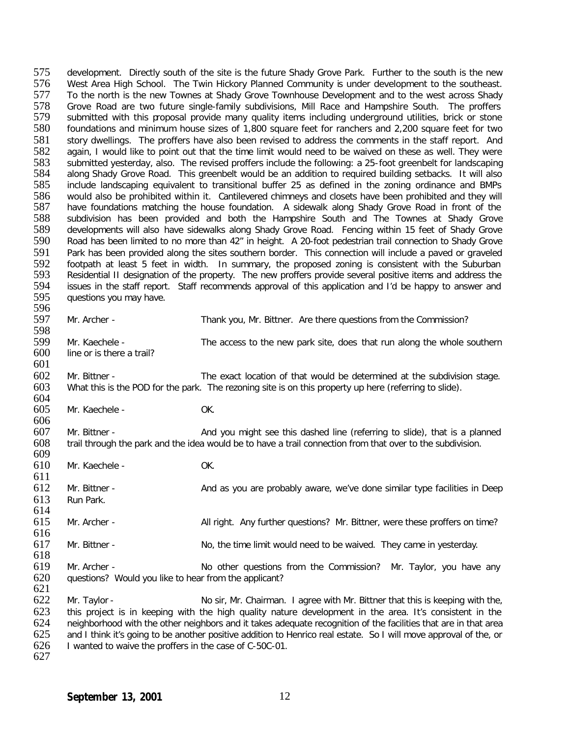575 development. Directly south of the site is the future Shady Grove Park. Further to the south is the new<br>576 West Area High School. The Twin Hickory Planned Community is under development to the southeast. 576 West Area High School. The Twin Hickory Planned Community is under development to the southeast.<br>577 To the north is the new Townes at Shady Grove Townhouse Development and to the west across Shady To the north is the new Townes at Shady Grove Townhouse Development and to the west across Shady 578 Grove Road are two future single-family subdivisions, Mill Race and Hampshire South. The proffers 579 submitted with this proposal provide many quality items including underground utilities, brick or stone 579 submitted with this proposal provide many quality items including underground utilities, brick or stone<br>580 foundations and minimum house sizes of 1,800 square feet for ranchers and 2,200 square feet for two 580 foundations and minimum house sizes of 1,800 square feet for ranchers and 2,200 square feet for two<br>581 story dwellings. The proffers have also been revised to address the comments in the staff report. And 581 story dwellings. The proffers have also been revised to address the comments in the staff report. And<br>582 again, I would like to point out that the time limit would need to be waived on these as well. They were 582 again, I would like to point out that the time limit would need to be waived on these as well. They were<br>583 submitted vesterday, also. The revised proffers include the following: a 25-foot greenbelt for landscaping 583 submitted yesterday, also. The revised proffers include the following: a 25-foot greenbelt for landscaping<br>584 along Shady Grove Road. This greenbelt would be an addition to reguired building setbacks. It will also 584 along Shady Grove Road. This greenbelt would be an addition to required building setbacks. It will also<br>585 include landscaping equivalent to transitional buffer 25 as defined in the zoning ordinance and BMPs 585 include landscaping equivalent to transitional buffer 25 as defined in the zoning ordinance and BMPs<br>586 would also be prohibited within it. Cantilevered chimneys and closets have been prohibited and they will 586 would also be prohibited within it. Cantilevered chimneys and closets have been prohibited and they will<br>587 have foundations matching the house foundation. A sidewalk along Shady Grove Road in front of the have foundations matching the house foundation. A sidewalk along Shady Grove Road in front of the 588 subdivision has been provided and both the Hampshire South and The Townes at Shady Grove<br>589 developments will also have sidewalks along Shady Grove Road. Fencing within 15 feet of Shady Grove 589 developments will also have sidewalks along Shady Grove Road. Fencing within 15 feet of Shady Grove<br>590 Road has been limited to no more than 42" in height. A 20-foot pedestrian trail connection to Shady Grove 590 Road has been limited to no more than 42" in height. A 20-foot pedestrian trail connection to Shady Grove<br>591 Park has been provided along the sites southern border. This connection will include a paved or graveled 591 Park has been provided along the sites southern border. This connection will include a paved or graveled<br>592 footpath at least 5 feet in width. In summary, the proposed zoning is consistent with the Suburban 592 footpath at least 5 feet in width. In summary, the proposed zoning is consistent with the Suburban<br>593 Residential II designation of the property. The new proffers provide several positive items and address the 593 Residential II designation of the property. The new proffers provide several positive items and address the<br>594 issues in the staff report. Staff recommends approval of this application and I'd be happy to answer and 594 issues in the staff report. Staff recommends approval of this application and I'd be happy to answer and 595 questions you may have. questions you may have. 596<br>597 Mr. Archer - Thank you, Mr. Bittner. Are there questions from the Commission? 598<br>599 599 Mr. Kaechele - The access to the new park site, does that run along the whole southern 600 line or is there a trail?

line or is there a trail?

601

602 Mr. Bittner - The exact location of that would be determined at the subdivision stage.<br>603 What this is the POD for the park. The rezoning site is on this property up here (referring to slide). What this is the POD for the park. The rezoning site is on this property up here (referring to slide).

- 604<br>605 Mr. Kaechele - OK.
- 606<br>607 607 Mr. Bittner - **And you might see this dashed line (referring to slide)**, that is a planned 608 trail through the park and the idea would be to have a trail connection from that over to the subdivision. trail through the park and the idea would be to have a trail connection from that over to the subdivision.
- 609<br>610 Mr. Kaechele - OK.

611<br>612 Mr. Bittner - And as you are probably aware, we've done similar type facilities in Deep 613 Run Park. 614<br>615 Mr. Archer - All right. Any further questions? Mr. Bittner, were these proffers on time?  $616$ <br> $617$ Mr. Bittner - No, the time limit would need to be waived. They came in yesterday. 618

619 Mr. Archer - No other questions from the Commission? Mr. Taylor, you have any questions? Would you like to hear from the applicant? questions? Would you like to hear from the applicant?

621<br>622 Mr. Taylor - Note is the State of the State Mr. Bittner that this is keeping with the, 623 this project is in keeping with the high quality nature development in the area. It's consistent in the 624 neighborhood with the other neighbors and it takes adequate recognition of the facilities that are in that are 624 neighborhood with the other neighbors and it takes adequate recognition of the facilities that are in that area<br>625 and I think it's going to be another positive addition to Henrico real estate. So I will move approval 625 and I think it's going to be another positive addition to Henrico real estate. So I will move approval of the, or 626 I wanted to waive the proffers in the case of C-50C-01. I wanted to waive the proffers in the case of C-50C-01. 627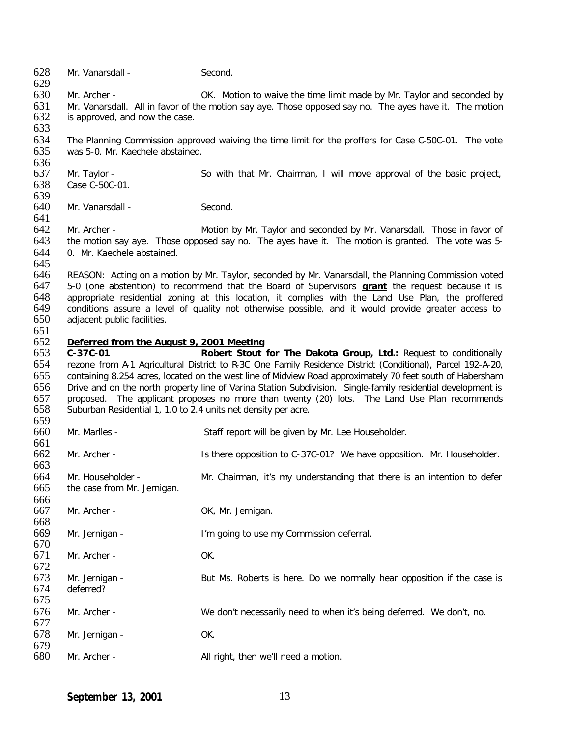| 628<br>629 | Mr. Vanarsdall -                                                                                          | Second.                                                                                                      |  |  |
|------------|-----------------------------------------------------------------------------------------------------------|--------------------------------------------------------------------------------------------------------------|--|--|
| 630        | Mr. Archer -                                                                                              | OK. Motion to waive the time limit made by Mr. Taylor and seconded by                                        |  |  |
| 631        |                                                                                                           | Mr. Vanarsdall. All in favor of the motion say aye. Those opposed say no. The ayes have it. The motion       |  |  |
| 632        | is approved, and now the case.                                                                            |                                                                                                              |  |  |
| 633        |                                                                                                           |                                                                                                              |  |  |
| 634        |                                                                                                           | The Planning Commission approved waiving the time limit for the proffers for Case C-50C-01. The vote         |  |  |
| 635        | was 5-0. Mr. Kaechele abstained.                                                                          |                                                                                                              |  |  |
| 636        |                                                                                                           |                                                                                                              |  |  |
| 637        | Mr. Taylor -                                                                                              | So with that Mr. Chairman, I will move approval of the basic project,                                        |  |  |
| 638        | Case C-50C-01.                                                                                            |                                                                                                              |  |  |
| 639        |                                                                                                           |                                                                                                              |  |  |
| 640        | Mr. Vanarsdall -                                                                                          | Second.                                                                                                      |  |  |
| 641        |                                                                                                           |                                                                                                              |  |  |
| 642        | Mr. Archer -                                                                                              | Motion by Mr. Taylor and seconded by Mr. Vanarsdall. Those in favor of                                       |  |  |
| 643        |                                                                                                           | the motion say aye. Those opposed say no. The ayes have it. The motion is granted. The vote was 5-           |  |  |
| 644        | 0. Mr. Kaechele abstained.                                                                                |                                                                                                              |  |  |
| 645        |                                                                                                           |                                                                                                              |  |  |
| 646        |                                                                                                           | REASON: Acting on a motion by Mr. Taylor, seconded by Mr. Vanarsdall, the Planning Commission voted          |  |  |
| 647        |                                                                                                           | 5-0 (one abstention) to recommend that the Board of Supervisors <b>grant</b> the request because it is       |  |  |
| 648        |                                                                                                           | appropriate residential zoning at this location, it complies with the Land Use Plan, the proffered           |  |  |
| 649        |                                                                                                           | conditions assure a level of quality not otherwise possible, and it would provide greater access to          |  |  |
| 650        | adjacent public facilities.                                                                               |                                                                                                              |  |  |
| 651        |                                                                                                           |                                                                                                              |  |  |
| 652        | Deferred from the August 9, 2001 Meeting                                                                  |                                                                                                              |  |  |
| 653        | C-37C-01                                                                                                  | Robert Stout for The Dakota Group, Ltd.: Request to conditionally                                            |  |  |
| 654        |                                                                                                           | rezone from A1 Agricultural District to R-3C One Family Residence District (Conditional), Parcel 192-A-20,   |  |  |
| 655        | containing 8.254 acres, located on the west line of Midview Road approximately 70 feet south of Habersham |                                                                                                              |  |  |
| 656        |                                                                                                           | Drive and on the north property line of Varina Station Subdivision. Single-family residential development is |  |  |
| 657        |                                                                                                           | proposed. The applicant proposes no more than twenty (20) lots. The Land Use Plan recommends                 |  |  |
| 658        | Suburban Residential 1, 1.0 to 2.4 units net density per acre.                                            |                                                                                                              |  |  |
| 659        |                                                                                                           |                                                                                                              |  |  |
| 660        | Mr. Marlles -                                                                                             | Staff report will be given by Mr. Lee Householder.                                                           |  |  |
| 661        |                                                                                                           |                                                                                                              |  |  |
| 662        | Mr. Archer -                                                                                              | Is there opposition to C-37C-01? We have opposition. Mr. Householder.                                        |  |  |
| 663        |                                                                                                           |                                                                                                              |  |  |
| 664        | Mr. Householder -                                                                                         | Mr. Chairman, it's my understanding that there is an intention to defer                                      |  |  |
| 665        | the case from Mr. Jernigan.                                                                               |                                                                                                              |  |  |
| 666        |                                                                                                           |                                                                                                              |  |  |
| 667        | Mr. Archer -                                                                                              | OK, Mr. Jernigan.                                                                                            |  |  |
| 668        |                                                                                                           |                                                                                                              |  |  |
| 669        | Mr. Jernigan -                                                                                            | I'm going to use my Commission deferral.                                                                     |  |  |
| 670        |                                                                                                           |                                                                                                              |  |  |
| 671        | Mr. Archer -                                                                                              | OK.                                                                                                          |  |  |
| 672        |                                                                                                           |                                                                                                              |  |  |
| 673        | Mr. Jernigan -                                                                                            | But Ms. Roberts is here. Do we normally hear opposition if the case is                                       |  |  |
| 674        | deferred?                                                                                                 |                                                                                                              |  |  |
| 675        |                                                                                                           |                                                                                                              |  |  |
| 676        | Mr. Archer -                                                                                              | We don't necessarily need to when it's being deferred. We don't, no.                                         |  |  |
| 677        |                                                                                                           |                                                                                                              |  |  |
| 678        | Mr. Jernigan -                                                                                            | OK.                                                                                                          |  |  |
| 679        |                                                                                                           |                                                                                                              |  |  |
| 680        | Mr. Archer -                                                                                              | All right, then we'll need a motion.                                                                         |  |  |
|            |                                                                                                           |                                                                                                              |  |  |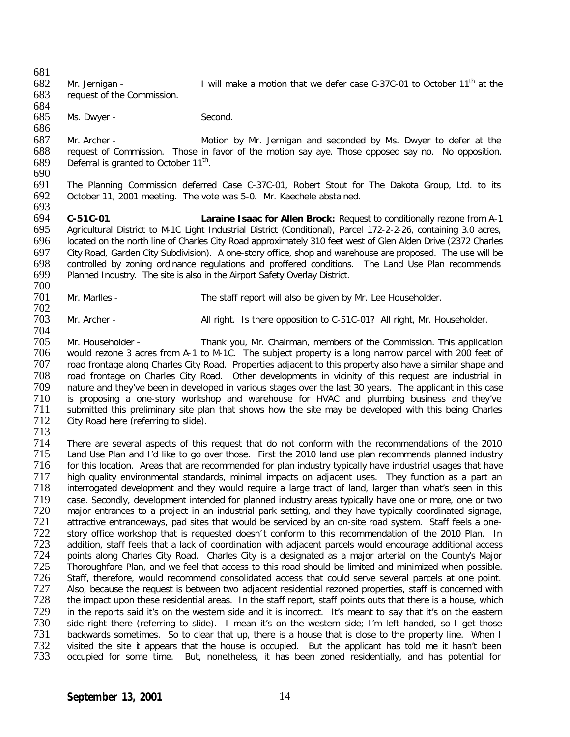681<br>682 Mr. Jernigan - I will make a motion that we defer case C-37C-01 to October 11<sup>th</sup> at the  $683$  request of the Commission. request of the Commission.

684<br>685 Ms. Dwyer - Second.

686

687 Mr. Archer - Motion by Mr. Jernigan and seconded by Ms. Dwyer to defer at the 688 request of Commission. Those in favor of the motion say aye. Those opposed say no. No opposition. request of Commission. Those in favor of the motion say aye. Those opposed say no. No opposition. 689 . Deferral is granted to October  $11<sup>th</sup>$ .

690<br>691

691 The Planning Commission deferred Case C-37C-01, Robert Stout for The Dakota Group, Ltd. to its 692 October 11, 2001 meeting. The vote was 5-0. Mr. Kaechele abstained. October 11, 2001 meeting. The vote was 5-0. Mr. Kaechele abstained.

693<br>694 694 **C-51C-01 Laraine Isaac for Allen Brock:** Request to conditionally rezone from A-1 695 Agricultural District to M-1C Light Industrial District (Conditional), Parcel 172-2-2-26, containing 3.0 acres, located on the north line of Charles City Road approximately 310 feet west of Glen Alden Drive (2372 Charles 697 City Road, Garden City Subdivision). A one-story office, shop and warehouse are proposed. The use will be<br>698 controlled by zoning ordinance regulations and proffered conditions. The Land Use Plan recommends 698 controlled by zoning ordinance regulations and proffered conditions. The Land Use Plan recommends 699 Planned Industry. The site is also in the Airport Safety Overlay District. Planned Industry. The site is also in the Airport Safety Overlay District.

700 Mr. Marlles - The staff report will also be given by Mr. Lee Householder.

702<br>703 Mr. Archer - All right. Is there opposition to C-51C-01? All right, Mr. Householder.

704 705 Mr. Householder - Thank you, Mr. Chairman, members of the Commission. This application<br>706 would rezone 3 acres from A-1 to M-1C. The subject property is a long narrow parcel with 200 feet of 706 would rezone 3 acres from A-1 to M-1C. The subject property is a long narrow parcel with 200 feet of 707 road frontage along Charles City Road. Properties adjacent to this property also have a similar shape and road frontage along Charles City Road. Properties adjacent to this property also have a similar shape and 708 road frontage on Charles City Road. Other developments in vicinity of this request are industrial in<br>709 nature and they've been in developed in various stages over the last 30 years. The applicant in this case 709 nature and they've been in developed in various stages over the last 30 years. The applicant in this case<br>710 is proposing a one-story workshop and warehouse for HVAC and plumbing business and they've 710 is proposing a one-story workshop and warehouse for HVAC and plumbing business and they've<br>711 submitted this preliminary site plan that shows how the site may be developed with this being Charles 711 submitted this preliminary site plan that shows how the site may be developed with this being Charles<br>712 City Road here (referring to slide). City Road here (referring to slide).

713

714 There are several aspects of this request that do not conform with the recommendations of the 2010 715 Land Use Plan and I'd like to go over those. First the 2010 land use plan recommends planned industry<br>716 for this location. Areas that are recommended for plan industry typically have industrial usages that have 716 for this location. Areas that are recommended for plan industry typically have industrial usages that have<br>717 high quality environmental standards, minimal impacts on adjacent uses. They function as a part an 717 high quality environmental standards, minimal impacts on adjacent uses. They function as a part an interrogated development and they would require a large tract of land, larger than what's seen in this 719 case. Secondly, development intended for planned industry areas typically have one or more, one or two<br>720 maior entrances to a project in an industrial park setting, and they have typically coordinated signage, 720 major entrances to a project in an industrial park setting, and they have typically coordinated signage,<br>721 attractive entranceways, pad sites that would be serviced by an on-site road system. Staff feels a one-721 attractive entranceways, pad sites that would be serviced by an on-site road system. Staff feels a one-<br>722 story office workshop that is requested doesn't conform to this recommendation of the 2010 Plan. In 722 story office workshop that is requested doesn't conform to this recommendation of the 2010 Plan. In<br>723 addition, staff feels that a lack of coordination with adiacent parcels would encourage additional access 723 addition, staff feels that a lack of coordination with adjacent parcels would encourage additional access<br>724 points along Charles City Road. Charles City is a designated as a maior arterial on the County's Maior 724 points along Charles City Road. Charles City is a designated as a major arterial on the County's Major<br>725 Thoroughfare Plan, and we feel that access to this road should be limited and minimized when possible. 725 Thoroughfare Plan, and we feel that access to this road should be limited and minimized when possible.<br>726 Staff, therefore, would recommend consolidated access that could serve several parcels at one point. 726 Staff, therefore, would recommend consolidated access that could serve several parcels at one point.<br>727 Also, because the request is between two adjacent residential rezoned properties, staff is concerned with 727 Also, because the request is between two adjacent residential rezoned properties, staff is concerned with<br>728 the impact upon these residential areas. In the staff report, staff points outs that there is a house, which the impact upon these residential areas. In the staff report, staff points outs that there is a house, which 729 in the reports said it's on the western side and it is incorrect. It's meant to say that it's on the eastern<br>730 side right there (referring to slide). I mean it's on the western side; I'm left handed, so I get those 730 side right there (referring to slide). I mean it's on the western side; I'm left handed, so I get those<br>731 backwards sometimes. So to clear that up, there is a house that is close to the property line. When I 731 backwards sometimes. So to clear that up, there is a house that is close to the property line. When I<br>732 visited the site it appears that the house is occupied. But the applicant has told me it hasn't been 732 visited the site it appears that the house is occupied. But the applicant has told me it hasn't been occupied for some time. But, nonetheless, it has been zoned residentially, and has potential for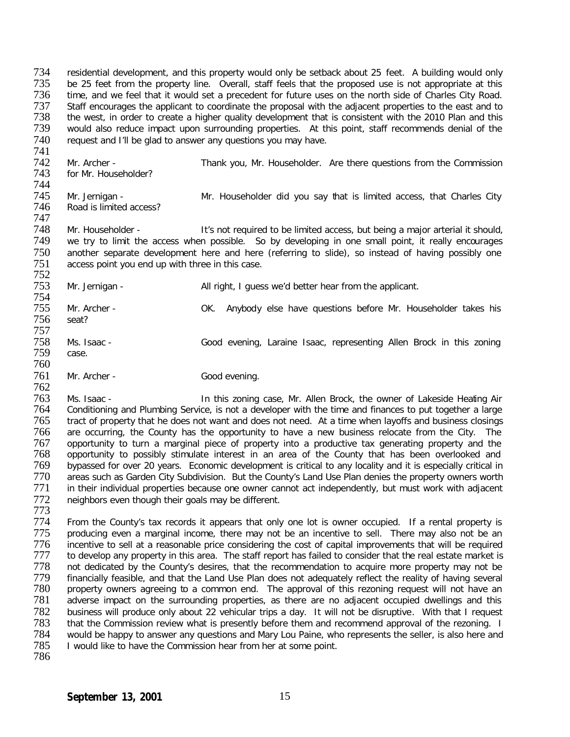734 residential development, and this property would only be setback about 25 feet. A building would only 735 be 25 feet from the property line. Overall, staff feels that the proposed use is not appropriate at this 735 be 25 feet from the property line. Overall, staff feels that the proposed use is not appropriate at this<br>736 time, and we feel that it would set a precedent for future uses on the north side of Charles City Road. time, and we feel that it would set a precedent for future uses on the north side of Charles City Road. 737 Staff encourages the applicant to coordinate the proposal with the adjacent properties to the east and to<br>738 the west, in order to create a higher quality development that is consistent with the 2010 Plan and this 738 the west, in order to create a higher quality development that is consistent with the 2010 Plan and this<br>739 would also reduce impact upon surrounding properties. At this point, staff recommends denial of the 739 would also reduce impact upon surrounding properties. At this point, staff recommends denial of the 740 request and I'll be alad to answer any questions you may have. request and I'll be glad to answer any questions you may have.

741 742 Mr. Archer - Thank you, Mr. Householder. Are there questions from the Commission 743 for Mr. Householder? for Mr. Householder? 744

Road is limited access?

745 Mr. Jernigan - Mr. Householder did you say that is limited access, that Charles City<br>746 Road is limited access?

747<br>748 748 Mr. Householder - It's not required to be limited access, but being a major arterial it should,<br>749 we try to limit the access when possible. So by developing in one small point, it really encourages 749 we try to limit the access when possible. So by developing in one small point, it really encourages<br>750 another separate development here and here (referring to slide), so instead of having possibly one 750 another separate development here and here (referring to slide), so instead of having possibly one 751 access point vou end up with three in this case. access point you end up with three in this case.

752 Mr. Jernigan - All right, I guess we'd better hear from the applicant. 754 755 Mr. Archer - OK. Anybody else have questions before Mr. Householder takes his seat? 757 758 Ms. Isaac - Good evening, Laraine Isaac, representing Allen Brock in this zoning 759 case. 760

761 Mr. Archer - Good evening.

762<br>763 763 Ms. Isaac - In this zoning case, Mr. Allen Brock, the owner of Lakeside Heating Air<br>764 Conditioning and Plumbing Service, is not a developer with the time and finances to put together a large 764 Conditioning and Plumbing Service, is not a developer with the time and finances to put together a large<br>765 tract of property that he does not want and does not need. At a time when lavoffs and business closings 765 tract of property that he does not want and does not need. At a time when layoffs and business closings<br>766 are occurring, the County has the opportunity to have a new business relocate from the City. The 766 are occurring, the County has the opportunity to have a new business relocate from the City. The 767 opportunity to turn a marginal piece of property into a productive tax generating property and the 767 opportunity to turn a marginal piece of property into a productive tax generating property and the 768 opportunity to possibly stimulate interest in an area of the County that has been overlooked and<br>769 bypassed for over 20 years. Economic development is critical to any locality and it is especially critical in 769 bypassed for over 20 years. Economic development is critical to any locality and it is especially critical in<br>770 areas such as Garden City Subdivision. But the County's Land Use Plan denies the property owners worth 770 areas such as Garden City Subdivision. But the County's Land Use Plan denies the property owners worth 771 in their individual properties because one owner cannot act independently, but must work with adiacent in their individual properties because one owner cannot act independently, but must work with adjacent 772 neighbors even though their goals may be different.

773 774 From the County's tax records it appears that only one lot is owner occupied. If a rental property is 775 producing even a marginal income, there may not be an 775 producing even a marginal income, there may not be an incentive to sell. There may also not be an 776 incentive to sell at a reasonable price considering the cost of capital improvements that will be required 776 incentive to sell at a reasonable price considering the cost of capital improvements that will be required<br>777 to develop any property in this area. The staff report has failed to consider that the real estate market i The 1777 to develop any property in this area. The staff report has failed to consider that the real estate market is<br>The 178 and dedicated by the County's desires, that the recommendation to acquire more property may not 778 not dedicated by the County's desires, that the recommendation to acquire more property may not be<br>779 financially feasible, and that the Land Use Plan does not adequately reflect the reality of having several 779 financially feasible, and that the Land Use Plan does not adequately reflect the reality of having several<br>780 property owners agreeing to a common end. The approval of this rezoning request will not have an 780 property owners agreeing to a common end. The approval of this rezoning request will not have an 781 adverse impact on the surrounding properties, as there are no adiacent occupied dwellings and this adverse impact on the surrounding properties, as there are no adjacent occupied dwellings and this 782 business will produce only about 22 vehicular trips a day. It will not be disruptive. With that I request 783 that the Commission review what is presently before them and recommend approval of the rezoning. I 783 that the Commission review what is presently before them and recommend approval of the rezoning. I<br>784 vould be happy to answer any questions and Mary Lou Paine, who represents the seller, is also here and 784 would be happy to answer any questions and Mary Lou Paine, who represents the seller, is also here and 785 I would like to have the Commission hear from her at some point. I would like to have the Commission hear from her at some point.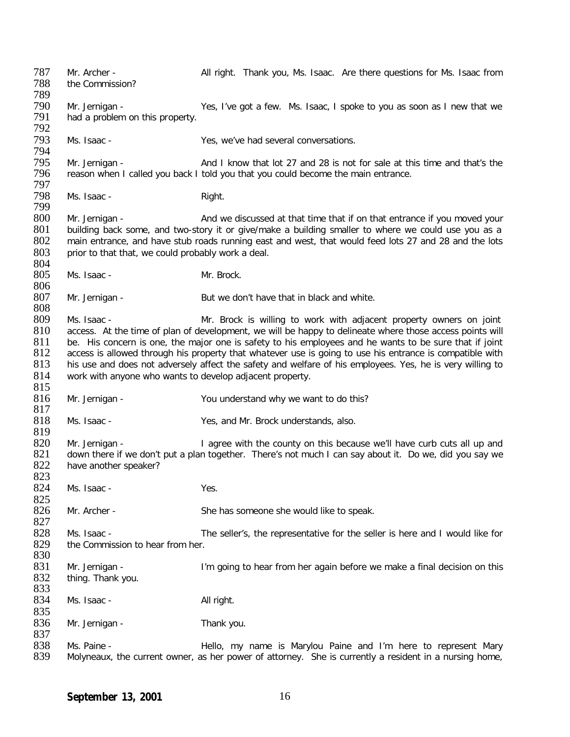787 Mr. Archer - All right. Thank you, Ms. Isaac. Are there questions for Ms. Isaac from 788 the Commission? the Commission? 789 790 Mr. Jernigan - Yes, I've got a few. Ms. Isaac, I spoke to you as soon as I new that we<br>791 had a problem on this property. had a problem on this property. 792<br>793 Ms. Isaac -  $Y$ es, we've had several conversations. 794<br>795 795 Mr. Jernigan - And I know that lot 27 and 28 is not for sale at this time and that's the 796 reason when I called you back I told you that you could become the main entrance. reason when I called you back I told you that you could become the main entrance. 797<br>798 Ms. Isaac - Right. 799 800 Mr. Jernigan - And we discussed at that time that if on that entrance if you moved your<br>801 building back some, and two-story it or give/make a building smaller to where we could use you as a 801 building back some, and two-story it or give/make a building smaller to where we could use you as a<br>802 main entrance, and have stub roads running east and west, that would feed lots 27 and 28 and the lots 802 main entrance, and have stub roads running east and west, that would feed lots 27 and 28 and the lots 803 prior to that that, we could probably work a deal. prior to that that, we could probably work a deal. 804<br>805 Ms. Isaac - Mr. Brock. 806<br>807 Mr. Jernigan - But we don't have that in black and white. 808 809 Ms. Isaac - Mr. Brock is willing to work with adjacent property owners on joint 810 access. At the time of plan of development, we will be happy to delineate where those access points will access. At the time of plan of development, we will be happy to delineate where those access points will 811 be. His concern is one, the major one is safety to his employees and he wants to be sure that if joint access is allowed through his property that whatever use is going to use his entrance is compatible with 812 access is allowed through his property that whatever use is going to use his entrance is compatible with 813 his use and does not adversely affect the safety and welfare of his employees. Yes, he is very willing to his use and does not adversely affect the safety and welfare of his employees. Yes, he is very willing to 814 work with anyone who wants to develop adjacent property.  $815$ <br>816 Mr. Jernigan - You understand why we want to do this?  $\frac{817}{818}$ Ms. Isaac - Yes, and Mr. Brock understands, also. 819<br>820 820 Mr. Jernigan - I agree with the county on this because we'll have curb cuts all up and 821 down there if we don't put a plan together. There's not much I can say about it. Do we, did you say we 821 down there if we don't put a plan together. There's not much I can say about it. Do we, did you say we have another speaker? have another speaker? 823<br>824 Ms. Isaac - Yes. 825<br>826 Mr. Archer - She has someone she would like to speak. 827<br>828 828 Ms. Isaac - The seller's, the representative for the seller is here and I would like for 829 the Commission to hear from her. the Commission to hear from her. 830<br>831 831 Mr. Jernigan - I'm going to hear from her again before we make a final decision on this 832 thing. Thank you. thing. Thank you. 833<br>834 Ms. Isaac - All right. 835<br>836 Mr. Jernigan - Thank you. 837<br>838 838 Ms. Paine - Thello, my name is Marylou Paine and I'm here to represent Mary<br>839 Molyneaux, the current owner, as her power of attorney. She is currently a resident in a nursing home. Molyneaux, the current owner, as her power of attorney. She is currently a resident in a nursing home,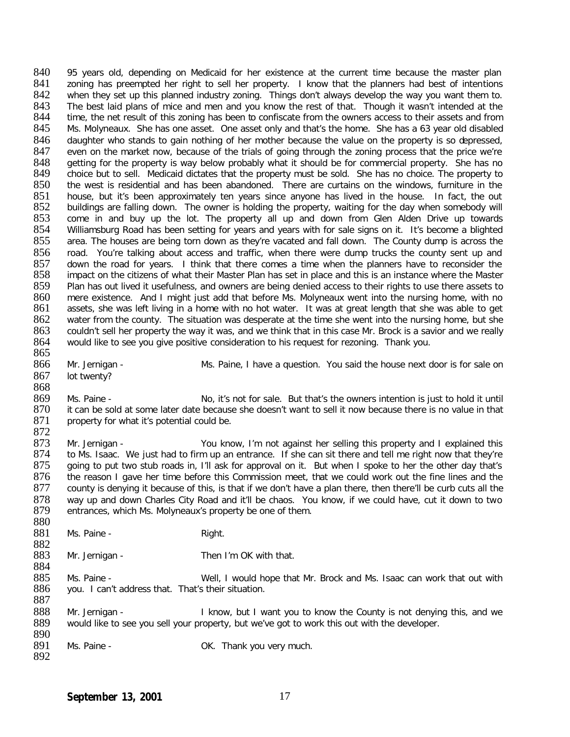840 95 years old, depending on Medicaid for her existence at the current time because the master plan 841 zoning has preempted her right to sell her property. I know that the planners had best of intentions 842 when they set up this planned industry zoning. Things don't always develop the way you want them to. 842 when they set up this planned industry zoning. Things don't always develop the way you want them to.<br>843 The best laid plans of mice and men and you know the rest of that. Though it wasn't intended at the 843 The best laid plans of mice and men and you know the rest of that. Though it wasn't intended at the 844 time, the net result of this zoning has been to confiscate from the owners access to their assets and from 844 time, the net result of this zoning has been to confiscate from the owners access to their assets and from<br>845 Ms. Molyneaux. She has one asset. One asset only and that's the home. She has a 63 year old disabled 845 Ms. Molyneaux. She has one asset. One asset only and that's the home. She has a 63 year old disabled 846 daughter who stands to gain nothing of her mother because the value on the property is so depressed. 846 daughter who stands to gain nothing of her mother because the value on the property is so depressed, 847 even on the market now, because of the trials of going through the zoning process that the price we're 847 even on the market now, because of the trials of going through the zoning process that the price we're<br>848 aetting for the property is way below probably what it should be for commercial property. She has no 848 getting for the property is way below probably what it should be for commercial property. She has no<br>849 choice but to sell. Medicaid dictates that the property must be sold. She has no choice. The property to 849 choice but to sell. Medicaid dictates that the property must be sold. She has no choice. The property to 850 the west is residential and has been abandoned. There are curtains on the windows, furniture in the 850 the west is residential and has been abandoned. There are curtains on the windows, furniture in the 851 house, but it's been approximately ten vears since anyone has lived in the house. In fact, the out 851 house, but it's been approximately ten years since anyone has lived in the house. In fact, the out 852 buildings are falling down. The owner is holding the property, waiting for the day when somebody will 852 buildings are falling down. The owner is holding the property, waiting for the day when somebody will 853 come in and buy up the lot. The property all up and down from Glen Alden Drive up towards 853 come in and buy up the lot. The property all up and down from Glen Alden Drive up towards<br>854 Williamsburg Road has been setting for years and years with for sale signs on it. It's become a blighted 854 Williamsburg Road has been setting for years and years with for sale signs on it. It's become a blighted<br>855 area. The houses are being torn down as they're vacated and fall down. The County dump is across the 855 area. The houses are being torn down as they're vacated and fall down. The County dump is across the 856 road. You're talking about access and traffic, when there were dump trucks the county sent up and 856 road. You're talking about access and traffic, when there were dump trucks the county sent up and 857 down the road for vears. I think that there comes a time when the planners have to reconsider the 857 down the road for years. I think that there comes a time when the planners have to reconsider the 858 impact on the citizens of what their Master Plan has set in place and this is an instance where the Master 858 impact on the citizens of what their Master Plan has set in place and this is an instance where the Master<br>859 Plan has out lived it usefulness, and owners are being denied access to their rights to use there assets to 859 Plan has out lived it usefulness, and owners are being denied access to their rights to use there assets to <br>860 mere existence. And I might just add that before Ms. Molyneaux went into the nursing home, with no 860 mere existence. And I might just add that before Ms. Molyneaux went into the nursing home, with no 861 assets, she was left living in a home with no hot water. It was at great length that she was able to get assets, she was left living in a home with no hot water. It was at great length that she was able to get 862 water from the county. The situation was desperate at the time she went into the nursing home, but she 863 couldn't sell her property the way it was, and we think that in this case Mr. Brock is a savior and we really 864 would like to see you give positive consideration to his request for rezoning. Thank you. 865<br>866 Mr. Jernigan - Ms. Paine, I have a question. You said the house next door is for sale on

867 lot twenty?

868<br>869 869 Ms. Paine - No, it's not for sale. But that's the owners intention is just to hold it until<br>870 it can be sold at some later date because she doesn't want to sell it now because there is no value in that 870 it can be sold at some later date because she doesn't want to sell it now because there is no value in that 871 property for what it's potential could be. property for what it's potential could be.

872<br>873 873 Mr. Jernigan - You know, I'm not against her selling this property and I explained this 874 to Ms. Isaac. We just had to firm up an entrance. If she can sit there and tell me right now that they're 874 to Ms. Isaac. We just had to firm up an entrance. If she can sit there and tell me right now that they're 875 going to put two stub roads in, I'll ask for approval on it. But when I spoke to her the other day that's 875 going to put two stub roads in, I'll ask for approval on it. But when I spoke to her the other day that's<br>876 the reason I gave her time before this Commission meet, that we could work out the fine lines and the 876 the reason I gave her time before this Commission meet, that we could work out the fine lines and the 877 county is denving it because of this, is that if we don't have a plan there, then there'll be curb cuts all the county is denying it because of this, is that if we don't have a plan there, then there'll be curb cuts all the 878 way up and down Charles City Road and it'll be chaos. You know, if we could have, cut it down to two 879 entrances, which Ms. Molyneaux's property be one of them. entrances, which Ms. Molyneaux's property be one of them.

880<br>881 Ms. Paine - The Right.

882<br>883 Mr. Jernigan - Then I'm OK with that.

884<br>885 885 Ms. Paine - Well, I would hope that Mr. Brock and Ms. Isaac can work that out with 886 you. I can't address that. That's their situation. you. I can't address that. That's their situation. 887

888 Mr. Jernigan - I know, but I want you to know the County is not denying this, and we<br>889 would like to see you sell your property, but we've got to work this out with the developer. would like to see you sell your property, but we've got to work this out with the developer.

890<br>891 Ms. Paine - Case Communism Communism OK. Thank you very much. 892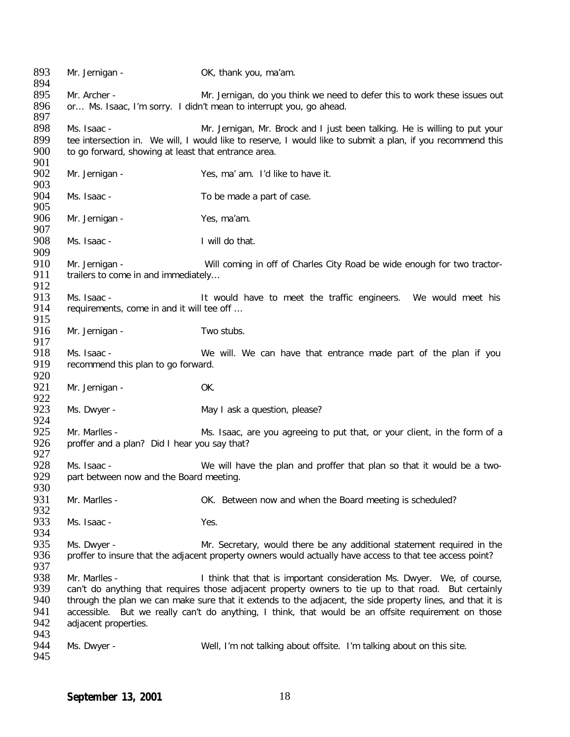893 Mr. Jernigan - OK, thank you, ma'am. 894<br>895 Mr. Archer - Mr. Jernigan, do you think we need to defer this to work these issues out 896 or… Ms. Isaac, I'm sorry. I didn't mean to interrupt you, go ahead. 897<br>898 898 Ms. Isaac - Mr. Jernigan, Mr. Brock and I just been talking. He is willing to put your<br>899 tee intersection in We will. I would like to reserve. I would like to submit a plan, if you recommend this 899 tee intersection in. We will, I would like to reserve, I would like to submit a plan, if you recommend this 900 to go forward, showing at least that entrance area. to go forward, showing at least that entrance area. 901<br>902 Mr. Jernigan - Yes, ma' am. I'd like to have it. 903<br>904 Ms. Isaac - To be made a part of case. 905<br>906 Mr. Jernigan - Yes, ma'am. 907<br>908 Ms. Isaac - I will do that. 909<br>910 910 Mr. Jernigan - Will coming in off of Charles City Road be wide enough for two tractor-<br>911 trailers to come in and immediately... trailers to come in and immediately... 912<br>913 913 Ms. Isaac - It would have to meet the traffic engineers. We would meet his 914 requirements come in and it will tee off ... requirements, come in and it will tee off ... 915<br>916 Mr. Jernigan - Two stubs. 917<br>918 918 Ms. Isaac - We will. We can have that entrance made part of the plan if you<br>919 recommend this plan to go forward. recommend this plan to go forward. 920<br>921 Mr. Jernigan - OK. 922<br>923 Ms. Dwyer - May I ask a question, please? 924<br>925 925 Mr. Marlles - Mr. Marlles - Ms. Isaac, are you agreeing to put that, or your client, in the form of a 926 proffer and a plan? Did I hear you say that? proffer and a plan? Did I hear you say that? 927<br>928 928 Ms. Isaac - We will have the plan and proffer that plan so that it would be a two-<br>929 part between now and the Board meeting. part between now and the Board meeting. 930<br>931 Mr. Marlles - **OK.** Between now and when the Board meeting is scheduled? 932<br>933 Ms. Isaac - Yes. 934<br>935 935 Ms. Dwyer - Mr. Secretary, would there be any additional statement required in the 936 proffer to insure that the adiacent property owners would actually have access to that tee access point? proffer to insure that the adjacent property owners would actually have access to that tee access point? 937<br>938 938 Mr. Marlles - I think that that is important consideration Ms. Dwyer. We, of course,<br>939 can't do anything that requires those adjacent property owners to tie up to that road. But certainly 939 can't do anything that requires those adjacent property owners to tie up to that road. But certainly 940 through the plan we can make sure that it extends to the adiacent, the side property lines, and that it is 940 through the plan we can make sure that it extends to the adjacent, the side property lines, and that it is 941 accessible. But we really can't do anything, I think, that would be an offsite requirement on those 942 adiacent properties. adjacent properties. 943<br>944 Ms. Dwyer - Well, I'm not talking about offsite. I'm talking about on this site. 945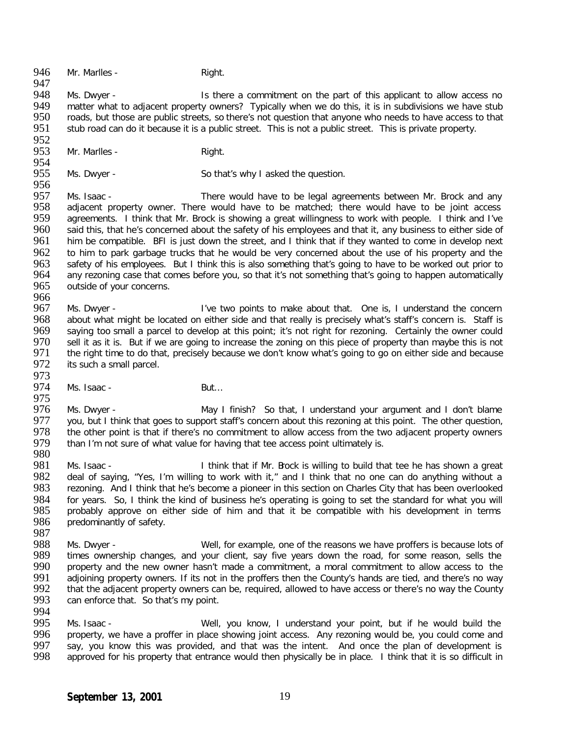946 Mr. Marlles - Right.

947<br>948 948 Ms. Dwyer - Is there a commitment on the part of this applicant to allow access no<br>949 matter what to adiacent property owners? Typically when we do this, it is in subdivisions we have stub 949 matter what to adjacent property owners? Typically when we do this, it is in subdivisions we have stub<br>950 roads, but those are public streets, so there's not question that anyone who needs to have access to that 950 roads, but those are public streets, so there's not question that anyone who needs to have access to that<br>951 stub road can do it because it is a public street. This is not a public street. This is private property. stub road can do it because it is a public street. This is not a public street. This is private property.

952<br>953 Mr. Marlles - Right.

954<br>955 Ms. Dwyer - So that's why I asked the question.

956<br>957 957 Ms. Isaac - There would have to be legal agreements between Mr. Brock and any<br>958 adiacent property owner. There would have to be matched: there would have to be joint access 958 adjacent property owner. There would have to be matched; there would have to be joint access<br>959 agreements. I think that Mr. Brock is showing a great willingness to work with people. I think and I've 959 agreements. I think that Mr. Brock is showing a great willingness to work with people. I think and I've<br>960 said this, that he's concerned about the safety of his employees and that it, any business to either side of 960 said this, that he's concerned about the safety of his employees and that it, any business to either side of 961 him be compatible. BFI is just down the street, and I think that if they wanted to come in develop next him be compatible. BFI is just down the street, and I think that if they wanted to come in develop next 962 to him to park garbage trucks that he would be very concerned about the use of his property and the 963 safety of his employees. But I think this is also something that's going to have to be worked out prior to 963 safety of his employees. But I think this is also something that's going to have to be worked out prior to<br>964 any rezoning case that comes before you, so that it's not something that's going to happen automatically 964 any rezoning case that comes before you, so that it's not something that's going to happen automatically 965 outside of your concerns. outside of your concerns.

966<br>967

967 Ms. Dwyer - I've two points to make about that. One is, I understand the concern<br>968 about what might be located on either side and that really is precisely what's staff's concern is. Staff is 968 about what might be located on either side and that really is precisely what's staff's concern is. Staff is<br>969 saving too small a parcel to develop at this point: it's not right for rezoning. Certainly the owner could 969 saying too small a parcel to develop at this point; it's not right for rezoning. Certainly the owner could 970 sell it as it is. But if we are going to increase the zoning on this piece of property than maybe this is not<br>971 the right time to do that, precisely because we don't know what's going to go on either side and because 971 the right time to do that, precisely because we don't know what's going to go on either side and because<br>972 its such a small parcel. its such a small parcel.

973<br>974 Ms. Isaac - But...

975<br>976 976 Ms. Dwyer - May I finish? So that, I understand your argument and I don't blame<br>977 vou, but I think that goes to support staff's concern about this rezoning at this point. The other question, 977 you, but I think that goes to support staff's concern about this rezoning at this point. The other question,<br>978 the other point is that if there's no commitment to allow access from the two adiacent property owners 978 the other point is that if there's no commitment to allow access from the two adjacent property owners 979 than I'm not sure of what value for having that tee access point ultimately is. than I'm not sure of what value for having that tee access point ultimately is.

- 980<br>981 981 Ms. Isaac - I think that if Mr. Bock is willing to build that tee he has shown a great 982 deal of saving, "Yes, I'm willing to work with it." and I think that no one can do anything without a 982 deal of saying, "Yes, I'm willing to work with it," and I think that no one can do anything without a<br>983 Frezoning. And I think that he's become a pioneer in this section on Charles City that has been overlooked rezoning. And I think that he's become a pioneer in this section on Charles City that has been overlooked 984 for years. So, I think the kind of business he's operating is going to set the standard for what you will<br>985 probably approve on either side of him and that it be compatible with his development in terms 985 probably approve on either side of him and that it be compatible with his development in terms<br>986 predominantly of safety. predominantly of safety.
- 987<br>988 988 Ms. Dwyer - Well, for example, one of the reasons we have proffers is because lots of 989 imes ownership changes, and your client, say five years down the road, for some reason, sells the 989 times ownership changes, and your client, say five years down the road, for some reason, sells the 990 property and the new owner hasn't made a commitment, a moral commitment to allow access to the 990 property and the new owner hasn't made a commitment, a moral commitment to allow access to the 991 adioining property owners. If its not in the proffers then the County's hands are tied, and there's no way 991 adjoining property owners. If its not in the proffers then the County's hands are tied, and there's no way<br>992 that the adiacent property owners can be, required, allowed to have access or there's no way the County 992 that the adjacent property owners can be, required, allowed to have access or there's no way the County can enforce that. So that's my point. can enforce that. So that's my point.
- 994<br>995

995 Ms. Isaac - Well, you know, I understand your point, but if he would build the 996 property, we have a proffer in place showing joint access. Any rezoning would be, you could come and 996 property, we have a proffer in place showing joint access. Any rezoning would be, you could come and 997 say, you know this was provided, and that was the intent. And once the plan of development is 997 say, you know this was provided, and that was the intent. And once the plan of development is<br>998 approved for his property that entrance would then physically be in place. I think that it is so difficult in approved for his property that entrance would then physically be in place. I think that it is so difficult in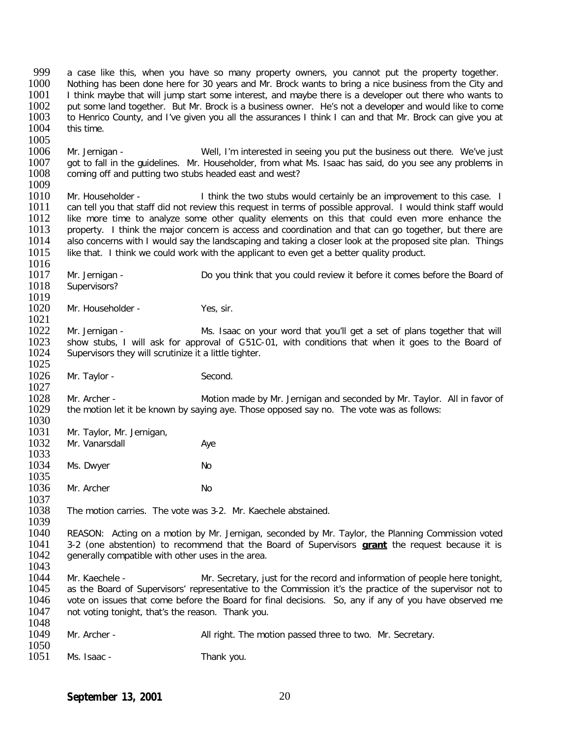999 a case like this, when you have so many property owners, you cannot put the property together.<br>1000 Nothing has been done here for 30 years and Mr. Brock wants to bring a nice business from the City and 1000 Nothing has been done here for 30 years and Mr. Brock wants to bring a nice business from the City and 1001 1 think mavbe that will jump start some interest, and mavbe that will interested and mavbe that will iump sta 1001 I think maybe that will jump start some interest, and maybe there is a developer out there who wants to 1002 ust some land together. But Mr. Brock is a business owner. He's not a developer and would like to come 1002 put some land together. But Mr. Brock is a business owner. He's not a developer and would like to come<br>1003 to Henrico County, and I've given you all the assurances I think I can and that Mr. Brock can give you at 1003 to Henrico County, and I've given you all the assurances I think I can and that Mr. Brock can give you at <br>1004 this time. this time.

1005<br>1006 1006 Mr. Jernigan - Well, I'm interested in seeing you put the business out there. We've just 1007 aot to fall in the quidelines. Mr. Householder, from what Ms. Isaac has said, do you see any problems in 1007 got to fall in the guidelines. Mr. Householder, from what Ms. Isaac has said, do you see any problems in<br>1008 coming off and putting two stubs headed east and west? coming off and putting two stubs headed east and west?

1009<br>1010 1010 Mr. Householder - I think the two stubs would certainly be an improvement to this case. I 1011 can tell you that staff did not review this request in terms of possible approval. I would think staff would 1011 can tell you that staff did not review this request in terms of possible approval. I would think staff would<br>1012 Like more time to analyze some other quality elements on this that could even more enhance the 1012 like more time to analyze some other quality elements on this that could even more enhance the 1013 property. I think the maior concern is access and coordination and that can go together, but there are 1013 property. I think the major concern is access and coordination and that can go together, but there are 1014 also concerns with I would say the landscaping and taking a closer look at the proposed site plan. Things 1014 also concerns with I would say the landscaping and taking a closer look at the proposed site plan. Things<br>1015 like that. I think we could work with the applicant to even get a better quality product. like that. I think we could work with the applicant to even get a better quality product.

1016<br>1017 1017 Mr. Jernigan - Solong Do you think that you could review it before it comes before the Board of 1018 Supervisors? Supervisors?

1019<br>1020 Mr. Householder - Yes, sir.

1021<br>1022 1022 Mr. Jernigan - Ms. Isaac on your word that you'll get a set of plans together that will<br>1023 show stubs. I will ask for approval of C51C-01, with conditions that when it goes to the Board of 1023 show stubs, I will ask for approval of C51C-01, with conditions that when it goes to the Board of 1024 Supervisors they will scrutinize it a little tighter. Supervisors they will scrutinize it a little tighter.

 $\frac{1025}{1026}$ Mr. Taylor - Second.

1027<br>1028 1028 Mr. Archer - Motion made by Mr. Jernigan and seconded by Mr. Taylor. All in favor of 1029 the motion let it be known by saving ave. Those opposed say no. The vote was as follows: the motion let it be known by saying aye. Those opposed say no. The vote was as follows:

- 1030<br>1031 1031 Mr. Taylor, Mr. Jernigan,<br>1032 Mr. Vanarsdall
- Mr. Vanarsdall Aye
- 1033<br>1034 Ms. Dwyer No
- 1035<br>1036 Mr. Archer No

1037<br>1038 The motion carries. The vote was 3-2. Mr. Kaechele abstained.

1039<br>1040 1040 REASON: Acting on a motion by Mr. Jernigan, seconded by Mr. Taylor, the Planning Commission voted 1041 3-2 (one abstention) to recommend that the Board of Supervisors **grant** the request because it is 1041 3-2 (one abstention) to recommend that the Board of Supervisors **grant** the request because it is generally compatible with other uses in the area.

1043<br>1044 1044 Mr. Kaechele - Mr. Secretary, just for the record and information of people here tonight,<br>1045 as the Board of Supervisors' representative to the Commission it's the practice of the supervisor not to 1045 as the Board of Supervisors' representative to the Commission it's the practice of the supervisor not to<br>1046 vote on issues that come before the Board for final decisions. So, any if any of you have observed me 1046 vote on issues that come before the Board for final decisions. So, any if any of you have observed me<br>1047 not voting tonight, that's the reason. Thank you. not voting tonight, that's the reason. Thank you.

| 1048 |              |                                                           |
|------|--------------|-----------------------------------------------------------|
| 1049 | Mr. Archer - | All right. The motion passed three to two. Mr. Secretary. |
| 1050 |              |                                                           |

 $\frac{1050}{1051}$ Ms. Isaac - Thank you.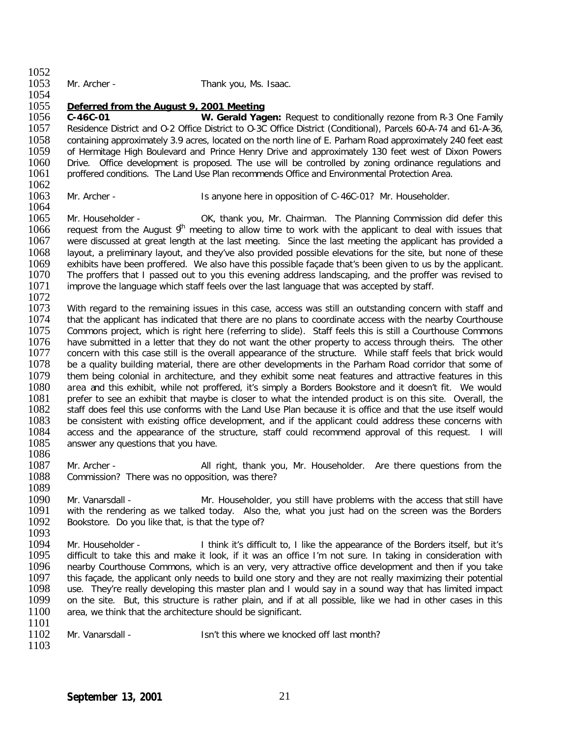$\frac{1052}{1053}$ Mr. Archer - Thank you, Ms. Isaac. 1054<br>1055 1055 *Deferred from the August 9, 2001 Meeting* 1056 **C-46C-01 W. Gerald Yagen:** Request to conditionally rezone from R-3 One Family 1057 Residence District and O-2 Office District to O-3C Office District (Conditional), Parcels 60-A-74 and 61-A-36,<br>1058 containing approximately 3.9 acres, located on the north line of E. Parham Road approximately 240 fee 1058 containing approximately 3.9 acres, located on the north line of E. Parham Road approximately 240 feet east<br>1059 of Hermitage High Boulevard and Prince Henry Drive and approximately 130 feet west of Dixon Powers 1059 of Hermitage High Boulevard and Prince Henry Drive and approximately 130 feet west of Dixon Powers<br>1060 Drive. Office development is proposed. The use will be controlled by zoning ordinance regulations and 1060 Drive. Office development is proposed. The use will be controlled by zoning ordinance regulations and 1061 Upstand 1061 Upstand 1061 Upstand 1061 Upstand 1061 Upstand 1061 Upstand 1061 Upstand 1061 Upstand 1061 Upstan 1061 proffered conditions. The Land Use Plan recommends Office and Environmental Protection Area. 1062<br>1063 Mr. Archer - The Is anyone here in opposition of C-46C-01? Mr. Householder. 1064<br>1065 1065 Mr. Householder -  $\,$  OK, thank you, Mr. Chairman. The Planning Commission did defer this 1066 request from the August  $9^{\text{th}}$  meeting to allow time to work with the applicant to deal with issues that 1066 is request from the August  $9<sup>th</sup>$  meeting to allow time to work with the applicant to deal with issues that  $1067$  is were discussed at great length at the last meeting. Since the last meeting the applicant has p 1067 were discussed at great length at the last meeting. Since the last meeting the applicant has provided a<br>1068 Lavout, a preliminary lavout, and they've also provided possible elevations for the site, but none of these 1068 layout, a preliminary layout, and they've also provided possible elevations for the site, but none of these<br>1069 exhibits have been proffered. We also have this possible facade that's been given to us by the applicant 1069 exhibits have been proffered. We also have this possible façade that's been given to us by the applicant.<br>1070 The proffers that I passed out to you this evening address landscaping, and the proffer was revised to 1070 The proffers that I passed out to you this evening address landscaping, and the proffer was revised to 10<br>1071 Timprove the language which staff feels over the last language that was accepted by staff. improve the language which staff feels over the last language that was accepted by staff. 1072<br>1073 1073 With regard to the remaining issues in this case, access was still an outstanding concern with staff and<br>1074 That the applicant has indicated that there are no plans to coordinate access with the nearby Courthouse 1074 that the applicant has indicated that there are no plans to coordinate access with the nearby Courthouse<br>1075 Commons project, which is right here (referring to slide). Staff feels this is still a Courthouse Commons 1075 Commons project, which is right here (referring to slide). Staff feels this is still a Courthouse Commons<br>1076 have submitted in a letter that thev do not want the other property to access through theirs. The other 1076 have submitted in a letter that they do not want the other property to access through theirs. The other<br>1077 http://www.therenty.case still is the overall appearance of the structure. While staff feels that brick woul 1077 concern with this case still is the overall appearance of the structure. While staff feels that brick would<br>1078 be a quality building material, there are other developments in the Parham Road corridor that some of 1078 be a quality building material, there are other developments in the Parham Road corridor that some of 1079 them being colonial in architecture, and they exhibit some neat features and attractive features in this 1079 them being colonial in architecture, and they exhibit some neat features and attractive features in this<br>1080 area and this exhibit, while not proffered, it's simply a Borders Bookstore and it doesn't fit. We would 1080 area and this exhibit, while not proffered, it's simply a Borders Bookstore and it doesn't fit. We would<br>1081 prefer to see an exhibit that maybe is closer to what the intended product is on this site. Overall, the 1081 prefer to see an exhibit that maybe is closer to what the intended product is on this site. Overall, the<br>1082 staff does feel this use conforms with the Land Use Plan because it is office and that the use itself would 1082 staff does feel this use conforms with the Land Use Plan because it is office and that the use itself would<br>1083 be consistent with existing office development, and if the applicant could address these concerns with 1083 be consistent with existing office development, and if the applicant could address these concerns with 1084 access and the appearance of the structure, staff could recommend approval of this request. I will 1084 access and the appearance of the structure, staff could recommend approval of this request. I will 1085 answer any questions that you have. answer any questions that you have. 1086<br>1087 1087 Mr. Archer - **All right, thank you, Mr. Householder.** Are there questions from the 1088 Commission? There was no opposition, was there? Commission? There was no opposition, was there? 1089 1090 Mr. Vanarsdall - Mr. Householder, you still have problems with the access that still have<br>1091 with the rendering as we talked today. Also the, what you just had on the screen was the Borders 1091 with the rendering as we talked today. Also the, what you just had on the screen was the Borders 1092 Bookstore. Do you like that, is that the type of? Bookstore. Do you like that, is that the type of? 1093<br>1094 1094 Mr. Householder - I think it's difficult to, I like the appearance of the Borders itself, but it's 1095 difficult to take this and make it look. if it was an office I'm not sure. In taking in consideration with 1095 in difficult to take this and make it look, if it was an office I'm not sure. In taking in consideration with<br>1096 in nearby Courthouse Commons, which is an very, very attractive office development and then if you tak 1096 hearby Courthouse Commons, which is an very, very attractive office development and then if you take 1097<br>1097 htis facade, the applicant only needs to build one story and they are not really maximizing their potentia 1097 this façade, the applicant only needs to build one story and they are not really maximizing their potential<br>1098 use. They're really developing this master plan and I would say in a sound way that has limited impact 1098 use. They're really developing this master plan and I would say in a sound way that has limited impact 1099 on the site. But, this structure is rather plain, and if at all possible, like we had in other cases in this on the site. But, this structure is rather plain, and if at all possible, like we had in other cases in this 1100 area, we think that the architecture should be significant. 1101<br>1102 Mr. Vanarsdall - This where we knocked off last month? 1103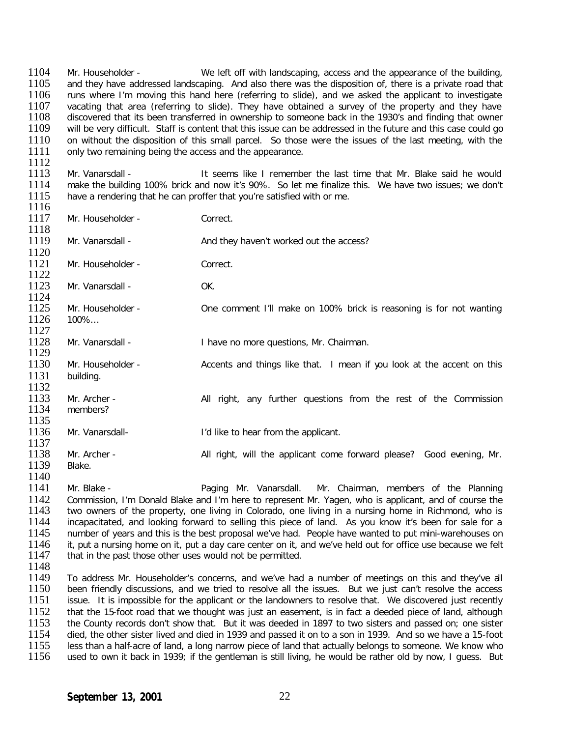1104 Mr. Householder - We left off with landscaping, access and the appearance of the building,<br>1105 and they have addressed landscaping. And also there was the disposition of there is a private road that 1105 and they have addressed landscaping. And also there was the disposition of, there is a private road that 1106 runs where I'm moving this hand here (referring to slide), and we asked the applicant to investigate 1106 runs where I'm moving this hand here (referring to slide), and we asked the applicant to investigate 1107 vacating that area (referring to slide). They have obtained a survey of the property and they have 1107 vacating that area (referring to slide). They have obtained a survey of the property and they have 1108 discovered that its been transferred in ownership to someone back in the 1930's and finding that owner 1108 discovered that its been transferred in ownership to someone back in the 1930's and finding that owner<br>1109 will be very difficult. Staff is content that this issue can be addressed in the future and this case could g 1109 will be very difficult. Staff is content that this issue can be addressed in the future and this case could go<br>1110 on without the disposition of this small parcel. So those were the issues of the last meeting, with t 1110 on without the disposition of this small parcel. So those were the issues of the last meeting, with the 1111 only two remaining being the access and the appearance. only two remaining being the access and the appearance.

- $\frac{1112}{1113}$ 1113 Mr. Vanarsdall - It seems like I remember the last time that Mr. Blake said he would<br>1114 make the building 100% brick and now it's 90%. So let me finalize this. We have two issues: we don't 1114 make the building 100% brick and now it's 90%. So let me finalize this. We have two issues; we don't 1115 have a rendering that he can proffer that you're satisfied with or me. have a rendering that he can proffer that you're satisfied with or me.
- 1116<br>1117 Mr. Householder - Correct. 1118<br>1119 Mr. Vanarsdall - And they haven't worked out the access?  $\frac{1120}{1121}$ Mr. Householder - Correct. 1122<br>1123 Mr. Vanarsdall - OK. 1124<br>1125 1125 Mr. Householder - One comment I'll make on 100% brick is reasoning is for not wanting 1126 100%.  $100\%...$ 1127<br>1128 Mr. Vanarsdall - Inave no more questions, Mr. Chairman. 1129<br>1130 1130 Mr. Householder - Accents and things like that. I mean if you look at the accent on this 1131 building. building. 1132<br>1133 1133 Mr. Archer - All right, any further questions from the rest of the Commission<br>1134 members? members? 1135<br>1136 Mr. Vanarsdall- **I'd like to hear from the applicant.** 1137<br>1138 Mr. Archer - All right, will the applicant come forward please? Good evening, Mr. Blake. 1139 1140<br>1141
- Mr. Blake The Planning Mr. Vanarsdall. Mr. Chairman, members of the Planning 1142 Commission, I'm Donald Blake and I'm here to represent Mr. Yagen, who is applicant, and of course the 1143 two owners of the property, one living in Colorado, one living in a nursing home in Richmond, who is 1143 two owners of the property, one living in Colorado, one living in a nursing home in Richmond, who is 1144 incapacitated, and looking forward to selling this piece of land. As you know it's been for sale for a 1144 incapacitated, and looking forward to selling this piece of land. As you know it's been for sale for a<br>1145 number of vears and this is the best proposal we've had. People have wanted to put mini-warehouses on 1145 number of years and this is the best proposal we've had. People have wanted to put mini-warehouses on 1146 it, put a nursing home on it, put a day care center on it, and we've held out for office use because we felt 1146 it, put a nursing home on it, put a day care center on it, and we've held out for office use because we felt<br>1147 that in the past those other uses would not be permitted. that in the past those other uses would not be permitted.
- 1148<br>1149 1149 To address Mr. Householder's concerns, and we've had a number of meetings on this and they've all<br>1150 been friendly discussions, and we tried to resolve all the issues. But we just can't resolve the access 1150 been friendly discussions, and we tried to resolve all the issues. But we just can't resolve the access 1151 issue. It is impossible for the applicant or the landowners to resolve that. We discovered just recently issue. It is impossible for the applicant or the landowners to resolve that. We discovered just recently 1152 that the 15-foot road that we thought was just an easement, is in fact a deeded piece of land, although 1153 the County records don't show that. But it was deeded in 1897 to two sisters and passed on: one sister 1153 the County records don't show that. But it was deeded in 1897 to two sisters and passed on; one sister 1<br>1154 died, the other sister lived and died in 1939 and passed it on to a son in 1939. And so we have a 15-foot 1154 died, the other sister lived and died in 1939 and passed it on to a son in 1939. And so we have a 15-foot<br>1155 less than a half-acre of land, a long narrow piece of land that actually belongs to someone. We know who 1155 less than a half-acre of land, a long narrow piece of land that actually belongs to someone. We know who<br>1156 lused to own it back in 1939: if the gentleman is still living, he would be rather old by now. I guess. But used to own it back in 1939; if the gentleman is still living, he would be rather old by now, I guess. But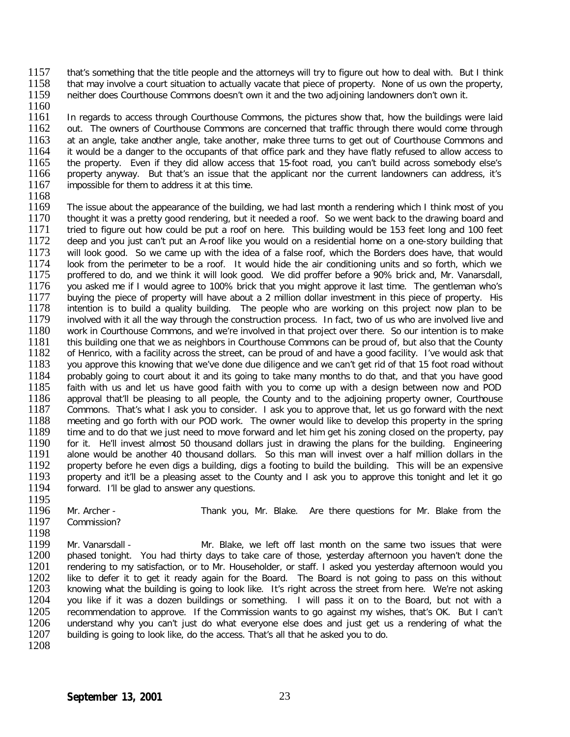- 1157 that's something that the title people and the attorneys will try to figure out how to deal with. But I think 1158 that may involve a court situation to actually vacate that piece of property. None of us own the prope 1158 that may involve a court situation to actually vacate that piece of property. None of us own the property, <br>1159 eneither does Courthouse Commons doesn't own it and the two adioining landowners don't own it. neither does Courthouse Commons doesn't own it and the two adjoining landowners don't own it.
- 1160<br>1161 1161 In regards to access through Courthouse Commons, the pictures show that, how the buildings were laid<br>1162 out. The owners of Courthouse Commons are concerned that traffic through there would come through 1162 out. The owners of Courthouse Commons are concerned that traffic through there would come through 1163 at an angle, take another angle, take another, make three turns to get out of Courthouse Commons and 1163 at an angle, take another angle, take another, make three turns to get out of Courthouse Commons and 1164 it would be a danger to the occupants of that office park and they have flatly refused to allow access to 1164 it would be a danger to the occupants of that office park and they have flatly refused to allow access to<br>1165 the property. Even if they did allow access that 15-foot road, you can't build across somebody else's 1165 the property. Even if they did allow access that 15-foot road, you can't build across somebody else's 1166 property anyway. But that's an issue that the applicant nor the current landowners can address, it's 1166 property anyway. But that's an issue that the applicant nor the current landowners can address, it's 1167 impossible for them to address it at this time. impossible for them to address it at this time.
- 1168<br>1169
- 1169 The issue about the appearance of the building, we had last month a rendering which I think most of you<br>1170 thought it was a pretty good rendering, but it needed a roof. So we went back to the drawing board and 1170 thought it was a pretty good rendering, but it needed a roof. So we went back to the drawing board and 10<br>1171 tried to flaure out how could be put a roof on here. This building would be 153 feet long and 100 feet 1171 tried to figure out how could be put a roof on here. This building would be 153 feet long and 100 feet 1172 deep and vou just can't put an A-roof like vou would on a residential home on a one-story building that 1172 deep and you just can't put an A-roof like you would on a residential home on a one-story building that<br>1173 will look good. So we came up with the idea of a false roof, which the Borders does have, that would 1173 will look good. So we came up with the idea of a false roof, which the Borders does have, that would 1174 look from the perimeter to be a roof. It would hide the air conditioning units and so forth, which we 1174 look from the perimeter to be a roof. It would hide the air conditioning units and so forth, which we<br>1175 proffered to do, and we think it will look good. We did proffer before a 90% brick and. Mr. Vanarsdall, 1175 proffered to do, and we think it will look good. We did proffer before a 90% brick and, Mr. Vanarsdall, 1176 vou asked me if I would agree to 100% brick that you might approve it last time. The gentleman who's 1176 you asked me if I would agree to 100% brick that you might approve it last time. The gentleman who's 1177 buving the piece of property will have about a 2 million dollar investment in this piece of property. His 1177 buying the piece of property will have about a 2 million dollar investment in this piece of property. His<br>1178 intention is to build a quality building. The people who are working on this project now plan to be 1178 intention is to build a quality building. The people who are working on this project now plan to be 1179 involved with it all the way through the construction process. In fact, two of us who are involved live and 1179 involved with it all the way through the construction process. In fact, two of us who are involved live and<br>1180 vork in Courthouse Commons, and we're involved in that proiect over there. So our intention is to make 1180 work in Courthouse Commons, and we're involved in that project over there. So our intention is to make<br>1181 this building one that we as neighbors in Courthouse Commons can be proud of, but also that the County 1181 this building one that we as neighbors in Courthouse Commons can be proud of, but also that the County<br>1182 of Henrico, with a facility across the street, can be proud of and have a good facility. I've would ask that 1182 of Henrico, with a facility across the street, can be proud of and have a good facility. I've would ask that 15 foot road without it at also without 1183 you approve this knowing that we've done due diligence and we can't get rid of that 15 foot road without 1184 probably going to court about it and its going to take many months to do that, and that you have good 1184 probably going to court about it and its going to take many months to do that, and that you have good<br>1185 faith with us and let us have good faith with you to come up with a design between now and POD 1185 faith with us and let us have good faith with you to come up with a design between now and POD<br>1186 approval that'll be pleasing to all people, the County and to the adioining property owner, Courthouse 1186 approval that'll be pleasing to all people, the County and to the adjoining property owner, Courthouse 1187 Courthouse 1187 Commons. That's what I ask you to consider. I ask you to approve that, let us go forward with the next 1188 meeting and go forth with our POD work. The owner would like to develop this property in the spring 1188 meeting and go forth with our POD work. The owner would like to develop this property in the spring<br>1189 time and to do that we just need to move forward and let him get his zoning closed on the property, pay 1189 time and to do that we just need to move forward and let him get his zoning closed on the property, pay<br>1190 for it. He'll invest almost 50 thousand dollars just in drawing the plans for the building. Engineering 1190 for it. He'll invest almost 50 thousand dollars just in drawing the plans for the building. Engineering<br>1191 alone would be another 40 thousand dollars. So this man will invest over a half million dollars in the 1191 alone would be another 40 thousand dollars. So this man will invest over a half million dollars in the 1192 property before he even digs a building, digs a footing to build the building. This will be an expensive 1192 property before he even digs a building, digs a footing to build the building. This will be an expensive<br>1193 property and it'll be a pleasing asset to the County and I ask you to approve this tonight and let it go 1193 property and it'll be a pleasing asset to the County and I ask you to approve this tonight and let it go<br>1194 forward. I'll be alad to answer any questions. forward. I'll be glad to answer any questions.
- 1195<br>1196
- 
- 1196 Mr. Archer Thank you, Mr. Blake. Are there questions for Mr. Blake from the 1197 Commission?
- Commission?

1198<br>1199 1199 Mr. Vanarsdall - Mr. Blake, we left off last month on the same two issues that were<br>1200 bhased tonight. You had thirty days to take care of those, vesterday afternoon you haven't done the 1200 phased tonight. You had thirty days to take care of those, yesterday afternoon you haven't done the 1201 rendering to my satisfaction, or to Mr. Householder, or staff. I asked you vesterday afternoon would you 1201 rendering to my satisfaction, or to Mr. Householder, or staff. I asked you yesterday afternoon would you<br>1202 like to defer it to get it ready again for the Board. The Board is not going to pass on this without 1202 like to defer it to get it ready again for the Board. The Board is not going to pass on this without 1203 knowing what the building is going to look like. It's right across the street from here. We're not asking 1203 knowing what the building is going to look like. It's right across the street from here. We're not asking<br>1204 vou like if it was a dozen buildings or something. I will pass it on to the Board, but not with a 1204 you like if it was a dozen buildings or something. I will pass it on to the Board, but not with a 1205 recommendation to approve. If the Commission wants to go against my wishes, that's OK. But I can't 1205 recommendation to approve. If the Commission wants to go against my wishes, that's OK. But I can't 1206 understand why you can't just do what everyone else does and just get us a rendering of what the 1206 understand why you can't just do what everyone else does and just get us a rendering of what the 1207 building is going to look like, do the access. That's all that he asked vou to do. building is going to look like, do the access. That's all that he asked you to do. 1208

**September 13, 2001** 23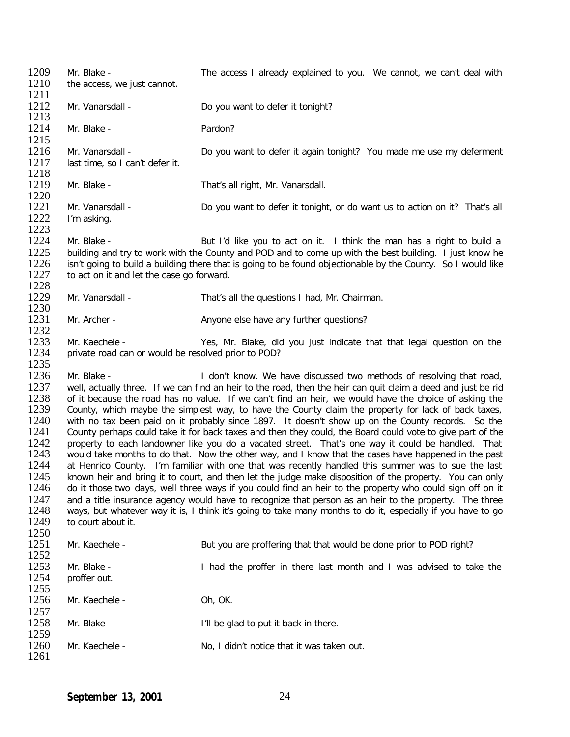1209 Mr. Blake - The access I already explained to you. We cannot, we can't deal with 1210 the access we just cannot. the access, we just cannot.  $\frac{1211}{1212}$ Mr. Vanarsdall - Do you want to defer it tonight? 1213<br>1214 Mr. Blake - Pardon? 1215<br>1216 1216 Mr. Vanarsdall - Do you want to defer it again tonight? You made me use my deferment 1217 last time, so I can't defer it. last time, so I can't defer it. 1218<br>1219 Mr. Blake - That's all right, Mr. Vanarsdall. 1220<br>1221 1221 Mr. Vanarsdall - Do you want to defer it tonight, or do want us to action on it? That's all 1222 I'm asking. I'm asking. 1223<br>1224 1224 Mr. Blake - But I'd like you to act on it. I think the man has a right to build a<br>1225 building and try to work with the County and POD and to come up with the best building. I just know he 1225 building and try to work with the County and POD and to come up with the best building. I just know he<br>1226 isn't going to build a building there that is going to be found objectionable by the County. So I would like 1226 isn't going to build a building there that is going to be found objectionable by the County. So I would like<br>1227 to act on it and let the case go forward. to act on it and let the case go forward. 1228<br>1229 Mr. Vanarsdall - That's all the questions I had, Mr. Chairman. 1230<br>1231 Mr. Archer - Anyone else have any further questions? 1232<br>1233 1233 Mr. Kaechele - Yes, Mr. Blake, did you just indicate that that legal question on the 1234 private road can or would be resolved prior to POD? private road can or would be resolved prior to POD? 1235<br>1236 1236 Mr. Blake - I don't know. We have discussed two methods of resolving that road,<br>1237 Well, actually three. If we can find an heir to the road, then the heir can quit claim a deed and just be rid 1237 well, actually three. If we can find an heir to the road, then the heir can quit claim a deed and just be rid<br>1238 of it because the road has no value. If we can't find an heir, we would have the choice of asking the 1238 of it because the road has no value. If we can't find an heir, we would have the choice of asking the 1239 County, which maybe the simplest way, to have the County claim the property for lack of back taxes. 1239 County, which maybe the simplest way, to have the County claim the property for lack of back taxes, 1240 with no tax been paid on it probably since 1897. It doesn't show up on the County records. So the 1240 with no tax been paid on it probably since 1897. It doesn't show up on the County records. So the 1241 County perhaps could take it for back taxes and then they could. the Board could vote to give part of the 1241 County perhaps could take it for back taxes and then they could, the Board could vote to give part of the<br>1242 property to each landowner like vou do a vacated street. That's one way it could be handled. That 1242 property to each landowner like you do a vacated street. That's one way it could be handled. That 1243 would take months to do that. Now the other way, and I know that the cases have happened in the past 1243 would take months to do that. Now the other way, and I know that the cases have happened in the past 1244 at Henrico County. I'm familiar with one that was recently handled this summer was to sue the last 1244 at Henrico County. I'm familiar with one that was recently handled this summer was to sue the last 1245 known heir and bring it to court, and then let the judge make disposition of the property. You can only 1245 known heir and bring it to court, and then let the judge make disposition of the property. You can only<br>1246 do it those two days, well three ways if you could find an heir to the property who could sign off on it do it those two days, well three ways if you could find an heir to the property who could sign off on it 1247 and a title insurance agency would have to recognize that person as an heir to the property. The three 1248 ways but whatever way it is. I think it's going to take many months to do it, especially if you have to go 1248 ways, but whatever way it is, I think it's going to take many months to do it, especially if you have to go 1249 to court about it. to court about it.  $\frac{1250}{1251}$ Mr. Kaechele - But you are proffering that that would be done prior to POD right?  $1252$ <br> $1253$ 1253 Mr. Blake - I had the proffer in there last month and I was advised to take the 1254 proffer out. proffer out. 1255<br>1256 Mr. Kaechele - Oh, OK. 1257<br>1258 Mr. Blake - The same section of the glad to put it back in there. 1259<br>1260 Mr. Kaechele - No, I didn't notice that it was taken out. 1261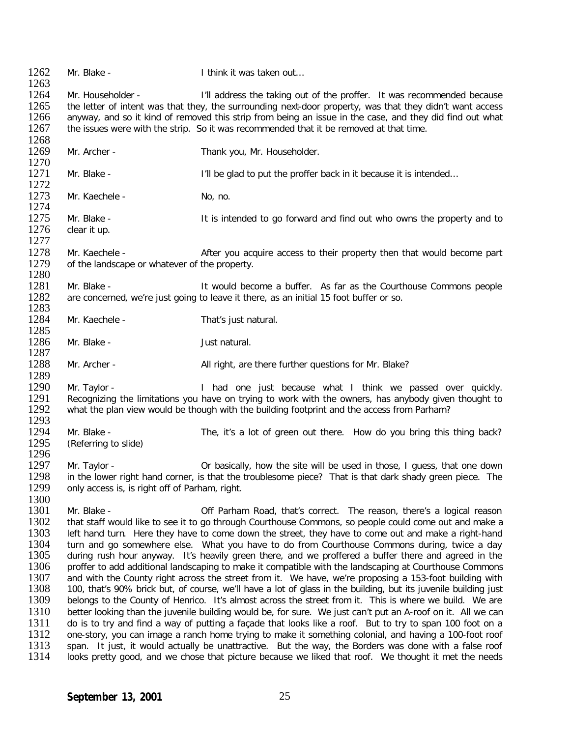1262 Mr. Blake - I think it was taken out... 1263<br>1264 1264 Mr. Householder - I'll address the taking out of the proffer. It was recommended because<br>1265 the letter of intent was that they, the surrounding next-door property, was that they didn't want access 1265 the letter of intent was that they, the surrounding next-door property, was that they didn't want access<br>1266 anyway, and so it kind of removed this strip from being an issue in the case, and they did find out what 1266 anyway, and so it kind of removed this strip from being an issue in the case, and they did find out what <br>1267 the issues were with the strip. So it was recommended that it be removed at that time. the issues were with the strip. So it was recommended that it be removed at that time. 1268<br>1269 Mr. Archer - Thank you, Mr. Householder. 1270<br>1271 Mr. Blake - **I'll be glad to put the proffer back in it because it is intended...** 1272<br>1273 Mr. Kaechele - No. no. 1274<br>1275 1275 Mr. Blake - It is intended to go forward and find out who owns the property and to 1276 clear it up. clear it up. 1277<br>1278 1278 Mr. Kaechele - After you acquire access to their property then that would become part 1279 of the landscape or whatever of the property. of the landscape or whatever of the property. 1280 1281 Mr. Blake - It would become a buffer. As far as the Courthouse Commons people 1282 are concerned, we're just going to leave it there, as an initial 15 foot buffer or so. are concerned, we're just going to leave it there, as an initial 15 foot buffer or so. 1283<br>1284 Mr. Kaechele - That's just natural. 1285<br>1286 Mr. Blake - Just natural. 1287<br>1288 Mr. Archer - All right, are there further questions for Mr. Blake? 1289<br>1290 1290 Mr. Taylor - I had one just because what I think we passed over quickly.<br>1291 Recognizing the limitations you have on trying to work with the owners, has anybody given thought to 1291 Recognizing the limitations you have on trying to work with the owners, has anybody given thought to 1292 what the plan view would be though with the building footprint and the access from Parham? what the plan view would be though with the building footprint and the access from Parham? 1293<br>1294 1294 Mr. Blake - The, it's a lot of green out there. How do you bring this thing back?<br>1295 (Referring to slide) (Referring to slide) 1296<br>1297 1297 Mr. Taylor - Or basically, how the site will be used in those, I guess, that one down<br>1298 in the lower right hand corner, is that the troublesome piece? That is that dark shady green piece. The 1298 in the lower right hand corner, is that the troublesome piece? That is that dark shady green piece. The 1299 only access is, is right off parham, right. only access is, is right off of Parham, right. 1300<br>1301 1301 Mr. Blake - **Off Parham Road, that's correct.** The reason, there's a logical reason 1302 that staff would like to see it to go through Courthouse Commons, so people could come out and make a 1302 that staff would like to see it to go through Courthouse Commons, so people could come out and make a<br>1303 left hand turn. Here they have to come down the street, they have to come out and make a right-hand 1303 left hand turn. Here they have to come down the street, they have to come out and make a right-hand 1304 turn and go somewhere else. What you have to do from Courthouse Commons during, twice a day 1304 turn and go somewhere else. What you have to do from Courthouse Commons during, twice a day<br>1305 during rush hour anyway. It's heavily green there, and we proffered a buffer there and agreed in the 1305 during rush hour anyway. It's heavily green there, and we proffered a buffer there and agreed in the 1306 proffer to add additional landscaping to make it compatible with the landscaping at Courthouse Commons 1306 proffer to add additional landscaping to make it compatible with the landscaping at Courthouse Commons<br>1307 and with the County right across the street from it. We have, we're proposing a 153-foot building with 1307 and with the County right across the street from it. We have, we're proposing a 153-foot building with 1308 100, that's 90% brick but, of course, we'll have a lot of glass in the building, but its juvenile building ju 1308 100, that's 90% brick but, of course, we'll have a lot of glass in the building, but its juvenile building just 1309 belongs to the County of Henrico. It's almost across the street from it. This is where we build. We belongs to the County of Henrico. It's almost across the street from it. This is where we build. We are 1310 better looking than the juvenile building would be, for sure. We just can't put an A-roof on it. All we can<br>1311 do is to try and find a way of putting a facade that looks like a roof. But to try to span 100 foot on a 1311 do is to try and find a way of putting a façade that looks like a roof. But to try to span 100 foot on a<br>1312 one-story, you can image a ranch home trying to make it something colonial, and having a 100-foot roof 1312 one-story, you can image a ranch home trying to make it something colonial, and having a 100-foot roof 1313 span. It just, it would actually be unattractive. But the way, the Borders was done with a false roof 1313 span. It just, it would actually be unattractive. But the way, the Borders was done with a false roof 1314 looks pretty good, and we chose that picture because we liked that roof. We thought it met the needs looks pretty good, and we chose that picture because we liked that roof. We thought it met the needs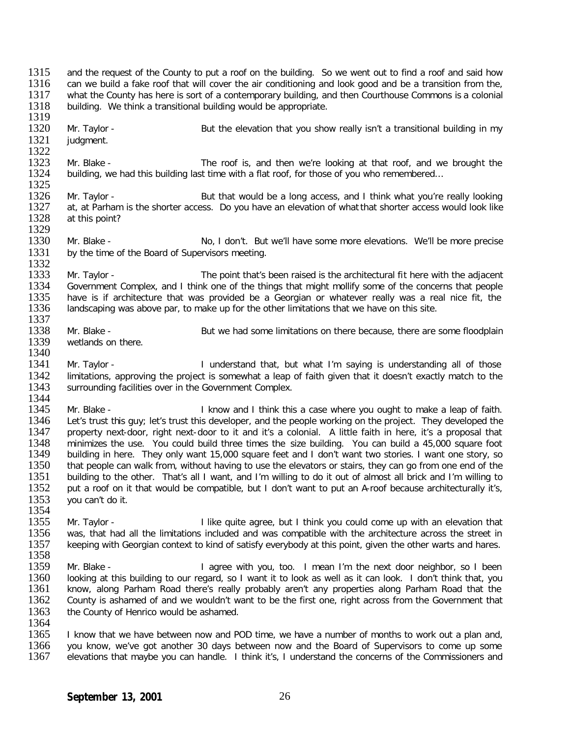1315 and the request of the County to put a roof on the building. So we went out to find a roof and said how<br>1316 can we build a fake roof that will cover the air conditioning and look good and be a transition from the 1316 can we build a fake roof that will cover the air conditioning and look good and be a transition from the,<br>1317 what the County has here is sort of a contemporary building, and then Courthouse Commons is a colonial 1317 what the County has here is sort of a contemporary building, and then Courthouse Commons is a colonial 1318 building. We think a transitional building would be appropriate. building. We think a transitional building would be appropriate. 1319<br>1320 1320 Mr. Taylor - But the elevation that you show really isn't a transitional building in my<br>1321 iudoment. judament. 1322<br>1323 1323 Mr. Blake - The roof is, and then we're looking at that roof, and we brought the 1324 building, we had this building last time with a flat roof, for those of you who remembered... building, we had this building last time with a flat roof, for those of you who remembered... 1325<br>1326 1326 Mr. Taylor - But that would be a long access, and I think what you're really looking<br>1327 at, at Parham is the shorter access. Do you have an elevation of what that shorter access would look like 1327 at, at Parham is the shorter access. Do you have an elevation of what that shorter access would look like<br>1328 at this point? at this point? 1329<br>1330 1330 Mr. Blake - No, I don't. But we'll have some more elevations. We'll be more precise 1331 by the time of the Board of Supervisors meeting. by the time of the Board of Supervisors meeting. 1332<br>1333 1333 Mr. Taylor - The point that's been raised is the architectural fit here with the adjacent<br>1334 Government Complex, and I think one of the things that might mollify some of the concerns that people 1334 Government Complex, and I think one of the things that might mollify some of the concerns that people 1335 have is if architecture that was provided be a Georgian or whatever really was a real nice fit, the 1335 have is if architecture that was provided be a Georgian or whatever really was a real nice fit, the 1336 landscaping was above par, to make up for the other limitations that we have on this site. landscaping was above par, to make up for the other limitations that we have on this site. 1337<br>1338 1338 Mr. Blake - But we had some limitations on there because, there are some floodplain<br>1339 wetlands on there. wetlands on there. 1340<br>1341 1341 Mr. Taylor - I understand that, but what I'm saying is understanding all of those<br>1342 Ilmitations, approving the project is somewhat a leap of faith given that it doesn't exactly match to the 1342 limitations, approving the project is somewhat a leap of faith given that it doesn't exactly match to the<br>1343 surrounding facilities over in the Government Complex. surrounding facilities over in the Government Complex. 1344<br>1345 1345 Mr. Blake - I know and I think this a case where you ought to make a leap of faith.<br>1346 Let's trust this quy: let's trust this developer, and the people working on the project. They developed the 1346 Let's trust this guy; let's trust this developer, and the people working on the project. They developed the<br>1347 property next-door, right next-door to it and it's a colonial. A little faith in here, it's a proposal t 1347 property next-door, right next-door to it and it's a colonial. A little faith in here, it's a proposal that<br>1348 minimizes the use. You could build three times the size building. You can build a 45,000 square foot 1348 minimizes the use. You could build three times the size building. You can build a 45,000 square foot 1349 building in here. They only want 15,000 square foot 1349 building in here. They only want 15,000 square feet and I don't want two stories. I want one story, so 1350 that people can walk from, without having to use the elevators or stairs, they can go from one end of the 1350 that people can walk from, without having to use the elevators or stairs, they can go from one end of the<br>1351 building to the other. That's all I want, and I'm willing to do it out of almost all brick and I'm willing 1351 building to the other. That's all I want, and I'm willing to do it out of almost all brick and I'm willing to 1352 put a roof on it that would be compatible, but I don't want to put an A-roof because architecturally i put a roof on it that would be compatible, but I don't want to put an A-roof because architecturally it's, 1353 you can't do it. 1354<br>1355 1355 Mr. Taylor - I like quite agree, but I think you could come up with an elevation that 1356 was, that had all the limitations included and was compatible with the architecture across the street in 1356 was, that had all the limitations included and was compatible with the architecture across the street in<br>1357 keeping with Georgian context to kind of satisfy everybody at this point, given the other warts and hares. keeping with Georgian context to kind of satisfy everybody at this point, given the other warts and hares. 1358<br>1359 1359 Mr. Blake - I agree with you, too. I mean I'm the next door neighbor, so I been<br>1360 I looking at this building to our regard, so I want it to look as well as it can look. I don't think that, you 1360 looking at this building to our regard, so I want it to look as well as it can look. I don't think that, you<br>1361 looking a Parham Road there's really probably aren't any properties along Parham Road that the 1361 know, along Parham Road there's really probably aren't any properties along Parham Road that the<br>1362 County is ashamed of and we wouldn't want to be the first one, right across from the Government that 1362 County is ashamed of and we wouldn't want to be the first one, right across from the Government that 1363 the County of Henrico would be ashamed. the County of Henrico would be ashamed. 1364<br>1365 1365 I know that we have between now and POD time, we have a number of months to work out a plan and,<br>1366 vou know, we've got another 30 days between now and the Board of Supervisors to come up some 1366 you know, we've got another 30 days between now and the Board of Supervisors to come up some<br>1367 elevations that mavbe vou can handle. I think it's. I understand the concerns of the Commissioners and elevations that maybe you can handle. I think it's, I understand the concerns of the Commissioners and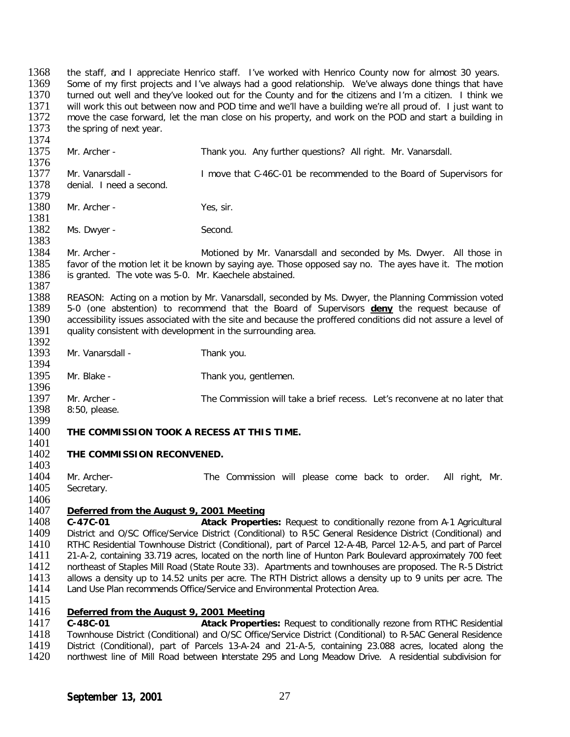1368 the staff, and I appreciate Henrico staff. I've worked with Henrico County now for almost 30 years.<br>1369 Some of my first projects and I've always had a good relationship. We've always done things that have 1369 Some of my first projects and I've always had a good relationship. We've always done things that have 1370 turned out well and they've looked out for the County and for the citizens and I'm a citizen. I think we 1370 turned out well and they've looked out for the County and for the citizens and I'm a citizen. I think we<br>1371 will work this out between now and POD time and we'll have a building we're all proud of. I just want to 1371 will work this out between now and POD time and we'll have a building we're all proud of. I just want to<br>1372 move the case forward, let the man close on his property, and work on the POD and start a building in 1372 move the case forward, let the man close on his property, and work on the POD and start a building in 1373 the spring of next vear. the spring of next year.

1374<br>1375 1375 Mr. Archer - Thank you. Any further questions? All right. Mr. Vanarsdall. 1376<br>1377 1377 Mr. Vanarsdall - I move that C-46C-01 be recommended to the Board of Supervisors for 1378 denial. I need a second. denial. I need a second. 1379<br>1380 Mr. Archer - Yes, sir. 1381<br>1382 Ms. Dwyer - Second. 1383<br>1384 1384 Mr. Archer - Motioned by Mr. Vanarsdall and seconded by Ms. Dwyer. All those in<br>1385 Favor of the motion let it be known by saving ave. Those opposed say no. The aves have it. The motion 1385 favor of the motion let it be known by saying aye. Those opposed say no. The ayes have it. The motion 1386 is granted. The vote was 5-0. Mr. Kaechele abstained. is granted. The vote was 5-0. Mr. Kaechele abstained. 1387<br>1388 1388 REASON: Acting on a motion by Mr. Vanarsdall, seconded by Ms. Dwyer, the Planning Commission voted 1389 5-0 (one abstention) to recommend that the Board of Supervisors **deny** the request because of 1389 5-0 (one abstention) to recommend that the Board of Supervisors **deny** the request because of 1390 accessibility issues associated with the site and because the proffered conditions did not assure a level of 1391 auality consistent with development in the surrounding area. quality consistent with development in the surrounding area. 1392<br>1393 Mr. Vanarsdall - Thank you. 1394<br>1395 Mr. Blake - Thank you, gentlemen. 1396<br>1397 1397 Mr. Archer - The Commission will take a brief recess. Let's reconvene at no later that 1398 8:50, please. 8:50, please. 1399<br>1400 **THE COMMISSION TOOK A RECESS AT THIS TIME.** 

#### 1401<br>1402 **THE COMMISSION RECONVENED.**

1403<br>1404 1404 Mr. Archer- The Commission will please come back to order. All right, Mr. 1405 Secretary. Secretary.

1406<br>1407

## 1407 *Deferred from the August 9, 2001 Meeting*

1408 **C-47C-01 Atack Properties:** Request to conditionally rezone from A-1 Agricultural 1409 District and O/SC Office/Service District (Conditional) to R5C General Residence District (Conditional) and<br>1410 RTHC Residential Townhouse District (Conditional), part of Parcel 12-A-4B, Parcel 12-A-5, and part of Pa 1410 RTHC Residential Townhouse District (Conditional), part of Parcel 12-A-4B, Parcel 12-A-5, and part of Parcel<br>1411 21-A-2, containing 33.719 acres, located on the north line of Hunton Park Boulevard approximately 700 f 1411 21-A-2, containing 33.719 acres, located on the north line of Hunton Park Boulevard approximately 700 feet<br>1412 northeast of Staples Mill Road (State Route 33). Apartments and townhouses are proposed. The R-5 District 1412 northeast of Staples Mill Road (State Route 33). Apartments and townhouses are proposed. The R-5 District<br>1413 allows a density up to 14.52 units per acre. The RTH District allows a density up to 9 units per acre. The 1413 allows a density up to 14.52 units per acre. The RTH District allows a density up to 9 units per acre. The 1414 Land Use Plan recommends Office/Service and Environmental Protection Area. Land Use Plan recommends Office/Service and Environmental Protection Area.

1415

# 1416 *Deferred from the August 9, 2001 Meeting*

1417 **C-48C-01 Atack Properties:** Request to conditionally rezone from RTHC Residential 1418 Townhouse District (Conditional) and O/SC Office/Service District (Conditional) to R-5AC General Residence<br>1419 District (Conditional), part of Parcels 13-A-24 and 21-A-5, containing 23.088 acres, located along the 1419 District (Conditional), part of Parcels 13-A-24 and 21-A-5, containing 23.088 acres, located along the 1420 northwest line of Mill Road between hterstate 295 and Long Meadow Drive. A residential subdivision for northwest line of Mill Road between Interstate 295 and Long Meadow Drive. A residential subdivision for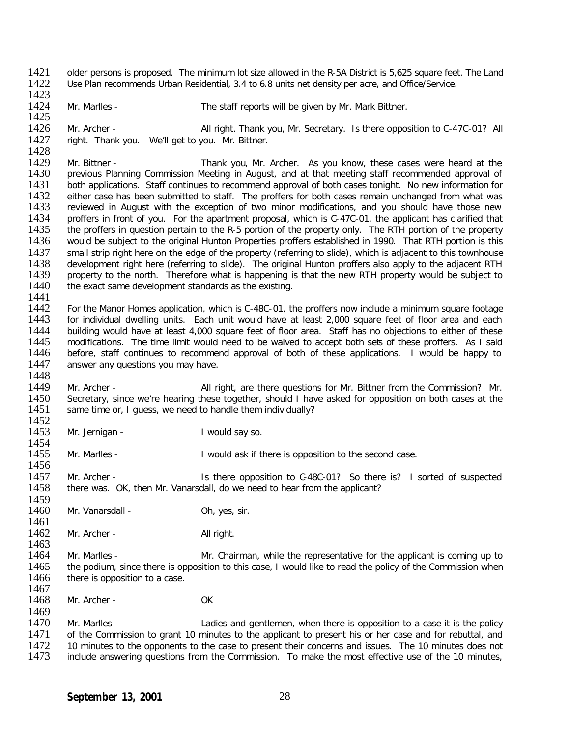1421 older persons is proposed. The minimum lot size allowed in the R-5A District is 5,625 square feet. The Land<br>1422 Use Plan recommends Urban Residential, 3.4 to 6.8 units net density per acre, and Office/Service. 1422 Use Plan recommends Urban Residential, 3.4 to 6.8 units net density per acre, and Office/Service.

1423<br>1424 Mr. Marlles - The staff reports will be given by Mr. Mark Bittner. 1425<br>1426

1426 Mr. Archer - All right. Thank you, Mr. Secretary. Is there opposition to C-47C-01? All 1427 right. Thank you. We'll get to you. Mr. Bittner. right. Thank you. We'll get to you. Mr. Bittner.

1428<br>1429 1429 Mr. Bittner - Thank you, Mr. Archer. As you know, these cases were heard at the<br>1430 Drevious Planning Commission Meeting in August, and at that meeting staff recommended approval of 1430 previous Planning Commission Meeting in August, and at that meeting staff recommended approval of 1431 both applications. Staff continues to recommend approval of both cases tonight. No new information for 1431 both applications. Staff continues to recommend approval of both cases tonight. No new information for 1432 either case has been submitted to staff. The proffers for both cases remain unchanged from what was 1432 either case has been submitted to staff. The proffers for both cases remain unchanged from what was<br>1433 reviewed in August with the exception of two minor modifications, and you should have those new 1433 reviewed in August with the exception of two minor modifications, and you should have those new<br>1434 proffers in front of you. For the apartment proposal, which is C-47C-01, the applicant has clarified that 1434 proffers in front of you. For the apartment proposal, which is C-47C-01, the applicant has clarified that<br>1435 the proffers in question pertain to the R-5 portion of the property only. The RTH portion of the property 1435 the proffers in question pertain to the R-5 portion of the property only. The RTH portion of the property<br>1436 would be subiect to the original Hunton Properties proffers established in 1990. That RTH portion is this 1436 would be subject to the original Hunton Properties proffers established in 1990. That RTH portion is this<br>1437 small strip right here on the edge of the property (referring to slide), which is adiacent to this townhou 1437 small strip right here on the edge of the property (referring to slide), which is adjacent to this townhouse<br>1438 development right here (referring to slide). The original Hunton proffers also apply to the adjacent RT 1438 development right here (referring to slide). The original Hunton proffers also apply to the adjacent RTH<br>1439 property to the north. Therefore what is happening is that the new RTH property would be subject to 1439 property to the north. Therefore what is happening is that the new RTH property would be subject to 1440 the exact same development standards as the existing. the exact same development standards as the existing.

1441<br>1442 1442 For the Manor Homes application, which is C-48C-01, the proffers now include a minimum square footage<br>1443 For individual dwelling units. Fach unit would have at least 2.000 square feet of floor area and each 1443 for individual dwelling units. Each unit would have at least 2,000 square feet of floor area and each<br>1444 building would have at least 4.000 square feet of floor area. Staff has no obiections to either of these 1444 building would have at least 4,000 square feet of floor area. Staff has no objections to either of these<br>1445 modifications. The time limit would need to be waived to accept both sets of these proffers. As I said 1445 modifications. The time limit would need to be waived to accept both sets of these proffers. As I said 1446 before, staff continues to recommend approval of both of these applications. I would be happy to 1446 before, staff continues to recommend approval of both of these applications. I would be happy to 1447 answer any questions you may have. answer any questions you may have.

1448<br>1449 1449 Mr. Archer - All right, are there questions for Mr. Bittner from the Commission? Mr.<br>1450 Secretary, since we're hearing these together, should I have asked for opposition on both cases at the 1450 Secretary, since we're hearing these together, should I have asked for opposition on both cases at the 1451 same time or. I quess, we need to handle them individually? same time or, I guess, we need to handle them individually?

1452<br>1453 Mr. Jernigan - I would say so.

1454<br>1455 Mr. Marlles - The I would ask if there is opposition to the second case.

1456<br>1457 1457 Mr. Archer - Is there opposition to C-48C-01? So there is? I sorted of suspected 1458 there was. OK, then Mr. Vanarsdall, do we need to hear from the applicant? there was. OK, then Mr. Vanarsdall, do we need to hear from the applicant?

1459<br>1460 Mr. Vanarsdall - Oh, yes, sir.

1461<br>1462 Mr. Archer - All right.

1463<br>1464 1464 Mr. Marlles - Mr. Chairman, while the representative for the applicant is coming up to<br>1465 the podium, since there is opposition to this case, I would like to read the policy of the Commission when 1465 the podium, since there is opposition to this case, I would like to read the policy of the Commission when<br>1466 there is opposition to a case. there is opposition to a case.

1467<br>1468 1468 Mr. Archer - OK

1469<br>1470 1470 Mr. Marlles - Ladies and gentlemen, when there is opposition to a case it is the policy<br>1471 of the Commission to grant 10 minutes to the applicant to present his or her case and for rebuttal, and 1471 of the Commission to grant 10 minutes to the applicant to present his or her case and for rebuttal, and<br>1472 10 minutes to the opponents to the case to present their concerns and issues. The 10 minutes does not 1472 10 minutes to the opponents to the case to present their concerns and issues. The 10 minutes does not 1473 include answering questions from the Commission. To make the most effective use of the 10 minutes. include answering questions from the Commission. To make the most effective use of the 10 minutes,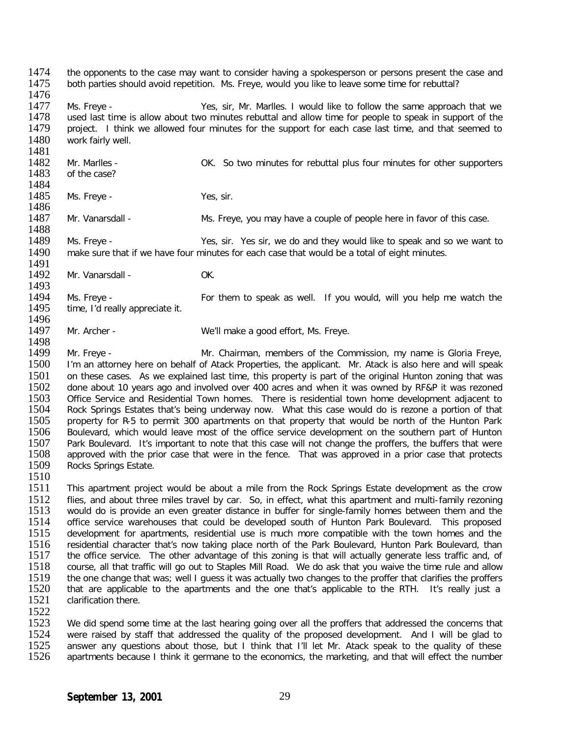1474 the opponents to the case may want to consider having a spokesperson or persons present the case and 1475 both parties should avoid repetition. Ms. Freve, would you like to leave some time for rebuttal? both parties should avoid repetition. Ms. Freye, would you like to leave some time for rebuttal?

1476<br>1477 1477 Ms. Freye - Yes, sir, Mr. Marlles. I would like to follow the same approach that we<br>1478 Lused last time is allow about two minutes rebuttal and allow time for people to speak in support of the 1478 used last time is allow about two minutes rebuttal and allow time for people to speak in support of the<br>1479 project. I think we allowed four minutes for the support for each case last time, and that seemed to 1479 project. I think we allowed four minutes for the support for each case last time, and that seemed to 1480 work fairly well. work fairly well.

1481<br>1482 1482 Mr. Marlles - Cass Corportion Corporation Corporters and OK. So two minutes for rebuttal plus four minutes for other supporters 1483 of the case? of the case?

1484<br>1485

Ms. Freye - Yes, sir.

1486<br>1487 Mr. Vanarsdall - Ms. Freye, you may have a couple of people here in favor of this case.

1488<br>1489 1489 Ms. Freye - Yes, sir. Yes sir, we do and they would like to speak and so we want to 1490 make sure that if we have four minutes for each case that would be a total of eight minutes. make sure that if we have four minutes for each case that would be a total of eight minutes.

1491<br>1492 Mr. Vanarsdall - OK.

1493<br>1494 1494 Ms. Freye - For them to speak as well. If you would, will you help me watch the 1495 time. I'd really appreciate it. time, I'd really appreciate it.

1496<br>1497 Mr. Archer - We'll make a good effort, Ms. Freye.

1498<br>1499 1499 Mr. Freye - Mr. Chairman, members of the Commission, my name is Gloria Freye, 1500 I'm an attorney here on behalf of Atack Properties, the applicant. Mr. Atack is also here and will speak<br>1501 on these cases. As we explained last time, this property is part of the original Hunton zoning that was 1501 on these cases. As we explained last time, this property is part of the original Hunton zoning that was<br>1502 done about 10 years ago and involved over 400 acres and when it was owned by RF&P it was rezoned 1502 done about 10 years ago and involved over 400 acres and when it was owned by RF&P it was rezoned<br>1503 Office Service and Residential Town homes. There is residential town home development adiacent to 1503 Office Service and Residential Town homes. There is residential town home development adjacent to 1504 Rock Springs Estates that's being underway now. What this case would do is rezone a portion of that 1504 Rock Springs Estates that's being underway now. What this case would do is rezone a portion of that 1505 property for R-5 to permit 300 apartments on that property that would be north of the Hunton Park 1505 property for R-5 to permit 300 apartments on that property that would be north of the Hunton Park<br>1506 Boulevard, which would leave most of the office service development on the southern part of Hunton 1506 Boulevard, which would leave most of the office service development on the southern part of Hunton<br>1507 Park Boulevard. It's important to note that this case will not change the proffers, the buffers that were 1507 Park Boulevard. It's important to note that this case will not change the proffers, the buffers that were<br>1508 approved with the prior case that were in the fence. That was approved in a prior case that protects 1508 approved with the prior case that were in the fence. That was approved in a prior case that protects 1509 Rocks Springs Estate. Rocks Springs Estate.

1510<br>1511

This apartment project would be about a mile from the Rock Springs Estate development as the crow 1512 flies, and about three miles travel by car. So, in effect, what this apartment and multi-family rezoning<br>1513 would do is provide an even greater distance in buffer for single-family homes between them and the 1513 would do is provide an even greater distance in buffer for single-family homes between them and the<br>1514 office service warehouses that could be developed south of Hunton Park Boulevard. This proposed 1514 office service warehouses that could be developed south of Hunton Park Boulevard. This proposed<br>1515 development for apartments, residential use is much more compatible with the town homes and the 1515 development for apartments, residential use is much more compatible with the town homes and the<br>1516 residential character that's now taking place north of the Park Boulevard. Hunton Park Boulevard, than 1516 residential character that's now taking place north of the Park Boulevard, Hunton Park Boulevard, than<br>1517 the office service. The other advantage of this zoning is that will actually generate less traffic and, of 1517 the office service. The other advantage of this zoning is that will actually generate less traffic and, of<br>1518 course, all that traffic will go out to Staples Mill Road. We do ask that you waive the time rule and all 1518 course, all that traffic will go out to Staples Mill Road. We do ask that you waive the time rule and allow<br>1519 the one change that was: well I quess it was actually two changes to the proffer that clarifies the prof 1519 the one change that was; well I guess it was actually two changes to the proffer that clarifies the proffers<br>1520 that are applicable to the apartments and the one that's applicable to the RTH. It's really just a 1520 that are applicable to the apartments and the one that's applicable to the RTH. It's really just a 1521 clarification there. clarification there.

1522<br>1523 1523 We did spend some time at the last hearing going over all the proffers that addressed the concerns that 1<br>1524 Were raised by staff that addressed the quality of the proposed development. And I will be glad to 1524 were raised by staff that addressed the quality of the proposed development. And I will be glad to 1525 answer any questions about those, but I think that I'll let Mr. Atack speak to the quality of these 1525 answer any questions about those, but I think that I'll let Mr. Atack speak to the quality of these<br>1526 apartments because I think it germane to the economics, the marketing, and that will effect the number apartments because I think it germane to the economics, the marketing, and that will effect the number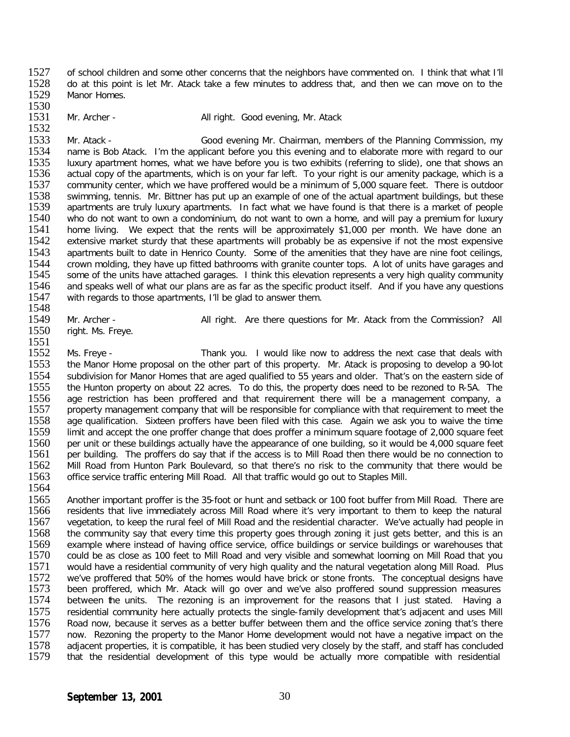1527 of school children and some other concerns that the neighbors have commented on. I think that what I'll<br>1528 of a at this point is let Mr. Atack take a few minutes to address that, and then we can move on to the 1528 do at this point is let Mr. Atack take a few minutes to address that, and then we can move on to the 1529 Manor Homes. Manor Homes.

1530<br>1531 Mr. Archer - All right. Good evening, Mr. Atack

1532<br>1533 1533 Mr. Atack - Good evening Mr. Chairman, members of the Planning Commission, my<br>1534 name is Bob Atack. I'm the applicant before you this evening and to elaborate more with regard to our 1534 name is Bob Atack. I'm the applicant before you this evening and to elaborate more with regard to our 1535 luxury apartment homes, what we have before you is two exhibits (referring to slide), one that shows an 1535 Luxury apartment homes, what we have before you is two exhibits (referring to slide), one that shows an<br>1536 Lactual copy of the apartments, which is on your far left. To your right is our amenity package, which is a 1536 actual copy of the apartments, which is on your far left. To your right is our amenity package, which is a<br>1537 community center, which we have proffered would be a minimum of 5.000 square feet. There is outdoor 1537 community center, which we have proffered would be a minimum of 5,000 square feet. There is outdoor<br>1538 swimming, tennis. Mr. Bittner has put up an example of one of the actual apartment buildings, but these 1538 swimming, tennis. Mr. Bittner has put up an example of one of the actual apartment buildings, but these<br>1539 apartments are truly luxury apartments. In fact what we have found is that there is a market of people 1539 apartments are truly luxury apartments. In fact what we have found is that there is a market of people<br>1540 who do not want to own a condominium, do not want to own a home, and will pay a premium for luxury 1540 who do not want to own a condominium, do not want to own a home, and will pay a premium for luxury 1541 home iving. We expect that the rents will be approximately \$1.000 per month. We have done an 1541 home living. We expect that the rents will be approximately \$1,000 per month. We have done an 1542 extensive market sturdy that these apartments will probably be as expensive if not the most expensive 1542 extensive market sturdy that these apartments will probably be as expensive if not the most expensive<br>1543 apartments built to date in Henrico County. Some of the amenities that they have are nine foot ceilings. 1543 apartments built to date in Henrico County. Some of the amenities that they have are nine foot ceilings,<br>1544 crown molding, they have up fitted bathrooms with granite counter tops. A lot of units have garages and 1544 crown molding, they have up fitted bathrooms with granite counter tops. A lot of units have garages and<br>1545 some of the units have attached garages. I think this elevation represents a very high quality community 1545 some of the units have attached garages. I think this elevation represents a very high quality community<br>1546 and speaks well of what our plans are as far as the specific product itself. And if you have any questions 1546 and speaks well of what our plans are as far as the specific product itself. And if you have any questions 1547 with regards to those apartments. I'll be glad to answer them. with regards to those apartments, I'll be glad to answer them.

1548<br>1549 1549 Mr. Archer - All right. Are there questions for Mr. Atack from the Commission? All 1550 right. Ms. Freve. right. Ms. Freye.

1551<br>1552 1552 Ms. Freye - Thank you. I would like now to address the next case that deals with<br>1553 the Manor Home proposal on the other part of this property. Mr. Atack is proposing to develop a 90-lot 1553 the Manor Home proposal on the other part of this property. Mr. Atack is proposing to develop a 90-lot 1554 subdivision for Manor Homes that are aged qualified to 55 years and older. That's on the eastern side of 1554 subdivision for Manor Homes that are aged qualified to 55 years and older. That's on the eastern side of<br>1555 the Hunton property on about 22 acres. To do this, the property does need to be rezoned to R-5A. The 1555 the Hunton property on about 22 acres. To do this, the property does need to be rezoned to R-5A. The 1556 are restriction has been proffered and that requirement there will be a management company, a 1556 age restriction has been proffered and that requirement there will be a management company, a<br>1557 property management company that will be responsible for compliance with that requirement to meet the 1557 property management company that will be responsible for compliance with that requirement to meet the 1558 age qualification. Sixteen proffers have been filed with this case. Again we ask you to waive the time 1558 age qualification. Sixteen proffers have been filed with this case. Again we ask you to waive the time<br>1559 limit and accept the one proffer change that does proffer a minimum square footage of 2.000 square feet 1559 limit and accept the one proffer change that does proffer a minimum square footage of 2,000 square feet 1<br>1560 per unit or these buildings actually have the appearance of one building, so it would be 4,000 square feet 1560 per unit or these buildings actually have the appearance of one building, so it would be 4,000 square feet<br>1561 per building. The proffers do say that if the access is to Mill Road then there would be no connection to 1561 per building. The proffers do say that if the access is to Mill Road then there would be no connection to<br>1562 Mill Road from Hunton Park Boulevard, so that there's no risk to the community that there would be 1562 Mill Road from Hunton Park Boulevard, so that there's no risk to the community that there would be 1563 office service traffic entering Mill Road. All that traffic would go out to Staples Mill. office service traffic entering Mill Road. All that traffic would go out to Staples Mill. 1564

1565 Another important proffer is the 35-foot or hunt and setback or 100 foot buffer from Mill Road. There are<br>1566 residents that live immediately across Mill Road where it's very important to them to keep the natural 1566 residents that live immediately across Mill Road where it's very important to them to keep the natural 1567 vegetation, to keep the rural feel of Mill Road and the residential character. We've actually had people in 1567 vegetation, to keep the rural feel of Mill Road and the residential character. We've actually had people in<br>1568 the community say that every time this property goes through zoning it just gets better, and this is an 1568 the community say that every time this property goes through zoning it just gets better, and this is an 1569 example where instead of having office service, office buildings or service buildings or warehouses that 1569 example where instead of having office service, office buildings or service buildings or warehouses that<br>1570 could be as close as 100 feet to Mill Road and very visible and somewhat looming on Mill Road that vou 1570 could be as close as 100 feet to Mill Road and very visible and somewhat looming on Mill Road that you<br>1571 would have a residential community of very high quality and the natural vegetation along Mill Road. Plus 1571 would have a residential community of very high quality and the natural vegetation along Mill Road. Plus<br>1572 we've proffered that 50% of the homes would have brick or stone fronts. The conceptual designs have 1572 we've proffered that 50% of the homes would have brick or stone fronts. The conceptual designs have 1573 been proffered, which Mr. Atack will go over and we've also proffered sound suppression measures 1573 been proffered, which Mr. Atack will go over and we've also proffered sound suppression measures<br>1574 between the units. The rezoning is an improvement for the reasons that I just stated. Having a between the units. The rezoning is an improvement for the reasons that I just stated. Having a 1575 residential community here actually protects the single-family development that's adjacent and uses Mill<br>1576 Road now, because it serves as a better buffer between them and the office service zoning that's there 1576 Road now, because it serves as a better buffer between them and the office service zoning that's there<br>1577 now. Rezoning the property to the Manor Home development would not have a negative impact on the 1577 now. Rezoning the property to the Manor Home development would not have a negative impact on the 1578 adiacent properties, it is compatible, it has been studied very closely by the staff, and staff has concluded 1578 adjacent properties, it is compatible, it has been studied very closely by the staff, and staff has concluded<br>1579 that the residential development of this type would be actually more compatible with residential that the residential development of this type would be actually more compatible with residential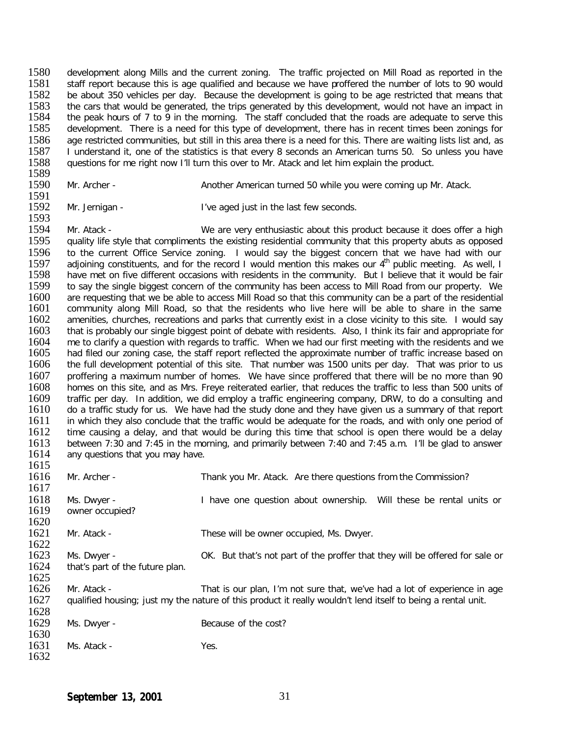1580 development along Mills and the current zoning. The traffic projected on Mill Road as reported in the 1581 staff report because this is age qualified and because we have proffered the number of lots to 90 would 1581 staff report because this is age qualified and because we have proffered the number of lots to 90 would 1582 be about 350 vehicles per day. Because the development is going to be age restricted that means that 1582 be about 350 vehicles per day. Because the development is going to be age restricted that means that 1583<br>1583 the cars that would be generated, the trips generated by this development, would not have an impact in 1583 the cars that would be generated, the trips generated by this development, would not have an impact in 1584 the peak hours of 7 to 9 in the morning. The staff concluded that the roads are adequate to serve this 1584 the peak hours of 7 to 9 in the morning. The staff concluded that the roads are adequate to serve this 1585 development. There is a need for this type of development, there is a need for this type of development, ther development. There is a need for this type of development, there has in recent times been zonings for 1586 age restricted communities, but still in this area there is a need for this. There are waiting lists list and, as<br>1587 lunderstand it, one of the statistics is that every 8 seconds an American turns 50. So unless you 1587 I understand it, one of the statistics is that every 8 seconds an American turns 50. So unless you have 1588 auestions for me right now I'll turn this over to Mr. Atack and let him explain the product. questions for me right now I'll turn this over to Mr. Atack and let him explain the product.

1589<br>1590

Mr. Archer - Another American turned 50 while you were coming up Mr. Atack.

1591<br>1592 Mr. Jernigan - I've aged just in the last few seconds.

1593<br>1594 1594 Mr. Atack - We are very enthusiastic about this product because it does offer a high<br>1595 quality life style that compliments the existing residential community that this property abuts as opposed 1595 quality life style that compliments the existing residential community that this property abuts as opposed<br>1596 to the current Office Service zoning. I would say the biggest concern that we have had with our 1596 to the current Office Service zoning. I would say the biggest concern that we have had with our 1597 adioining constituents, and for the record I would mention this makes our  $4<sup>th</sup>$  public meeting. As well, I 1597 adjoining constituents, and for the record I would mention this makes our  $4^{\text{th}}$  public meeting. As well, I<br>1598 bave met on five different occasions with residents in the community. But I believe that it would be 1598 have met on five different occasions with residents in the community. But I believe that it would be fair<br>1599 to say the single biggest concern of the community has been access to Mill Road from our property. We 1599 to say the single biggest concern of the community has been access to Mill Road from our property. We 1600 are requesting that we be able to access Mill Road so that this community can be a part of the residential 1600 are requesting that we be able to access Mill Road so that this community can be a part of the residential<br>1601 community along Mill Road, so that the residents who live here will be able to share in the same 1601 community along Mill Road, so that the residents who live here will be able to share in the same<br>1602 amenities, churches, recreations and parks that currently exist in a close vicinity to this site. I would sav 1602 amenities, churches, recreations and parks that currently exist in a close vicinity to this site. I would say<br>1603 that is probably our single biggest point of debate with residents. Also, I think its fair and appropr 1603 that is probably our single biggest point of debate with residents. Also, I think its fair and appropriate for 1604 me to clarify a question with regards to traffic. When we had our first meeting with the residents and we<br>1605 had filed our zoning case, the staff report reflected the approximate number of traffic increase based on 1605 had filed our zoning case, the staff report reflected the approximate number of traffic increase based on<br>1606 the full development potential of this site. That number was 1500 units per day. That was prior to us 1606 the full development potential of this site. That number was 1500 units per day. That was prior to us<br>1607 proffering a maximum number of homes. We have since proffered that there will be no more than 90 1607 broffering a maximum number of homes. We have since proffered that there will be no more than 90<br>1608 bomes on this site, and as Mrs. Freve reiterated earlier, that reduces the traffic to less than 500 units of 1608 homes on this site, and as Mrs. Freye reiterated earlier, that reduces the traffic to less than 500 units of<br>1609 traffic per day. In addition, we did employ a traffic engineering company, DRW, to do a consulting and 1609 traffic per day. In addition, we did employ a traffic engineering company, DRW, to do a consulting and 1610 do a traffic study for us. We have had the study done and they have given us a summary of that report 1610 do a traffic study for us. We have had the study done and they have given us a summary of that report 1611 in which they also conclude that the traffic would be adequate for the roads, and with only one period of 1611 in which they also conclude that the traffic would be adequate for the roads, and with only one period of<br>1612 time causing a delay, and that would be during this time that school is open there would be a delay 1612 time causing a delay, and that would be during this time that school is open there would be a delay<br>1613 between 7:30 and 7:45 in the morning, and primarily between 7:40 and 7:45 a.m. I'll be glad to answer 1613 between 7:30 and 7:45 in the morning, and primarily between 7:40 and 7:45 a.m. I'll be glad to answer 1614 any questions that you may have. 1615

| 1616 | Mr. Archer -                    | Thank you Mr. Atack. Are there questions from the Commission?                                                |
|------|---------------------------------|--------------------------------------------------------------------------------------------------------------|
| 1617 |                                 |                                                                                                              |
| 1618 | Ms. Dwyer -                     | I have one question about ownership. Will these be rental units or                                           |
| 1619 | owner occupied?                 |                                                                                                              |
| 1620 |                                 |                                                                                                              |
| 1621 | Mr. Atack -                     | These will be owner occupied, Ms. Dwyer.                                                                     |
| 1622 |                                 |                                                                                                              |
| 1623 | Ms. Dwyer -                     | OK. But that's not part of the proffer that they will be offered for sale or                                 |
| 1624 | that's part of the future plan. |                                                                                                              |
| 1625 |                                 |                                                                                                              |
| 1626 | Mr. Atack -                     | That is our plan, I'm not sure that, we've had a lot of experience in age                                    |
| 1627 |                                 | qualified housing; just my the nature of this product it really wouldn't lend itself to being a rental unit. |
| 1628 |                                 |                                                                                                              |
| 1629 | Ms. Dwyer -                     | Because of the cost?                                                                                         |
| 1630 |                                 |                                                                                                              |
| 1631 | Ms. Atack -                     | Yes.                                                                                                         |
| 1632 |                                 |                                                                                                              |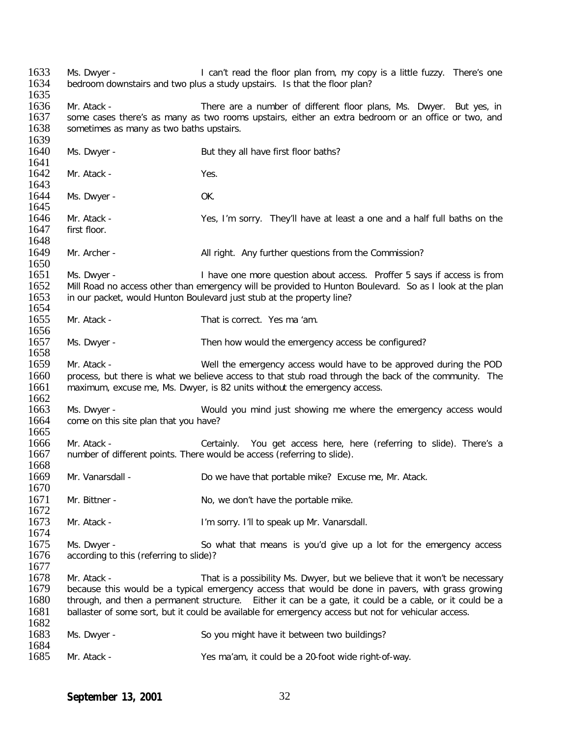1633 Ms. Dwyer - I can't read the floor plan from, my copy is a little fuzzy. There's one<br>1634 bedroom downstairs and two plus a study upstairs. Is that the floor plan? bedroom downstairs and two plus a study upstairs. Is that the floor plan? 1635<br>1636 1636 Mr. Atack - There are a number of different floor plans, Ms. Dwyer. But yes, in<br>1637 some cases there's as many as two rooms upstairs, either an extra bedroom or an office or two, and 1637 some cases there's as many as two rooms upstairs, either an extra bedroom or an office or two, and 1638 sometimes as many as two baths upstairs. sometimes as many as two baths upstairs. 1639<br>1640 Ms. Dwyer - But they all have first floor baths? 1641<br>1642 Mr. Atack - Yes. 1643<br>1644 Ms. Dwyer - OK. 1645<br>1646 1646 Mr. Atack - Yes, I'm sorry. They'll have at least a one and a half full baths on the 1647 first floor. first floor. 1648<br>1649 Mr. Archer - **All right.** Any further questions from the Commission? 1650<br>1651 1651 Ms. Dwyer - I have one more question about access. Proffer 5 says if access is from<br>1652 Mill Road no access other than emergency will be provided to Hunton Boulevard. So as I look at the plan 1652 Mill Road no access other than emergency will be provided to Hunton Boulevard. So as I look at the plan<br>1653 in our packet, would Hunton Boulevard just stub at the property line? in our packet, would Hunton Boulevard just stub at the property line? 1654<br>1655 Mr. Atack - That is correct. Yes ma 'am. 1656 1657 Ms. Dwyer - Then how would the emergency access be configured? 1658<br>1659 1659 Mr. Atack - Well the emergency access would have to be approved during the POD 1660 process, but there is what we believe access to that stub road through the back of the community. The 1661 maximum, excuse me, Ms. Dwyer, is 82 units without the emergency access. maximum, excuse me, Ms. Dwyer, is 82 units without the emergency access. 1662<br>1663 1663 Ms. Dwyer - Would you mind just showing me where the emergency access would 1664 come on this site plan that you have? come on this site plan that you have? 1665<br>1666 1666 Mr. Atack - Certainly. You get access here, here (referring to slide). There's a<br>1667 number of different points. There would be access (referring to slide). number of different points. There would be access (referring to slide). 1668<br>1669 Mr. Vanarsdall - **Do we have that portable mike?** Excuse me, Mr. Atack. 1670 1671 Mr. Bittner - No, we don't have the portable mike. 1672<br>1673 Mr. Atack - I'm sorry. I'll to speak up Mr. Vanarsdall. 1674<br>1675 1675 Ms. Dwyer - So what that means is you'd give up a lot for the emergency access<br>1676 according to this (referring to slide)? according to this (referring to slide)? 1677<br>1678 1678 Mr. Atack - That is a possibility Ms. Dwyer, but we believe that it won't be necessary<br>1679 because this would be a typical emergency access that would be done in payers, with grass growing 1679 because this would be a typical emergency access that would be done in pavers, with grass growing<br>1680 through, and then a permanent structure. Either it can be a gate, it could be a cable, or it could be a through, and then a permanent structure. Either it can be a gate, it could be a cable, or it could be a 1681 ballaster of some sort, but it could be available for emergency access but not for vehicular access. 1682<br>1683 Ms. Dwyer - So you might have it between two buildings? 1684<br>1685 Mr. Atack - Yes ma'am, it could be a 20-foot wide right-of-way.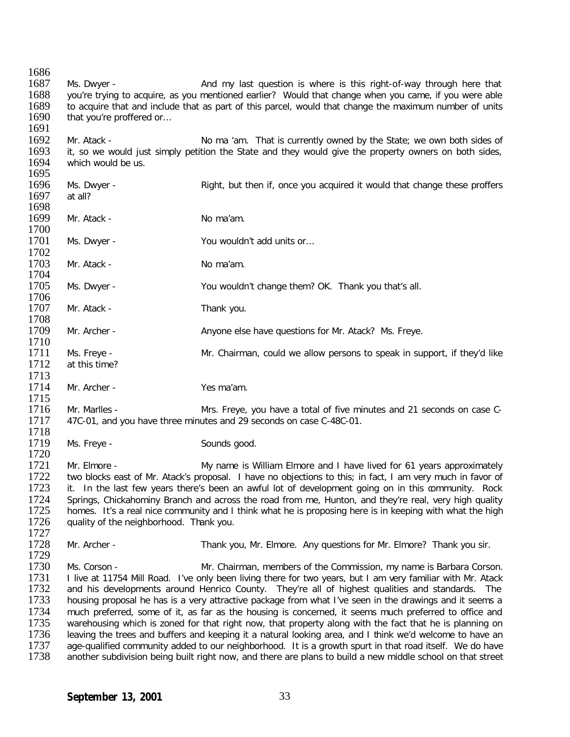1686<br>1687 1687 Ms. Dwyer - And my last question is where is this right-of-way through here that 1688 vou're trying to acquire, as you mentioned earlier? Would that change when you came, if you were able 1688 you're trying to acquire, as you mentioned earlier? Would that change when you came, if you were able<br>1689 to acquire that and include that as part of this parcel, would that change the maximum number of units 1689 to acquire that and include that as part of this parcel, would that change the maximum number of units 1690 that you're proffered or... 1691<br>1692 1692 Mr. Atack - No ma 'am. That is currently owned by the State; we own both sides of 1693 it, so we would just simply petition the State and they would give the property owners on both sides. 1693 it, so we would just simply petition the State and they would give the property owners on both sides, 1694 which would be us. which would be us. 1695<br>1696 Ms. Dwyer - Right, but then if, once you acquired it would that change these proffers 1697 at all? 1698<br>1699 Mr. Atack - No ma'am. 1700<br>1701 Ms. Dwyer - You wouldn't add units or… 1702<br>1703 Mr. Atack - No ma'am. 1704<br>1705 Ms. Dwyer - You wouldn't change them? OK. Thank you that's all. 1706<br>1707 Mr. Atack - Thank you. 1708<br>1709 Mr. Archer - The Anyone else have questions for Mr. Atack? Ms. Freye. 1710<br>1711 1711 Ms. Freye - The Mr. Chairman, could we allow persons to speak in support, if they'd like 1712 at this time? at this time? 1713<br>1714 Mr. Archer - Yes ma'am. 1715<br>1716 1716 Mr. Marlles - Mrs. Freye, you have a total of five minutes and 21 seconds on case C-<br>1717 47C-01, and you have three minutes and 29 seconds on case C-48C-01. 47C-01, and you have three minutes and 29 seconds on case C-48C-01. 1718<br>1719 Ms. Freye - Sounds good. 1720<br>1721 1721 Mr. Elmore - My name is William Elmore and I have lived for 61 years approximately<br>1722 two blocks east of Mr. Atack's proposal. I have no objections to this: in fact. I am very much in favor of 1722 two blocks east of Mr. Atack's proposal. I have no objections to this; in fact, I am very much in favor of<br>1723 it. In the last few vears there's been an awful lot of development going on in this community. Rock it. In the last few years there's been an awful lot of development going on in this community. Rock 1724 Springs, Chickahominy Branch and across the road from me, Hunton, and they're real, very high quality<br>1725 homes. It's a real nice community and I think what he is proposing here is in keeping with what the high 1725 homes. It's a real nice community and I think what he is proposing here is in keeping with what the high 1726 quality of the neighborhood. Thank you. quality of the neighborhood. Thank you. 1727<br>1728 Mr. Archer - Thank you, Mr. Elmore. Any questions for Mr. Elmore? Thank you sir. 1729<br>1730 1730 Ms. Corson - Mr. Chairman, members of the Commission, my name is Barbara Corson.<br>1731 I live at 11754 Mill Road. I've only been living there for two years, but I am very familiar with Mr. Atack 1731 I live at 11754 Mill Road. I've only been living there for two years, but I am very familiar with Mr. Atack<br>1732 and his developments around Henrico County. They're all of highest qualities and standards. The 1732 and his developments around Henrico County. They're all of highest qualities and standards. The 1733 housing proposal he has is a very attractive package from what I've seen in the drawings and it seems a housing proposal he has is a very attractive package from what I've seen in the drawings and it seems a 1734 much preferred, some of it, as far as the housing is concerned, it seems much preferred to office and 1735 warehousing which is zoned for that right now, that property along with the fact that he is planning on 1735 warehousing which is zoned for that right now, that property along with the fact that he is planning on<br>1736 Leaving the trees and buffers and keeping it a natural looking area, and I think we'd welcome to have an 1736 Leaving the trees and buffers and keeping it a natural looking area, and I think we'd welcome to have an<br>1737 Lage-gualified community added to our neighborhood. It is a growth spurt in that road itself. We do have 1737 age-qualified community added to our neighborhood. It is a growth spurt in that road itself. We do have<br>1738 another subdivision being built right now, and there are plans to build a new middle school on that street another subdivision being built right now, and there are plans to build a new middle school on that street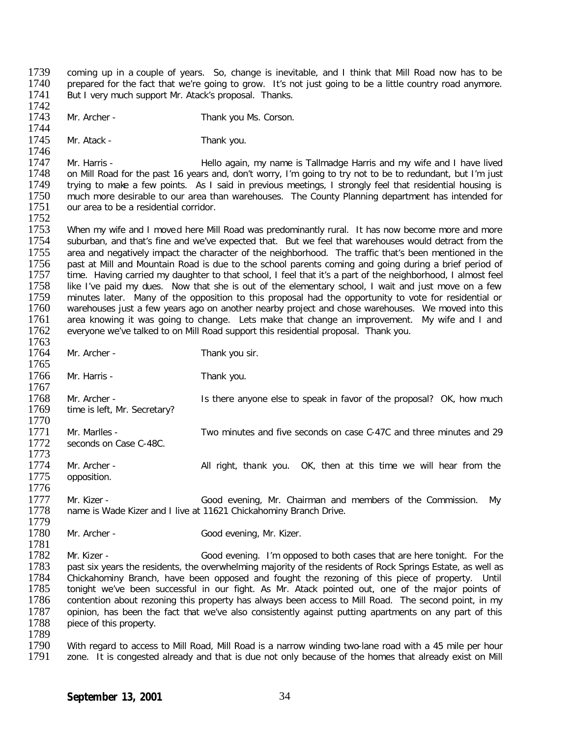1739 coming up in a couple of years. So, change is inevitable, and I think that Mill Road now has to be 1740 prepared for the fact that we're going to grow. It's not just going to be a little country road anymore. 1740 prepared for the fact that we're going to grow. It's not just going to be a little country road anymore.<br>1741 But I very much support Mr. Atack's proposal. Thanks. But I very much support Mr. Atack's proposal. Thanks. 1742<br>1743 Mr. Archer - Thank you Ms. Corson. 1744<br>1745 Mr. Atack - Thank you. 1746<br>1747 1747 Mr. Harris - Thello again, my name is Tallmadge Harris and my wife and I have lived<br>1748 The Mill Road for the past 16 years and, don't worry, I'm going to try not to be to redundant, but I'm just 1748 on Mill Road for the past 16 years and, don't worry, I'm going to try not to be to redundant, but I'm just<br>1749 trying to make a few points. As I said in previous meetings. I strongly feel that residential housing is 1749 trying to make a few points. As I said in previous meetings, I strongly feel that residential housing is<br>1750 much more desirable to our area than warehouses. The County Planning department has intended for 1750 much more desirable to our area than warehouses. The County Planning department has intended for 1751 our area to be a residential corridor. our area to be a residential corridor. 1752<br>1753 1753 When my wife and I moved here Mill Road was predominantly rural. It has now become more and more 1754 suburban, and that's fine and we've expected that. But we feel that warehouses would detract from the 1754 suburban, and that's fine and we've expected that. But we feel that warehouses would detract from the 1755 area and negatively impact the character of the neighborhood. The traffic that's been mentioned in the 1755 area and negatively impact the character of the neighborhood. The traffic that's been mentioned in the 1756 area and noina during a brief period of 1756 past at Mill and Mountain Road is due to the school parents coming and going during a brief period of 1757 time. Having carried my daughter to that school. I feel that it's a part of the neighborhood. I almost feel 1757 time. Having carried my daughter to that school, I feel that it's a part of the neighborhood, I almost feel<br>1758 like I've paid my dues. Now that she is out of the elementary school, I wait and just move on a few 1758 like I've paid my dues. Now that she is out of the elementary school, I wait and just move on a few<br>1759 minutes later. Many of the opposition to this proposal had the opportunity to vote for residential or 1759 minutes later. Many of the opposition to this proposal had the opportunity to vote for residential or 1760 warehouses just a few vears ago on another nearby project and chose warehouses. We moved into this 1760 warehouses just a few years ago on another nearby project and chose warehouses. We moved into this 1761 area knowing it was going to change. Lets make that change an improvement. My wife and I and 1761 area knowing it was going to change. Lets make that change an improvement. My wife and I and 1<br>1762 evervone we've talked to on Mill Road support this residential proposal. Thank vou. everyone we've talked to on Mill Road support this residential proposal. Thank you. 1763<br>1764 Mr. Archer - Thank you sir. 1765<br>1766 Mr. Harris - Thank you. 1767<br>1768 1768 Mr. Archer - Is there anyone else to speak in favor of the proposal? OK, how much 1769 time is left. Mr. Secretary? time is left, Mr. Secretary? 1770<br>1771 1771 Mr. Marlles - Two minutes and five seconds on case C-47C and three minutes and 29<br>1772 seconds on Case C-48C. seconds on Case C-48C. 1773<br>1774 1774 Mr. Archer - All right, thank you. OK, then at this time we will hear from the 1775 opposition. opposition. 1776 1777 Mr. Kizer - Good evening, Mr. Chairman and members of the Commission. My Good evening, Mr. Chairman and members of the Commission. My 1778 name is Wade Kizer and I live at 11621 Chickahominy Branch Drive. name is Wade Kizer and I live at 11621 Chickahominy Branch Drive. 1779<br>1780 Mr. Archer - Good evening, Mr. Kizer. 1781<br>1782 1782 Mr. Kizer - Good evening. I'm opposed to both cases that are here tonight. For the 1783 past six years the residents, the overwhelming maiority of the residents of Rock Springs Estate, as well as 1783 past six years the residents, the overwhelming majority of the residents of Rock Springs Estate, as well as<br>1784 Chickahominy Branch, have been opposed and fought the rezoning of this piece of property. Until 1784 Chickahominy Branch, have been opposed and fought the rezoning of this piece of property. Until<br>1785 tonight we've been successful in our fight. As Mr. Atack pointed out, one of the maior points of 1785 tonight we've been successful in our fight. As Mr. Atack pointed out, one of the major points of 1786 contention about rezoning this property has always been access to Mill Road. The second point, in my 1786 contention about rezoning this property has always been access to Mill Road. The second point, in my<br>1787 copinion, has been the fact that we've also consistently against putting apartments on any part of this 1787 opinion, has been the fact that we've also consistently against putting apartments on any part of this 1788 piece of this property. piece of this property. 1789<br>1790 1790 With regard to access to Mill Road, Mill Road is a narrow winding two-lane road with a 45 mile per hour zone. It is congested already and that is due not only because of the homes that already exist on Mill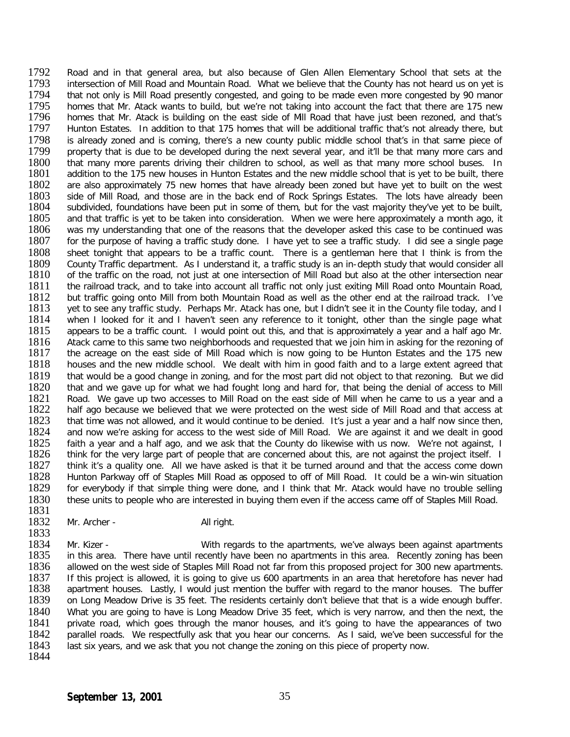1792 Road and in that general area, but also because of Glen Allen Elementary School that sets at the<br>1793 intersection of Mill Road and Mountain Road. What we believe that the County has not heard us on yet is 1793 intersection of Mill Road and Mountain Road. What we believe that the County has not heard us on yet is<br>1794 that not only is Mill Road presently congested, and going to be made even more congested by 90 manor 1794 that not only is Mill Road presently congested, and going to be made even more congested by 90 manor<br>1795 thomes that Mr. Atack wants to build, but we're not taking into account the fact that there are 175 new 1795 homes that Mr. Atack wants to build, but we're not taking into account the fact that there are 175 new<br>1796 homes that Mr. Atack is building on the east side of Mil Road that have just been rezoned, and that's 1796 homes that Mr. Atack is building on the east side of Mil Road that have just been rezoned, and that's 1797 Hunton Estates. In addition to that 175 homes that will be additional traffic that's not already there, but 1797 Hunton Estates. In addition to that 175 homes that will be additional traffic that's not already there, but<br>1798 is already zoned and is coming, there's a new county public middle school that's in that same piece of 1798 is already zoned and is coming, there's a new county public middle school that's in that same piece of 1799 property that is due to be developed during the next several year, and it'll be that many more cars and 1799 property that is due to be developed during the next several year, and it'll be that many more cars and<br>1800 that many more parents driving their children to school, as well as that many more school buses. In 1800 that many more parents driving their children to school, as well as that many more school buses. In<br>1801 addition to the 175 new houses in Hunton Estates and the new middle school that is yet to be built, there 1801 addition to the 175 new houses in Hunton Estates and the new middle school that is yet to be built, there<br>1802 are also approximately 75 new homes that have already been zoned but have yet to built on the west 1802 are also approximately 75 new homes that have already been zoned but have yet to built on the west 1803 side of Mill Road, and those are in the back end of Rock Springs Estates. The lots have already been 1803 side of Mill Road, and those are in the back end of Rock Springs Estates. The lots have already been<br>1804 subdivided, foundations have been put in some of them, but for the vast maiority they've vet to be built, 1804 subdivided, foundations have been put in some of them, but for the vast majority they've yet to be built,<br>1805 and that traffic is vet to be taken into consideration. When we were here approximately a month ago, it 1805 and that traffic is yet to be taken into consideration. When we were here approximately a month ago, it 1806 was my understanding that one of the reasons that the developer asked this case to be continued was 1806 was my understanding that one of the reasons that the developer asked this case to be continued was<br>1807 for the purpose of having a traffic study done. I have yet to see a traffic study. I did see a single page 1807 for the purpose of having a traffic study done. I have yet to see a traffic study. I did see a single page<br>1808 sheet tonight that appears to be a traffic count. There is a gentleman here that I think is from the 1808 sheet tonight that appears to be a traffic count. There is a gentleman here that I think is from the 1809 County Traffic department. As I understand it, a traffic study is an in-depth study that would consider all 1809 County Traffic department. As I understand it, a traffic study is an in-depth study that would consider all<br>1810 of the traffic on the road, not just at one intersection of Mill Road but also at the other intersection 1810 of the traffic on the road, not just at one intersection of Mill Road but also at the other intersection near<br>1811 the railroad track, and to take into account all traffic not only just exiting Mill Road onto Mountain 1811 the railroad track, and to take into account all traffic not only just exiting Mill Road onto Mountain Road,<br>1812 but traffic going onto Mill from both Mountain Road as well as the other end at the railroad track. I'v 1812 but traffic going onto Mill from both Mountain Road as well as the other end at the railroad track. I've 1813 vet to see any traffic study. Perhaps Mr. Atack has one, but I didn't see it in the County file today, and 1813 yet to see any traffic study. Perhaps Mr. Atack has one, but I didn't see it in the County file today, and I<br>1814 when I looked for it and I haven't seen any reference to it tonight, other than the single page what 1814 when I looked for it and I haven't seen any reference to it tonight, other than the single page what 1815<br>1815 appears to be a traffic count. I would point out this, and that is approximately a vear and a half ago Mr appears to be a traffic count. I would point out this, and that is approximately a year and a half ago Mr. 1816 Atack came to this same two neighborhoods and requested that we join him in asking for the rezoning of 1817 the acreage on the east side of Mill Road which is now going to be Hunton Estates and the 175 new 1817 the acreage on the east side of Mill Road which is now going to be Hunton Estates and the 175 new<br>1818 houses and the new middle school. We dealt with him in good faith and to a large extent agreed that 1818 houses and the new middle school. We dealt with him in good faith and to a large extent agreed that 1819 that would be a good change in zoning, and for the most part did not object to that rezoning. But we did 1819 that would be a good change in zoning, and for the most part did not object to that rezoning. But we did<br>1820 that and we gave up for what we had fought long and hard for, that being the denial of access to Mill 1820 that and we gave up for what we had fought long and hard for, that being the denial of access to Mill<br>1821 Road. We gave up two accesses to Mill Road on the east side of Mill when he came to us a vear and a 1821 Road. We gave up two accesses to Mill Road on the east side of Mill when he came to us a year and a<br>1822 half ago because we believed that we were protected on the west side of Mill Road and that access at 1822 half ago because we believed that we were protected on the west side of Mill Road and that access at 1823 that time was not allowed, and it would continue to be denied. It's just a vear and a half now since then, 1823 that time was not allowed, and it would continue to be denied. It's just a year and a half now since then,<br>1824 and now we're asking for access to the west side of Mill Road. We are against it and we dealt in good 1824 and now we're asking for access to the west side of Mill Road. We are against it and we dealt in good 1825 faith a vear and a half ago, and we ask that the County do likewise with us now. We're not against. I 1825 faith a year and a half ago, and we ask that the County do likewise with us now. We're not against, I<br>1826 think for the very large part of people that are concerned about this, are not against the project itself. 1826 think for the very large part of people that are concerned about this, are not against the project itself. I<br>1827 think it's a quality one. All we have asked is that it be turned around and that the access come down 1827 think it's a quality one. All we have asked is that it be turned around and that the access come down<br>1828 Hunton Parkway off of Staples Mill Road as opposed to off of Mill Road. It could be a win-win situation 1828 Hunton Parkway off of Staples Mill Road as opposed to off of Mill Road. It could be a win-win situation<br>1829 for evervbody if that simple thing were done, and I think that Mr. Atack would have no trouble selling for everybody if that simple thing were done, and I think that Mr. Atack would have no trouble selling 1830 these units to people who are interested in buying them even if the access came off of Staples Mill Road.

- 1831<br>1832 Mr. Archer - All right.
	-

1833<br>1834 1834 Mr. Kizer - With regards to the apartments, we've always been against apartments<br>1835 in this area. There have until recently have been no apartments in this area. Recently zoning has been 1835 in this area. There have until recently have been no apartments in this area. Recently zoning has been 18<br>1836 allowed on the west side of Staples Mill Road not far from this proposed project for 300 new apartments. 1836 allowed on the west side of Staples Mill Road not far from this proposed project for 300 new apartments.<br>1837 blit this project is allowed, it is going to give us 600 apartments in an area that heretofore has never ha 1837 If this project is allowed, it is going to give us 600 apartments in an area that heretofore has never had<br>1838 apartment houses. Lastly, I would just mention the buffer with regard to the manor houses. The buffer 1838 apartment houses. Lastly, I would just mention the buffer with regard to the manor houses. The buffer 1839 on Long Meadow Drive is 35 feet. The residents certainly don't believe that that is a wide enough buffer. on Long Meadow Drive is 35 feet. The residents certainly don't believe that that is a wide enough buffer. 1840 What you are going to have is Long Meadow Drive 35 feet, which is very narrow, and then the next, the 1841 private road, which goes through the manor houses, and it's going to have the appearances of two 1841 private road, which goes through the manor houses, and it's going to have the appearances of two<br>1842 parallel roads. We respectfully ask that you hear our concerns. As I said, we've been successful for the 1842 parallel roads. We respectfully ask that you hear our concerns. As I said, we've been successful for the<br>1843 last six years, and we ask that you not change the zoning on this piece of property now. last six years, and we ask that you not change the zoning on this piece of property now. 1844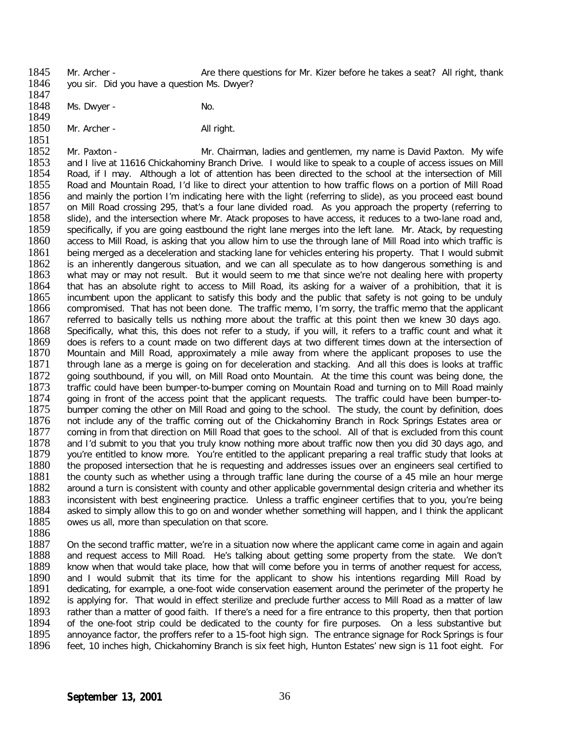1845 Mr. Archer - Are there questions for Mr. Kizer before he takes a seat? All right, thank 1846 vou sir. Did vou have a question Ms. Dwyer? you sir. Did you have a question Ms. Dwyer?

1847<br>1848 Ms. Dwyer - No.

1849<br>1850 Mr. Archer - All right.

1851<br>1852

1852 Mr. Paxton - Mr. Chairman, ladies and gentlemen, my name is David Paxton. My wife<br>1853 and I live at 11616 Chickahominy Branch Drive. I would like to speak to a couple of access issues on Mill 1853 and I live at 11616 Chickahominy Branch Drive. I would like to speak to a couple of access issues on Mill<br>1854 Road, if I may. Although a lot of attention has been directed to the school at the intersection of Mill 1854 Road, if I may. Although a lot of attention has been directed to the school at the intersection of Mill<br>1855 Road and Mountain Road, I'd like to direct your attention to how traffic flows on a portion of Mill Road 1855 Road and Mountain Road, I'd like to direct your attention to how traffic flows on a portion of Mill Road<br>1856 and mainly the portion I'm indicating here with the light (referring to slide), as you proceed east bound 1856 and mainly the portion I'm indicating here with the light (referring to slide), as you proceed east bound<br>1857 on Mill Road crossing 295, that's a four lane divided road. As you approach the property (referring to 1857 on Mill Road crossing 295, that's a four lane divided road. As you approach the property (referring to 1858 sille), and the intersection where Mr. Atack proposes to have access, it reduces to a two-lane road and, 1858 slide), and the intersection where Mr. Atack proposes to have access, it reduces to a two-lane road and,<br>1859 specifically, if you are going eastbound the right lane merges into the left lane. Mr. Atack, by reguesting 1859 specifically, if you are going eastbound the right lane merges into the left lane. Mr. Atack, by requesting<br>1860 access to Mill Road, is asking that you allow him to use the through lane of Mill Road into which traffi access to Mill Road, is asking that you allow him to use the through lane of Mill Road into which traffic is 1861 being merged as a deceleration and stacking lane for vehicles entering his property. That I would submit<br>1862 is an inherently dangerous situation, and we can all speculate as to how dangerous something is and 1862 is an inherently dangerous situation, and we can all speculate as to how dangerous something is and 1863 vhat may or may not result. But it would seem to me that since we're not dealing here with property 1863 what may or may not result. But it would seem to me that since we're not dealing here with property 1864 that it is<br>1864 that has an absolute right to access to Mill Road, its asking for a waiver of a prohibition, tha 1864 that has an absolute right to access to Mill Road, its asking for a waiver of a prohibition, that it is<br>1865 incumbent upon the applicant to satisfy this body and the public that safety is not going to be unduly 1865 incumbent upon the applicant to satisfy this body and the public that safety is not going to be unduly 1866 compromised. That has not been done. The traffic memo, I'm sorry, the traffic memo that the applicant 1866 compromised. That has not been done. The traffic memo, I'm sorry, the traffic memo that the applicant 1867 referred to basically tells us nothing more about the traffic at this point then we knew 30 days ago. 1867 in referred to basically tells us nothing more about the traffic at this point then we knew 30 days ago.<br>1868 in Specifically, what this, this does not refer to a study, if you will, it refers to a traffic count and w 1868 Specifically, what this, this does not refer to a study, if you will, it refers to a traffic count and what it<br>1869 Goes is refers to a count made on two different days at two different times down at the intersection 1869 does is refers to a count made on two different days at two different times down at the intersection of 1870 Mountain and Mill Road, approximately a mile away from where the applicant proposes to use the 1870 Mountain and Mill Road, approximately a mile away from where the applicant proposes to use the 1871 through lane as a merge is going on for deceleration and stacking. And all this does is looks at traffic 1871 through lane as a merge is going on for deceleration and stacking. And all this does is looks at traffic<br>1872 aoing southbound, if you will, on Mill Road onto Mountain. At the time this count was being done, the 1872 going southbound, if you will, on Mill Road onto Mountain. At the time this count was being done, the 1873 traffic could have been bumper-to-bumper coming on Mountain Road and turning on to Mill Road mainly 1873 traffic could have been bumper-to-bumper coming on Mountain Road and turning on to Mill Road mainly 1874 and the access point that the applicant requests. The traffic could have been bumper-to-1874 going in front of the access point that the applicant requests. The traffic could have been bumper-to-<br>1875 bumper coming the other on Mill Road and going to the school. The study, the count by definition, does 1875 bumper coming the other on Mill Road and going to the school. The study, the count by definition, does 1876 not include any of the traffic coming out of the Chickahominy Branch in Rock Springs Estates area or 1876 not include any of the traffic coming out of the Chickahominy Branch in Rock Springs Estates area or<br>1877 coming in from that direction on Mill Road that goes to the school. All of that is excluded from this count 1877 coming in from that direction on Mill Road that goes to the school. All of that is excluded from this count<br>1878 and I'd submit to you that you truly know nothing more about traffic now then you did 30 days ago, and 1878 and I'd submit to you that you truly know nothing more about traffic now then you did 30 days ago, and 1879 vou're entitled to know more. You're entitled to know more and the to the applicant preparing a real traffic 1879 you're entitled to know more. You're entitled to the applicant preparing a real traffic study that looks at 1880 the proposed intersection that he is requesting and addresses issues over an engineers seal certified to 1880 the proposed intersection that he is requesting and addresses issues over an engineers seal certified to<br>1881 the county such as whether using a through traffic lane during the course of a 45 mile an hour merge 1881 the county such as whether using a through traffic lane during the course of a 45 mile an hour merge<br>1882 around a turn is consistent with county and other applicable governmental design criteria and whether its around a turn is consistent with county and other applicable governmental design criteria and whether its 1883 inconsistent with best engineering practice. Unless a traffic engineer certifies that to you, you're being<br>1884 asked to simply allow this to go on and wonder whether something will happen, and I think the applicant 1884 asked to simply allow this to go on and wonder whether something will happen, and I think the applicant 1885 owes us all, more than speculation on that score. owes us all, more than speculation on that score.

1886<br>1887 1887 On the second traffic matter, we're in a situation now where the applicant came come in again and again<br>1888 and request access to Mill Road. He's talking about getting some property from the state. We don't 1888 and request access to Mill Road. He's talking about getting some property from the state. We don't 1889 know when that would take place, how that will come before you in terms of another request for access, 1889 know when that would take place, how that will come before you in terms of another request for access,<br>1890 and I would submit that its time for the applicant to show his intentions regarding Mill Road by 1890 and I would submit that its time for the applicant to show his intentions regarding Mill Road by<br>1891 dedicating, for example, a one-foot wide conservation easement around the perimeter of the property he 1891 dedicating, for example, a one-foot wide conservation easement around the perimeter of the property he<br>1892 is applying for. That would in effect sterilize and preclude further access to Mill Road as a matter of law 1892 is applying for. That would in effect sterilize and preclude further access to Mill Road as a matter of law<br>1893 rather than a matter of good faith. If there's a need for a fire entrance to this property, then that po 1893 rather than a matter of good faith. If there's a need for a fire entrance to this property, then that portion<br>1894 of the one-foot strip could be dedicated to the county for fire purposes. On a less substantive but 1894 of the one-foot strip could be dedicated to the county for fire purposes. On a less substantive but 1895 annoyance factor, the proffers refer to a 15-foot high sign. The entrance signage for Rock Springs is four 1895 annoyance factor, the proffers refer to a 15-foot high sign. The entrance signage for Rock Springs is four<br>1896 feet, 10 inches high, Chickahominy Branch is six feet high, Hunton Estates' new sign is 11 foot eight. Fo feet, 10 inches high, Chickahominy Branch is six feet high, Hunton Estates' new sign is 11 foot eight. For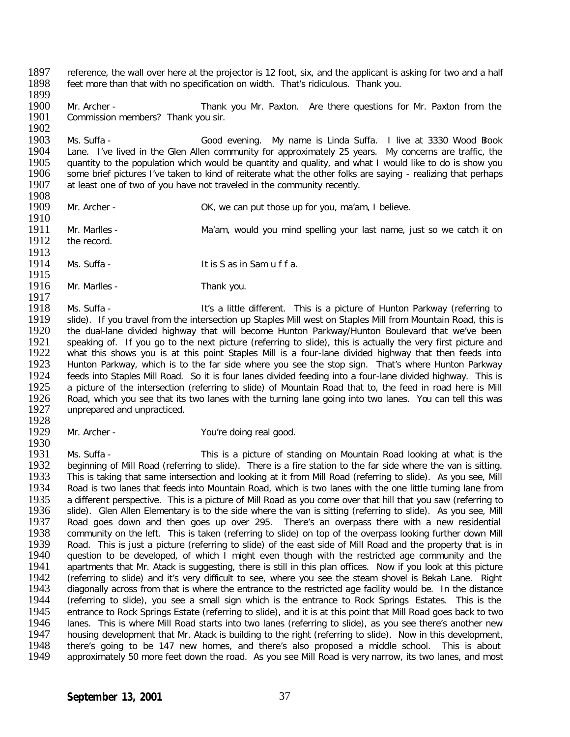1897 reference, the wall over here at the projector is 12 foot, six, and the applicant is asking for two and a half<br>1898 feet more than that with no specification on width. That's ridiculous. Thank you. feet more than that with no specification on width. That's ridiculous. Thank you.

1899<br>1900 1900 Mr. Archer - Thank you Mr. Paxton. Are there questions for Mr. Paxton from the 1901 Commission members? Thank you sir. Commission members? Thank you sir.

1902<br>1903 1903 Ms. Suffa - Good evening. My name is Linda Suffa. I live at 3330 Wood Book<br>1904 Lane. I've lived in the Glen Allen community for approximately 25 years. My concerns are traffic, the 1904 Lane. I've lived in the Glen Allen community for approximately 25 years. My concerns are traffic, the 1905 auantity to the population which would be quantity and quality. and what I would like to do is show you 1905 guantity to the population which would be quantity and quality, and what I would like to do is show you<br>1906 some brief pictures I've taken to kind of reiterate what the other folks are saving - realizing that perhaps 1906 some brief pictures I've taken to kind of reiterate what the other folks are saying - realizing that perhaps<br>1907 at least one of two of vou have not traveled in the community recently. at least one of two of you have not traveled in the community recently.

1908<br>1909

Mr. Archer - OK, we can put those up for you, ma'am, I believe.

1910<br>1911 1911 Mr. Marlles - Ma'am, would you mind spelling your last name, just so we catch it on 1912 the record. the record.

1913<br>1914 Ms. Suffa - The Music State of the It is S as in Sam u f f a.

1915<br>1916 Mr. Marlles - Thank you.

1917<br>1918 1918 Ms. Suffa - It's a little different. This is a picture of Hunton Parkway (referring to 1919 Slide). If you travel from the intersection up Staples Mill west on Staples Mill from Mountain Road, this is 1919 slide). If you travel from the intersection up Staples Mill west on Staples Mill from Mountain Road, this is<br>1920 the dual-lane divided highway that will become Hunton Parkway/Hunton Boulevard that we've been 1920 the dual-lane divided highway that will become Hunton Parkway/Hunton Boulevard that we've been<br>1921 Speaking of. If you go to the next picture (referring to slide), this is actually the very first picture and 1921 speaking of. If you go to the next picture (referring to slide), this is actually the very first picture and<br>1922 what this shows you is at this point Staples Mill is a four-lane divided highway that then feeds into 1922 what this shows you is at this point Staples Mill is a four-lane divided highway that then feeds into 1923 Hunton Parkway, which is to the far side where you see the stop sign. That's where Hunton Parkway 1923 Hunton Parkway, which is to the far side where you see the stop sign. That's where Hunton Parkway<br>1924 Freeds into Staples Mill Road. So it is four lanes divided feeding into a four-lane divided highway. This is 1924 feeds into Staples Mill Road. So it is four lanes divided feeding into a four-lane divided highway. This is<br>1925 a picture of the intersection (referring to slide) of Mountain Road that to, the feed in road here is Mi 1925 a picture of the intersection (referring to slide) of Mountain Road that to, the feed in road here is Mill<br>1926 Road, which you see that its two lanes with the turning lane going into two lanes. You can tell this was 1926 Road, which you see that its two lanes with the turning lane going into two lanes. You can tell this was <br>1927 unprepared and unpracticed. unprepared and unpracticed.

1928<br>1929 Mr. Archer - You're doing real good.

1930<br>1931 1931 Ms. Suffa - This is a picture of standing on Mountain Road looking at what is the 1932 beginning of Mill Road (referring to slide). There is a fire station to the far side where the van is sitting. 1932 beginning of Mill Road (referring to slide). There is a fire station to the far side where the van is sitting.<br>1933 This is taking that same intersection and looking at it from Mill Road (referring to slide). As you s 1933 This is taking that same intersection and looking at it from Mill Road (referring to slide). As you see, Mill<br>1934 Road is two lanes that feeds into Mountain Road, which is two lanes with the one little turning lane f Road is two lanes that feeds into Mountain Road, which is two lanes with the one little turning lane from 1935 a different perspective. This is a picture of Mill Road as you come over that hill that you saw (referring to<br>1936 slide). Glen Allen Elementary is to the side where the van is sitting (referring to slide). As you see 1936 slide). Glen Allen Elementary is to the side where the van is sitting (referring to slide). As you see, Mill<br>1937 Road goes down and then goes up over 295. There's an overpass there with a new residential 1937 Road goes down and then goes up over 295. There's an overpass there with a new residential 1938 community on the left. This is taken (referring to slide) on top of the overpass looking further down Mill 1938 community on the left. This is taken (referring to slide) on top of the overpass looking further down Mill<br>1939 Road. This is just a picture (referring to slide) of the east side of Mill Road and the property that is 1939 Road. This is just a picture (referring to slide) of the east side of Mill Road and the property that is in<br>1940 auestion to be developed, of which I might even though with the restricted age community and the 1940 question to be developed, of which I might even though with the restricted age community and the 1941 apartments that Mr. Atack is suggesting, there is still in this plan offices. Now if you look at this picture 1941 apartments that Mr. Atack is suggesting, there is still in this plan offices. Now if you look at this picture<br>1942 (referring to slide) and it's very difficult to see, where you see the steam shovel is Bekah Lane. Rig 1942 (referring to slide) and it's very difficult to see, where you see the steam shovel is Bekah Lane. Right<br>1943 diagonally across from that is where the entrance to the restricted age facility would be. In the distance 1943 diagonally across from that is where the entrance to the restricted age facility would be. In the distance<br>1944 (referring to slide), you see a small sign which is the entrance to Rock Springs Estates. This is the 1944 (referring to slide), you see a small sign which is the entrance to Rock Springs Estates. This is the 1945 entrance to Rock Springs Estates and it is at this point that Mill Road goes back to two 1945 entrance to Rock Springs Estate (referring to slide), and it is at this point that Mill Road goes back to two<br>1946 lanes. This is where Mill Road starts into two lanes (referring to slide), as you see there's another 1946 Lanes. This is where Mill Road starts into two lanes (referring to slide), as you see there's another new<br>1947 Lhousing development that Mr. Atack is building to the right (referring to slide). Now in this development 1947 housing development that Mr. Atack is building to the right (referring to slide). Now in this development,<br>1948 there's going to be 147 new homes, and there's also proposed a middle school. This is about 1948 there's going to be 147 new homes, and there's also proposed a middle school. This is about 1949 approximately 50 more feet down the road. As you see Mill Road is very narrow, its two lanes, and most approximately 50 more feet down the road. As you see Mill Road is very narrow, its two lanes, and most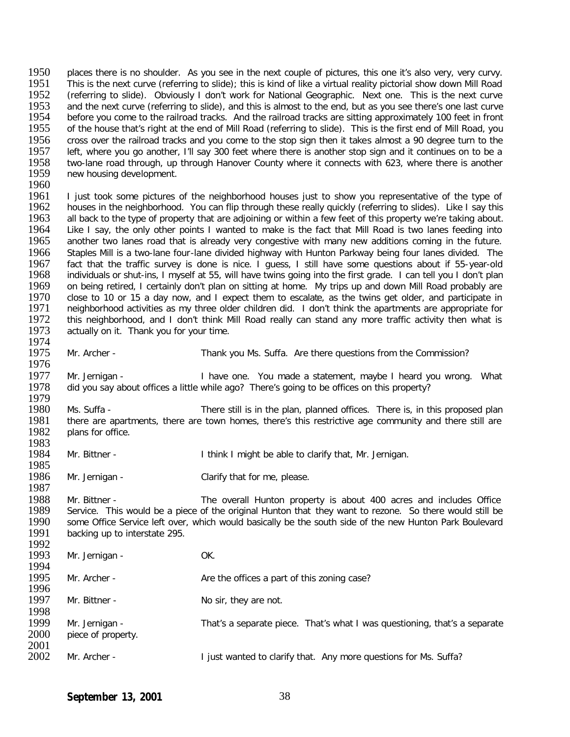1950 places there is no shoulder. As you see in the next couple of pictures, this one it's also very, very curvy.<br>1951 This is the next curve (referring to slide): this is kind of like a virtual reality pictorial show down 1951 This is the next curve (referring to slide); this is kind of like a virtual reality pictorial show down Mill Road<br>1952 Geferring to slide). Obviously I don't work for National Geographic. Next one. This is the next cu 1952 (referring to slide). Obviously I don't work for National Geographic. Next one. This is the next curve 1953 and the next curve (referring to slide), and this is almost to the end, but as you see there's one last curve 1953 and the next curve (referring to slide), and this is almost to the end, but as you see there's one last curve<br>1954 before vou come to the railroad tracks. And the railroad tracks are sitting approximately 100 feet in 1954 before you come to the railroad tracks. And the railroad tracks are sitting approximately 100 feet in front<br>1955 of the house that's right at the end of Mill Road (referring to slide). This is the first end of Mill Ro 1955 of the house that's right at the end of Mill Road (referring to slide). This is the first end of Mill Road, you<br>1956 cross over the railroad tracks and you come to the stop sign then it takes almost a 90 degree turn t 1956 cross over the railroad tracks and you come to the stop sign then it takes almost a 90 degree turn to the<br>1957 left, where you go another, I'll say 300 feet where there is another stop sign and it continues on to be a 1957 left, where you go another, I'll say 300 feet where there is another stop sign and it continues on to be a<br>1958 ltwo-lane road through, up through Hanover County where it connects with 623, where there is another 1958 two-lane road through, up through Hanover County where it connects with 623, where there is another<br>1959 new housing development. new housing development.

1960<br>1961 1961 I just took some pictures of the neighborhood houses just to show you representative of the type of 1962<br>1962 Thouses in the neighborhood. You can flip through these really quickly (referring to slides). Tike I say th 1962 houses in the neighborhood. You can flip through these really quickly (referring to slides). Like I say this<br>1963 all back to the type of property that are adioining or within a few feet of this property we're taking 1963 all back to the type of property that are adjoining or within a few feet of this property we're taking about.<br>1964 Like I sav, the only other points I wanted to make is the fact that Mill Road is two lanes feeding int 1964 Like I say, the only other points I wanted to make is the fact that Mill Road is two lanes feeding into 1965 another two lanes road that is already very congestive with many new additions coming in the future. 1965 another two lanes road that is already very congestive with many new additions coming in the future.<br>1966 Staples Mill is a two-lane four-lane divided highway with Hunton Parkway being four lanes divided. The 1966 Staples Mill is a two-lane four-lane divided highway with Hunton Parkway being four lanes divided. The 1967 four lanes divided. The 1967 fact that the traffic survey is done is nice. I quess. I still have some questio 1967 fact that the traffic survey is done is nice. I guess, I still have some questions about if 55-year-old 1968 individuals or shut-ins. I myself at 55, will have twins going into the first grade. I can tell vou I don't 1968 individuals or shut-ins, I myself at 55, will have twins going into the first grade. I can tell you I don't plan<br>1969 on being retired. I certainly don't plan on sitting at home. My trips up and down Mill Road probabl 1969 on being retired, I certainly don't plan on sitting at home. My trips up and down Mill Road probably are<br>1970 close to 10 or 15 a dav now, and I expect them to escalate, as the twins get older, and participate in 1970 close to 10 or 15 a day now, and I expect them to escalate, as the twins get older, and participate in 1971 reighborhood activities as my three older children did. I don't think the apartments are appropriate for 1971 neighborhood activities as my three older children did. I don't think the apartments are appropriate for<br>1972 this neighborhood, and I don't think Mill Road really can stand any more traffic activity then what is 1972 this neighborhood, and I don't think Mill Road really can stand any more traffic activity then what is 1973 actually on it. Thank vou for vour time. actually on it. Thank you for your time.

1974<br>1975

Mr. Archer - Thank you Ms. Suffa. Are there questions from the Commission?

1976<br>1977 1977 Mr. Jernigan - I have one. You made a statement, maybe I heard you wrong. What 1978 did you say about offices a little while ago? There's going to be offices on this property? did you say about offices a little while ago? There's going to be offices on this property?

1979<br>1980 1980 Ms. Suffa - There still is in the plan, planned offices. There is, in this proposed plan<br>1981 there are apartments, there are town homes, there's this restrictive age community and there still are 1981 there are apartments, there are town homes, there's this restrictive age community and there still are 1982 plans for office. 1983<br>1984

Mr. Bittner - Think I might be able to clarify that, Mr. Jernigan.

1985<br>1986 Mr. Jernigan - Clarify that for me, please. 1987

1988 Mr. Bittner - The overall Hunton property is about 400 acres and includes Office<br>1989 Service. This would be a piece of the original Hunton that they want to rezone. So there would still be 1989 Service. This would be a piece of the original Hunton that they want to rezone. So there would still be 1990 some Office Service left over, which would basically be the south side of the new Hunton Park Boulevard 1990 some Office Service left over, which would basically be the south side of the new Hunton Park Boulevard 1991 backing up to interstate 295. backing up to interstate 295.

1992<br>1993 Mr. Jernigan - OK. 1994<br>1995 Mr. Archer - Are the offices a part of this zoning case? 1996<br>1997 Mr. Bittner - No sir, they are not. 1998<br>1999 1999 Mr. Jernigan - That's a separate piece. That's what I was questioning, that's a separate 2000 piece of property. piece of property. 2001<br>2002 Mr. Archer - The I just wanted to clarify that. Any more questions for Ms. Suffa?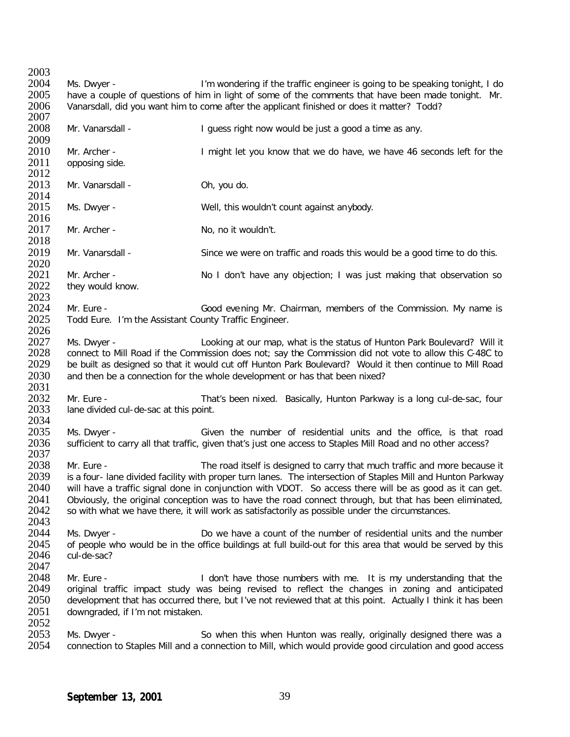2003<br>2004 2004 Ms. Dwyer - I'm wondering if the traffic engineer is going to be speaking tonight, I do<br>2005 have a couple of questions of him in light of some of the comments that have been made tonight. Mr. 2005 have a couple of questions of him in light of some of the comments that have been made tonight. Mr.<br>2006 Vanarsdall, did you want him to come after the applicant finished or does it matter? Todd? Vanarsdall, did you want him to come after the applicant finished or does it matter? Todd? 2007<br>2008 Mr. Vanarsdall - The Constantial Providence and I guess right now would be just a good a time as any. 2009<br>2010 2010 Mr. Archer - I might let you know that we do have, we have 46 seconds left for the 2011 opposing side. opposing side.  $\frac{2012}{2013}$ Mr. Vanarsdall - Oh, you do. 2014<br>2015 Ms. Dwyer - Well, this wouldn't count against anybody. 2016<br>2017 Mr. Archer - No, no it wouldn't. 2018<br>2019 Mr. Vanarsdall - Since we were on traffic and roads this would be a good time to do this. 2020<br>2021 2021 Mr. Archer - No I don't have any objection; I was just making that observation so<br>2022 they would know. they would know. 2023<br>2024 2024 Mr. Eure - Good eve ning Mr. Chairman, members of the Commission. My name is 2025 Todd Fure. I'm the Assistant County Traffic Fngineer. Todd Eure. I'm the Assistant County Traffic Engineer. 2026<br>2027 2027 Ms. Dwyer - Looking at our map, what is the status of Hunton Park Boulevard? Will it<br>2028 connect to Mill Road if the Commission does not; say the Commission did not vote to allow this C-48C to 2028 connect to Mill Road if the Commission does not; say the Commission did not vote to allow this C-48C to 2029 be built as designed so that it would cut off Hunton Park Boulevard? Would it then continue to Mill Road 2029 be built as designed so that it would cut off Hunton Park Boulevard? Would it then continue to Mill Road<br>2030 and then be a connection for the whole development or has that been nixed? and then be a connection for the whole development or has that been nixed? 2031<br>2032 2032 Mr. Eure - That's been nixed. Basically, Hunton Parkway is a long cul-de-sac, four<br>2033 lane divided cul-de-sac at this point. lane divided cul-de-sac at this point. 2034<br>2035 2035 Ms. Dwyer - Given the number of residential units and the office, is that road 2036 sufficient to carry all that traffic, given that's just one access to Staples Mill Road and no other access? sufficient to carry all that traffic, given that's just one access to Staples Mill Road and no other access? 2037<br>2038 2038 Mr. Eure - The road itself is designed to carry that much traffic and more because it<br>2039 is a four-lane divided facility with proper turn lanes. The intersection of Staples Mill and Hunton Parkway 2039 is a four- lane divided facility with proper turn lanes. The intersection of Staples Mill and Hunton Parkway<br>2040 vill have a traffic signal done in coniunction with VDOT. So access there will be as good as it can get will have a traffic signal done in conjunction with VDOT. So access there will be as good as it can get. 2041 Obviously, the original conception was to have the road connect through, but that has been eliminated, 2042 so with what we have there, it will work as satisfactorily as possible under the circumstances. so with what we have there, it will work as satisfactorily as possible under the circumstances. 2043<br>2044 2044 Ms. Dwyer - Do we have a count of the number of residential units and the number<br>2045 of people who would be in the office buildings at full build-out for this area that would be served by this 2045 of people who would be in the office buildings at full build-out for this area that would be served by this 2046 cul-de-sac? cul-de-sac? 2047<br>2048 2048 Mr. Eure - I don't have those numbers with me. It is my understanding that the 2049 original traffic impact study was being revised to reflect the changes in zoning and anticipated 2049 original traffic impact study was being revised to reflect the changes in zoning and anticipated<br>2050 development that has occurred there, but I've not reviewed that at this point. Actually I think it has been 2050 development that has occurred there, but I've not reviewed that at this point. Actually I think it has been<br>2051 downgraded, if I'm not mistaken. downgraded, if I'm not mistaken. 2052<br>2053 2053 Ms. Dwyer - So when this when Hunton was really, originally designed there was a<br>2054 connection to Staples Mill and a connection to Mill. which would provide good circulation and good access connection to Staples Mill and a connection to Mill, which would provide good circulation and good access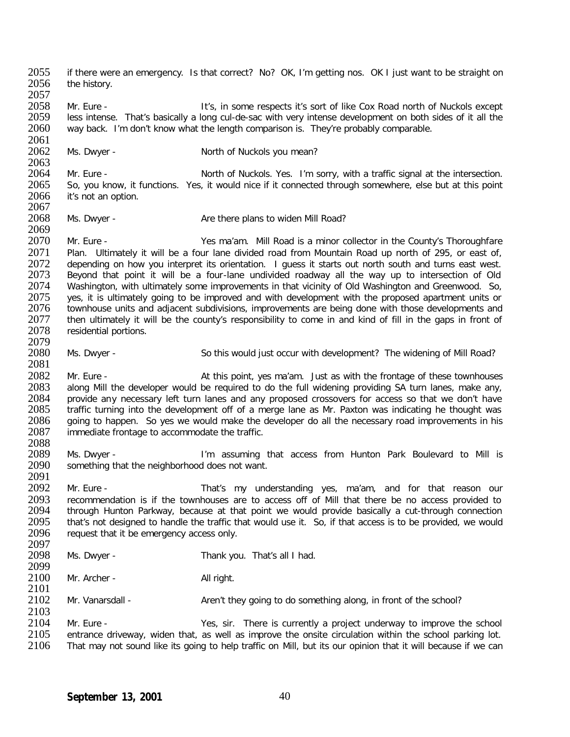2055 if there were an emergency. Is that correct? No? OK, I'm getting nos. OK I just want to be straight on 2056 the history. the history. 2057<br>2058 2058 Mr. Eure - It's, in some respects it's sort of like Cox Road north of Nuckols except<br>2059 less intense. That's basically a long cul-de-sac with very intense development on both sides of it all the 2059 less intense. That's basically a long cul-de-sac with very intense development on both sides of it all the<br>2060 way back. I'm don't know what the length comparison is. They're probably comparable. way back. I'm don't know what the length comparison is. They're probably comparable. 2061<br>2062 Ms. Dwyer - North of Nuckols you mean? 2063<br>2064 2064 Mr. Eure - North of Nuckols. Yes. I'm sorry, with a traffic signal at the intersection.<br>2065 So, you know, it functions. Yes, it would nice if it connected through somewhere, else but at this point 2065 So, you know, it functions. Yes, it would nice if it connected through somewhere, else but at this point  $2066$  it's not an option. it's not an option. 2067<br>2068 Ms. Dwyer - Are there plans to widen Mill Road? 2069<br>2070 2070 Mr. Eure - Yes ma'am. Mill Road is a minor collector in the County's Thoroughfare<br>2071 – Plan. Ultimately it will be a four lane divided road from Mountain Road up north of 295, or east of. 2071 Plan. Ultimately it will be a four lane divided road from Mountain Road up north of 295, or east of, 2072 depending on how you interpret its orientation. I quess it starts out north south and turns east west. 2072 depending on how you interpret its orientation. I guess it starts out north south and turns east west.<br>2073 Bevond that point it will be a four-lane undivided roadway all the way up to intersection of Old 2073 Beyond that point it will be a four-lane undivided roadway all the way up to intersection of Old 2074 Washington, with ultimately some improvements in that vicinity of Old Washington and Greenwood. So, 2074 Washington, with ultimately some improvements in that vicinity of Old Washington and Greenwood. So, 2075 ves, it is ultimately going to be improved and with development with the proposed apartment units or 2075 yes, it is ultimately going to be improved and with development with the proposed apartment units or 2076 townhouse units and adiacent subdivisions, improvements are being done with those developments and 2076 townhouse units and adjacent subdivisions, improvements are being done with those developments and 2077 then ultimately it will be the county's responsibility to come in and kind of fill in the gaps in front of 2077 then ultimately it will be the county's responsibility to come in and kind of fill in the gaps in front of 2078 residential portions. residential portions. 2079 Ms. Dwyer - So this would just occur with development? The widening of Mill Road? 2081<br>2082 2082 Mr. Eure - At this point, yes ma'am. Just as with the frontage of these townhouses<br>2083 along Mill the developer would be required to do the full widening providing SA turn lanes, make any. 2083 along Mill the developer would be required to do the full widening providing SA turn lanes, make any, 2084 provide any necessary left turn lanes and any proposed crossovers for access so that we don't have 2084 provide any necessary left turn lanes and any proposed crossovers for access so that we don't have<br>2085 traffic turning into the development off of a merge lane as Mr. Paxton was indicating he thought was 2085 traffic turning into the development off of a merge lane as Mr. Paxton was indicating he thought was 2086 coing to happen. So ves we would make the developer do all the necessary road improvements in his 2086 going to happen. So yes we would make the developer do all the necessary road improvements in his 2087 immediate frontage to accommodate the traffic. immediate frontage to accommodate the traffic. 2088 2089 Ms. Dwyer - I'm assuming that access from Hunton Park Boulevard to Mill is 2090 something that the neighborhood does not want. something that the neighborhood does not want. 2091<br>2092 2092 Mr. Eure - That's my understanding yes, ma'am, and for that reason our 2093 recommendation is if the townhouses are to access off of Mill that there be no access provided to 2093 recommendation is if the townhouses are to access off of Mill that there be no access provided to 2094 through Hunton Parkway, because at that point we would provide basically a cut-through connection 2094 through Hunton Parkway, because at that point we would provide basically a cut-through connection<br>2095 that's not designed to handle the traffic that would use it. So, if that access is to be provided, we would 2095 that's not designed to handle the traffic that would use it. So, if that access is to be provided, we would 2096 request that it be emergency access only. request that it be emergency access only. 2097<br>2098 Ms. Dwyer - Thank you. That's all I had. 2099<br>2100 Mr. Archer - All right. 2101<br>2102 Mr. Vanarsdall - Aren't they going to do something along, in front of the school? 2103<br>2104 2104 Mr. Eure - Yes, sir. There is currently a project underway to improve the school<br>2105 entrance driveway, widen that, as well as improve the onsite circulation within the school parking lot. 2105 entrance driveway, widen that, as well as improve the onsite circulation within the school parking lot.<br>2106 That may not sound like its going to help traffic on Mill, but its our opinion that it will because if we ca That may not sound like its going to help traffic on Mill, but its our opinion that it will because if we can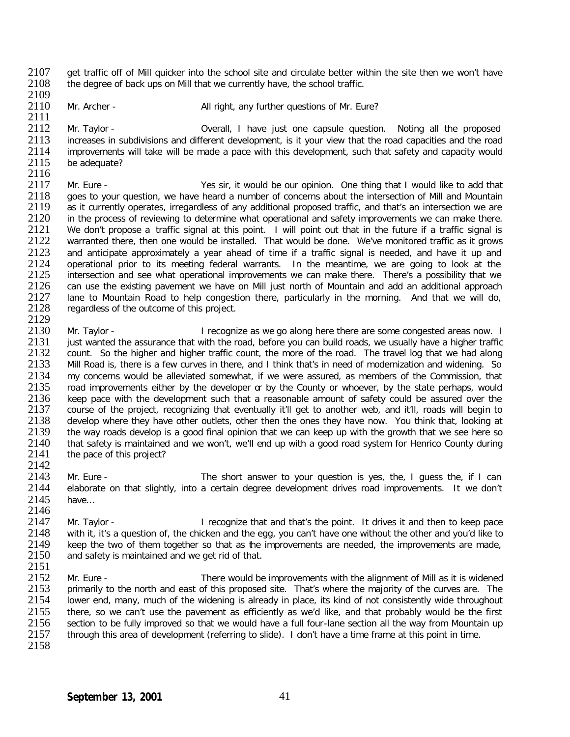2107 get traffic off of Mill quicker into the school site and circulate better within the site then we won't have 2108 the degree of back ups on Mill that we currently have. the school traffic. the degree of back ups on Mill that we currently have, the school traffic.

2109<br>2110

Mr. Archer - All right, any further questions of Mr. Eure?

2111<br>2112 2112 Mr. Taylor - Overall, I have just one capsule question. Noting all the proposed 2113 increases in subdivisions and different development, is it your view that the road capacities and the road 2113 increases in subdivisions and different development, is it your view that the road capacities and the road<br>2114 improvements will take will be made a pace with this development, such that safety and capacity would 2114 improvements will take will be made a pace with this development, such that safety and capacity would 2115 be adequate? be adequate?

2116<br>2117 2117 Mr. Eure - Yes sir, it would be our opinion. One thing that I would like to add that 2118 are to vour question, we have heard a number of concerns about the intersection of Mill and Mountain 2118 goes to your question, we have heard a number of concerns about the intersection of Mill and Mountain<br>2119 as it currently operates, irregardless of any additional proposed traffic, and that's an intersection we are 2119 as it currently operates, irregardless of any additional proposed traffic, and that's an intersection we are<br>2120 in the process of reviewing to determine what operational and safety improvements we can make there. 2120 in the process of reviewing to determine what operational and safety improvements we can make there.<br>2121 We don't propose a traffic signal at this point. I will point out that in the future if a traffic signal is 2121 We don't propose a traffic signal at this point. I will point out that in the future if a traffic signal is<br>2122 warranted there, then one would be installed. That would be done. We've monitored traffic as it grows 2122 warranted there, then one would be installed. That would be done. We've monitored traffic as it grows<br>2123 and anticipate approximately a year ahead of time if a traffic signal is needed, and have it up and 2123 and anticipate approximately a year ahead of time if a traffic signal is needed, and have it up and 2124 operational prior to its meeting federal warrants. In the meantime, we are going to look at the 2124 operational prior to its meeting federal warrants. In the meantime, we are going to look at the 2125 intersection and see what operational improvements we can make there. There's a possibility that we 2125 intersection and see what operational improvements we can make there. There's a possibility that we<br>2126 can use the existing pavement we have on Mill just north of Mountain and add an additional approach 2126 can use the existing pavement we have on Mill just north of Mountain and add an additional approach<br>2127 lane to Mountain Road to help congestion there, particularly in the morning. And that we will do, 2127 lane to Mountain Road to help congestion there, particularly in the morning. And that we will do, 2128 reaardless of the outcome of this project. regardless of the outcome of this project.

2129<br>2130 2130 Mr. Taylor - I recognize as we go along here there are some congested areas now. I 2131 iust wanted the assurance that with the road, before you can build roads, we usually have a higher traffic 2131 just wanted the assurance that with the road, before you can build roads, we usually have a higher traffic<br>2132 count. So the higher and higher traffic count, the more of the road. The travel log that we had along 2132 count. So the higher and higher traffic count, the more of the road. The travel log that we had along<br>2133 Mill Road is, there is a few curves in there, and I think that's in need of modernization and widening. So 2133 Mill Road is, there is a few curves in there, and I think that's in need of modernization and widening. So<br>2134 my concerns would be alleviated somewhat, if we were assured, as members of the Commission, that 2134 my concerns would be alleviated somewhat, if we were assured, as members of the Commission, that 2135 road improvements either by the developer or by the County or whoever, by the state perhaps, would 2135 road improvements either by the developer or by the County or whoever, by the state perhaps, would 2136 keep pace with the development such that a reasonable amount of safety could be assured over the 2136 keep pace with the development such that a reasonable amount of safety could be assured over the 2137 course of the project, recognizing that eventually it'll get to another web, and it'll, roads will begin to 2137 course of the project, recognizing that eventually it'll get to another web, and it'll, roads will begin to<br>2138 develop where they have other outlets, other then the ones they have now. You think that, looking at 2138 develop where they have other outlets, other then the ones they have now. You think that, looking at 2139 the way roads develop is a good final opinion that we can keep up with the growth that we see here so 2139 the way roads develop is a good final opinion that we can keep up with the growth that we see here so<br>2140 that safety is maintained and we won't, we'll end up with a good road system for Henrico County during 2140 that safety is maintained and we won't, we'll end up with a good road system for Henrico County during 2141 the pace of this project? the pace of this project?

2142<br>2143 2143 Mr. Eure - The short answer to your question is yes, the, I guess the, if I can<br>2144 elaborate on that slightly, into a certain degree development drives road improvements. It we don't 2144 elaborate on that slightly, into a certain degree development drives road improvements. It we don't 2145 have... have...

2146<br>2147 2147 Mr. Taylor - I recognize that and that's the point. It drives it and then to keep pace<br>2148 with it, it's a question of, the chicken and the egg, you can't have one without the other and you'd like to 2148 with it, it's a question of, the chicken and the egg, you can't have one without the other and you'd like to<br>2149 ekeep the two of them together so that as the improvements are needed, the improvements are made. 2149 keep the two of them together so that as the improvements are needed, the improvements are made, 2150 and safety is maintained and we get rid of that. and safety is maintained and we get rid of that.

2151<br>2152 2152 Mr. Eure - There would be improvements with the alignment of Mill as it is widened<br>2153 primarily to the north and east of this proposed site. That's where the majority of the curves are. The 2153 primarily to the north and east of this proposed site. That's where the majority of the curves are. The 2154 lower end, many, much of the widening is already in place, its kind of not consistently wide throughout 2154 lower end, many, much of the widening is already in place, its kind of not consistently wide throughout 2155 there, so we can't use the payement as efficiently as we'd like, and that probably would be the first 2155 there, so we can't use the pavement as efficiently as we'd like, and that probably would be the first 2156 section to be fully improved so that we would have a full four-lane section all the way from Mountain up 2156 section to be fully improved so that we would have a full four-lane section all the way from Mountain up<br>2157 through this area of development (referring to slide). I don't have a time frame at this point in time. through this area of development (referring to slide). I don't have a time frame at this point in time. 2158

**September 13, 2001** 41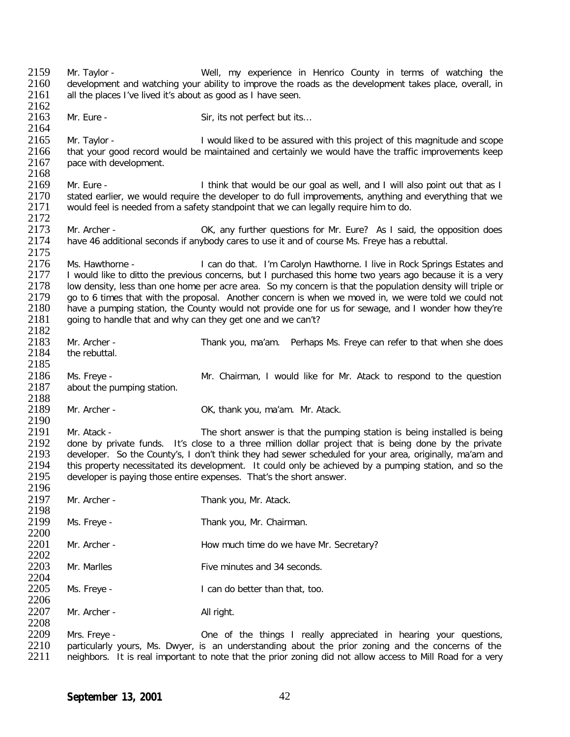2159 Mr. Taylor - Well, my experience in Henrico County in terms of watching the<br>2160 development and watching your ability to improve the roads as the development takes place, overall, in 2160 development and watching your ability to improve the roads as the development takes place, overall, in 2161 all the places I've lived it's about as good as I have seen. all the places I've lived it's about as good as I have seen. 2162<br>2163 Ar. Eure - Sir, its not perfect but its... 2164<br>2165 2165 Mr. Taylor - I would like d to be assured with this project of this magnitude and scope<br>2166 that your good record would be maintained and certainly we would have the traffic improvements keep 2166 that your good record would be maintained and certainly we would have the traffic improvements keep<br>2167 pace with development. pace with development. 2168<br>2169 2169 Mr. Eure - I think that would be our goal as well, and I will also point out that as I<br>2170 Stated earlier, we would require the developer to do full improvements, anything and everything that we 2170 stated earlier, we would require the developer to do full improvements, anything and everything that we<br>2171 would feel is needed from a safety standpoint that we can legally require him to do. would feel is needed from a safety standpoint that we can legally require him to do. 2172<br>2173 2173 Mr. Archer - OK, any further questions for Mr. Eure? As I said, the opposition does<br>2174 have 46 additional seconds if any body cares to use it and of course Ms. Freve has a rebuttal. have 46 additional seconds if anybody cares to use it and of course Ms. Freye has a rebuttal. 2175<br>2176 2176 Ms. Hawthorne - I can do that. I'm Carolyn Hawthorne. I live in Rock Springs Estates and<br>2177 I would like to ditto the previous concerns, but I purchased this home two vears ago because it is a verv 2177 I would like to ditto the previous concerns, but I purchased this home two years ago because it is a very<br>2178 I low density, less than one home per acre area. So my concern is that the population density will triple 2178 low density, less than one home per acre area. So my concern is that the population density will triple or<br>2179 ao to 6 times that with the proposal. Another concern is when we moved in, we were told we could not 2179 go to 6 times that with the proposal. Another concern is when we moved in, we were told we could not 2180 have a pumping station, the County would not provide one for us for sewage, and I wonder how they're 2180 have a pumping station, the County would not provide one for us for sewage, and I wonder how they're 2181 oping to handle that and why can they get one and we can't? going to handle that and why can they get one and we can't? 2182<br>2183 2183 Mr. Archer - Thank you, ma'am. Perhaps Ms. Freye can refer to that when she does<br>2184 the rebuttal. the rebuttal. 2185<br>2186 2186 Ms. Freye - Mr. Chairman, I would like for Mr. Atack to respond to the question 2187 about the pumping station. about the pumping station. 2188<br>2189 Mr. Archer - Cassett Controller Controller Controller Mr. Atack. 2190<br>2191 2191 Mr. Atack - The short answer is that the pumping station is being installed is being<br>2192 done by private funds. It's close to a three million dollar project that is being done by the private 2192 done by private funds. It's close to a three million dollar project that is being done by the private<br>2193 developer. So the County's. I don't think they had sewer scheduled for your area, originally, ma'am and 2193 developer. So the County's, I don't think they had sewer scheduled for your area, originally, ma'am and 2194 this property necessitated its development. It could only be achieved by a pumping station, and so the 2194 this property necessitated its development. It could only be achieved by a pumping station, and so the 2195 developer is paving those entire expenses. That's the short answer. developer is paying those entire expenses. That's the short answer. 2196<br>2197 Mr. Archer - Thank you, Mr. Atack. 2198<br>2199 Ms. Freye - Thank you, Mr. Chairman. 2200<br>2201 Mr. Archer - The How much time do we have Mr. Secretary? 2202<br>2203 Mr. Marlles Five minutes and 34 seconds. 2204<br>2205 Ms. Freye - The Can do better than that, too. 2206<br>2207 Mr. Archer - All right. 2208<br>2209 2209 Mrs. Freye - One of the things I really appreciated in hearing your questions,<br>2210 particularly vours. Ms. Dwyer, is an understanding about the prior zoning and the concerns of the 2210 particularly yours, Ms. Dwyer, is an understanding about the prior zoning and the concerns of the 2211 neighbors. It is real important to note that the prior zoning did not allow access to Mill Road for a very neighbors. It is real important to note that the prior zoning did not allow access to Mill Road for a very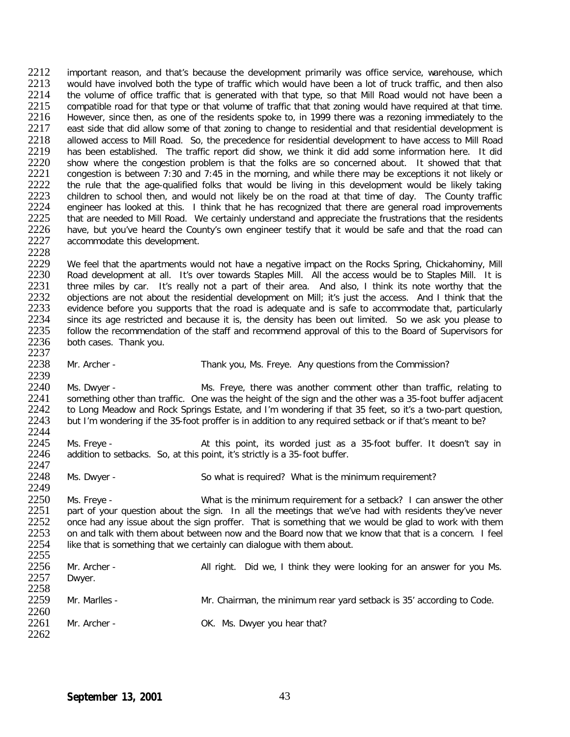2212 important reason, and that's because the development primarily was office service, warehouse, which<br>2213 vould have involved both the type of traffic which would have been a lot of truck traffic, and then also 2213 would have involved both the type of traffic which would have been a lot of truck traffic, and then also<br>2214 the volume of office traffic that is generated with that type, so that Mill Road would not have been a 2214 the volume of office traffic that is generated with that type, so that Mill Road would not have been a<br>2215 compatible road for that type or that volume of traffic that that zoning would have required at that time. 2215 compatible road for that type or that volume of traffic that that zoning would have required at that time.<br>2216 However, since then, as one of the residents spoke to, in 1999 there was a rezoning immediately to the 2216 However, since then, as one of the residents spoke to, in 1999 there was a rezoning immediately to the 2217 east side that did allow some of that zoning to change to residential and that residential development is 2217 east side that did allow some of that zoning to change to residential and that residential development is<br>2218 allowed access to Mill Road. So, the precedence for residential development to have access to Mill Road 2218 allowed access to Mill Road. So, the precedence for residential development to have access to Mill Road<br>2219 has been established. The traffic report did show, we think it did add some information here. It did 2219 has been established. The traffic report did show, we think it did add some information here. It did<br>2220 show where the congestion problem is that the folks are so concerned about. It showed that that 2220 show where the congestion problem is that the folks are so concerned about. It showed that that 2221 congestion is between 7:30 and 7:45 in the morning, and while there may be exceptions it not likely or 2221 congestion is between 7:30 and 7:45 in the morning, and while there may be exceptions it not likely or 2222 the rule that the age-qualified folks that would be living in this development would be likely taking 2222 the rule that the age-qualified folks that would be living in this development would be likely taking<br>2223 children to school then, and would not likely be on the road at that time of day. The County traffic 2223 children to school then, and would not likely be on the road at that time of day. The County traffic<br>2224 engineer has looked at this. I think that he has recognized that there are general road improvements 2224 engineer has looked at this. I think that he has recognized that there are general road improvements<br>2225 that are needed to Mill Road. We certainly understand and appreciate the frustrations that the residents 2225 that are needed to Mill Road. We certainly understand and appreciate the frustrations that the residents<br>2226 have, but you've heard the County's own engineer testify that it would be safe and that the road can 2226 have, but you've heard the County's own engineer testify that it would be safe and that the road can<br>2227 accommodate this development. accommodate this development.

2228<br>2229 2229 We feel that the apartments would not have a negative impact on the Rocks Spring, Chickahominy, Mill<br>2230 Road development at all. It's over towards Staples Mill. All the access would be to Staples Mill. It is 2230 Road development at all. It's over towards Staples Mill. All the access would be to Staples Mill. It is <br>2231 three miles by car. It's really not a part of their area. And also, I think its note worthy that the 2231 three miles by car. It's really not a part of their area. And also, I think its note worthy that the 2232 objections are not about the residential development on Mill: it's just the access. And I think that the 2232 objections are not about the residential development on Mill; it's just the access. And I think that the<br>2233 evidence before vou supports that the road is adequate and is safe to accommodate that, particularly 2233 evidence before you supports that the road is adequate and is safe to accommodate that, particularly 2234 since its age restricted and because it is, the density has been out limited. So we ask you please to 2234 since its age restricted and because it is, the density has been out limited. So we ask you please to 2235 follow the recommendation of the staff and recommend approval of this to the Board of Supervisors for 2235 follow the recommendation of the staff and recommend approval of this to the Board of Supervisors for 2236 both cases. Thank vou. both cases. Thank you.

2237<br>2238

Mr. Archer - Thank you, Ms. Freye. Any questions from the Commission?

2239<br>2240 2240 Ms. Dwyer - Ms. Freye, there was another comment other than traffic, relating to<br>2241 Something other than traffic. One was the height of the sign and the other was a 35-foot buffer adiacent 2241 something other than traffic. One was the height of the sign and the other was a 35-foot buffer adjacent <br>2242 to Long Meadow and Rock Springs Estate, and I'm wondering if that 35 feet, so it's a two-part question, 2242 to Long Meadow and Rock Springs Estate, and I'm wondering if that 35 feet, so it's a two-part question,<br>2243 but I'm wondering if the 35-foot proffer is in addition to any required setback or if that's meant to be? but I'm wondering if the 35-foot proffer is in addition to any required setback or if that's meant to be?

2244<br>2245 2245 Ms. Freye - At this point, its worded just as a 35-foot buffer. It doesn't say in 2246 addition to setbacks. So, at this point, it's strictly is a 35-foot buffer. addition to setbacks. So, at this point, it's strictly is a 35-foot buffer.

2247<br>2248

2249

Ms. Dwyer - So what is required? What is the minimum requirement?

2250 Ms. Freye - What is the minimum requirement for a setback? I can answer the other<br>2251 part of your question about the sign. In all the meetings that we've had with residents they've never 2251 part of your question about the sign. In all the meetings that we've had with residents they've never<br>2252 once had any issue about the sign proffer. That is something that we would be glad to work with them 2252 once had any issue about the sign proffer. That is something that we would be glad to work with them<br>2253 on and talk with them about between now and the Board now that we know that that is a concern. I feel 2253 on and talk with them about between now and the Board now that we know that that is a concern. I feel 2254 like that is something that we certainly can dialogue with them about. like that is something that we certainly can dialogue with them about. 2255

| 2256<br>2257 | Mr. Archer -<br>Dwyer. | All right. Did we, I think they were looking for an answer for you Ms. |
|--------------|------------------------|------------------------------------------------------------------------|
| 2258         |                        |                                                                        |
| 2259         | Mr. Marlles -          | Mr. Chairman, the minimum rear yard setback is 35' according to Code.  |
| 2260         |                        |                                                                        |
| 2261         | Mr. Archer -           | OK. Ms. Dwyer you hear that?                                           |
| 2262         |                        |                                                                        |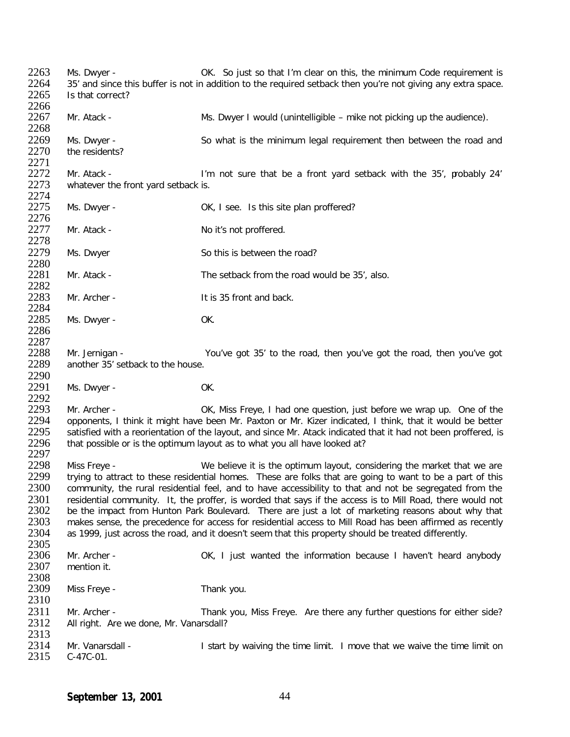2263 Ms. Dwyer - OK. So just so that I'm clear on this, the minimum Code requirement is 2264 35' and since this buffer is not in addition to the required setback then you're not giving any extra space. 2264 35' and since this buffer is not in addition to the required setback then you're not giving any extra space.<br>2265 Is that correct? Is that correct? 2266<br>2267 Mr. Atack - **Mr. Atack -** Ms. Dwyer I would (unintelligible – mike not picking up the audience). 2268<br>2269 2269 Ms. Dwyer - So what is the minimum legal requirement then between the road and 2270 the residents? the residents? 2271<br>2272 2272 Mr. Atack - I'm not sure that be a front yard setback with the 35', probably 24'<br>2273 whatever the front vard setback is. whatever the front yard setback is. 2274<br>2275 Ms. Dwyer -  $OK, I$  see. Is this site plan proffered? 2276<br>2277 Mr. Atack - No it's not proffered. 2278<br>2279 Ms. Dwyer So this is between the road? 2280<br>2281 Mr. Atack - The setback from the road would be 35', also. 2282<br>2283 Mr. Archer - The Music State of the It is 35 front and back. 2284<br>2285 Ms. Dwyer - OK. 2286 2287<br>2288 2288 Mr. Jernigan - You've got 35' to the road, then you've got the road, then you've got 2289 another 35' setback to the house. another  $35'$  setback to the house. 2290<br>2291 Ms. Dwyer - OK. 2292<br>2293 2293 Mr. Archer - OK, Miss Freye, I had one question, just before we wrap up. One of the<br>2294 opponents. I think it might have been Mr. Paxton or Mr. Kizer indicated. I think, that it would be better 2294 opponents, I think it might have been Mr. Paxton or Mr. Kizer indicated, I think, that it would be better<br>2295 satisfied with a reorientation of the lavout, and since Mr. Atack indicated that it had not been proffered 2295 satisfied with a reorientation of the layout, and since Mr. Atack indicated that it had not been proffered, is<br>2296 that possible or is the optimum layout as to what you all have looked at? that possible or is the optimum layout as to what you all have looked at? 2297<br>2298 2298 Miss Freye - We believe it is the optimum layout, considering the market that we are<br>2299 trying to attract to these residential homes. These are folks that are going to want to be a part of this 2299 trying to attract to these residential homes. These are folks that are going to want to be a part of this<br>2300 community, the rural residential feel, and to have accessibility to that and not be segregated from the 2300 community, the rural residential feel, and to have accessibility to that and not be segregated from the<br>2301 residential community. It, the proffer, is worded that says if the access is to Mill Road, there would not 2301 residential community. It, the proffer, is worded that says if the access is to Mill Road, there would not<br>2302 be the impact from Hunton Park Boulevard. There are just a lot of marketing reasons about why that 2302 be the impact from Hunton Park Boulevard. There are just a lot of marketing reasons about why that 2303 makes sense, the precedence for access for residential access to Mill Road has been affirmed as recently 2303 makes sense, the precedence for access for residential access to Mill Road has been affirmed as recently<br>2304 as 1999, just across the road, and it doesn't seem that this property should be treated differently. as 1999, just across the road, and it doesn't seem that this property should be treated differently. 2305<br>2306 2306 Mr. Archer - OK, I just wanted the information because I haven't heard anybody<br>2307 mention it. mention it. 2308<br>2309 Miss Freye - Thank you. 2310<br>2311 2311 Mr. Archer - Thank you, Miss Freye. Are there any further questions for either side?<br>2312 All right. Are we done. Mr. Vanarsdall? All right. Are we done, Mr. Vanarsdall? 2313<br>2314 2314 Mr. Vanarsdall - I start by waiving the time limit. I move that we waive the time limit on 2315 C-47C-01.  $C-47C-01$ .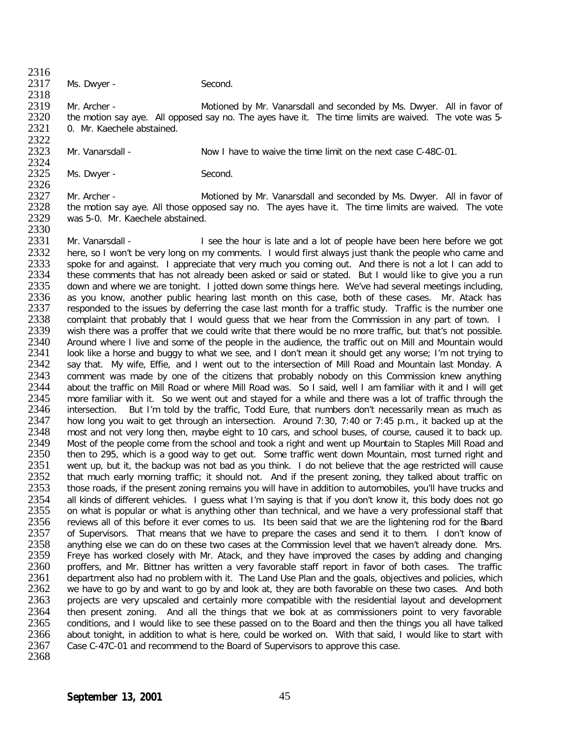2316<br>2317

Ms. Dwyer - Second.

2318<br>2319 2319 Mr. Archer - Motioned by Mr. Vanarsdall and seconded by Ms. Dwyer. All in favor of 2320 the motion say ave. All opposed say no. The aves have it. The time limits are waived. The vote was 5-2320 the motion say aye. All opposed say no. The ayes have it. The time limits are waived. The vote was 5-<br>2321 0. Mr. Kaechele abstained. 0. Mr. Kaechele abstained.

2322<br>2323 2323 Mr. Vanarsdall - Now I have to waive the time limit on the next case C-48C-01. 2324<br>2325

Ms. Dwyer - Second.

2326<br>2327 2327 Mr. Archer - Motioned by Mr. Vanarsdall and seconded by Ms. Dwyer. All in favor of 2328 the motion say ave. All those opposed say no. The aves have it. The time limits are waived. The vote 2328 the motion say aye. All those opposed say no. The ayes have it. The time limits are waived. The vote 2329 was 5-0. Mr. Kaechele abstained. was 5-0. Mr. Kaechele abstained.

2330<br>2331 2331 Mr. Vanarsdall - I see the hour is late and a lot of people have been here before we got 2332 here, so I won't be very long on my comments. I would first always just thank the people who came and 2332 here, so I won't be very long on my comments. I would first always just thank the people who came and 2333 spoke for and against. I appreciate that very much you coming out. And there is not a lot I can add to 2333 spoke for and against. I appreciate that very much you coming out. And there is not a lot I can add to 2334 these comments that has not already been asked or said or stated. But I would like to give you a run 2334 these comments that has not already been asked or said or stated. But I would like to give you a run<br>2335 down and where we are tonight. I jotted down some things here. We've had several meetings including, 2335 down and where we are tonight. I jotted down some things here. We've had several meetings including, 2336 as vou know, another public hearing last month on this case, both of these cases. Mr. Atack has 2336 as you know, another public hearing last month on this case, both of these cases. Mr. Atack has 2337 responded to the issues by deferring the case last month for a traffic study. Traffic is the number one 2337 responded to the issues by deferring the case last month for a traffic study. Traffic is the number one<br>2338 complaint that probably that I would quess that we hear from the Commission in any part of town. I 2338 complaint that probably that I would guess that we hear from the Commission in any part of town. I<br>2339 vish there was a proffer that we could write that there would be no more traffic, but that's not possible 2339 wish there was a proffer that we could write that there would be no more traffic, but that's not possible.<br>2340 Around where I live and some of the people in the audience, the traffic out on Mill and Mountain would 2340 Around where I live and some of the people in the audience, the traffic out on Mill and Mountain would 2341 I look like a horse and buggy to what we see, and I don't mean it should get any worse: I'm not trying to 2341 look like a horse and buggy to what we see, and I don't mean it should get any worse; I'm not trying to 2342 say that. My wife, Effie, and I went out to the intersection of Mill Road and Mountain last Monday. A 2342 say that. My wife, Effie, and I went out to the intersection of Mill Road and Mountain last Monday. A<br>2343 comment was made by one of the citizens that probably nobody on this Commission knew anything 2343 comment was made by one of the citizens that probably nobody on this Commission knew anything<br>2344 about the traffic on Mill Road or where Mill Road was. So I said, well I am familiar with it and I will get 2344 about the traffic on Mill Road or where Mill Road was. So I said, well I am familiar with it and I will get<br>2345 more familiar with it. So we went out and staved for a while and there was a lot of traffic through the 2345 more familiar with it. So we went out and stayed for a while and there was a lot of traffic through the 2346 intersection. But I'm told by the traffic. Todd Eure, that numbers don't necessarily mean as much as 2346 intersection. But I'm told by the traffic, Todd Eure, that numbers don't necessarily mean as much as 2347 how long you wait to get through an intersection. Around 7:30, 7:40 or 7:45 p.m., it backed up at the 2347 how long you wait to get through an intersection. Around 7:30, 7:40 or 7:45 p.m., it backed up at the 2348 most and not very long then, maybe eight to 10 cars, and school buses, of course, caused it to back up. 2348 most and not very long then, maybe eight to 10 cars, and school buses, of course, caused it to back up.<br>2349 Most of the people come from the school and took a right and went up Mountain to Staples Mill Road and 2349 Most of the people come from the school and took a right and went up Mountain to Staples Mill Road and 2350 then to 295, which is a good way to get out. Some traffic went down Mountain, most turned right and 2350 then to 295, which is a good way to get out. Some traffic went down Mountain, most turned right and 2351 went up, but it, the backup was not bad as you think. I do not believe that the age restricted will cause 2351 went up, but it, the backup was not bad as you think. I do not believe that the age restricted will cause<br>2352 that much early morning traffic; it should not. And if the present zoning, they talked about traffic on 2352 that much early morning traffic; it should not. And if the present zoning, they talked about traffic on<br>2353 those roads, if the present zoning remains vou will have in addition to automobiles, vou'll have trucks and those roads, if the present zoning remains you will have in addition to automobiles, you'll have trucks and 2354 all kinds of different vehicles. I guess what I'm saying is that if you don't know it, this body does not go<br>2355 on what is popular or what is anything other than technical, and we have a very professional staff that 2355 on what is popular or what is anything other than technical, and we have a very professional staff that <br>2356 reviews all of this before it ever comes to us. Its been said that we are the lightening rod for the Board 2356 reviews all of this before it ever comes to us. Its been said that we are the lightening rod for the Board<br>2357 of Supervisors. That means that we have to prepare the cases and send it to them. I don't know of 2357 of Supervisors. That means that we have to prepare the cases and send it to them. I don't know of 2358 anything else we can do on these two cases at the Commission level that we haven't already done. Mrs. 2358 anything else we can do on these two cases at the Commission level that we haven't already done. Mrs.<br>2359 Freve has worked closely with Mr. Atack, and they have improved the cases by adding and changing 2359 Freye has worked closely with Mr. Atack, and they have improved the cases by adding and changing 2360 proffers, and Mr. Bittner has written a very favorable staff report in favor of both cases. The traffic 2360 proffers, and Mr. Bittner has written a very favorable staff report in favor of both cases. The traffic<br>2361 department also had no problem with it. The Land Use Plan and the goals, objectives and policies, which 2361 department also had no problem with it. The Land Use Plan and the goals, objectives and policies, which<br>2362 we have to go by and want to go by and look at, they are both favorable on these two cases. And both 2362 we have to go by and want to go by and look at, they are both favorable on these two cases. And both 2363 projects are very upscaled and certainly more compatible with the residential lavout and development 2363 projects are very upscaled and certainly more compatible with the residential layout and development 2364 then present zoning. And all the things that we bok at as commissioners point to very favorable<br>2365 conditions, and I would like to see these passed on to the Board and then the things vou all have talked 2365 conditions, and I would like to see these passed on to the Board and then the things you all have talked<br>2366 about tonight, in addition to what is here, could be worked on. With that said, I would like to start with 2366 about tonight, in addition to what is here, could be worked on. With that said, I would like to start with <br>2367 Case C-47C-01 and recommend to the Board of Supervisors to approve this case. Case C-47C-01 and recommend to the Board of Supervisors to approve this case. 2368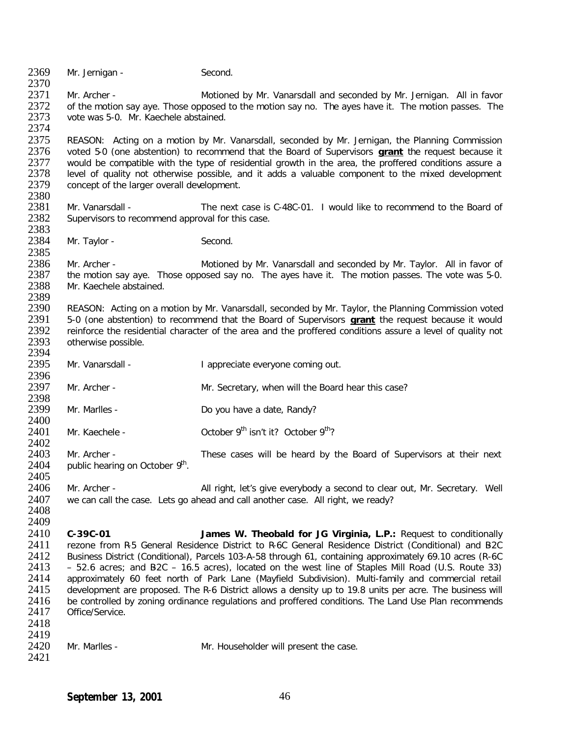2369 Mr. Jernigan - Second.

2370<br>2371 2371 Mr. Archer - Motioned by Mr. Vanarsdall and seconded by Mr. Jernigan. All in favor<br>2372 of the motion say ave. Those opposed to the motion say no. The aves have it. The motion passes. The 2372 of the motion say aye. Those opposed to the motion say no. The ayes have it. The motion passes. The 2373 vote was 5-0. Mr. Kaechele abstained. vote was 5-0. Mr. Kaechele abstained.

2374<br>2375 2375 REASON: Acting on a motion by Mr. Vanarsdall, seconded by Mr. Jernigan, the Planning Commission<br>2376 voted 5-0 (one abstention) to recommend that the Board of Supervisors **grant** the request because it 2376 voted 5-0 (one abstention) to recommend that the Board of Supervisors **grant** the request because it 2377 would be compatible with the type of residential growth in the area, the proffered conditions assure a<br>2378 Level of quality not otherwise possible, and it adds a valuable component to the mixed development 2378 level of quality not otherwise possible, and it adds a valuable component to the mixed development 2379 concept of the larger overall development. concept of the larger overall development.

- 2380<br>2381 2381 Mr. Vanarsdall - The next case is C-48C-01. I would like to recommend to the Board of 2382 Supervisors to recommend approval for this case. Supervisors to recommend approval for this case.
- 2383<br>2384 Mr. Taylor - Second.

2385<br>2386 2386 Mr. Archer - Motioned by Mr. Vanarsdall and seconded by Mr. Taylor. All in favor of 2387 the motion say ave. Those opposed say no. The aves have it. The motion passes. The vote was 5-0. 2387 the motion say aye. Those opposed say no. The ayes have it. The motion passes. The vote was 5-0.<br>2388 Mr. Kaechele abstained. Mr. Kaechele abstained.

2389<br>2390 2390 REASON: Acting on a motion by Mr. Vanarsdall, seconded by Mr. Taylor, the Planning Commission voted 2391 5-0 (one abstention) to recommend that the Board of Supervisors **grant** the request because it would 2391 5-0 (one abstention) to recommend that the Board of Supervisors **grant** the request because it would 2392 reinforce the residential character of the area and the proffered conditions assure a level of quality not 2393 otherwise possible. otherwise possible.

- 2394<br>2395 Mr. Vanarsdall - I appreciate everyone coming out.
- 2396<br>2397 Mr. Archer - The Mr. Secretary, when will the Board hear this case?
- 2398<br>2399 Mr. Marlles - Do you have a date, Randy?
- 2400<br>2401 Mr. Kaechele -  $October 9<sup>th</sup>$  isn't it? October  $9<sup>th</sup>$ ?

2402<br>2403 2403 Mr. Archer - These cases will be heard by the Board of Supervisors at their next  $2404$  public hearing on October 9<sup>th</sup>. public hearing on October 9<sup>th</sup>.

2405<br>2406

Mr. Archer - All right, let's give everybody a second to clear out, Mr. Secretary. Well 2407 we can call the case. Lets go ahead and call another case. All right, we ready? 2408

2409<br>2410 2410 **C-39C-01 James W. Theobald for JG Virginia, L.P.:** Request to conditionally 2411 rezone from R-5 General Residence District to R-6C General Residence District (Conditional) and B2C<br>2412 Business District (Conditional), Parcels 103-A-58 through 61, containing approximately 69.10 acres (R-6C 2412 Business District (Conditional), Parcels 103-A-58 through 61, containing approximately 69.10 acres (R-6C<br>2413 - 52.6 acres: and B2C - 16.5 acres), located on the west line of Staples Mill Road (U.S. Route 33) 2413 – 52.6 acres; and B2C – 16.5 acres), located on the west line of Staples Mill Road (U.S. Route 33)<br>2414 – approximately 60 feet north of Park Lane (Mavfield Subdivision). Multi-family and commercial retail 2414 approximately 60 feet north of Park Lane (Mayfield Subdivision). Multi-family and commercial retail<br>2415 development are proposed. The R-6 District allows a density up to 19.8 units per acre. The business will 2415 development are proposed. The R-6 District allows a density up to 19.8 units per acre. The business will<br>2416 be controlled by zoning ordinance regulations and proffered conditions. The Land Use Plan recommends 2416 be controlled by zoning ordinance regulations and proffered conditions. The Land Use Plan recommends 2417 Office/Service. Office/Service. 2418

2419<br>2420 Mr. Marlles - Mr. Householder will present the case. 2421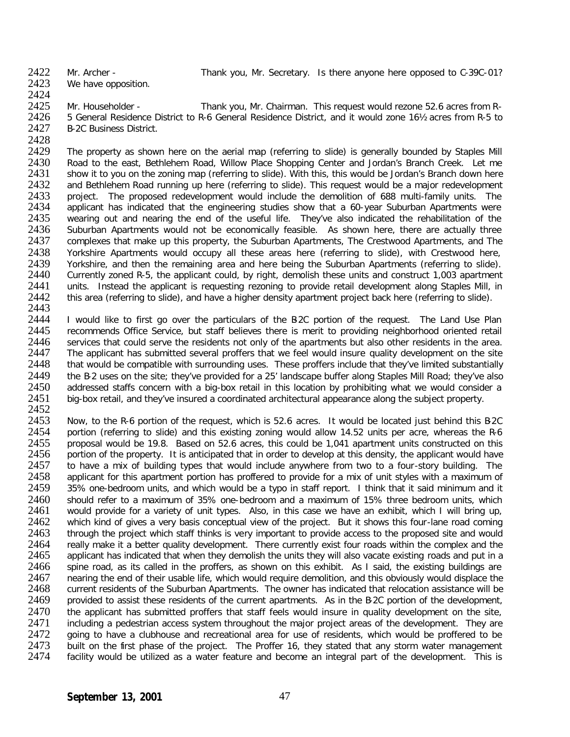2422 Mr. Archer - Thank you, Mr. Secretary. Is there anyone here opposed to C-39C-01?<br>2423 We have opposition.

We have opposition.

2424<br>2425

2425 Mr. Householder - Thank you, Mr. Chairman. This request would rezone 52.6 acres from R-<br>2426 5 General Residence District to R-6 General Residence District, and it would zone 16½ acres from R-5 to 2426 5 General Residence District to R-6 General Residence District, and it would zone 16½ acres from R-5 to 2427 B-2C Business District.

**B-2C Business District.** 

2428<br>2429

2429 The property as shown here on the aerial map (referring to slide) is generally bounded by Staples Mill<br>2430 Road to the east, Bethlehem Road, Willow Place Shopping Center and Jordan's Branch Creek. Let me 2430 Road to the east, Bethlehem Road, Willow Place Shopping Center and Jordan's Branch Creek. Let me<br>2431 Show it to you on the zoning map (referring to slide). With this, this would be Jordan's Branch down here 2431 show it to you on the zoning map (referring to slide). With this, this would be Jordan's Branch down here<br>2432 and Bethlehem Road running up here (referring to slide). This request would be a maior redevelopment 2432 and Bethlehem Road running up here (referring to slide). This request would be a major redevelopment 2433 project. The proposed redevelopment would include the demolition of 688 multi-family units. The 2433 project. The proposed redevelopment would include the demolition of 688 multi-family units. The 2434 applicant has indicated that the engineering studies show that a 60-vear Suburban Apartments were 2434 applicant has indicated that the engineering studies show that a 60-year Suburban Apartments were<br>2435 vearing out and nearing the end of the useful life. They've also indicated the rehabilitation of the 2435 wearing out and nearing the end of the useful life. They've also indicated the rehabilitation of the 2436 Suburban Apartments would not be economically feasible. As shown here, there are actually three 2436 Suburban Apartments would not be economically feasible. As shown here, there are actually three 2437 complexes that make up this property, the Suburban Apartments. The Crestwood Apartments, and The 2437 complexes that make up this property, the Suburban Apartments, The Crestwood Apartments, and The 2438 Yorkshire Apartments would occupy all these areas here (referring to slide), with Crestwood here. 2438 Yorkshire Apartments would occupy all these areas here (referring to slide), with Crestwood here, 2439 Yorkshire, and then the remaining area and here being the Suburban Apartments (referring to slide). 2439 Yorkshire, and then the remaining area and here being the Suburban Apartments (referring to slide).<br>2440 Currently zoned R-5, the applicant could, by right, demolish these units and construct 1,003 apartment 2440 Currently zoned R-5, the applicant could, by right, demolish these units and construct 1,003 apartment 2441 units. Instead the applicant is requesting rezoning to provide retail development along Staples Mill, in 2441 units. Instead the applicant is requesting rezoning to provide retail development along Staples Mill, in<br>2442 this area (referring to slide), and have a higher density apartment project back here (referring to slide), this area (referring to slide), and have a higher density apartment project back here (referring to slide).

2443<br>2444 2444 I would like to first go over the particulars of the B2C portion of the request. The Land Use Plan<br>2445 The recommends Office Service, but staff believes there is merit to providing neighborhood oriented retail 2445 recommends Office Service, but staff believes there is merit to providing neighborhood oriented retail<br>2446 services that could serve the residents not only of the apartments but also other residents in the area. 2446 services that could serve the residents not only of the apartments but also other residents in the area.<br>2447 The applicant has submitted several proffers that we feel would insure quality development on the site 2447 The applicant has submitted several proffers that we feel would insure quality development on the site<br>2448 that would be compatible with surrounding uses. These proffers include that they've limited substantially 2448 that would be compatible with surrounding uses. These proffers include that they've limited substantially<br>2449 the B-2 uses on the site: they've provided for a 25' landscape buffer along Staples Mill Road: they've als 2449 the B-2 uses on the site; they've provided for a 25' landscape buffer along Staples Mill Road; they've also<br>2450 addressed staffs concern with a big-box retail in this location by prohibiting what we would consider a 2450 addressed staffs concern with a big-box retail in this location by prohibiting what we would consider a<br>2451 big-box retail, and they've insured a coordinated architectural appearance along the subiect property. big-box retail, and they've insured a coordinated architectural appearance along the subject property.

2452<br>2453 2453 Now, to the R-6 portion of the request, which is 52.6 acres. It would be located just behind this B2C<br>2454 portion (referring to slide) and this existing zoning would allow 14.52 units per acre, whereas the R-6 2454 portion (referring to slide) and this existing zoning would allow 14.52 units per acre, whereas the R-6<br>2455 proposal would be 19.8. Based on 52.6 acres, this could be 1.041 apartment units constructed on this 2455 proposal would be 19.8. Based on 52.6 acres, this could be 1,041 apartment units constructed on this 2456 portion of the property. It is anticipated that in order to develop at this density, the applicant would have 2456 portion of the property. It is anticipated that in order to develop at this density, the applicant would have<br>2457 to have a mix of building types that would include anywhere from two to a four-story building. The 2457 to have a mix of building types that would include anywhere from two to a four-story building. The 2458 applicant for this apartment portion has proffered to provide for a mix of unit styles with a maximum of 2458 applicant for this apartment portion has proffered to provide for a mix of unit styles with a maximum of <br>2459 35% one-bedroom units, and which would be a typo in staff report. I think that it said minimum and it 2459 35% one-bedroom units, and which would be a typo in staff report. I think that it said minimum and it 2460 should refer to a maximum of 35% one-bedroom and a maximum of 15% three bedroom units, which<br>2461 vould provide for a variety of unit types. Also, in this case we have an exhibit, which I will bring up, 2461 would provide for a variety of unit types. Also, in this case we have an exhibit, which I will bring up,<br>2462 which kind of gives a very basis conceptual view of the project. But it shows this four-lane road coming 2462 which kind of gives a very basis conceptual view of the project. But it shows this four-lane road coming<br>2463 through the project which staff thinks is very important to provide access to the proposed site and would 2463 through the project which staff thinks is very important to provide access to the proposed site and would<br>2464 Freally make it a better quality development. There currently exist four roads within the complex and the 2464 really make it a better quality development. There currently exist four roads within the complex and the<br>2465 applicant has indicated that when they demolish the units they will also vacate existing roads and put in a 2465 applicant has indicated that when they demolish the units they will also vacate existing roads and put in a<br>2466 spine road, as its called in the proffers, as shown on this exhibit. As I said, the existing buildings a 2466 spine road, as its called in the proffers, as shown on this exhibit. As I said, the existing buildings are<br>2467 nearing the end of their usable life, which would require demolition, and this obviously would displace t 2467 nearing the end of their usable life, which would require demolition, and this obviously would displace the<br>2468 current residents of the Suburban Apartments. The owner has indicated that relocation assistance will be 2468 current residents of the Suburban Apartments. The owner has indicated that relocation assistance will be<br>2469 provided to assist these residents of the current apartments. As in the B-2C portion of the development. 2469 provided to assist these residents of the current apartments. As in the B-2C portion of the development,<br>2470 the applicant has submitted proffers that staff feels would insure in quality development on the site. 2470 the applicant has submitted proffers that staff feels would insure in quality development on the site, 2471 including a pedestrian access system throughout the maior project areas of the development. They are 2471 including a pedestrian access system throughout the major project areas of the development. They are 2472 coing to have a clubhouse and recreational area for use of residents, which would be proffered to be 2472 going to have a clubhouse and recreational area for use of residents, which would be proffered to be 2473 built on the first phase of the project. The Proffer 16, they stated that any storm water management 2473 built on the first phase of the project. The Proffer 16, they stated that any storm water management 2474 facility would be utilized as a water feature and become an integral part of the development. This is facility would be utilized as a water feature and become an integral part of the development. This is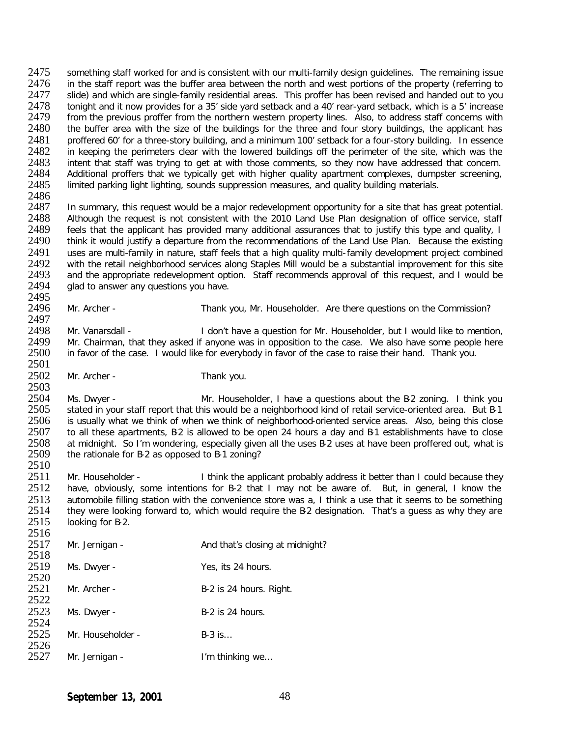2475 something staff worked for and is consistent with our multi-family design guidelines. The remaining issue<br>2476 in the staff report was the buffer area between the north and west portions of the property (referring to 2476 in the staff report was the buffer area between the north and west portions of the property (referring to<br>2477 in slide) and which are single-family residential areas. This proffer has been revised and handed out to y 2477 slide) and which are single-family residential areas. This proffer has been revised and handed out to you<br>2478 tonight and it now provides for a 35' side vard setback and a 40' rear-vard setback, which is a 5' increas 2478 tonight and it now provides for a 35' side yard setback and a 40' rear-yard setback, which is a 5' increase<br>2479 from the previous proffer from the northern western property lines. Also, to address staff concerns with 2479 from the previous proffer from the northern western property lines. Also, to address staff concerns with <br>2480 the buffer area with the size of the buildings for the three and four story buildings, the applicant has 2480 the buffer area with the size of the buildings for the three and four story buildings, the applicant has<br>2481 oroffered 60' for a three-story building, and a minimum 100' setback for a four-story building. In essence 2481 proffered 60' for a three-story building, and a minimum 100' setback for a four-story building. In essence<br>2482 in keeping the perimeters clear with the lowered buildings off the perimeter of the site, which was the 2482 in keeping the perimeters clear with the lowered buildings off the perimeter of the site, which was the 2483 intent that staff was trying to get at with those comments, so they now have addressed that concern. 2483 intent that staff was trying to get at with those comments, so they now have addressed that concern.<br>2484 Additional proffers that we typically get with higher quality apartment complexes, dumpster screening, 2484 Additional proffers that we typically get with higher quality apartment complexes, dumpster screening, 2485 limited parking light lighting, sounds suppression measures, and quality building materials. limited parking light lighting, sounds suppression measures, and quality building materials.

2486<br>2487 2487 In summary, this request would be a major redevelopment opportunity for a site that has great potential.<br>2488 Although the request is not consistent with the 2010 Land Use Plan designation of office service, staff 2488 Although the request is not consistent with the 2010 Land Use Plan designation of office service, staff<br>2489 Feels that the applicant has provided many additional assurances that to justify this type and quality. I 2489 feels that the applicant has provided many additional assurances that to justify this type and quality, I<br>2490 think it would justify a departure from the recommendations of the Land Use Plan. Because the existing 2490 think it would justify a departure from the recommendations of the Land Use Plan. Because the existing<br>2491 uses are multi-family in nature, staff feels that a high quality multi-family development project combined 2491 uses are multi-family in nature, staff feels that a high quality multi-family development project combined<br>2492 vith the retail neighborhood services along Staples Mill would be a substantial improvement for this site 2492 with the retail neighborhood services along Staples Mill would be a substantial improvement for this site<br>2493 and the appropriate redevelopment option. Staff recommends approval of this request, and I would be 2493 and the appropriate redevelopment option. Staff recommends approval of this request, and I would be 2494 glad to answer any questions you have. glad to answer any questions you have.

2495<br>2496

Mr. Archer - Thank you, Mr. Householder. Are there questions on the Commission?

2497<br>2498 2498 Mr. Vanarsdall - I don't have a question for Mr. Householder, but I would like to mention, 2499 Mr. Chairman, that they asked if anyone was in opposition to the case. We also have some people here<br>2500 in favor of the case. I would like for everybody in favor of the case to raise their hand. Thank you. in favor of the case. I would like for everybody in favor of the case to raise their hand. Thank you.

2501<br>2502 Mr. Archer - Thank you.

2503<br>2504 2504 Ms. Dwyer - Mr. Householder, I have a questions about the B2 zoning. I think you<br>2505 stated in your staff report that this would be a neighborhood kind of retail service-oriented area. But B 2505 stated in your staff report that this would be a neighborhood kind of retail service-oriented area. But B-1<br>2506 is usually what we think of when we think of neighborhood-oriented service areas. Also, being this close 2506 is usually what we think of when we think of neighborhood-oriented service areas. Also, being this close<br>2507 to all these apartments. B2 is allowed to be open 24 hours a day and B1 establishments have to close 2507 to all these apartments, B2 is allowed to be open 24 hours a day and B1 establishments have to close<br>2508 at midnight. So I'm wondering, especially given all the uses B-2 uses at have been proffered out, what is 2508 at midnight. So I'm wondering, especially given all the uses B-2 uses at have been proffered out, what is <br>2509 the rationale for B-2 as opposed to B-1 zoning? the rationale for B-2 as opposed to B-1 zoning?

2510<br>2511 2511 Mr. Householder - I think the applicant probably address it better than I could because they<br>2512 have, obviously, some intentions for B-2 that I may not be aware of. But, in general, I know the have, obviously, some intentions for B-2 that I may not be aware of. But, in general, I know the 2513 automobile filling station with the convenience store was a, I think a use that it seems to be something<br>2514 they were looking forward to, which would require the B2 designation. That's a quess as why they are 2514 they were looking forward to, which would require the B2 designation. That's a guess as why they are 2515 clooking for B-2. looking for B-2. 2516

| 2J <sub>1</sub> |                   |                                 |
|-----------------|-------------------|---------------------------------|
| 2517            | Mr. Jernigan -    | And that's closing at midnight? |
| 2518            |                   |                                 |
| 2519            | Ms. Dwyer -       | Yes, its 24 hours.              |
| 2520            |                   |                                 |
| 2521            | Mr. Archer -      | B-2 is 24 hours. Right.         |
| 2522            |                   |                                 |
| 2523            | Ms. Dwyer -       | $B-2$ is 24 hours.              |
| 2524            |                   |                                 |
| 2525            | Mr. Householder - | $B-3$ is                        |
| 2526            |                   |                                 |
| 2527            | Mr. Jernigan -    | I'm thinking we                 |
|                 |                   |                                 |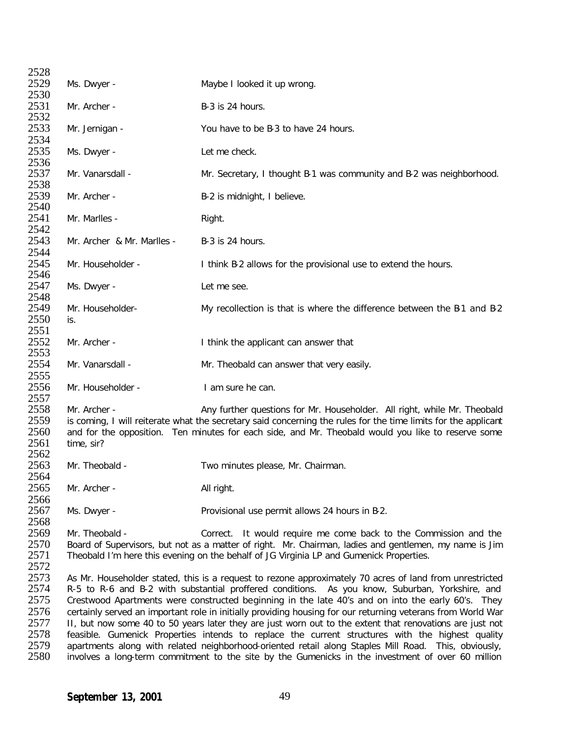| 2528                                                         |                                                                                                                                                                                                                                                                                                                                                                                                                                                                                                                                                                                                                                                                                                                                                                                                                                                             |                                                                       |  |
|--------------------------------------------------------------|-------------------------------------------------------------------------------------------------------------------------------------------------------------------------------------------------------------------------------------------------------------------------------------------------------------------------------------------------------------------------------------------------------------------------------------------------------------------------------------------------------------------------------------------------------------------------------------------------------------------------------------------------------------------------------------------------------------------------------------------------------------------------------------------------------------------------------------------------------------|-----------------------------------------------------------------------|--|
| 2529<br>2530                                                 | Ms. Dwyer -                                                                                                                                                                                                                                                                                                                                                                                                                                                                                                                                                                                                                                                                                                                                                                                                                                                 | Maybe I looked it up wrong.                                           |  |
| 2531<br>2532                                                 | Mr. Archer -                                                                                                                                                                                                                                                                                                                                                                                                                                                                                                                                                                                                                                                                                                                                                                                                                                                | B-3 is 24 hours.                                                      |  |
| 2533<br>2534                                                 | Mr. Jernigan -                                                                                                                                                                                                                                                                                                                                                                                                                                                                                                                                                                                                                                                                                                                                                                                                                                              | You have to be B-3 to have 24 hours.                                  |  |
| 2535<br>2536                                                 | Ms. Dwyer -                                                                                                                                                                                                                                                                                                                                                                                                                                                                                                                                                                                                                                                                                                                                                                                                                                                 | Let me check.                                                         |  |
| 2537<br>2538                                                 | Mr. Vanarsdall -                                                                                                                                                                                                                                                                                                                                                                                                                                                                                                                                                                                                                                                                                                                                                                                                                                            | Mr. Secretary, I thought B-1 was community and B-2 was neighborhood.  |  |
| 2539<br>2540                                                 | Mr. Archer -                                                                                                                                                                                                                                                                                                                                                                                                                                                                                                                                                                                                                                                                                                                                                                                                                                                | B-2 is midnight, I believe.                                           |  |
| 2541<br>2542                                                 | Mr. Marlles -                                                                                                                                                                                                                                                                                                                                                                                                                                                                                                                                                                                                                                                                                                                                                                                                                                               | Right.                                                                |  |
| 2543<br>2544                                                 | Mr. Archer & Mr. Marlles -                                                                                                                                                                                                                                                                                                                                                                                                                                                                                                                                                                                                                                                                                                                                                                                                                                  | B-3 is 24 hours.                                                      |  |
| 2545<br>2546                                                 | Mr. Householder -                                                                                                                                                                                                                                                                                                                                                                                                                                                                                                                                                                                                                                                                                                                                                                                                                                           | I think B-2 allows for the provisional use to extend the hours.       |  |
| 2547<br>2548                                                 | Ms. Dwyer -                                                                                                                                                                                                                                                                                                                                                                                                                                                                                                                                                                                                                                                                                                                                                                                                                                                 | Let me see.                                                           |  |
| 2549<br>2550                                                 | Mr. Householder-<br>is.                                                                                                                                                                                                                                                                                                                                                                                                                                                                                                                                                                                                                                                                                                                                                                                                                                     | My recollection is that is where the difference between the B1 and B2 |  |
| 2551<br>2552<br>2553                                         | Mr. Archer -                                                                                                                                                                                                                                                                                                                                                                                                                                                                                                                                                                                                                                                                                                                                                                                                                                                | I think the applicant can answer that                                 |  |
| 2554<br>2555                                                 | Mr. Vanarsdall -                                                                                                                                                                                                                                                                                                                                                                                                                                                                                                                                                                                                                                                                                                                                                                                                                                            | Mr. Theobald can answer that very easily.                             |  |
| 2556<br>2557                                                 | Mr. Householder -                                                                                                                                                                                                                                                                                                                                                                                                                                                                                                                                                                                                                                                                                                                                                                                                                                           | I am sure he can.                                                     |  |
| 2558<br>2559<br>2560<br>2561<br>2562                         | Mr. Archer -<br>Any further questions for Mr. Householder. All right, while Mr. Theobald<br>is coming, I will reiterate what the secretary said concerning the rules for the time limits for the applicant<br>and for the opposition. Ten minutes for each side, and Mr. Theobald would you like to reserve some<br>time, sir?                                                                                                                                                                                                                                                                                                                                                                                                                                                                                                                              |                                                                       |  |
| 2563<br>2564                                                 | Mr. Theobald -                                                                                                                                                                                                                                                                                                                                                                                                                                                                                                                                                                                                                                                                                                                                                                                                                                              | Two minutes please, Mr. Chairman.                                     |  |
| 2565<br>2566                                                 | Mr. Archer -                                                                                                                                                                                                                                                                                                                                                                                                                                                                                                                                                                                                                                                                                                                                                                                                                                                | All right.                                                            |  |
| 2567<br>2568                                                 | Ms. Dwyer -                                                                                                                                                                                                                                                                                                                                                                                                                                                                                                                                                                                                                                                                                                                                                                                                                                                 | Provisional use permit allows 24 hours in B-2.                        |  |
| 2569<br>2570<br>2571<br>2572                                 | Mr. Theobald -<br>Correct. It would require me come back to the Commission and the<br>Board of Supervisors, but not as a matter of right. Mr. Chairman, ladies and gentlemen, my name is Jim<br>Theobald I'm here this evening on the behalf of JG Virginia LP and Gumenick Properties.                                                                                                                                                                                                                                                                                                                                                                                                                                                                                                                                                                     |                                                                       |  |
| 2573<br>2574<br>2575<br>2576<br>2577<br>2578<br>2579<br>2580 | As Mr. Householder stated, this is a request to rezone approximately 70 acres of land from unrestricted<br>R-5 to R-6 and B-2 with substantial proffered conditions. As you know, Suburban, Yorkshire, and<br>Crestwood Apartments were constructed beginning in the late 40's and on into the early 60's. They<br>certainly served an important role in initially providing housing for our returning veterans from World War<br>II, but now some 40 to 50 years later they are just worn out to the extent that renovations are just not<br>feasible. Gumenick Properties intends to replace the current structures with the highest quality<br>apartments along with related neighborhood-oriented retail along Staples Mill Road. This, obviously,<br>involves a long-term commitment to the site by the Gumenicks in the investment of over 60 million |                                                                       |  |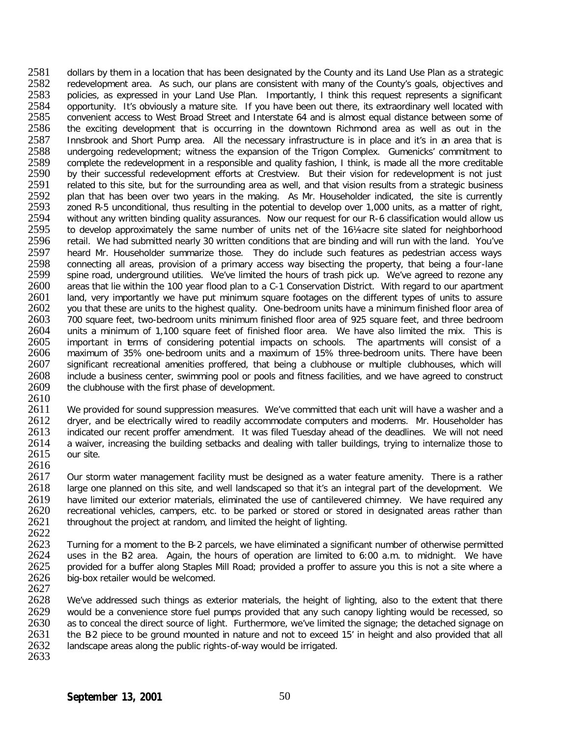2581 dollars by them in a location that has been designated by the County and its Land Use Plan as a strategic<br>2582 redevelopment area. As such, our plans are consistent with many of the County's goals, objectives and 2582 Fedevelopment area. As such, our plans are consistent with many of the County's goals, objectives and 2583<br>2583 Fedicies, as expressed in vour Land Use Plan. Timportantly, I think this request represents a significant 2583 policies, as expressed in your Land Use Plan. Importantly, I think this request represents a significant<br>2584 opportunity. It's obviously a mature site. If you have been out there, its extraordinary well located with 2584 opportunity. It's obviously a mature site. If you have been out there, its extraordinary well located with<br>2585 convenient access to West Broad Street and Interstate 64 and is almost equal distance between some of 2585 convenient access to West Broad Street and Interstate 64 and is almost equal distance between some of 2586 the exciting development that is occurring in the downtown Richmond area as well as out in the 2586 the exciting development that is occurring in the downtown Richmond area as well as out in the<br>2587 Innsbrook and Short Pump area. All the necessary infrastructure is in place and it's in an area that is 2587 Innsbrook and Short Pump area. All the necessary infrastructure is in place and it's in an area that is<br>2588 undergoing redevelopment: witness the expansion of the Trigon Complex. Gumenicks' commitment to 2588 undergoing redevelopment; witness the expansion of the Trigon Complex. Gumenicks' commitment to 2589 complete the redevelopment in a responsible and quality fashion. I think, is made all the more creditable 2589 complete the redevelopment in a responsible and quality fashion, I think, is made all the more creditable<br>2590 by their successful redevelopment efforts at Crestview. But their vision for redevelopment is not just 2590 by their successful redevelopment efforts at Crestview. But their vision for redevelopment is not just 2591 related to this site, but for the surrounding area as well, and that vision results from a strategic business 2591 related to this site, but for the surrounding area as well, and that vision results from a strategic business<br>2592 plan that has been over two vears in the making. As Mr. Householder indicated, the site is currently 2592 plan that has been over two years in the making. As Mr. Householder indicated, the site is currently 2593 zoned R-5 unconditional, thus resulting in the potential to develop over 1.000 units, as a matter of right, 2593 zoned R-5 unconditional, thus resulting in the potential to develop over 1,000 units, as a matter of right,<br>2594 vithout any written binding quality assurances. Now our request for our R-6 classification would allow u 2594 without any written binding quality assurances. Now our request for our R-6 classification would allow us<br>2595 to develop approximately the same number of units net of the 161/<sub>2</sub> acre site slated for neighborhood 2595 to develop approximately the same number of units net of the 16½ acre site slated for neighborhood<br>2596 retail. We had submitted nearly 30 written conditions that are binding and will run with the land. You've 2596 retail. We had submitted nearly 30 written conditions that are binding and will run with the land. You've<br>2597 beard Mr. Householder summarize those. They do include such features as pedestrian access ways 2597 heard Mr. Householder summarize those. They do include such features as pedestrian access ways<br>2598 connecting all areas, provision of a primary access way bisecting the property, that being a four-lane 2598 connecting all areas, provision of a primary access way bisecting the property, that being a four-lane<br>2599 spine road, underground utilities. We've limited the hours of trash pick up. We've agreed to rezone any 2599 spine road, underground utilities. We've limited the hours of trash pick up. We've agreed to rezone any<br>2600 areas that lie within the 100 vear flood plan to a C-1 Conservation District. With regard to our apartment 2600 areas that lie within the 100 year flood plan to a C-1 Conservation District. With regard to our apartment 2601 and, very importantly we have put minimum square footages on the different types of units to assure 2601 land, very importantly we have put minimum square footages on the different types of units to assure<br>2602 vou that these are units to the highest quality. One-bedroom units have a minimum finished floor area of 2602 you that these are units to the highest quality. One-bedroom units have a minimum finished floor area of 2603 700 square feet, two-bedroom units minimum finished floor area of 925 square feet, and three bedroom 2603 700 square feet, two-bedroom units minimum finished floor area of 925 square feet, and three bedroom<br>2604 Lunits a minimum of 1.100 square feet of finished floor area. We have also limited the mix. This is 2604 units a minimum of 1,100 square feet of finished floor area. We have also limited the mix. This is 2605 important in terms of considering potential impacts on schools. The apartments will consist of a 2605 important in terms of considering potential impacts on schools. The apartments will consist of a<br>2606 maximum of 35% one-bedroom units and a maximum of 15% three-bedroom units. There have been 2606 maximum of 35% one-bedroom units and a maximum of 15% three-bedroom units. There have been<br>2607 significant recreational amenities proffered, that being a clubhouse or multiple clubhouses, which will 2607 significant recreational amenities proffered, that being a clubhouse or multiple clubhouses, which will<br>2608 include a business center, swimming pool or pools and fitness facilities, and we have agreed to construct 2608 include a business center, swimming pool or pools and fitness facilities, and we have agreed to construct 2609 the clubhouse with the first phase of development. the clubhouse with the first phase of development.

2610<br>2611

2611 We provided for sound suppression measures. We've committed that each unit will have a washer and a<br>2612 drver, and be electrically wired to readily accommodate computers and modems. Mr. Householder has 2612 dryer, and be electrically wired to readily accommodate computers and modems. Mr. Householder has <br>2613 indicated our recent proffer amendment. It was filed Tuesday ahead of the deadlines. We will not need 2613 indicated our recent proffer amendment. It was filed Tuesday ahead of the deadlines. We will not need<br>2614 a waiver, increasing the building setbacks and dealing with taller buildings, trying to internalize those to 2614 a waiver, increasing the building setbacks and dealing with taller buildings, trying to internalize those to 2615 our site. our site.

2616<br>2617 2617 Our storm water management facility must be designed as a water feature amenity. There is a rather 2618 Iarae one planned on this site, and well landscaped so that it's an integral part of the development. We large one planned on this site, and well landscaped so that it's an integral part of the development. We 2619 have limited our exterior materials, eliminated the use of cantilevered chimney. We have required any <br>2620 recreational vehicles, campers, etc. to be parked or stored or stored in designated areas rather than 2620 recreational vehicles, campers, etc. to be parked or stored or stored in designated areas rather than 2621 throughout the project at random, and limited the height of lighting. throughout the project at random, and limited the height of lighting.

2622<br>2623 2623 Turning for a moment to the B-2 parcels, we have eliminated a significant number of otherwise permitted 2624 uses in the B2 area. Again, the hours of operation are limited to 6:00 a.m. to midnight. We have 2624 uses in the B2 area. Again, the hours of operation are limited to 6:00 a.m. to midnight. We have 2625 provided for a buffer along Staples Mill Road; provided a proffer to assure you this is not a site where a 2625 provided for a buffer along Staples Mill Road; provided a proffer to assure you this is not a site where a<br>2626 big-box retailer would be welcomed. big-box retailer would be welcomed.

2627<br>2628 We've addressed such things as exterior materials, the height of lighting, also to the extent that there 2629 would be a convenience store fuel pumps provided that any such canopy lighting would be recessed, so<br>2630 as to conceal the direct source of light. Furthermore, we've limited the signage; the detached signage on 2630 as to conceal the direct source of light. Furthermore, we've limited the signage; the detached signage on<br>2631 the B2 piece to be ground mounted in nature and not to exceed 15' in height and also provided that all 2631 the B-2 piece to be ground mounted in nature and not to exceed 15' in height and also provided that all 2632 landscape areas along the public rights-of-way would be irrigated. landscape areas along the public rights-of-way would be irrigated. 2633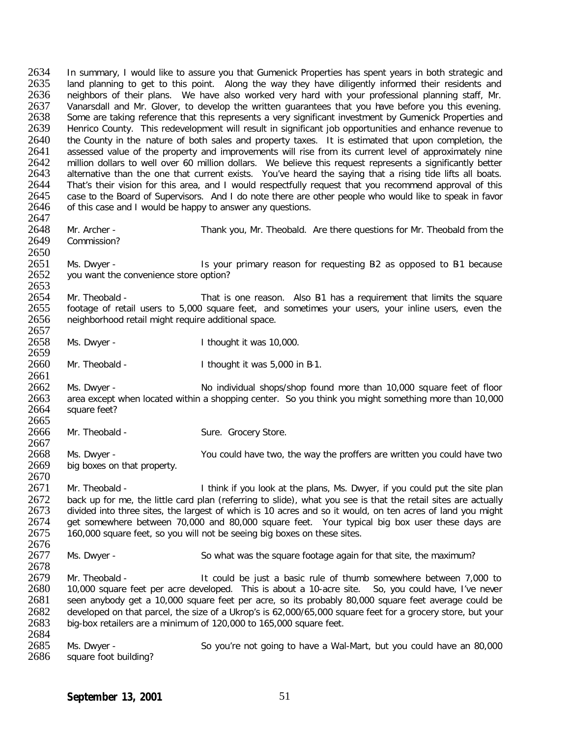2634 In summary, I would like to assure you that Gumenick Properties has spent years in both strategic and 2635 Iand planning to get to this point. Along the way they have diligently informed their residents and 2635 Iand planning to get to this point. Along the way they have diligently informed their residents and 2636 neighbors of their plans. We have also worked very hard with your professional planning staff. Mr. 2636 neighbors of their plans. We have also worked very hard with your professional planning staff, Mr.<br>2637 Vanarsdall and Mr. Glover, to develop the written quarantees that you have before you this evening. 2637 Vanarsdall and Mr. Glover, to develop the written guarantees that you have before you this evening.<br>2638 Some are taking reference that this represents a very significant investment by Gumenick Properties and 2638 Some are taking reference that this represents a very significant investment by Gumenick Properties and<br>2639 Henrico County. This redevelopment will result in significant iob opportunities and enhance revenue to 2639 Henrico County. This redevelopment will result in significant job opportunities and enhance revenue to 2640 the County in the nature of both sales and property taxes. It is estimated that upon completion, the 2640 the County in the nature of both sales and property taxes. It is estimated that upon completion, the 2641 assessed value of the property and improvements will rise from its current level of approximately nine 2641 assessed value of the property and improvements will rise from its current level of approximately nine<br>2642 million dollars to well over 60 million dollars. We believe this request represents a significantly better 2642 million dollars to well over 60 million dollars. We believe this request represents a significantly better<br>2643 alternative than the one that current exists. You've heard the saving that a rising tide lifts all boats. 2643 alternative than the one that current exists. You've heard the saying that a rising tide lifts all boats.<br>2644 That's their vision for this area, and I would respectfully request that you recommend approval of this 2644 That's their vision for this area, and I would respectfully request that you recommend approval of this 2645 case to the Board of Supervisors. And I do note there are other people who would like to speak in favor 2645 case to the Board of Supervisors. And I do note there are other people who would like to speak in favor<br>2646 of this case and I would be happy to answer any questions. of this case and I would be happy to answer any questions. 2647<br>2648 2648 Mr. Archer - Thank you, Mr. Theobald. Are there questions for Mr. Theobald from the 2649 Commission? Commission? 2650<br>2651 2651 Ms. Dwyer - Is your primary reason for requesting B2 as opposed to B1 because<br>2652 vou want the convenience store option? you want the convenience store option? 2653<br>2654 2654 Mr. Theobald - That is one reason. Also B1 has a requirement that limits the square<br>2655 footage of retail users to 5.000 square feet, and sometimes your users, your inline users, even the 2655 footage of retail users to 5,000 square feet, and sometimes your users, your inline users, even the 2656 neighborhood retail might require additional space. neighborhood retail might require additional space. 2657<br>2658 Ms. Dwyer - I thought it was 10,000. 2659<br>2660 Mr. Theobald - I thought it was 5,000 in B-1. 2661<br>2662 2662 Ms. Dwyer - No individual shops/shop found more than 10,000 square feet of floor<br>2663 area except when located within a shopping center. So you think you might something more than 10,000 2663 area except when located within a shopping center. So you think you might something more than 10,000<br>2664 square feet? square feet? 2665<br>2666 Mr. Theobald - Sure. Grocery Store. 2667<br>2668 2668 Ms. Dwyer - You could have two, the way the proffers are written you could have two<br>2669 big boxes on that property. big boxes on that property. 2670<br>2671 Mr. Theobald - I think if you look at the plans, Ms. Dwyer, if you could put the site plan 2672 back up for me, the little card plan (referring to slide), what you see is that the retail sites are actually<br>2673 divided into three sites, the largest of which is 10 acres and so it would, on ten acres of land you m 2673 divided into three sites, the largest of which is 10 acres and so it would, on ten acres of land you might<br>2674 aet somewhere between 70.000 and 80.000 square feet. Your typical big box user these days are 2674 get somewhere between 70,000 and 80,000 square feet. Your typical big box user these days are 2675 160,000 square feet. so you will not be seeing big boxes on these sites. 160,000 square feet, so you will not be seeing big boxes on these sites. 2676<br>2677 Ms. Dwyer - So what was the square footage again for that site, the maximum? 2678<br>2679 2679 Mr. Theobald - It could be just a basic rule of thumb somewhere between 7,000 to<br>2680 10.000 square feet per acre developed. This is about a 10-acre site. So, you could have. I've never 2680 10,000 square feet per acre developed. This is about a 10-acre site. So, you could have, I've never<br>2681 seen anvbody get a 10,000 square feet per acre, so its probably 80,000 square feet average could be 2681 seen anybody get a 10,000 square feet per acre, so its probably 80,000 square feet average could be<br>2682 developed on that parcel, the size of a Ukrop's is 62,000/65,000 square feet for a grocery store, but your 2682 developed on that parcel, the size of a Ukrop's is 62,000/65,000 square feet for a grocery store, but your<br>2683 big-box retailers are a minimum of 120.000 to 165.000 square feet. big-box retailers are a minimum of 120,000 to 165,000 square feet. 2684<br>2685 2685 Ms. Dwyer - So you're not going to have a Wal-Mart, but you could have an 80,000<br>2686 square foot building? square foot building?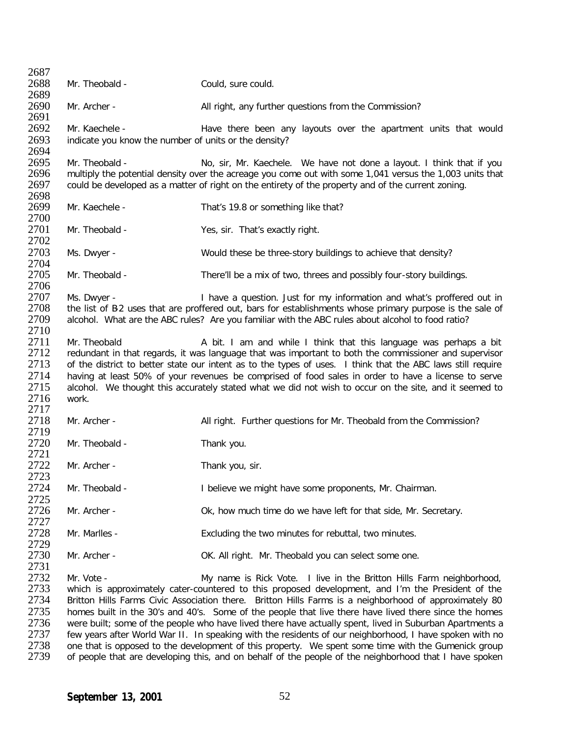2687<br>2688 Mr. Theobald - Could, sure could. 2689<br>2690 Mr. Archer - All right, any further questions from the Commission? 2691<br>2692 2692 Mr. Kaechele - Have there been any layouts over the apartment units that would 2693 indicate you know the number of units or the density? indicate you know the number of units or the density? 2694<br>2695 2695 Mr. Theobald - No, sir, Mr. Kaechele. We have not done a layout. I think that if you<br>2696 multiply the potential density over the acreage you come out with some 1.041 versus the 1.003 units that 2696 multiply the potential density over the acreage you come out with some 1,041 versus the 1,003 units that <br>2697 could be developed as a matter of right on the entirety of the property and of the current zoning. could be developed as a matter of right on the entirety of the property and of the current zoning. 2698<br>2699 Mr. Kaechele - That's 19.8 or something like that? 2700<br>2701 Mr. Theobald - Yes, sir. That's exactly right. 2702<br>2703 Ms. Dwyer - Would these be three-story buildings to achieve that density? 2704<br>2705 Mr. Theobald - There'll be a mix of two, threes and possibly four-story buildings. 2706<br>2707 2707 Ms. Dwyer - I have a question. Just for my information and what's proffered out in 2708 the list of B2 uses that are proffered out. bars for establishments whose primary purpose is the sale of 2708 the list of B-2 uses that are proffered out, bars for establishments whose primary purpose is the sale of 2709 alcohol. What are the ABC rules? Are you familiar with the ABC rules about alcohol to food ratio? alcohol. What are the ABC rules? Are you familiar with the ABC rules about alcohol to food ratio? 2710<br>2711 2711 Mr. Theobald **A** bit. I am and while I think that this language was perhaps a bit<br>2712 redundant in that regards, it was language that was important to both the commissioner and supervisor 2712 redundant in that regards, it was language that was important to both the commissioner and supervisor<br>2713 of the district to better state our intent as to the types of uses. I think that the ABC laws still require 2713 of the district to better state our intent as to the types of uses. I think that the ABC laws still require<br>2714 baying at least 50% of your revenues be comprised of food sales in order to have a license to serve 2714 having at least 50% of your revenues be comprised of food sales in order to have a license to serve<br>2715 alcohol. We thought this accurately stated what we did not wish to occur on the site, and it seemed to 2715 alcohol. We thought this accurately stated what we did not wish to occur on the site, and it seemed to 2716 work. work. 2717<br>2718 Mr. Archer - All right. Further questions for Mr. Theobald from the Commission? 2719<br>2720 Mr. Theobald - Thank you. 2721<br>2722 Mr. Archer - Thank you, sir. 2723<br>2724 Mr. Theobald - **I** believe we might have some proponents, Mr. Chairman. 2725<br>2726 Mr. Archer - Ok, how much time do we have left for that side, Mr. Secretary. 2727<br>2728 Mr. Marlles - Excluding the two minutes for rebuttal, two minutes. 2729<br>2730 Mr. Archer - Cass Corresponding the OK. All right. Mr. Theobald you can select some one. 2731<br>2732 2732 Mr. Vote - My name is Rick Vote. I live in the Britton Hills Farm neighborhood,<br>2733 which is approximately cater-countered to this proposed development, and I'm the President of the 2733 which is approximately cater-countered to this proposed development, and I'm the President of the 2734 Britton Hills Farms Civic Association there. Britton Hills Farms is a neighborhood of approximately 80 2734 Britton Hills Farms Civic Association there. Britton Hills Farms is a neighborhood of approximately 80<br>2735 bomes built in the 30's and 40's. Some of the people that live there have lived there since the homes 2735 homes built in the 30's and 40's. Some of the people that live there have lived there since the homes 2736 were built: some of the people who have lived there have actually spent. lived in Suburban Apartments a 2736 were built; some of the people who have lived there have actually spent, lived in Suburban Apartments a<br>2737 few vears after World War II. In speaking with the residents of our neighborhood. I have spoken with no 2737 few years after World War II. In speaking with the residents of our neighborhood, I have spoken with no<br>2738 one that is opposed to the development of this property. We spent some time with the Gumenick group 2738 one that is opposed to the development of this property. We spent some time with the Gumenick group 2739 of people that are developing this, and on behalf of the people of the neighborhood that I have spoken of people that are developing this, and on behalf of the people of the neighborhood that I have spoken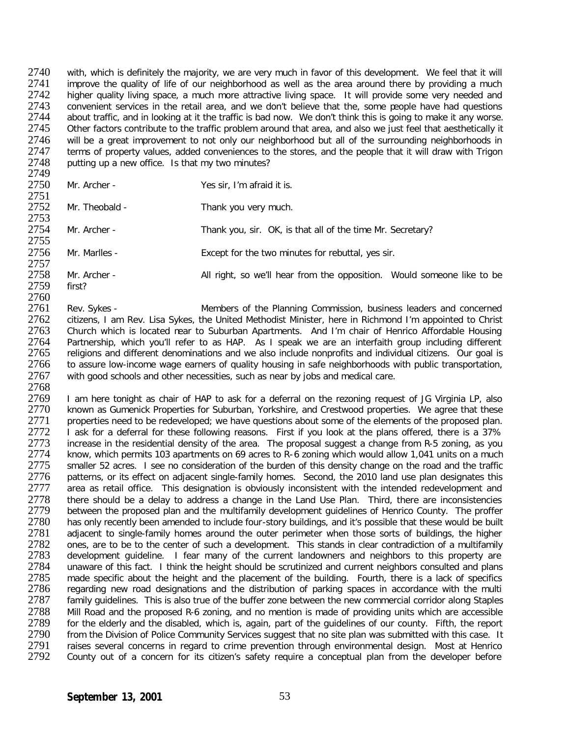2740 with, which is definitely the majority, we are very much in favor of this development. We feel that it will<br>2741 improve the quality of life of our neighborhood as well as the area around there by providing a much 2741 improve the quality of life of our neighborhood as well as the area around there by providing a much<br>2742 higher quality living space, a much more attractive living space. It will provide some very needed and 2742 higher quality living space, a much more attractive living space. It will provide some very needed and 2743 convenient services in the retail area, and we don't believe that the, some people have had questions 2743 convenient services in the retail area, and we don't believe that the, some people have had questions 2744 about traffic, and in looking at it the traffic is bad now. We don't think this is going to make it any worse. 2744 about traffic, and in looking at it the traffic is bad now. We don't think this is going to make it any worse.<br>2745 Other factors contribute to the traffic problem around that area, and also we just feel that aestheti 2745 Other factors contribute to the traffic problem around that area, and also we just feel that aesthetically it<br>2746 will be a great improvement to not only our neighborhood but all of the surrounding neighborhoods in 2746 will be a great improvement to not only our neighborhood but all of the surrounding neighborhoods in<br>2747 terms of property values, added conveniences to the stores, and the people that it will draw with Trigon 2747 terms of property values, added conveniences to the stores, and the people that it will draw with Trigon<br>2748 putting up a new office. Is that my two minutes? putting up a new office. Is that my two minutes?

2749<br>2750 Mr. Archer - Yes sir, I'm afraid it is. 2751<br>2752 Mr. Theobald - Thank you very much. 2753<br>2754 Mr. Archer - Thank you, sir. OK, is that all of the time Mr. Secretary? 2755<br>2756 Mr. Marlles - Except for the two minutes for rebuttal, yes sir. 2757<br>2758 Mr. Archer - All right, so we'll hear from the opposition. Would someone like to be first?

2759

2760<br>2761

2761 Rev. Sykes - Members of the Planning Commission, business leaders and concerned<br>2762 citizens, Lam Rev. Lisa Sykes, the United Methodist Minister, here in Richmond I'm appointed to Christ 2762 citizens, I am Rev. Lisa Sykes, the United Methodist Minister, here in Richmond I'm appointed to Christ<br>2763 Church which is located rear to Suburban Apartments. And I'm chair of Henrico Affordable Housing 2763 Church which is located near to Suburban Apartments. And I'm chair of Henrico Affordable Housing<br>2764 Partnership, which you'll refer to as HAP. As I speak we are an interfaith group including different 2764 Partnership, which you'll refer to as HAP. As I speak we are an interfaith group including different<br>2765 religions and different denominations and we also include nonprofits and individual citizens. Our goal is 2765 religions and different denominations and we also include nonprofits and individual citizens. Our goal is<br>2766 to assure low-income wage earners of quality housing in safe neighborhoods with public transportation, 2766 to assure low-income wage earners of quality housing in safe neighborhoods with public transportation,<br>2767 with good schools and other necessities, such as near by jobs and medical care. with good schools and other necessities, such as near by jobs and medical care.

2768<br>2769 2769 I am here tonight as chair of HAP to ask for a deferral on the rezoning request of JG Virginia LP, also<br>2770 known as Gumenick Properties for Suburban, Yorkshire, and Crestwood properties. We agree that these 2770 known as Gumenick Properties for Suburban, Yorkshire, and Crestwood properties. We agree that these 2771 properties need to be redeveloped; we have questions about some of the elements of the proposed plan. 2771 properties need to be redeveloped; we have questions about some of the elements of the proposed plan.<br>2772 I ask for a deferral for these following reasons. First if you look at the plans offered, there is a 37% 2772 I ask for a deferral for these following reasons. First if you look at the plans offered, there is a 37%<br>2773 increase in the residential density of the area. The proposal suggest a change from R-5 zoning, as you 2773 increase in the residential density of the area. The proposal suggest a change from R-5 zoning, as you<br>2774 know, which permits 103 apartments on 69 acres to R-6 zoning which would allow 1.041 units on a much 2774 know, which permits 103 apartments on 69 acres to R-6 zoning which would allow 1,041 units on a much<br>2775 smaller 52 acres. I see no consideration of the burden of this density change on the road and the traffic 2775 smaller 52 acres. I see no consideration of the burden of this density change on the road and the traffic<br>2776 patterns, or its effect on adjacent single-family homes. Second, the 2010 land use plan designates this 2776 patterns, or its effect on adjacent single-family homes. Second, the 2010 land use plan designates this 2777 area as retail office. This designation is obviously inconsistent with the intended redevelopment and area as retail office. This designation is obviously inconsistent with the intended redevelopment and 2778 there should be a delay to address a change in the Land Use Plan. Third, there are inconsistencies 2779 between the proposed plan and the multifamily development quidelines of Henrico County. The proffer 2779 between the proposed plan and the multifamily development guidelines of Henrico County. The proffer<br>2780 has only recently been amended to include four-story buildings, and it's possible that these would be built 2780 has only recently been amended to include four-story buildings, and it's possible that these would be built<br>2781 adiacent to single-family homes around the outer perimeter when those sorts of buildings, the higher 2781 adjacent to single-family homes around the outer perimeter when those sorts of buildings, the higher<br>2782 ones, are to be to the center of such a development. This stands in clear contradiction of a multifamily 2782 ones, are to be to the center of such a development. This stands in clear contradiction of a multifamily<br>2783 development quideline. I fear many of the current landowners and neighbors to this property are 2783 development guideline. I fear many of the current landowners and neighbors to this property are 2784 unaware of this fact. I think the height should be scrutinized and current neighbors consulted and plans 2784 unaware of this fact. I think the height should be scrutinized and current neighbors consulted and plans<br>2785 made specific about the height and the placement of the building. Fourth, there is a lack of specifics 2785 made specific about the height and the placement of the building. Fourth, there is a lack of specifics 2786 regarding new road designations and the distribution of parking spaces in accordance with the multi 2786 regarding new road designations and the distribution of parking spaces in accordance with the multi 2787 family quidelines. This is also true of the buffer zone between the new commercial corridor along Staples 2787 family guidelines. This is also true of the buffer zone between the new commercial corridor along Staples<br>2788 Mill Road and the proposed R-6 zoning, and no mention is made of providing units which are accessible 2788 Mill Road and the proposed R-6 zoning, and no mention is made of providing units which are accessible<br>2789 for the elderly and the disabled, which is, again, part of the quidelines of our county. Fifth, the report 2789 for the elderly and the disabled, which is, again, part of the guidelines of our county. Fifth, the report 2790 from the Division of Police Community Services suggest that no site plan was submitted with this case. It 2790 from the Division of Police Community Services suggest that no site plan was submitted with this case. It<br>2791 raises several concerns in regard to crime prevention through environmental design. Most at Henrico 2791 raises several concerns in regard to crime prevention through environmental design. Most at Henrico<br>2792 County out of a concern for its citizen's safety require a conceptual plan from the developer before County out of a concern for its citizen's safety require a conceptual plan from the developer before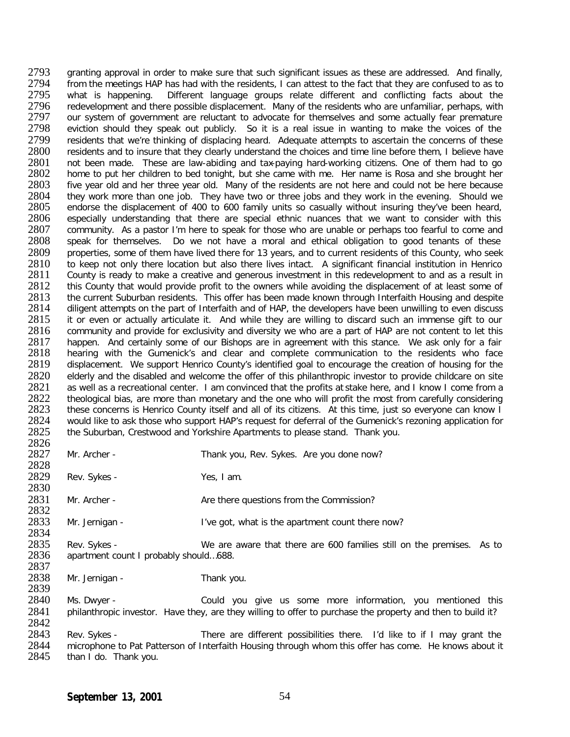2793 granting approval in order to make sure that such significant issues as these are addressed. And finally,<br>2794 from the meetings HAP has had with the residents. I can attest to the fact that they are confused to as to 2794 from the meetings HAP has had with the residents, I can attest to the fact that they are confused to as to<br>2795 what is happening. Different language groups relate different and conflicting facts about the 2795 what is happening. Different language groups relate different and conflicting facts about the 2796 redevelopment and there possible displacement. Many of the residents who are unfamiliar, perhaps, with 2796 redevelopment and there possible displacement. Many of the residents who are unfamiliar, perhaps, with 2797 our system of government are reluctant to advocate for themselves and some actually fear premature 2797 our system of government are reluctant to advocate for themselves and some actually fear premature<br>2798 eviction should they speak out publicly. So it is a real issue in wanting to make the voices of the 2798 eviction should they speak out publicly. So it is a real issue in wanting to make the voices of the 2799 residents that we're thinking of displacing heard. Adequate attempts to ascertain the concerns of these 2799 residents that we're thinking of displacing heard. Adequate attempts to ascertain the concerns of these<br>2800 residents and to insure that they clearly understand the choices and time line before them. I believe have 2800 residents and to insure that they clearly understand the choices and time line before them, I believe have<br>2801 not been made. These are law-abiding and tax-paving hard-working citizens. One of them had to go 2801 not been made. These are law-abiding and tax-paying hard-working citizens. One of them had to go 2802 home to put her children to bed tonight, but she came with me. Her name is Rosa and she brought her 2802 home to put her children to bed tonight, but she came with me. Her name is Rosa and she brought her 2803 five vear old and her three vear old. Many of the residents are not here and could not be here because 2803 five year old and her three year old. Many of the residents are not here and could not be here because<br>2804 they work more than one job. They have two or three jobs and they work in the evening. Should we 2804 they work more than one job. They have two or three jobs and they work in the evening. Should we<br>2805 endorse the displacement of 400 to 600 family units so casually without insuring they've been heard. 2805 endorse the displacement of 400 to 600 family units so casually without insuring they've been heard,<br>2806 especially understanding that there are special ethnic nuances that we want to consider with this 2806 especially understanding that there are special ethnic nuances that we want to consider with this 2807 community. As a pastor I'm here to speak for those who are unable or perhaps too fearful to come and 2807 community. As a pastor I'm here to speak for those who are unable or perhaps too fearful to come and 2808 speak for themselves. Do we not have a moral and ethical obligation to good tenants of these 2808 speak for themselves. Do we not have a moral and ethical obligation to good tenants of these<br>2809 properties, some of them have lived there for 13 years, and to current residents of this County, who seek 2809 properties, some of them have lived there for 13 years, and to current residents of this County, who seek<br>2810 to keep not only there location but also there lives intact. A significant financial institution in Henric 2810 to keep not only there location but also there lives intact. A significant financial institution in Henrico<br>2811 County is ready to make a creative and generous investment in this redevelopment to and as a result in 2811 County is ready to make a creative and generous investment in this redevelopment to and as a result in 2812 this County that would provide profit to the owners while avoiding the displacement of at least some of 2812 this County that would provide profit to the owners while avoiding the displacement of at least some of 2813 the current Suburban residents. This offer has been made known through Interfaith Housing and despite 2813 the current Suburban residents. This offer has been made known through Interfaith Housing and despite<br>2814 diligent attempts on the part of Interfaith and of HAP, the developers have been unwilling to even discuss 2814 diligent attempts on the part of Interfaith and of HAP, the developers have been unwilling to even discuss<br>2815 it or even or actually articulate it. And while they are willing to discard such an immense gift to our 2815 it or even or actually articulate it. And while they are willing to discard such an immense gift to our 2816 community and provide for exclusivity and diversity we who are a part of HAP are not content to let this community and provide for exclusivity and diversity we who are a part of HAP are not content to let this 2817 happen. And certainly some of our Bishops are in agreement with this stance. We ask only for a fair 2818 hearing with the Gumenick's and clear and complete communication to the residents who face 2818 hearing with the Gumenick's and clear and complete communication to the residents who face<br>2819 displacement. We support Henrico County's identified goal to encourage the creation of housing for the 2819 displacement. We support Henrico County's identified goal to encourage the creation of housing for the 2820 elderly and the disabled and welcome the offer of this philanthropic investor to provide childcare on site 2820 elderly and the disabled and welcome the offer of this philanthropic investor to provide childcare on site<br>2821 as well as a recreational center. I am convinced that the profits at stake here, and I know I come from a 2821 as well as a recreational center. I am convinced that the profits at stake here, and I know I come from a<br>2822 theological bias, are more than monetary and the one who will profit the most from carefully considering 2822 theological bias, are more than monetary and the one who will profit the most from carefully considering<br>2823 these concerns is Henrico County itself and all of its citizens. At this time, just so everyone can know I 2823 these concerns is Henrico County itself and all of its citizens. At this time, just so everyone can know I<br>2824 would like to ask those who support HAP's request for deferral of the Gumenick's rezoning application for 2824 would like to ask those who support HAP's request for deferral of the Gumenick's rezoning application for<br>2825 the Suburban, Crestwood and Yorkshire Apartments to please stand. Thank vou. the Suburban, Crestwood and Yorkshire Apartments to please stand. Thank you. 2826

| 2827 | Mr. Archer -                          | Thank you, Rev. Sykes. Are you done now?                                                                    |
|------|---------------------------------------|-------------------------------------------------------------------------------------------------------------|
| 2828 |                                       |                                                                                                             |
| 2829 | Rev. Sykes -                          | Yes, I am.                                                                                                  |
| 2830 |                                       |                                                                                                             |
| 2831 | Mr. Archer -                          | Are there questions from the Commission?                                                                    |
| 2832 |                                       |                                                                                                             |
| 2833 | Mr. Jernigan -                        | I've got, what is the apartment count there now?                                                            |
| 2834 |                                       |                                                                                                             |
| 2835 | Rev. Sykes -                          | We are aware that there are 600 families still on the premises. As to                                       |
| 2836 | apartment count I probably should688. |                                                                                                             |
| 2837 |                                       |                                                                                                             |
| 2838 | Mr. Jernigan -                        | Thank you.                                                                                                  |
| 2839 |                                       |                                                                                                             |
| 2840 | Ms. Dwyer -                           | Could you give us some more information, you mentioned this                                                 |
| 2841 |                                       | philanthropic investor. Have they, are they willing to offer to purchase the property and then to build it? |
| 2842 |                                       |                                                                                                             |
| 2843 | $D_{\Omega V}$ Sukes -                | There are different nossibilities there and like to if I may grant the                                      |

2843 Rev. Sykes - There are different possibilities there. I'd like to if I may grant the 2844 microphone to Pat Patterson of Interfaith Housing through whom this offer has come. He knows about it 2845 than I do. Thank you. than I do. Thank you.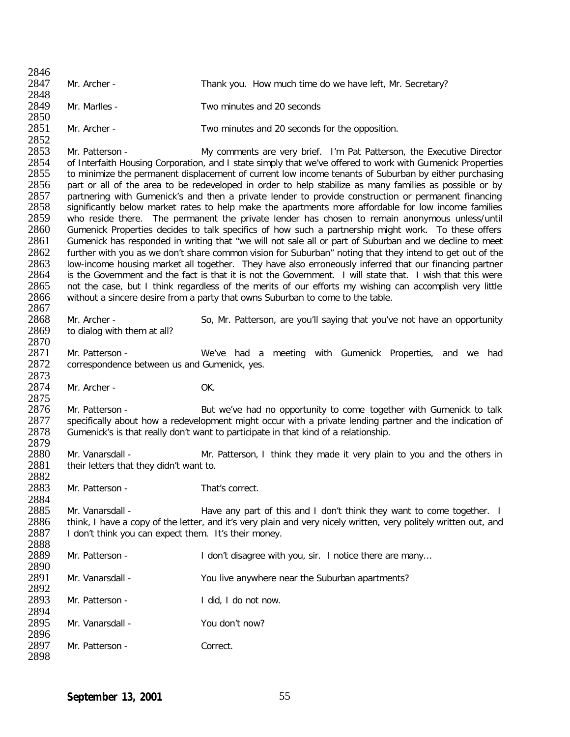2846<br>2847 Mr. Archer - Thank you. How much time do we have left, Mr. Secretary? 2848<br>2849 Mr. Marlles - Two minutes and 20 seconds 2850<br>2851 Mr. Archer - Two minutes and 20 seconds for the opposition. 2852<br>2853 2853 Mr. Patterson - My comments are very brief. I'm Pat Patterson, the Executive Director<br>2854 of Interfaith Housing Corporation, and I state simply that we've offered to work with Gumenick Properties 2854 of Interfaith Housing Corporation, and I state simply that we've offered to work with Gumenick Properties<br>2855 to minimize the permanent displacement of current low income tenants of Suburban by either purchasing 2855 to minimize the permanent displacement of current low income tenants of Suburban by either purchasing<br>2856 part or all of the area to be redeveloped in order to help stabilize as many families as possible or by 2856 part or all of the area to be redeveloped in order to help stabilize as many families as possible or by<br>2857 partnering with Gumenick's and then a private lender to provide construction or permanent financing 2857 partnering with Gumenick's and then a private lender to provide construction or permanent financing<br>2858 significantly below market rates to help make the apartments more affordable for low income families 2858 significantly below market rates to help make the apartments more affordable for low income families 2859 who reside there. The permanent the private lender has chosen to remain anonymous unless/until 2859 who reside there. The permanent the private lender has chosen to remain anonymous unless/until<br>2860 Gumenick Properties decides to talk specifics of how such a partnership might work. To these offers 2860 Gumenick Properties decides to talk specifics of how such a partnership might work. To these offers 2861 Gumenick has responded in writing that "we will not sale all or part of Suburban and we decline to meet 2861 Gumenick has responded in writing that "we will not sale all or part of Suburban and we decline to meet<br>2862 further with you as we don't share common vision for Suburban" noting that they intend to get out of the 2862 further with you as we don't share common vision for Suburban" noting that they intend to get out of the<br>2863 Low-income housing market all together. They have also erroneously inferred that our financing partner 2863 low-income housing market all together. They have also erroneously inferred that our financing partner<br>2864 is the Government and the fact is that it is not the Government. I will state that. I wish that this were 2864 is the Government and the fact is that it is not the Government. I will state that. I wish that this were<br>2865 not the case, but I think regardless of the merits of our efforts my wishing can accomplish very little 2865 not the case, but I think regardless of the merits of our efforts my wishing can accomplish very little 2866 without a sincere desire from a party that owns Suburban to come to the table. without a sincere desire from a party that owns Suburban to come to the table. 2867<br>2868 2868 Mr. Archer - So, Mr. Patterson, are you'll saying that you've not have an opportunity<br>2869 to dialog with them at all? to dialog with them at all? 2870<br>2871 2871 Mr. Patterson - We've had a meeting with Gumenick Properties, and we had 2872 correspondence between us and Gumenick, ves. correspondence between us and Gumenick, yes. 2873<br>2874 Mr. Archer - OK. 2875<br>2876 2876 Mr. Patterson - But we've had no opportunity to come together with Gumenick to talk<br>2877 Specifically about how a redevelopment might occur with a private lending partner and the indication of 2877 specifically about how a redevelopment might occur with a private lending partner and the indication of 2878 Gumenick's is that really don't want to participate in that kind of a relationship. Gumenick's is that really don't want to participate in that kind of a relationship. 2879<br>2880 2880 Mr. Vanarsdall - Mr. Patterson, I think they made it very plain to you and the others in 2881 their letters that they didn't want to. their letters that they didn't want to. 2882<br>2883 Mr. Patterson - That's correct. 2884<br>2885 2885 Mr. Vanarsdall - Have any part of this and I don't think they want to come together. I<br>2886 think, I have a copy of the letter, and it's very plain and very nicely written, very politely written out, and 2886 think, I have a copy of the letter, and it's very plain and very nicely written, very politely written out, and <br>2887 I don't think vou can expect them. It's their monev. I don't think you can expect them. It's their money. 2888<br>2889 Mr. Patterson - I don't disagree with you, sir. I notice there are many... 2890<br>2891 Mr. Vanarsdall - You live anywhere near the Suburban apartments? 2892<br>2893 Mr. Patterson - I did, I do not now. 2894<br>2895 Mr. Vanarsdall - You don't now? 2896<br>2897 Mr. Patterson - Correct. 2898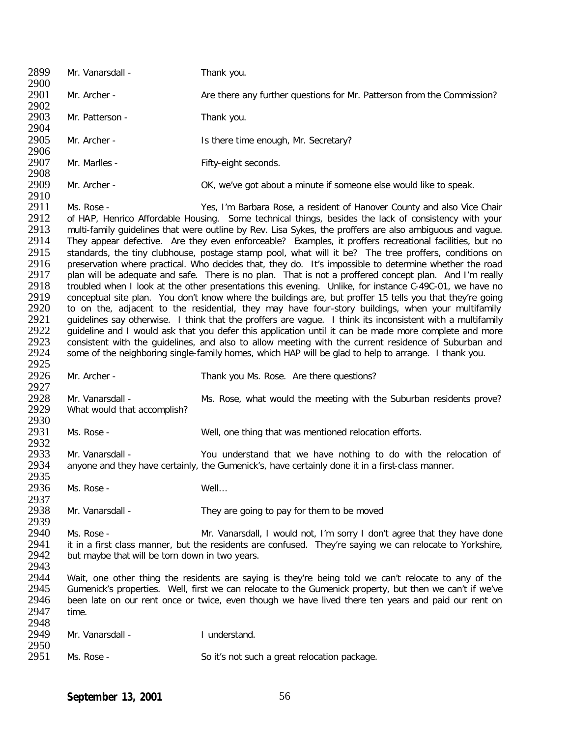| 2899<br>2900 | Mr. Vanarsdall -                               | Thank you.                                                                                                                                                                                                      |
|--------------|------------------------------------------------|-----------------------------------------------------------------------------------------------------------------------------------------------------------------------------------------------------------------|
| 2901<br>2902 | Mr. Archer -                                   | Are there any further questions for Mr. Patterson from the Commission?                                                                                                                                          |
| 2903<br>2904 | Mr. Patterson -                                | Thank you.                                                                                                                                                                                                      |
| 2905<br>2906 | Mr. Archer -                                   | Is there time enough, Mr. Secretary?                                                                                                                                                                            |
| 2907<br>2908 | Mr. Marlles -                                  | Fifty-eight seconds.                                                                                                                                                                                            |
| 2909<br>2910 | Mr. Archer -                                   | OK, we've got about a minute if someone else would like to speak.                                                                                                                                               |
| 2911         | Ms. Rose -                                     | Yes, I'm Barbara Rose, a resident of Hanover County and also Vice Chair                                                                                                                                         |
| 2912         |                                                | of HAP, Henrico Affordable Housing. Some technical things, besides the lack of consistency with your                                                                                                            |
| 2913         |                                                | multi-family guidelines that were outline by Rev. Lisa Sykes, the proffers are also ambiguous and vague.                                                                                                        |
| 2914         |                                                | They appear defective. Are they even enforceable? Examples, it proffers recreational facilities, but no                                                                                                         |
| 2915         |                                                | standards, the tiny clubhouse, postage stamp pool, what will it be? The tree proffers, conditions on                                                                                                            |
| 2916         |                                                | preservation where practical. Who decides that, they do. It's impossible to determine whether the road                                                                                                          |
| 2917         |                                                | plan will be adequate and safe. There is no plan. That is not a proffered concept plan. And I'm really                                                                                                          |
| 2918         |                                                | troubled when I look at the other presentations this evening. Unlike, for instance C-49C-01, we have no                                                                                                         |
| 2919<br>2920 |                                                | conceptual site plan. You don't know where the buildings are, but proffer 15 tells you that they're going                                                                                                       |
| 2921         |                                                | to on the, adjacent to the residential, they may have four-story buildings, when your multifamily<br>guidelines say otherwise. I think that the proffers are vague. I think its inconsistent with a multifamily |
| 2922         |                                                | guideline and I would ask that you defer this application until it can be made more complete and more                                                                                                           |
| 2923         |                                                | consistent with the guidelines, and also to allow meeting with the current residence of Suburban and                                                                                                            |
| 2924         |                                                | some of the neighboring single-family homes, which HAP will be glad to help to arrange. I thank you.                                                                                                            |
| 2925         |                                                |                                                                                                                                                                                                                 |
| 2926         | Mr. Archer -                                   | Thank you Ms. Rose. Are there questions?                                                                                                                                                                        |
| 2927         |                                                |                                                                                                                                                                                                                 |
| 2928         | Mr. Vanarsdall -                               | Ms. Rose, what would the meeting with the Suburban residents prove?                                                                                                                                             |
| 2929         | What would that accomplish?                    |                                                                                                                                                                                                                 |
| 2930         |                                                |                                                                                                                                                                                                                 |
| 2931         | Ms. Rose -                                     | Well, one thing that was mentioned relocation efforts.                                                                                                                                                          |
| 2932         |                                                |                                                                                                                                                                                                                 |
| 2933         | Mr. Vanarsdall -                               | You understand that we have nothing to do with the relocation of                                                                                                                                                |
| 2934         |                                                | anyone and they have certainly, the Gumenick's, have certainly done it in a first-class manner.                                                                                                                 |
| 2935         |                                                |                                                                                                                                                                                                                 |
| 2936         | Ms. Rose -                                     | Well                                                                                                                                                                                                            |
| 2937         |                                                |                                                                                                                                                                                                                 |
| 2938         | Mr. Vanarsdall -                               | They are going to pay for them to be moved                                                                                                                                                                      |
| 2939         |                                                |                                                                                                                                                                                                                 |
| 2940         | Ms. Rose -                                     | Mr. Vanarsdall, I would not, I'm sorry I don't agree that they have done                                                                                                                                        |
| 2941<br>2942 |                                                | it in a first class manner, but the residents are confused. They're saying we can relocate to Yorkshire,                                                                                                        |
| 2943         |                                                |                                                                                                                                                                                                                 |
| 2944         | but maybe that will be torn down in two years. |                                                                                                                                                                                                                 |
|              |                                                |                                                                                                                                                                                                                 |
|              |                                                | Wait, one other thing the residents are saying is they're being told we can't relocate to any of the                                                                                                            |
| 2945         |                                                | Gumenick's properties. Well, first we can relocate to the Gumenick property, but then we can't if we've                                                                                                         |
| 2946         |                                                | been late on our rent once or twice, even though we have lived there ten years and paid our rent on                                                                                                             |
| 2947         | time.                                          |                                                                                                                                                                                                                 |
| 2948         |                                                |                                                                                                                                                                                                                 |
| 2949<br>2950 | Mr. Vanarsdall -                               | I understand.                                                                                                                                                                                                   |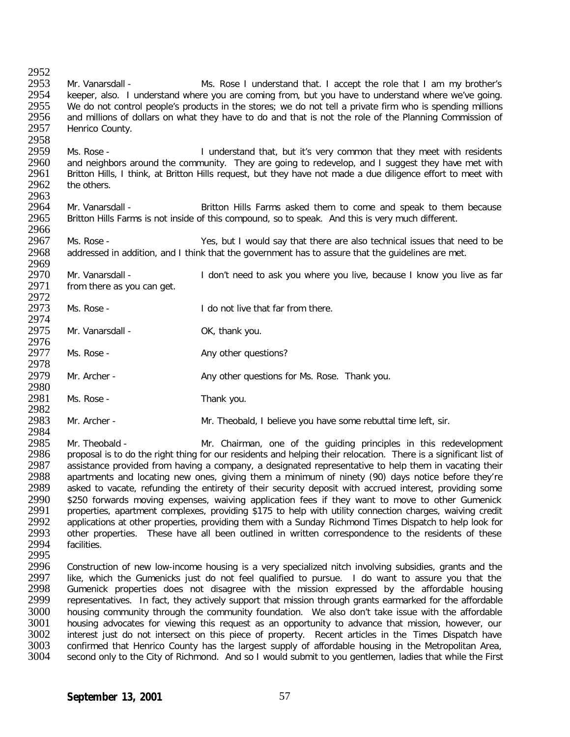2952<br>2953 2953 Mr. Vanarsdall - Ms. Rose I understand that. I accept the role that I am my brother's<br>2954 Leeper, also. I understand where you are coming from, but you have to understand where we've going. 2954 keeper, also. I understand where you are coming from, but you have to understand where we've going.<br>2955 We do not control people's products in the stores: we do not tell a private firm who is spending millions 2955 We do not control people's products in the stores; we do not tell a private firm who is spending millions<br>2956 and millions of dollars on what they have to do and that is not the role of the Planning Commission of 2956 and millions of dollars on what they have to do and that is not the role of the Planning Commission of 2957 Henrico County. Henrico County.

2958<br>2959 2959 Ms. Rose - I understand that, but it's very common that they meet with residents<br>2960 and neighbors around the community. They are going to redevelop, and I suggest they have met with 2960 and neighbors around the community. They are going to redevelop, and I suggest they have met with 2961 Britton Hills. I think, at Britton Hills request, but they have not made a due diligence effort to meet with 2961 Britton Hills, I think, at Britton Hills request, but they have not made a due diligence effort to meet with 2962 the others. the others.

2963<br>2964 2964 Mr. Vanarsdall - Britton Hills Farms asked them to come and speak to them because<br>2965 Britton Hills Farms is not inside of this compound, so to speak. And this is very much different. Britton Hills Farms is not inside of this compound, so to speak. And this is very much different.

2966<br>2967 2967 Ms. Rose - Yes, but I would say that there are also technical issues that need to be 2968 addressed in addition, and I think that the government has to assure that the guidelines are met. addressed in addition, and I think that the government has to assure that the guidelines are met.

2969<br>2970 2970 Mr. Vanarsdall - I don't need to ask you where you live, because I know you live as far 2971 from there as you can get. from there as you can get.

2972<br>2973 Ms. Rose - The Compact of I do not live that far from there.

2974<br>2975 Mr. Vanarsdall - OK, thank you.

2976<br>2977 Ms. Rose - Any other questions?

2978<br>2979 Mr. Archer - **Any other questions for Ms. Rose. Thank you.** Thank you.

2980<br>2981 Ms. Rose - Thank you.

2982<br>2983 Mr. Archer - Mr. Theobald, I believe you have some rebuttal time left, sir.

2984<br>2985 2985 Mr. Theobald - Mr. Chairman, one of the guiding principles in this redevelopment<br>2986 proposal is to do the right thing for our residents and helping their relocation. There is a significant list of 2986 proposal is to do the right thing for our residents and helping their relocation. There is a significant list of 2987 assistance provided from having a company, a designated representative to help them in vacating the 2987 assistance provided from having a company, a designated representative to help them in vacating their<br>2988 apartments and locating new ones, giving them a minimum of ninety (90) days notice before they're 2988 apartments and locating new ones, giving them a minimum of ninety (90) days notice before they're<br>2989 asked to vacate, refunding the entirety of their security deposit with accrued interest, providing some asked to vacate, refunding the entirety of their security deposit with accrued interest, providing some 2990 \$250 forwards moving expenses, waiving application fees if they want to move to other Gumenick<br>2991 properties, apartment complexes, providing \$175 to help with utility connection charges, waiving credit 2991 properties, apartment complexes, providing \$175 to help with utility connection charges, waiving credit 2992 applications at other properties, providing them with a Sunday Richmond Times Dispatch to help look for 2992 applications at other properties, providing them with a Sunday *Richmond Times Dispatch* to help look for 2993 other properties. These have all been outlined in written correspondence to the residents of these 2994 facilities. facilities.

2995<br>2996 2996 Construction of new low-income housing is a very specialized nitch involving subsidies, grants and the 2997 like, which the Gumenicks just do not feel qualified to pursue. I do want to assure you that the 2997 like, which the Gumenicks just do not feel qualified to pursue. I do want to assure you that the 2998 Gumenick properties does not disagree with the mission expressed by the affordable housing 2998 Gumenick properties does not disagree with the mission expressed by the affordable housing<br>2999 Frepresentatives. In fact, they actively support that mission through grants earmarked for the affordable representatives. In fact, they actively support that mission through grants earmarked for the affordable 3000 housing community through the community foundation. We also don't take issue with the affordable<br>3001 housing advocates for viewing this request as an opportunity to advance that mission, however, our 3001 housing advocates for viewing this request as an opportunity to advance that mission, however, our 3002 interest just do not intersect on this piece of property. Recent articles in the Times Dispatch have 3002 interest just do not intersect on this piece of property. Recent articles in the *Times Dispatch* have 3003 confirmed that Henrico County has the largest supply of affordable housing in the Metropolitan Area,<br>3004 second only to the City of Richmond. And so I would submit to you gentlemen, ladies that while the First second only to the City of Richmond. And so I would submit to you gentlemen, ladies that while the First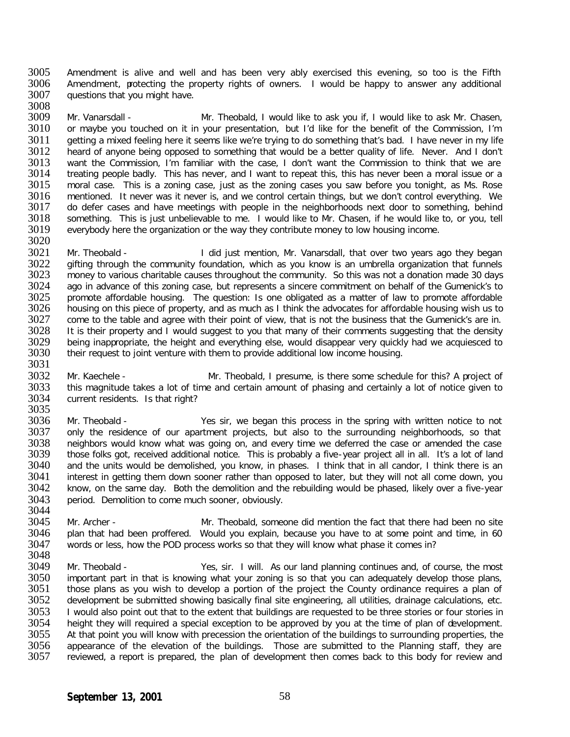3005 Amendment is alive and well and has been very ably exercised this evening, so too is the Fifth<br>3006 Amendment, protecting the property rights of owners. I would be happy to answer any additional 3006 The Amendment, protecting the property rights of owners. I would be happy to answer any additional 3007 The stood and the stood and the stood and the stood and the stood and the stood and the stood and the stood and t questions that you might have.

3008<br>3009 3009 Mr. Vanarsdall - Mr. Theobald, I would like to ask you if, I would like to ask Mr. Chasen,<br>3010 or maybe you touched on it in your presentation, but I'd like for the benefit of the Commission, I'm 3010 or maybe you touched on it in your presentation, but I'd like for the benefit of the Commission, I'm<br>3011 oetting a mixed feeling here it seems like we're trying to do something that's bad. I have never in my life 3011 getting a mixed feeling here it seems like we're trying to do something that's bad. I have never in my life<br>3012 heard of anvone being opposed to something that would be a better quality of life. Never. And I don't 3012 heard of anyone being opposed to something that would be a better quality of life. Never. And I don't 3013 want the Commission. I'm familiar with the case. I don't want the Commission being are 3013 want the Commission, I'm familiar with the case, I don't want the Commission to think that we are<br>3014 treating people badly. This has never, and I want to repeat this, this has never been a moral issue or a 3014 treating people badly. This has never, and I want to repeat this, this has never been a moral issue or a<br>3015 moral case. This is a zoning case, just as the zoning cases you saw before you tonight, as Ms. Rose 3015 moral case. This is a zoning case, just as the zoning cases you saw before you tonight, as Ms. Rose 3016 mentioned. It never was it never is, and we control certain things, but we don't control everything. We 3016 mentioned. It never was it never is, and we control certain things, but we don't control everything. We<br>3017 do defer cases and have meetings with people in the neighborhoods next door to something, behind 3017 do defer cases and have meetings with people in the neighborhoods next door to something, behind<br>3018 something. This is just unbelievable to me. I would like to Mr. Chasen, if he would like to, or you, tell 3018 something. This is just unbelievable to me. I would like to Mr. Chasen, if he would like to, or you, tell<br>3019 everybody here the organization or the way they contribute money to low housing income. everybody here the organization or the way they contribute money to low housing income.

3020<br>3021 3021 Mr. Theobald - I did just mention, Mr. Vanarsdall, that over two years ago they began<br>3022 Gifting through the community foundation, which as you know is an umbrella organization that funnels 3022 gifting through the community foundation, which as you know is an umbrella organization that funnels<br>3023 money to various charitable causes throughout the community. So this was not a donation made 30 days 3023 money to various charitable causes throughout the community. So this was not a donation made 30 days<br>3024 ago in advance of this zoning case, but represents a sincere commitment on behalf of the Gumenick's to 3024 ago in advance of this zoning case, but represents a sincere commitment on behalf of the Gumenick's to 3025 promote affordable housing. The question: Is one obligated as a matter of law to promote affordable 3025 promote affordable housing. The question: Is one obligated as a matter of law to promote affordable<br>3026 bousing on this piece of property, and as much as I think the advocates for affordable housing wish us to 3026 housing on this piece of property, and as much as I think the advocates for affordable housing wish us to<br>3027 come to the table and agree with their point of view, that is not the business that the Gumenick's are in 3027 come to the table and agree with their point of view, that is not the business that the Gumenick's are in.<br>3028 It is their property and I would suggest to you that many of their comments suggesting that the density 3028 It is their property and I would suggest to you that many of their comments suggesting that the density<br>3029 I being inappropriate, the height and everything else, would disappear very quickly had we acquiesced to 3029 being inappropriate, the height and everything else, would disappear very quickly had we acquiesced to 3030 their request to joint venture with them to provide additional low income housing. their request to joint venture with them to provide additional low income housing.

3031<br>3032 3032 Mr. Kaechele - Mr. Theobald, I presume, is there some schedule for this? A project of 3033 this magnitude takes a lot of time and certain amount of phasing and certainly a lot of notice given to 3033 this magnitude takes a lot of time and certain amount of phasing and certainly a lot of notice given to 3034 current residents. Is that right? current residents. Is that right?

3035<br>3036 3036 Mr. Theobald - Yes sir, we began this process in the spring with written notice to not 3037 only the residence of our apartment projects, but also to the surrounding neighborhoods, so that 3038 reighborhoods, so that 3038 3038 neighbors would know what was going on, and every time we deferred the case or amended the case<br>3039 those folks got, received additional notice. This is probably a five-vear proiect all in all. It's a lot of land 3039 those folks got, received additional notice. This is probably a five-year project all in all. It's a lot of land<br>3040 and the units would be demolished, you know, in phases. I think that in all candor. I think there i 3040 and the units would be demolished, you know, in phases. I think that in all candor, I think there is an 3041 interest in getting them down sooner rather than opposed to later, but they will not all come down, you 3041 interest in getting them down sooner rather than opposed to later, but they will not all come down, you<br>3042 in know, on the same day. Both the demolition and the rebuilding would be phased, likely over a five-vear know, on the same day. Both the demolition and the rebuilding would be phased, likely over a five-year 3043 period. Demolition to come much sooner, obviously.

- 3044<br>3045 3045 Mr. Archer - Mr. Theobald, someone did mention the fact that there had been no site<br>3046 plan that had been proffered. Would you explain, because you have to at some point and time, in 60 3046 plan that had been proffered. Would you explain, because you have to at some point and time, in 60<br>3047 words or less, how the POD process works so that they will know what phase it comes in? words or less, how the POD process works so that they will know what phase it comes in?
- 3048<br>3049 3049 Mr. Theobald - Yes, sir. I will. As our land planning continues and, of course, the most 3050 important part in that is knowing what your zoning is so that you can adequately develop those plans, 3051 those plans, 3051 those plans as you wish to develop a portion of the project the County ordinance requires a 3051 those plans as you wish to develop a portion of the project the County ordinance requires a plan of 3052 development be submitted showing basically final site engineering, all utilities, drainage calculations, etc. 3052 development be submitted showing basically final site engineering, all utilities, drainage calculations, etc.<br>3053 L would also point out that to the extent that buildings are requested to be three stories or four sto 3053 I would also point out that to the extent that buildings are requested to be three stories or four stories in<br>3054 beight they will required a special exception to be approved by you at the time of plan of development 3054 height they will required a special exception to be approved by you at the time of plan of development.<br>3055 At that point you will know with precession the orientation of the buildings to surrounding properties, the 3055 At that point you will know with precession the orientation of the buildings to surrounding properties, the<br>3056 appearance of the elevation of the buildings. Those are submitted to the Planning staff, they are 3056 appearance of the elevation of the buildings. Those are submitted to the Planning staff, they are 3057 reviewed, a report is prepared, the plan of development then comes back to this body for review and reviewed, a report is prepared, the plan of development then comes back to this body for review and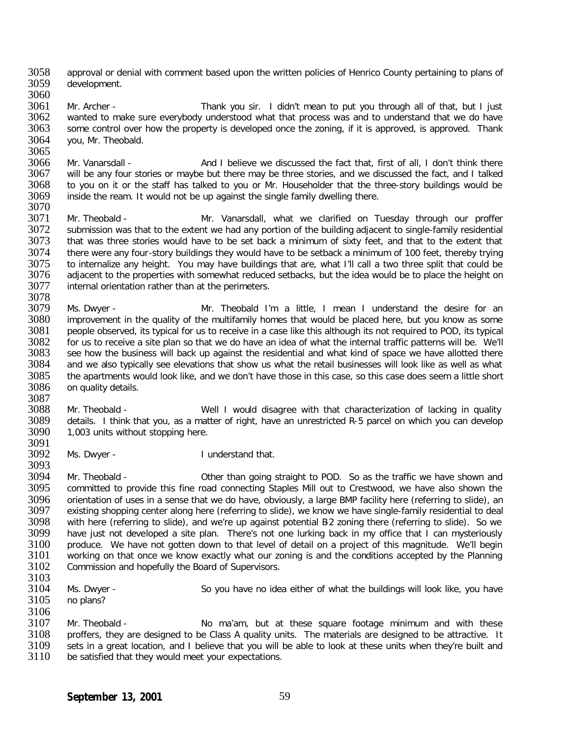3058 approval or denial with comment based upon the written policies of Henrico County pertaining to plans of <br>3059 development. development.

3060<br>3061 3061 Mr. Archer - Thank you sir. I didn't mean to put you through all of that, but I just 3062 wanted to make sure everybody understood what that process was and to understand that we do have 3062 wanted to make sure everybody understood what that process was and to understand that we do have<br>3063 some control over how the property is developed once the zoning, if it is approved, is approved. Thank 3063 some control over how the property is developed once the zoning, if it is approved, is approved. Thank 3064 vou. Mr. Theobald. vou, Mr. Theobald.

3065<br>3066 3066 Mr. Vanarsdall - And I believe we discussed the fact that, first of all, I don't think there<br>3067 will be any four stories or maybe but there may be three stories, and we discussed the fact, and I talked 3067 will be any four stories or maybe but there may be three stories, and we discussed the fact, and I talked<br>3068 to vou on it or the staff has talked to vou or Mr. Householder that the three-story buildings would be 3068 to you on it or the staff has talked to you or Mr. Householder that the three-story buildings would be 3069 inside the ream. It would not be up against the single family dwelling there. inside the ream. It would not be up against the single family dwelling there.

3070<br>3071 3071 Mr. Theobald - Mr. Vanarsdall, what we clarified on Tuesday through our proffer<br>3072 submission was that to the extent we had any portion of the building adiacent to single-family residential 3072 submission was that to the extent we had any portion of the building adjacent to single-family residential<br>3073 that was three stories would have to be set back a minimum of sixty feet, and that to the extent that 3073 that was three stories would have to be set back a minimum of sixty feet, and that to the extent that 3074 there were any four-story buildings they would have to be setback a minimum of 100 feet, thereby trying 3074 there were any four-story buildings they would have to be setback a minimum of 100 feet, thereby trying<br>3075 to internalize any height. You may have buildings that are, what I'll call a two three split that could be 3075 to internalize any height. You may have buildings that are, what I'll call a two three split that could be<br>3076 adiacent to the properties with somewhat reduced setbacks, but the idea would be to place the height on 3076 adjacent to the properties with somewhat reduced setbacks, but the idea would be to place the height on 3077 internal orientation rather than at the perimeters. internal orientation rather than at the perimeters.

3078<br>3079 3079 Ms. Dwyer - Mr. Theobald I'm a little, I mean I understand the desire for an 3080 improvement in the quality of the multifamily homes that would be placed here, but you know as some 3080 improvement in the quality of the multifamily homes that would be placed here, but you know as some 3081 people observed, its typical for us to receive in a case like this although its not required to POD, its typical 3081 people observed, its typical for us to receive in a case like this although its not required to POD, its typical<br>3082 for us to receive a site plan so that we do have an idea of what the internal traffic patterns will 3082 for us to receive a site plan so that we do have an idea of what the internal traffic patterns will be. We'll 3083 see how the business will back up against the residential and what kind of space we have allotted there<br>3084 and we also typically see elevations that show us what the retail businesses will look like as well as what 3084 and we also typically see elevations that show us what the retail businesses will look like as well as what<br>3085 the apartments would look like, and we don't have those in this case, so this case does seem a little sh 3085 the apartments would look like, and we don't have those in this case, so this case does seem a little short<br>3086 on quality details. on quality details.

3087<br>3088 3088 Mr. Theobald - Well I would disagree with that characterization of lacking in quality<br>3089 details. I think that you, as a matter of right, have an unrestricted R-5 parcel on which you can develop 3089 details. I think that you, as a matter of right, have an unrestricted R-5 parcel on which you can develop<br>3090 1.003 units without stopping here. 1,003 units without stopping here.

3091<br>3092 Ms. Dwyer - The Munderstand that.

3093<br>3094 3094 Mr. Theobald - Other than going straight to POD. So as the traffic we have shown and<br>3095 committed to provide this fine road connecting Staples Mill out to Crestwood, we have also shown the 3095 committed to provide this fine road connecting Staples Mill out to Crestwood, we have also shown the 3096 crientation of uses in a sense that we do have obviously a large BMP facility here (referring to slide), an 3096 orientation of uses in a sense that we do have, obviously, a large BMP facility here (referring to slide), an<br>3097 existing shopping center along here (referring to slide), we know we have single-family residential to 3097 existing shopping center along here (referring to slide), we know we have single-family residential to deal<br>3098 with here (referring to slide), and we're up against potential B2 zoning there (referring to slide). So 3098 with here (referring to slide), and we're up against potential B2 zoning there (referring to slide). So we<br>3099 have just not developed a site plan. There's not one lurking back in my office that I can mysteriously 3099 have just not developed a site plan. There's not one lurking back in my office that I can mysteriously<br>3100 produce. We have not gotten down to that level of detail on a proiect of this magnitude. We'll begin 3100 produce. We have not gotten down to that level of detail on a project of this magnitude. We'll begin<br>3101 working on that once we know exactly what our zoning is and the conditions accepted by the Planning 3101 working on that once we know exactly what our zoning is and the conditions accepted by the Planning<br>3102 Commission and hopefully the Board of Supervisors. Commission and hopefully the Board of Supervisors.

3103<br>3104

3104 Ms. Dwyer - So you have no idea either of what the buildings will look like, you have 3105 no plans? no plans?

3106<br>3107 3107 Mr. Theobald - No ma'am, but at these square footage minimum and with these<br>3108 proffers, they are designed to be Class A quality units. The materials are designed to be attractive. It 3108 proffers, they are designed to be Class A quality units. The materials are designed to be attractive. It<br>3109 sets in a great location, and I believe that you will be able to look at these units when they're built and 3109 sets in a great location, and I believe that you will be able to look at these units when they're built and 3110 be satisfied that they would meet your expectations. be satisfied that they would meet your expectations.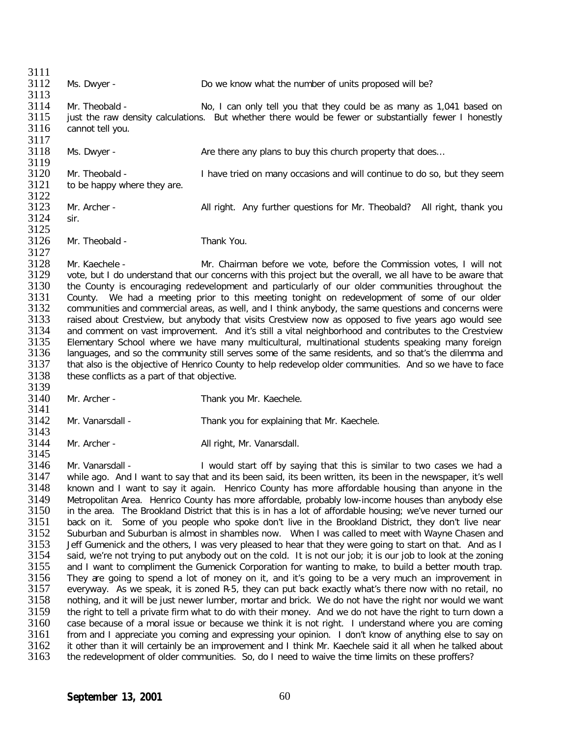3111<br>3112 Ms. Dwyer - **Do we know what the number of units proposed will be?** 3113<br>3114 3114 Mr. Theobald - No, I can only tell you that they could be as many as 1,041 based on<br>3115 iust the raw density calculations. But whether there would be fewer or substantially fewer I honestly 3115 just the raw density calculations. But whether there would be fewer or substantially fewer I honestly 3116 cannot tell vou. cannot tell you. 3117<br>3118 Ms. Dwyer - Are there any plans to buy this church property that does... 3119<br>3120 3120 Mr. Theobald - I have tried on many occasions and will continue to do so, but they seem 3121 to be happy where they are. to be happy where they are. 3122<br>3123 Mr. Archer - All right. Any further questions for Mr. Theobald? All right, thank you 3124 sir. 3125<br>3126 Mr. Theobald - Thank You. 3127<br>3128 3128 Mr. Kaechele - Mr. Chairman before we vote, before the Commission votes, I will not 3129 vote, but I do understand that our concerns with this project but the overall, we all have to be aware that<br>3130 the County is encouraging redevelopment and particularly of our older communities throughout the 3130 the County is encouraging redevelopment and particularly of our older communities throughout the 3131 County. We had a meeting prior to this meeting tonight on redevelopment of some of our older 3131 County. We had a meeting prior to this meeting tonight on redevelopment of some of our older 3132 communities and commercial areas, as well, and I think anybody, the same questions and concerns were 3132 communities and commercial areas, as well, and I think anybody, the same questions and concerns were<br>3133 raised about Crestview, but anybody that visits Crestview now as opposed to five vears ago would see 3133 Fraised about Crestview, but anybody that visits Crestview now as opposed to five years ago would see<br>3134 Than comment on vast improvement. And it's still a vital neighborhood and contributes to the Crestview and comment on vast improvement. And it's still a vital neighborhood and contributes to the Crestview 3135 Elementary School where we have many multicultural, multinational students speaking many foreign<br>3136 Ianguages, and so the community still serves some of the same residents, and so that's the dilemma and 3136 languages, and so the community still serves some of the same residents, and so that's the dilemma and 3137 that also is the objective of Henrico County to help redevelop older communities. And so we have to face 3137 that also is the objective of Henrico County to help redevelop older communities. And so we have to face<br>3138 these conflicts as a part of that objective. these conflicts as a part of that objective. 3139<br>3140 Mr. Archer - Thank you Mr. Kaechele. 3141<br>3142 Mr. Vanarsdall - Thank you for explaining that Mr. Kaechele. 3143<br>3144 Mr. Archer - All right, Mr. Vanarsdall. 3145<br>3146 3146 Mr. Vanarsdall - I would start off by saying that this is similar to two cases we had a 3147 while ago. And I want to say that and its been said, its been written, its been in the newspaper, it's well<br>3148 Nhown and I want to say it again. Henrico County has more affordable housing than anyone in the known and I want to say it again. Henrico County has more affordable housing than anyone in the 3149 Metropolitan Area. Henrico County has more affordable, probably low-income houses than anybody else<br>3150 in the area. The Brookland District that this is in has a lot of affordable housing: we've never turned our 3150 in the area. The Brookland District that this is in has a lot of affordable housing; we've never turned our<br>3151 is back on it. Some of you people who spoke don't live in the Brookland District, they don't live near 3151 back on it. Some of you people who spoke don't live in the Brookland District, they don't live near<br>3152 Suburban and Suburban is almost in shambles now. When I was called to meet with Wayne Chasen and 3152 Suburban and Suburban is almost in shambles now. When I was called to meet with Wayne Chasen and 3153 Jeff Gumenick and the others. I was very pleased to hear that they were going to start on that. And as I 3153 Jeff Gumenick and the others, I was very pleased to hear that they were going to start on that. And as I<br>3154 said, we're not trying to put anybody out on the cold. It is not our job: it is our job to look at the zoni 3154 said, we're not trying to put anybody out on the cold. It is not our job; it is our job to look at the zoning<br>3155 and I want to compliment the Gumenick Corporation for wanting to make, to build a better mouth trap. 3155 and I want to compliment the Gumenick Corporation for wanting to make, to build a better mouth trap.<br>3156 They are going to spend a lot of money on it, and it's going to be a very much an improvement in 3156 They are going to spend a lot of money on it, and it's going to be a very much an improvement in 3157 everyway. As we speak, it is zoned R-5, they can put back exactly what's there now with no retail, no 3157 everyway. As we speak, it is zoned R-5, they can put back exactly what's there now with no retail, no<br>3158 nothing, and it will be just newer lumber, mortar and brick. We do not have the right nor would we want 3158 nothing, and it will be just newer lumber, mortar and brick. We do not have the right nor would we want 3159 the right to tell a private firm what to do with their money. And we do not have the right to turn down a 3159 the right to tell a private firm what to do with their money. And we do not have the right to turn down a<br>3160 case because of a moral issue or because we think it is not right. I understand where you are coming 3160 case because of a moral issue or because we think it is not right. I understand where you are coming 3161 from and I appreciate you coming and expressing your point. I don't know of anything else to say on 3161 from and I appreciate you coming and expressing your opinion. I don't know of anything else to say on 3162 it other than it will certainly be an improvement and I think Mr. Kaechele said it all when he talked about 3162 it other than it will certainly be an improvement and I think Mr. Kaechele said it all when he talked about 3163 the redevelopment of older communities. So, do I need to waive the time limits on these proffers? the redevelopment of older communities. So, do I need to waive the time limits on these proffers?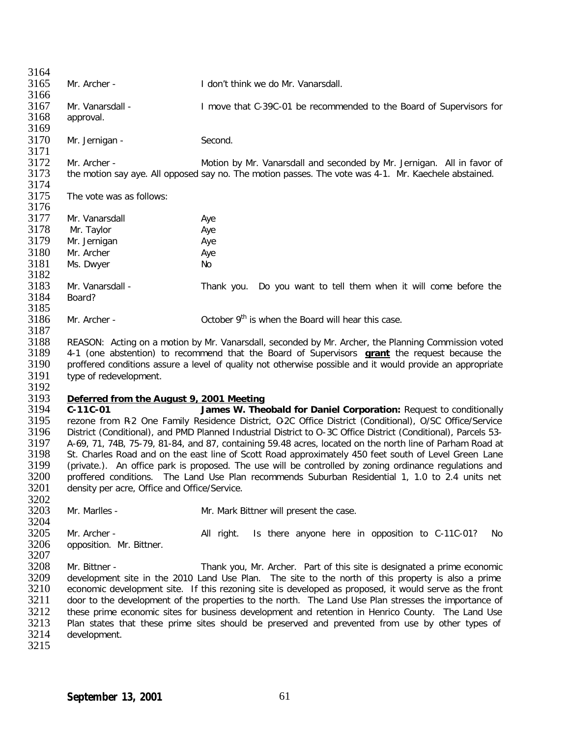| 3164         |                                              |                                                                                                                                                                               |
|--------------|----------------------------------------------|-------------------------------------------------------------------------------------------------------------------------------------------------------------------------------|
| 3165         | Mr. Archer -                                 | I don't think we do Mr. Vanarsdall.                                                                                                                                           |
| 3166<br>3167 | Mr. Vanarsdall -                             | I move that C-39C-01 be recommended to the Board of Supervisors for                                                                                                           |
| 3168         | approval.                                    |                                                                                                                                                                               |
| 3169         |                                              |                                                                                                                                                                               |
| 3170         | Mr. Jernigan -                               | Second.                                                                                                                                                                       |
| 3171         |                                              |                                                                                                                                                                               |
| 3172         | Mr. Archer -                                 | Motion by Mr. Vanarsdall and seconded by Mr. Jernigan. All in favor of                                                                                                        |
| 3173         |                                              | the motion say aye. All opposed say no. The motion passes. The vote was 4-1. Mr. Kaechele abstained.                                                                          |
| 3174         |                                              |                                                                                                                                                                               |
| 3175         | The vote was as follows:                     |                                                                                                                                                                               |
| 3176         |                                              |                                                                                                                                                                               |
| 3177         | Mr. Vanarsdall                               | Aye                                                                                                                                                                           |
| 3178<br>3179 | Mr. Taylor                                   | Aye                                                                                                                                                                           |
| 3180         | Mr. Jernigan<br>Mr. Archer                   | Aye                                                                                                                                                                           |
| 3181         | Ms. Dwyer                                    | Aye<br>No                                                                                                                                                                     |
| 3182         |                                              |                                                                                                                                                                               |
| 3183         | Mr. Vanarsdall -                             | Thank you. Do you want to tell them when it will come before the                                                                                                              |
| 3184         | Board?                                       |                                                                                                                                                                               |
| 3185         |                                              |                                                                                                                                                                               |
| 3186         | Mr. Archer -                                 | October 9 <sup>th</sup> is when the Board will hear this case.                                                                                                                |
| 3187         |                                              |                                                                                                                                                                               |
| 3188         |                                              | REASON: Acting on a motion by Mr. Vanarsdall, seconded by Mr. Archer, the Planning Commission voted                                                                           |
| 3189         |                                              | 4-1 (one abstention) to recommend that the Board of Supervisors <b>grant</b> the request because the                                                                          |
| 3190         |                                              | proffered conditions assure a level of quality not otherwise possible and it would provide an appropriate                                                                     |
| 3191         | type of redevelopment.                       |                                                                                                                                                                               |
| 3192         |                                              |                                                                                                                                                                               |
| 3193         | Deferred from the August 9, 2001 Meeting     |                                                                                                                                                                               |
| 3194<br>3195 | C-11C-01                                     | James W. Theobald for Daniel Corporation: Request to conditionally<br>rezone from R2 One Family Residence District, O2C Office District (Conditional), O/SC Office/Service    |
| 3196         |                                              | District (Conditional), and PMD Planned Industrial District to O-3C Office District (Conditional), Parcels 53-                                                                |
| 3197         |                                              | A-69, 71, 74B, 75-79, 81-84, and 87, containing 59.48 acres, located on the north line of Parham Road at                                                                      |
| 3198         |                                              | St. Charles Road and on the east line of Scott Road approximately 450 feet south of Level Green Lane                                                                          |
| 3199         |                                              | (private.). An office park is proposed. The use will be controlled by zoning ordinance regulations and                                                                        |
| 3200         |                                              | proffered conditions. The Land Use Plan recommends Suburban Residential 1, 1.0 to 2.4 units net                                                                               |
| 3201         | density per acre, Office and Office/Service. |                                                                                                                                                                               |
| 3202         |                                              |                                                                                                                                                                               |
| 3203         | Mr. Marlles -                                | Mr. Mark Bittner will present the case.                                                                                                                                       |
| 3204         |                                              |                                                                                                                                                                               |
| 3205         | Mr. Archer -                                 | Is there anyone here in opposition to C-11C-01?<br>No<br>All right.                                                                                                           |
| 3206         | opposition. Mr. Bittner.                     |                                                                                                                                                                               |
| 3207<br>3208 | Mr. Bittner -                                |                                                                                                                                                                               |
| 3209         |                                              | Thank you, Mr. Archer. Part of this site is designated a prime economic<br>development site in the 2010 Land Use Plan. The site to the north of this property is also a prime |
| 3210         |                                              | economic development site. If this rezoning site is developed as proposed, it would serve as the front                                                                        |
| 3211         |                                              | door to the development of the properties to the north. The Land Use Plan stresses the importance of                                                                          |
| 3212         |                                              | these prime economic sites for business development and retention in Henrico County. The Land Use                                                                             |
| 3213         |                                              | Plan states that these prime sites should be preserved and prevented from use by other types of                                                                               |
| 3214         | development.                                 |                                                                                                                                                                               |
| 3215         |                                              |                                                                                                                                                                               |
|              |                                              |                                                                                                                                                                               |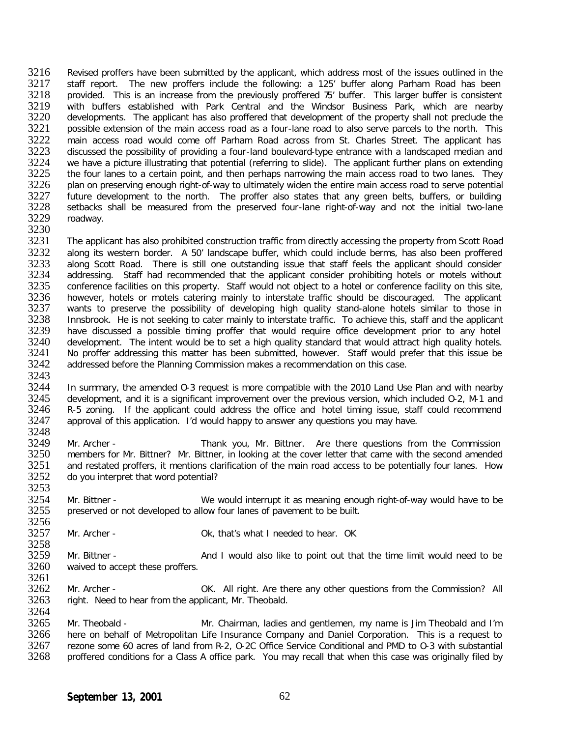3216 Revised proffers have been submitted by the applicant, which address most of the issues outlined in the 3217 staff report. The new proffers include the following: a 125' buffer along Parham Road has been 3217 staff report. The new proffers include the following: a 125' buffer along Parham Road has been<br>3218 provided. This is an increase from the previously proffered 75' buffer. This larger buffer is consistent 3218 provided. This is an increase from the previously proffered 75' buffer. This larger buffer is consistent<br>3219 with buffers established with Park Central and the Windsor Business Park, which are nearby 3219 with buffers established with Park Central and the Windsor Business Park, which are nearby<br>3220 developments. The applicant has also proffered that development of the property shall not preclude the 3220 developments. The applicant has also proffered that development of the property shall not preclude the 3221 possible extension of the main access road as a four-lane road to also serve parcels to the north. This 3221 possible extension of the main access road as a four-lane road to also serve parcels to the north. This<br>3222 main access road would come off Parham Road across from St. Charles Street. The applicant has 3222 main access road would come off Parham Road across from St. Charles Street. The applicant has<br>3223 discussed the possibility of providing a four-land boulevard-type entrance with a landscaped median and 3223 discussed the possibility of providing a four-land boulevard-type entrance with a landscaped median and<br>3224 we have a picture illustrating that potential (referring to slide). The applicant further plans on extending 3224 we have a picture illustrating that potential (referring to slide). The applicant further plans on extending<br>3225 the four lanes to a certain point, and then perhaps narrowing the main access road to two lanes. They 3225 the four lanes to a certain point, and then perhaps narrowing the main access road to two lanes. They<br>3226 plan on preserving enough right-of-way to ultimately widen the entire main access road to serve potential 3226 plan on preserving enough right-of-way to ultimately widen the entire main access road to serve potential<br>3227 future development to the north. The proffer also states that any green belts, buffers, or building 3227 future development to the north. The proffer also states that any green belts, buffers, or building<br>3228 setbacks shall be measured from the preserved four-lane right-of-way and not the initial two-lane 3228 setbacks shall be measured from the preserved four-lane right-of-way and not the initial two-lane 3229 roadway. roadway.

3230<br>3231

3231 The applicant has also prohibited construction traffic from directly accessing the property from Scott Road<br>3232 along its western border. A 50' landscape buffer, which could include berms, has also been proffered 3232 along its western border. A 50' landscape buffer, which could include berms, has also been proffered 3233 along Scott Road. There is still one outstanding issue that staff feels the applicant should consider 3233 along Scott Road. There is still one outstanding issue that staff feels the applicant should consider<br>3234 addressing. Staff had recommended that the applicant consider prohibiting hotels or motels without 3234 addressing. Staff had recommended that the applicant consider prohibiting hotels or motels without 3235 conference facilities on this site, 3235 conference facilities on this property. Staff would not object to a hotel or conference facility on this site,<br>3236 however, hotels or motels catering mainly to interstate traffic should be discouraged. The applicant 3236 however, hotels or motels catering mainly to interstate traffic should be discouraged. The applicant 3237 wants to preserve the possibility of developing high quality stand-alone hotels similar to those in 3237 wants to preserve the possibility of developing high quality stand-alone hotels similar to those in 3238 Innsbrook. He is not seeking to cater mainly to interstate traffic. To achieve this, staff and the applicant 3238 Innsbrook. He is not seeking to cater mainly to interstate traffic. To achieve this, staff and the applicant 3239 have discussed a possible timing proffer that would require office development prior to any hotel 3239 have discussed a possible timing proffer that would require office development prior to any hotel 3240 development. The intent would be to set a high quality standard that would attract high quality hotels. 3240 development. The intent would be to set a high quality standard that would attract high quality hotels.<br>3241 No proffer addressing this matter has been submitted, however. Staff would prefer that this issue be 3241 No proffer addressing this matter has been submitted, however. Staff would prefer that this issue be<br>3242 addressed before the Planning Commission makes a recommendation on this case. addressed before the Planning Commission makes a recommendation on this case.

3243<br>3244 3244 In summary, the amended O-3 request is more compatible with the 2010 Land Use Plan and with nearby<br>3245 Gevelopment, and it is a significant improvement over the previous version, which included O-2, M-1 and 3245 development, and it is a significant improvement over the previous version, which included O-2, M-1 and 3246 R-5 zoning. If the applicant could address the office and hotel timing issue, staff could recommend 3246 R-5 zoning. If the applicant could address the office and hotel timing issue, staff could recommend 3247 approval of this application. I'd would happy to answer any questions you may have. approval of this application. I'd would happy to answer any questions you may have.

3248<br>3249 3249 Mr. Archer - Thank you, Mr. Bittner. Are there questions from the Commission<br>3250 members for Mr. Bittner? Mr. Bittner, in looking at the cover letter that came with the second amended 3250 members for Mr. Bittner? Mr. Bittner, in looking at the cover letter that came with the second amended<br>3251 and restated proffers, it mentions clarification of the main road access to be potentially four lanes. How 3251 and restated proffers, it mentions clarification of the main road access to be potentially four lanes. How<br>3252 do vou interpret that word potential? do you interpret that word potential? 3253

3254 Mr. Bittner - We would interrupt it as meaning enough right-of-way would have to be 3255 preserved or not developed to allow four lanes of pavement to be built. preserved or not developed to allow four lanes of pavement to be built.

3256<br>3257 Mr. Archer - Case Communication Communication Communication Communication Communication Communication Communication Communication Communication Communication Communication Communication Communication Communication Communic

3258<br>3259 3259 Mr. Bittner - And I would also like to point out that the time limit would need to be 3260 waived to accept these proffers. waived to accept these proffers.

3261<br>3262 3262 Mr. Archer - OK. All right. Are there any other questions from the Commission? All 3263 right. Need to hear from the applicant. Mr. Theobald. right. Need to hear from the applicant, Mr. Theobald.

3264<br>3265 3265 Mr. Theobald - Mr. Chairman, ladies and gentlemen, my name is Jim Theobald and I'm 3266 here on behalf of Metropolitan Life Insurance Company and Daniel Corporation. This is a request to 3267 rezone some 60 acres of land from R-2, O-2C Office Service Conditional and PMD to O-3 with substantial 3267 rezone some 60 acres of land from R-2, O-2C Office Service Conditional and PMD to O-3 with substantial<br>3268 proffered conditions for a Class A office park. You may recall that when this case was originally filed by proffered conditions for a Class A office park. You may recall that when this case was originally filed by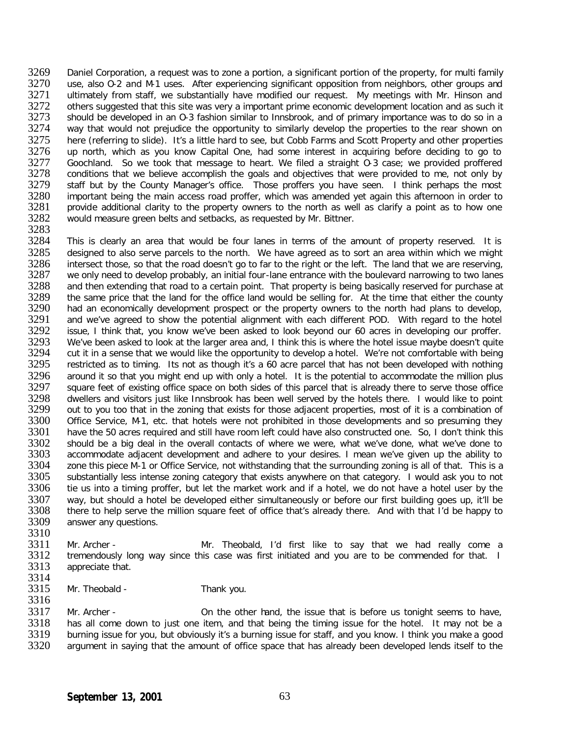3269 Daniel Corporation, a request was to zone a portion, a significant portion of the property, for multi family<br>3270 Use, also 0-2 and M-1 uses. After experiencing significant opposition from neighbors, other groups and 3270 use, also O-2 and M-1 uses. After experiencing significant opposition from neighbors, other groups and 3271 ultimately from staff, we substantially have modified our request. My meetings with Mr. Hinson and 3271 ultimately from staff, we substantially have modified our request. My meetings with Mr. Hinson and 3272 others suggested that this site was very a important prime economic development location and as such it 3272 others suggested that this site was very a important prime economic development location and as such it<br>3273 should be developed in an O-3 fashion similar to Innsbrook, and of primary importance was to do so in a 3273 should be developed in an O-3 fashion similar to Innsbrook, and of primary importance was to do so in a<br>3274 vay that would not prejudice the opportunity to similarly develop the properties to the rear shown on 3274 way that would not prejudice the opportunity to similarly develop the properties to the rear shown on<br>3275 here (referring to slide). It's a little hard to see, but Cobb Farms and Scott Property and other properties 3275 here (referring to slide). It's a little hard to see, but Cobb Farms and Scott Property and other properties<br>3276 up north, which as you know Capital One, had some interest in acquiring before deciding to go to 3276 up north, which as you know Capital One, had some interest in acquiring before deciding to go to 3277 Goochland. So we took that message to heart. We filed a straight O-3 case; we provided proffered 3277 Goochland. So we took that message to heart. We filed a straight 0-3 case; we provided proffered<br>3278 conditions that we believe accomplish the goals and objectives that were provided to me, not only by 3278 conditions that we believe accomplish the goals and objectives that were provided to me, not only by 3279 staff but by the County Manager's office. Those proffers you have seen. I think perhaps the most 3279 staff but by the County Manager's office. Those proffers you have seen. I think perhaps the most 3280 important being the main access road proffer, which was amended vet again this afternoon in order to 3280 important being the main access road proffer, which was amended yet again this afternoon in order to 3281 provide additional clarity to the property owners to the north as well as clarify a point as to how one 3281 provide additional clarity to the property owners to the north as well as clarify a point as to how one 3282 would measure green belts and setbacks, as requested by Mr. Bittner. would measure green belts and setbacks, as requested by Mr. Bittner.

3283<br>3284 3284 This is clearly an area that would be four lanes in terms of the amount of property reserved. It is 3285 designed to also serve parcels to the north. We have agreed as to sort an area within which we might 3285 designed to also serve parcels to the north. We have agreed as to sort an area within which we might 3286 intersect those, so that the road doesn't go to far to the right or the left. The land that we are reserving. 3286 intersect those, so that the road doesn't go to far to the right or the left. The land that we are reserving,<br>3287 we only need to develop probably, an initial four-lane entrance with the boulevard narrowing to two la 3287 we only need to develop probably, an initial four-lane entrance with the boulevard narrowing to two lanes<br>3288 and then extending that road to a certain point. That property is being basically reserved for purchase at 3288 and then extending that road to a certain point. That property is being basically reserved for purchase at <br>3289 the same price that the land for the office land would be selling for. At the time that either the count 3289 the same price that the land for the office land would be selling for. At the time that either the county<br>3290 had an economically development prospect or the property owners to the north had plans to develop. 3290 had an economically development prospect or the property owners to the north had plans to develop,<br>3291 and we've agreed to show the potential alignment with each different POD. With regard to the hotel 3291 and we've agreed to show the potential alignment with each different POD. With regard to the hotel 3292 issue, I think that, you know we've been asked to look beyond our 60 acres in developing our proffer. 3292 issue, I think that, you know we've been asked to look beyond our 60 acres in developing our proffer.<br>3293 We've been asked to look at the larger area and. I think this is where the hotel issue mavbe doesn't quite 3293 We've been asked to look at the larger area and, I think this is where the hotel issue maybe doesn't quite<br>3294 cut it in a sense that we would like the opportunity to develop a hotel. We're not comfortable with being 3294 cut it in a sense that we would like the opportunity to develop a hotel. We're not comfortable with being<br>3295 restricted as to timing. Its not as though it's a 60 acre parcel that has not been developed with nothing restricted as to timing. Its not as though it's a 60 acre parcel that has not been developed with nothing 3296 around it so that you might end up with only a hotel. It is the potential to accommodate the million plus<br>3297 square feet of existing office space on both sides of this parcel that is already there to serve those off 3297 square feet of existing office space on both sides of this parcel that is already there to serve those office<br>3298 dwellers and visitors just like Innsbrook has been well served by the hotels there. I would like to po 3298 dwellers and visitors just like Innsbrook has been well served by the hotels there. I would like to point<br>3299 out to you too that in the zoning that exists for those adjacent properties, most of it is a combination o 3299 out to you too that in the zoning that exists for those adjacent properties, most of it is a combination of 3300 Office Service. M-1, etc. that hotels were not prohibited in those developments and so presuming they 3300 Office Service, M-1, etc. that hotels were not prohibited in those developments and so presuming they<br>3301 have the 50 acres required and still have room left could have also constructed one. So, I don't think this 3301 have the 50 acres required and still have room left could have also constructed one. So, I don't think this<br>3302 should be a big deal in the overall contacts of where we were, what we've done, what we've done to 3302 should be a big deal in the overall contacts of where we were, what we've done, what we've done to 3303 accommodate adiacent development and adhere to vour desires. I mean we've given up the ability to 3303 accommodate adjacent development and adhere to your desires. I mean we've given up the ability to 3304 zone this piece M-1 or Office Service, not withstanding that the surrounding zoning is all of that. This is a 3304 zone this piece M-1 or Office Service, not withstanding that the surrounding zoning is all of that. This is a<br>3305 substantially less intense zoning category that exists anywhere on that category. I would ask you to n 3305 substantially less intense zoning category that exists anywhere on that category. I would ask you to not<br>3306 tie us into a timing proffer, but let the market work and if a hotel, we do not have a hotel user by the tie us into a timing proffer, but let the market work and if a hotel, we do not have a hotel user by the 3307 way, but should a hotel be developed either simultaneously or before our first building goes up, it'll be<br>3308 there to help serve the million square feet of office that's already there. And with that I'd be happy to 3308 there to help serve the million square feet of office that's already there. And with that I'd be happy to 3309 answer any questions. answer any questions.

- 3310<br>3311 3311 Mr. Archer - Theobald, I'd first like to say that we had really come a<br>3312 tremendously long way since this case was first initiated and you are to be commended for that. I 3312 tremendously long way since this case was first initiated and you are to be commended for that. I<br>3313 appreciate that. appreciate that.
- 3314<br>3315
- Mr. Theobald Thank you. 3316

3317 Mr. Archer - On the other hand, the issue that is before us tonight seems to have,<br>3318 has all come down to just one item, and that being the timing issue for the hotel. It may not be a 3318 has all come down to just one item, and that being the timing issue for the hotel. It may not be a<br>3319 burning issue for you, but obviously it's a burning issue for staff, and you know. I think you make a good 3319 burning issue for you, but obviously it's a burning issue for staff, and you know. I think you make a good<br>3320 argument in saving that the amount of office space that has already been developed lends itself to the argument in saying that the amount of office space that has already been developed lends itself to the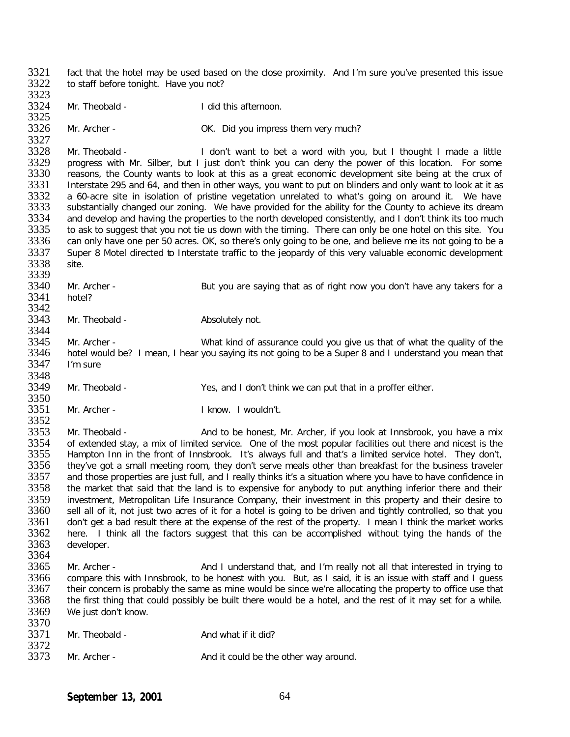3321 fact that the hotel may be used based on the close proximity. And I'm sure you've presented this issue<br>3322 to staff before tonight. Have you not? to staff before tonight. Have you not?

3323<br>3324

Mr. Theobald - **I** did this afternoon.

3325<br>3326 Mr. Archer - OK. Did you impress them very much?

3327<br>3328 3328 Mr. Theobald - I don't want to bet a word with you, but I thought I made a little 3329 progress with Mr. Silber, but I just don't think you can deny the power of this location. For some 3329 progress with Mr. Silber, but I just don't think you can deny the power of this location. For some 3330 reasons, the County wants to look at this as a great economic development site being at the crux of 3330 reasons, the County wants to look at this as a great economic development site being at the crux of 3331 Interstate 295 and 64, and then in other ways, you want to put on blinders and only want to look at it as 3331 Interstate 295 and 64, and then in other ways, you want to put on blinders and only want to look at it as<br>3332 a 60-acre site in isolation of pristine vegetation unrelated to what's going on around it. We have 3332 a 60-acre site in isolation of pristine vegetation unrelated to what's going on around it. We have 3333 substantially changed our zoning. We have 3333 substantially changed our zoning. We have 3333 substantially changed our zoning. We have provided for the ability for the County to achieve its dream<br>3334 and develop and having the properties to the north developed consistently, and I don't think its too much 3334 and develop and having the properties to the north developed consistently, and I don't think its too much<br>3335 to ask to suggest that you not tie us down with the timing. There can only be one hotel on this site. You 3335 to ask to suggest that you not tie us down with the timing. There can only be one hotel on this site. You<br>3336 can only have one per 50 acres. OK, so there's only going to be one, and believe me its not going to be a 3336 can only have one per 50 acres. OK, so there's only going to be one, and believe me its not going to be a<br>3337 Super 8 Motel directed to Interstate traffic to the jeopardy of this very valuable economic development Super 8 Motel directed to Interstate traffic to the jeopardy of this very valuable economic development 3338 site.

3339<br>3340 3340 Mr. Archer - But you are saying that as of right now you don't have any takers for a<br>3341 hotel? hotel?

3342<br>3343

Mr. Theobald - Absolutely not.

3344<br>3345 3345 Mr. Archer - What kind of assurance could you give us that of what the quality of the<br>3346 hotel would be? I mean, I hear you saying its not going to be a Super 8 and I understand you mean that 3346 hotel would be? I mean, I hear you saying its not going to be a Super 8 and I understand you mean that 3347 I'm sure I'm sure

3348<br>3349 Mr. Theobald - Yes, and I don't think we can put that in a proffer either.

3350<br>3351 Mr. Archer - The Muslim Herber - I know. I wouldn't.

3352<br>3353 3353 Mr. Theobald - And to be honest, Mr. Archer, if you look at Innsbrook, you have a mix<br>3354 of extended stay, a mix of limited service. One of the most popular facilities out there and nicest is the 3354 of extended stay, a mix of limited service. One of the most popular facilities out there and nicest is the<br>3355 Hampton Inn in the front of Innsbrook. It's always full and that's a limited service hotel. They don't. 3355 Hampton Inn in the front of Innsbrook. It's always full and that's a limited service hotel. They don't, 3356 they've got a small meeting room, they don't serve meals other than breakfast for the business traveler 3356 they've got a small meeting room, they don't serve meals other than breakfast for the business traveler<br>3357 and those properties are just full, and I really thinks it's a situation where you have to have confidence i 3357 and those properties are just full, and I really thinks it's a situation where you have to have confidence in<br>3358 the market that said that the land is to expensive for anybody to put anything inferior there and thei the market that said that the land is to expensive for anybody to put anything inferior there and their 3359 investment, Metropolitan Life Insurance Company, their investment in this property and their desire to<br>3360 sell all of it, not just two acres of it for a hotel is going to be driven and tightly controlled, so that yo 3360 sell all of it, not just two acres of it for a hotel is going to be driven and tightly controlled, so that you<br>3361 don't get a bad result there at the expense of the rest of the property. I mean I think the market wo 3361 don't get a bad result there at the expense of the rest of the property. I mean I think the market works<br>3362 here. I think all the factors suggest that this can be accomplished without tving the hands of the 3362 here. I think all the factors suggest that this can be accomplished without tying the hands of the 3363 developer. developer.

3364<br>3365 3365 Mr. Archer - And I understand that, and I'm really not all that interested in trying to And I understand that, and I'm really not all that interested in trying to 3366 compare this with Innsbrook, to be honest with yo 3366 compare this with Innsbrook, to be honest with you. But, as I said, it is an issue with staff and I guess<br>3367 their concern is probably the same as mine would be since we're allocating the property to office use that 3367 their concern is probably the same as mine would be since we're allocating the property to office use that<br>3368 the first thing that could possibly be built there would be a hotel, and the rest of it may set for a whi 3368 the first thing that could possibly be built there would be a hotel, and the rest of it may set for a while.<br>3369 We just don't know. We just don't know.

| 3370 |                |                                       |
|------|----------------|---------------------------------------|
| 3371 | Mr. Theobald - | And what if it did?                   |
| 3372 |                |                                       |
| 3373 | Mr. Archer -   | And it could be the other way around. |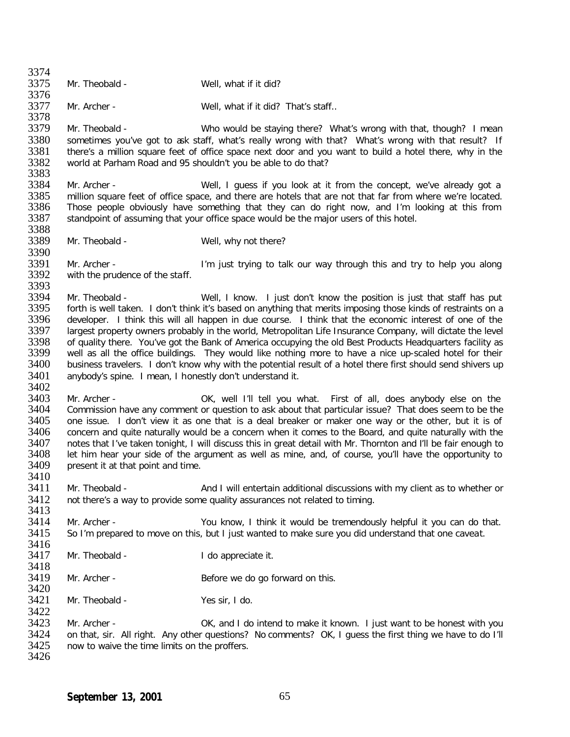3374<br>3375 Mr. Theobald - Well, what if it did? 3376<br>3377 Mr. Archer - Well, what if it did? That's staff.. 3378<br>3379 3379 Mr. Theobald - Who would be staying there? What's wrong with that, though? I mean<br>3380 sometimes you've got to ask staff, what's really wrong with that? What's wrong with that result? If 3380 sometimes you've got to ask staff, what's really wrong with that? What's wrong with that result? If 3381 there's a million square feet of office space next door and you want to build a hotel there, why in the 3381 there's a million square feet of office space next door and you want to build a hotel there, why in the 3382 world at Parham Road and 95 shouldn't you be able to do that? world at Parham Road and 95 shouldn't you be able to do that? 3383<br>3384

3384 Mr. Archer - Well, I guess if you look at it from the concept, we've already got a<br>3385 million square feet of office space, and there are hotels that are not that far from where we're located. 3385 million square feet of office space, and there are hotels that are not that far from where we're located.<br>3386 Those people obviously have something that they can do right now, and I'm looking at this from 3386 Those people obviously have something that they can do right now, and I'm looking at this from<br>3387 standpoint of assuming that your office space would be the maior users of this hotel. standpoint of assuming that your office space would be the major users of this hotel.

- 3388<br>3389
	- Mr. Theobald Well, why not there?

3390<br>3391 3391 Mr. Archer - I'm just trying to talk our way through this and try to help you along 3392 with the prudence of the staff. with the prudence of the staff.

3393<br>3394 3394 Mr. Theobald - Well, I know. I just don't know the position is just that staff has put 3395 forth is well taken. I don't think it's based on anything that merits imposing those kinds of restraints on a 3395 forth is well taken. I don't think it's based on anything that merits imposing those kinds of restraints on a<br>3396 developer. I think this will all happen in due course. I think that the economic interest of one of th 3396 developer. I think this will all happen in due course. I think that the economic interest of one of the<br>3397 largest property owners probably in the world. Metropolitan Life Insurance Company, will dictate the level 3397 largest property owners probably in the world, Metropolitan Life Insurance Company, will dictate the level<br>3398 of quality there. You've got the Bank of America occupying the old Best Products Headquarters facility as 3398 of quality there. You've got the Bank of America occupying the old Best Products Headquarters facility as<br>3399 well as all the office buildings. They would like nothing more to have a nice up-scaled hotel for their 3399 well as all the office buildings. They would like nothing more to have a nice up-scaled hotel for their<br>3400 business travelers. I don't know why with the potential result of a hotel there first should send shivers up 3400 business travelers. I don't know why with the potential result of a hotel there first should send shivers up<br>3401 anybody's spine. I mean. I honestly don't understand it. anybody's spine. I mean, I honestly don't understand it.

3402<br>3403 3403 Mr. Archer - OK, well I'll tell you what. First of all, does anybody else on the 3404 Commission have any comment or question to ask about that particular issue? That does seem to be the 3404 Commission have any comment or question to ask about that particular issue? That does seem to be the 3405 one issue. I don't view it as one that is a deal breaker or maker one way or the other, but it is of 3405 one issue. I don't view it as one that is a deal breaker or maker one way or the other, but it is of 3406 concern and quite naturally with the 3406 concern and quite naturally would be a concern when it comes to the Board, and quite naturally with the<br>3407 anotes that I've taken tonight. I will discuss this in great detail with Mr. Thornton and I'll be fair enoug 3407 notes that I've taken tonight, I will discuss this in great detail with Mr. Thornton and I'll be fair enough to<br>3408 let him hear vour side of the argument as well as mine, and, of course, vou'll have the opportunity 3408 let him hear your side of the argument as well as mine, and, of course, you'll have the opportunity to 3409 spresent it at that point and time. present it at that point and time.

3410<br>3411 Mr. Theobald - And I will entertain additional discussions with my client as to whether or 3412 not there's a way to provide some quality assurances not related to timing.

3413<br>3414 3414 Mr. Archer - You know, I think it would be tremendously helpful it you can do that.<br>3415 So I'm prepared to move on this, but I just wanted to make sure you did understand that one caveat. So I'm prepared to move on this, but I just wanted to make sure you did understand that one caveat.

3416<br>3417 Mr. Theobald - I do appreciate it.

3418<br>3419 Mr. Archer - Before we do go forward on this.

3420<br>3421 Mr. Theobald - Yes sir, I do.

3422<br>3423 3423 Mr. Archer - OK, and I do intend to make it known. I just want to be honest with you 3424 on that, sir. All right. Any other questions? No comments? OK, I guess the first thing we have to do I'll<br>3425 now to waive the time limits on the proffers. now to waive the time limits on the proffers. 3426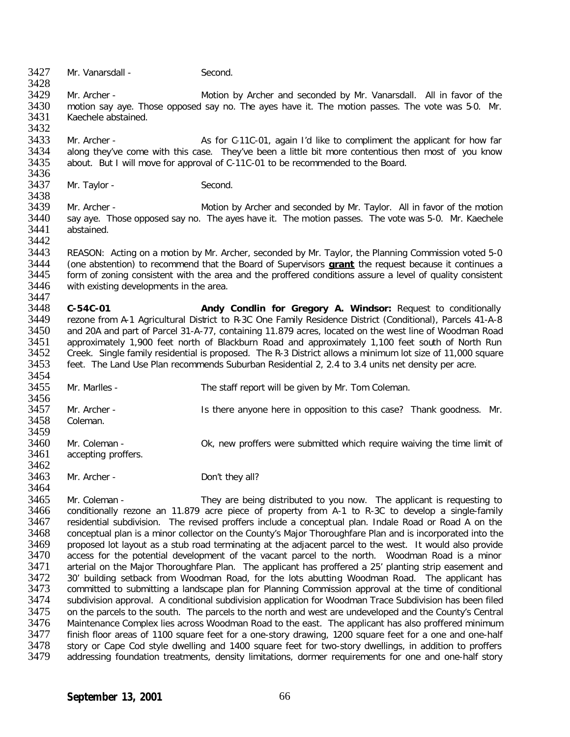3427 Mr. Vanarsdall - Second.

3428<br>3429 3429 Mr. Archer - Motion by Archer and seconded by Mr. Vanarsdall. All in favor of the 3430 motion say aye. Those opposed say no. The ayes have it. The motion passes. The vote was 5-0. Mr. 3431 Kaechele abstained. Kaechele abstained.

3432<br>3433 3433 Mr. Archer - As for C-11C-01, again I'd like to compliment the applicant for how far<br>3434 along they've come with this case. They've been a little bit more contentious then most of you know 3434 along they've come with this case. They've been a little bit more contentious then most of you know 3435 about. But I will move for approval of C-11C-01 to be recommended to the Board. about. But I will move for approval of C-11C-01 to be recommended to the Board.

- 3436<br>3437 Mr. Taylor - Second.
- 3438<br>3439 3439 Mr. Archer - Motion by Archer and seconded by Mr. Taylor. All in favor of the motion<br>3440 Sav ave. Those opposed sav no. The aves have it. The motion passes. The vote was 5-0. Mr. Kaechele 3440 say aye. Those opposed say no. The ayes have it. The motion passes. The vote was 5-0. Mr. Kaechele 3441 abstained. abstained.
- 3442<br>3443 3443 REASON: Acting on a motion by Mr. Archer, seconded by Mr. Taylor, the Planning Commission voted 5-0<br>3444 (one abstention) to recommend that the Board of Supervisors **grant** the request because it continues a 3444 (one abstention) to recommend that the Board of Supervisors **grant** the request because it continues a 3445 form of zoning consistent with the area and the proffered conditions assure a level of quality consistent 3446 with existing developments in the area. with existing developments in the area.
- 3447<br>3448 3448 **C-54C-01 Andy Condlin for Gregory A. Windsor:** Request to conditionally 3449 rezone from A-1 Agricultural District to R-3C One Family Residence District (Conditional), Parcels 41-A-8 and 20A and part of Parcel 31-A-77, containing 11.879 acres, located on the west line of Woodman Road 3451 approximately 1,900 feet north of Blackburn Road and approximately 1,100 feet south of North Run<br>3452 Creek. Single family residential is proposed. The R-3 District allows a minimum lot size of 11.000 square 3452 Creek. Single family residential is proposed. The R-3 District allows a minimum lot size of 11,000 square<br>3453 feet. The Land Use Plan recommends Suburban Residential 2, 2,4 to 3,4 units net density per acre. feet. The Land Use Plan recommends Suburban Residential 2, 2.4 to 3.4 units net density per acre.
- 3454<br>3455 Mr. Marlles - The staff report will be given by Mr. Tom Coleman. 3456<br>3457 3457 Mr. Archer - The Is there anyone here in opposition to this case? Thank goodness. Mr.<br>3458 Coleman. Coleman. 3459<br>3460
- 3460 Mr. Coleman Cok, new proffers were submitted which require waiving the time limit of 3461 accepting proffers. accepting proffers. 3462<br>3463
- Mr. Archer Don't they all? 3464

3465 Mr. Coleman - They are being distributed to you now. The applicant is requesting to 3466 conditionally rezone an 11.879 acre piece of property from A-1 to R-3C to develop a single-family<br>3467 residential subdivision. The revised proffers include a conceptual plan. Indale Road or Road A on the 3467 residential subdivision. The revised proffers include a conceptual plan. Indale Road or Road A on the 3468 conceptual plan is a minor collector on the County's Maior Thoroughfare Plan and is incorporated into the 3468 conceptual plan is a minor collector on the County's Major Thoroughfare Plan and is incorporated into the 3469 proposed lot layout as a stub road terminating at the adjacent parcel to the west. It would also provide<br>3470 access for the potential development of the vacant parcel to the north. Woodman Road is a minor 3470 access for the potential development of the vacant parcel to the north. Woodman Road is a minor 3471 arterial on the Maior Thoroughfare Plan. The applicant has proffered a 25' planting strip easement and 3471 arterial on the Major Thoroughfare Plan. The applicant has proffered a 25' planting strip easement and 3472 30' building setback from Woodman Road. The applicant has 3472 30' building setback from Woodman Road, for the lots abutting Woodman Road. The applicant has<br>3473 committed to submitting a landscape plan for Planning Commission approval at the time of conditional 3473 committed to submitting a landscape plan for Planning Commission approval at the time of conditional 3474 subdivision approval. A conditional subdivision approval at the time of conditional subdivision approval. A conditional subdivision application for Woodman Trace Subdivision has been filed 3475 on the parcels to the south. The parcels to the north and west are undeveloped and the County's Central<br>3476 Maintenance Complex lies across Woodman Road to the east. The applicant has also proffered minimum 3476 Maintenance Complex lies across Woodman Road to the east. The applicant has also proffered minimum<br>3477 Finish floor areas of 1100 square feet for a one-story drawing. 1200 square feet for a one and one-half 3477 finish floor areas of 1100 square feet for a one-story drawing, 1200 square feet for a one and one-half<br>3478 story or Cape Cod style dwelling and 1400 square feet for two-story dwellings, in addition to proffers 3478 story or Cape Cod style dwelling and 1400 square feet for two-story dwellings, in addition to proffers<br>3479 addressing foundation treatments, density limitations, dormer requirements for one and one-half story addressing foundation treatments, density limitations, dormer requirements for one and one-half story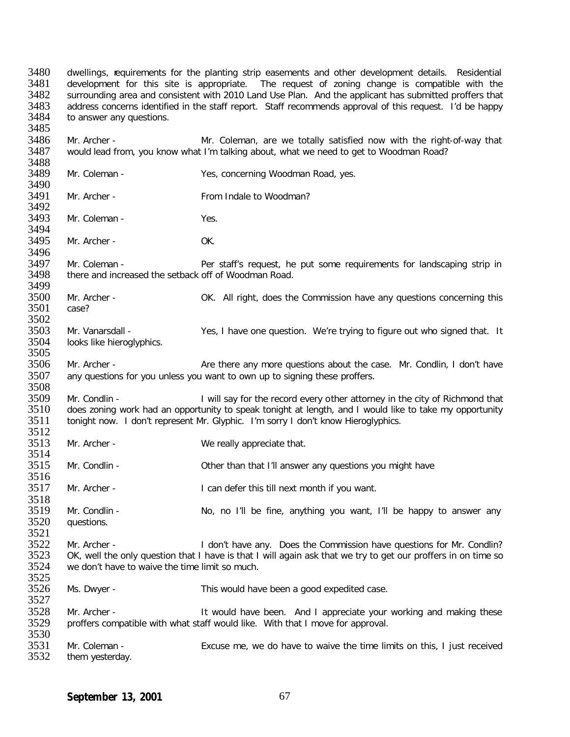3480 dwellings, requirements for the planting strip easements and other development details. Residential 3481 development for this site is appropriate. The request of zoning change is compatible with the 3481 development for this site is appropriate. The request of zoning change is compatible with the 3482 surrounding area and consistent with 2010 Land Use Plan. And the applicant has submitted proffers that 3482 surrounding area and consistent with 2010 Land Use Plan. And the applicant has submitted proffers that 3483 address concerns identified in the staff report. Staff recommends approval of this request. I'd be happy 3483 address concerns identified in the staff report. Staff recommends approval of this request. I'd be happy <br>3484 to answer any questions. to answer any questions. 3485<br>3486 3486 Mr. Archer - Mr. Coleman, are we totally satisfied now with the right-of-way that 3487 would lead from, you know what I'm talking about, what we need to get to Woodman Road? would lead from, you know what I'm talking about, what we need to get to Woodman Road? 3488<br>3489 Mr. Coleman - Yes, concerning Woodman Road, yes. 3490<br>3491 Mr. Archer - The State of From Indale to Woodman? 3492<br>3493 Mr. Coleman - Yes. 3494<br>3495 Mr. Archer - OK. 3496<br>3497 3497 Mr. Coleman - Per staff's request, he put some requirements for landscaping strip in 3498 there and increased the setback off of Woodman Road. there and increased the setback off of Woodman Road. 3499<br>3500 3500 Mr. Archer - COK. All right, does the Commission have any questions concerning this 3501 case? case? 3502<br>3503 3503 Mr. Vanarsdall - Yes, I have one question. We're trying to figure out who signed that. It 3504 I looks like hieroglyphics. looks like hieroglyphics. 3505<br>3506 3506 Mr. Archer - Are there any more questions about the case. Mr. Condlin, I don't have 3507 any questions for you unless you want to own up to signing these proffers. any questions for you unless you want to own up to signing these proffers. 3508<br>3509 3509 Mr. Condlin - I will say for the record every other attorney in the city of Richmond that 3510 does zoning work had an opportunity to speak tonight at length, and I would like to take my opportunity 3510 does zoning work had an opportunity to speak tonight at length, and I would like to take my opportunity<br>3511 tonight now. I don't represent Mr. Glyphic. I'm sorry I don't know Hieroglyphics. tonight now. I don't represent Mr. Glyphic. I'm sorry I don't know Hieroglyphics. 3512<br>3513 Mr. Archer - We really appreciate that. 3514<br>3515 Mr. Condlin - **Other than that I'll answer any questions you might have** 3516<br>3517 Mr. Archer - The State of Lean defer this till next month if you want. 3518<br>3519 3519 Mr. Condlin - No, no I'll be fine, anything you want, I'll be happy to answer any<br>3520 questions. questions. 3521<br>3522 Mr. Archer - I don't have any. Does the Commission have questions for Mr. Condlin?<br>3523 OK, well the only question that I have is that I will again ask that we try to get our proffers in on time so 3523 OK, well the only question that I have is that I will again ask that we try to get our proffers in on time so<br>3524 we don't have to waive the time limit so much. we don't have to waive the time limit so much. 3525<br>3526 Ms. Dwyer - This would have been a good expedited case. 3527 3528 Mr. Archer - It would have been. And I appreciate your working and making these<br>3529 proffers compatible with what staff would like. With that I move for approval. proffers compatible with what staff would like. With that I move for approval. 3530<br>3531 3531 Mr. Coleman - Excuse me, we do have to waive the time limits on this, I just received 3532 them vesterday. them yesterday.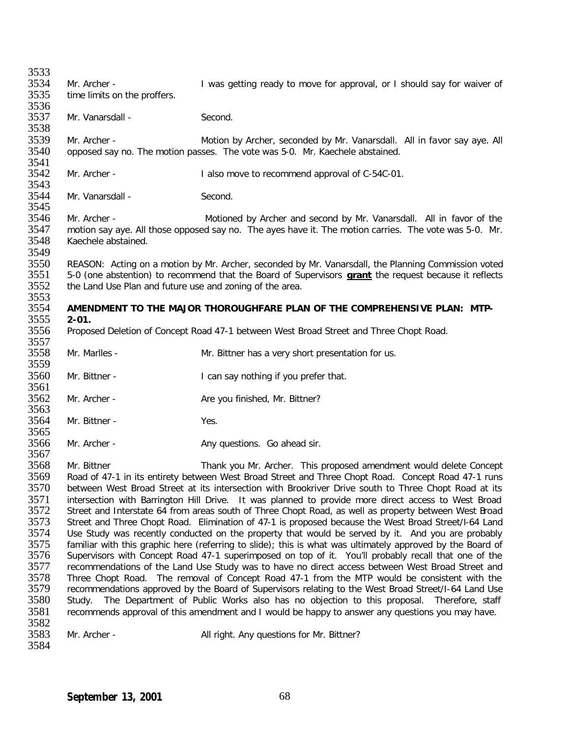3533<br>3534 3534 Mr. Archer - I was getting ready to move for approval, or I should say for waiver of 3535 time limits on the proffers. time limits on the proffers. 3536<br>3537 Mr. Vanarsdall - Second. 3538<br>3539 3539 Mr. Archer - Motion by Archer, seconded by Mr. Vanarsdall. All in favor say aye. All opposed say no. The motion passes. The vote was 5-0. Mr. Kaechele abstained. 3541<br>3542 3542 Mr. Archer - I also move to recommend approval of C-54C-01. 3543<br>3544 Mr. Vanarsdall - Second. 3545<br>3546 3546 Mr. Archer - Motioned by Archer and second by Mr. Vanarsdall. All in favor of the 3547 motion say aye. All those opposed say no. The ayes have it. The motion carries. The vote was 5-0. Mr. 3548 Kaechele abstained. Kaechele abstained. 3549<br>3550 3550 REASON: Acting on a motion by Mr. Archer, seconded by Mr. Vanarsdall, the Planning Commission voted<br>3551 5-0 (one abstention) to recommend that the Board of Supervisors **grant** the request because it reflects 3551 5-0 (one abstention) to recommend that the Board of Supervisors **grant** the request because it reflects the Land Use Plan and future use and zoning of the area. 3553<br>3554 AMENDMENT TO THE MAJOR THOROUGHFARE PLAN OF THE COMPREHENSIVE PLAN: MTP-3555 **2-01.**  3556 Proposed Deletion of Concept Road 47-1 between West Broad Street and Three Chopt Road. 3557<br>3558 Mr. Marlles - Mr. Bittner has a very short presentation for us. 3559 3560 Mr. Bittner - I can say nothing if you prefer that. 3561<br>3562 Mr. Archer - Are you finished, Mr. Bittner? 3563<br>3564 Mr. Bittner - Yes. 3565<br>3566 Mr. Archer - Any questions. Go ahead sir. 3567<br>3568 3568 Mr. Bittner Thank you Mr. Archer. This proposed amendment would delete Concept<br>3569 Road of 47-1 in its entirety between West Broad Street and Three Chopt Road. Concept Road 47-1 runs 3569 Road of 47-1 in its entirety between West Broad Street and Three Chopt Road. Concept Road 47-1 runs between West Broad Street at its intersection with Brookriver Drive south to Three Chopt Road at its 3571 intersection with Barrington Hill Drive. It was planned to provide more direct access to West Broad<br>3572 Street and Interstate 64 from areas south of Three Chopt Road, as well as property between West Broad 3572 Street and Interstate 64 from areas south of Three Chopt Road, as well as property between West Broad<br>3573 Street and Three Chopt Road. Elimination of 47-1 is proposed because the West Broad Street/I-64 Land 3573 Street and Three Chopt Road. Elimination of 47-1 is proposed because the West Broad Street/I-64 Land<br>3574 Use Study was recently conducted on the property that would be served by it. And you are probably 3574 Use Study was recently conducted on the property that would be served by it. And you are probably 3575 familiar with this graphic here (referring to slide): this is what was ultimately approved by the Board of 3575 familiar with this graphic here (referring to slide); this is what was ultimately approved by the Board of<br>3576 Supervisors with Concept Road 47-1 superimposed on top of it. You'll probably recall that one of the 3576 Supervisors with Concept Road 47-1 superimposed on top of it. You'll probably recall that one of the 3577 recommendations of the Land Use Study was to have no direct access between West Broad Street and 3577 Fecommendations of the Land Use Study was to have no direct access between West Broad Street and 3578 Froes Chopt Road. The removal of Concept Road 47-1 from the MTP would be consistent with the 3578 Three Chopt Road. The removal of Concept Road 47-1 from the MTP would be consistent with the<br>3579 recommendations approved by the Board of Supervisors relating to the West Broad Street/I-64 Land Use 3579 recommendations approved by the Board of Supervisors relating to the West Broad Street/I-64 Land Use<br>3580 Study. The Department of Public Works also has no obiection to this proposal. Therefore, staff 3580 Study. The Department of Public Works also has no objection to this proposal. Therefore, staff<br>3581 recommends approval of this amendment and I would be happy to answer any questions you may have. recommends approval of this amendment and I would be happy to answer any questions you may have. 3582<br>3583 Mr. Archer - All right. Any questions for Mr. Bittner? 3584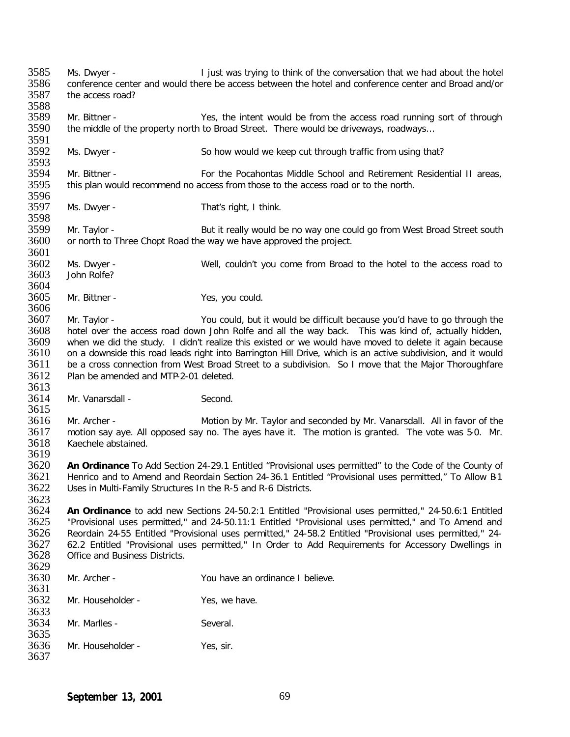| 3585<br>3586<br>3587 | Ms. Dwyer -<br>the access road?                                                                        | I just was trying to think of the conversation that we had about the hotel<br>conference center and would there be access between the hotel and conference center and Broad and/or |  |
|----------------------|--------------------------------------------------------------------------------------------------------|------------------------------------------------------------------------------------------------------------------------------------------------------------------------------------|--|
| 3588                 |                                                                                                        |                                                                                                                                                                                    |  |
| 3589<br>3590<br>3591 | Mr. Bittner -                                                                                          | Yes, the intent would be from the access road running sort of through<br>the middle of the property north to Broad Street. There would be driveways, roadways                      |  |
| 3592<br>3593         | Ms. Dwyer -                                                                                            | So how would we keep cut through traffic from using that?                                                                                                                          |  |
| 3594<br>3595         | Mr. Bittner -                                                                                          | For the Pocahontas Middle School and Retirement Residential II areas,<br>this plan would recommend no access from those to the access road or to the north.                        |  |
| 3596<br>3597<br>3598 | Ms. Dwyer -                                                                                            | That's right, I think.                                                                                                                                                             |  |
| 3599<br>3600         | Mr. Taylor -                                                                                           | But it really would be no way one could go from West Broad Street south<br>or north to Three Chopt Road the way we have approved the project.                                      |  |
| 3601<br>3602<br>3603 | Ms. Dwyer -<br>John Rolfe?                                                                             | Well, couldn't you come from Broad to the hotel to the access road to                                                                                                              |  |
| 3604<br>3605<br>3606 | Mr. Bittner -                                                                                          | Yes, you could.                                                                                                                                                                    |  |
|                      |                                                                                                        |                                                                                                                                                                                    |  |
| 3607                 | Mr. Taylor -                                                                                           | You could, but it would be difficult because you'd have to go through the                                                                                                          |  |
| 3608                 |                                                                                                        | hotel over the access road down John Rolfe and all the way back. This was kind of, actually hidden,                                                                                |  |
| 3609                 | when we did the study. I didn't realize this existed or we would have moved to delete it again because |                                                                                                                                                                                    |  |
| 3610                 |                                                                                                        | on a downside this road leads right into Barrington Hill Drive, which is an active subdivision, and it would                                                                       |  |
| 3611                 |                                                                                                        | be a cross connection from West Broad Street to a subdivision. So I move that the Major Thoroughfare                                                                               |  |
| 3612<br>3613         | Plan be amended and MTP-2-01 deleted.                                                                  |                                                                                                                                                                                    |  |
| 3614                 | Mr. Vanarsdall -                                                                                       | Second.                                                                                                                                                                            |  |
| 3615                 |                                                                                                        |                                                                                                                                                                                    |  |
| 3616                 | Mr. Archer -                                                                                           | Motion by Mr. Taylor and seconded by Mr. Vanarsdall. All in favor of the                                                                                                           |  |
| 3617                 |                                                                                                        | motion say aye. All opposed say no. The ayes have it. The motion is granted. The vote was 5-0. Mr.                                                                                 |  |
| 3618                 | Kaechele abstained.                                                                                    |                                                                                                                                                                                    |  |
| 3619                 |                                                                                                        |                                                                                                                                                                                    |  |
| 3620                 |                                                                                                        | An Ordinance To Add Section 24-29.1 Entitled "Provisional uses permitted" to the Code of the County of                                                                             |  |
| 3621                 |                                                                                                        | Henrico and to Amend and Reordain Section 24-36.1 Entitled "Provisional uses permitted," To Allow B1                                                                               |  |
| 3622                 | Uses in Multi-Family Structures In the R-5 and R-6 Districts.                                          |                                                                                                                                                                                    |  |
| 3623                 |                                                                                                        |                                                                                                                                                                                    |  |
| 3624                 |                                                                                                        | An Ordinance to add new Sections 24-50.2:1 Entitled "Provisional uses permitted," 24-50.6:1 Entitled                                                                               |  |
| 3625                 |                                                                                                        | "Provisional uses permitted," and 24-50.11:1 Entitled "Provisional uses permitted," and To Amend and                                                                               |  |
| 3626                 |                                                                                                        | Reordain 24-55 Entitled "Provisional uses permitted," 24-58.2 Entitled "Provisional uses permitted," 24-                                                                           |  |
| 3627                 |                                                                                                        | 62.2 Entitled "Provisional uses permitted," In Order to Add Requirements for Accessory Dwellings in                                                                                |  |
| 3628                 | Office and Business Districts.                                                                         |                                                                                                                                                                                    |  |
| 3629                 |                                                                                                        |                                                                                                                                                                                    |  |
| 3630<br>3631         | Mr. Archer -                                                                                           | You have an ordinance I believe.                                                                                                                                                   |  |
| 3632<br>3633         | Mr. Householder -                                                                                      | Yes, we have.                                                                                                                                                                      |  |
| 3634<br>3635         | Mr. Marlles -                                                                                          | Several.                                                                                                                                                                           |  |
| 3636<br>3637         | Mr. Householder -                                                                                      | Yes, sir.                                                                                                                                                                          |  |
|                      |                                                                                                        |                                                                                                                                                                                    |  |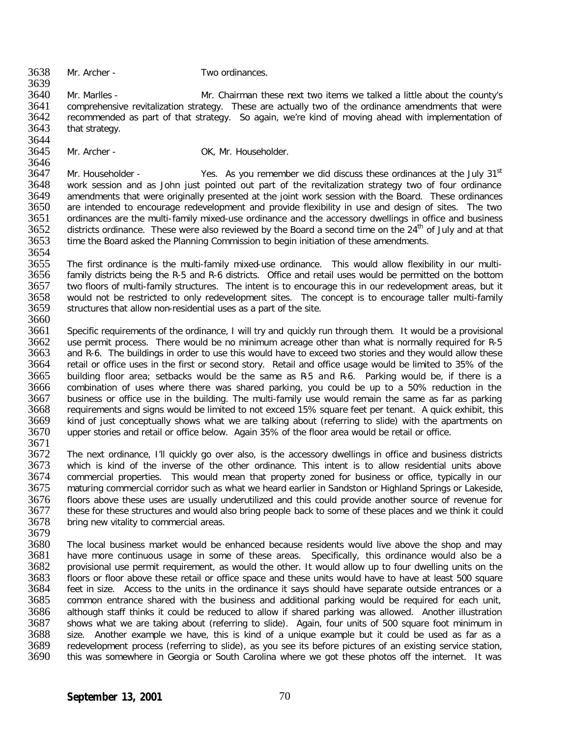- 3638 Mr. Archer Two ordinances.
- 

3639<br>3640 Mr. Marlles - The State of Mr. Chairman these next two items we talked a little about the county's 3641 comprehensive revitalization strategy. These are actually two of the ordinance amendments that were 3642 recommended as part of that strategy. So again, we're kind of moving ahead with implementation of 3642 recommended as part of that strategy. So again, we're kind of moving ahead with implementation of 3643 that strategy. that strategy.

- 3644<br>3645
- Mr. Archer OK, Mr. Householder.

3646<br>3647 Mr. Householder - Thes. As you remember we did discuss these ordinances at the July 31<sup>st</sup> 3648 work session and as John just pointed out part of the revitalization strategy two of four ordinance 3648 work session and as John just pointed out part of the revitalization strategy two of four ordinance<br>3649 amendments that were originally presented at the joint work session with the Board. These ordinances 3649 amendments that were originally presented at the joint work session with the Board. These ordinances<br>3650 are intended to encourage redevelopment and provide flexibility in use and design of sites. The two 3650 are intended to encourage redevelopment and provide flexibility in use and design of sites. The two 3651 cordinances are the multi-family mixed-use ordinance and business 3651 ordinances are the multi-family mixed-use ordinance and the accessory dwellings in office and business<br>3652 districts ordinance. These were also reviewed by the Board a second time on the 24<sup>th</sup> of July and at that 3652 districts ordinance. These were also reviewed by the Board a second time on the 24<sup>th</sup> of July and at that 3653 time the Board asked the Planning Commission to begin initiation of these amendments. time the Board asked the Planning Commission to begin initiation of these amendments.

3654<br>3655 3655 The first ordinance is the multi-family mixed-use ordinance. This would allow flexibility in our multi-<br>3656 Family districts being the R-5 and R-6 districts. Office and retail uses would be permitted on the bottom 3656 family districts being the R-5 and R-6 districts. Office and retail uses would be permitted on the bottom<br>3657 two floors of multi-family structures. The intent is to encourage this in our redevelopment areas, but it 3657 two floors of multi-family structures. The intent is to encourage this in our redevelopment areas, but it<br>3658 would not be restricted to only redevelopment sites. The concept is to encourage taller multi-family 3658 would not be restricted to only redevelopment sites. The concept is to encourage taller multi-family 3659 structures that allow non-residential uses as a part of the site. structures that allow non-residential uses as a part of the site.

3660<br>3661 Specific requirements of the ordinance, I will try and quickly run through them. It would be a provisional 3662 use permit process. There would be no minimum acreage other than what is normally required for R-5<br>3663 and R-6. The buildings in order to use this would have to exceed two stories and they would allow these 3663 and R-6. The buildings in order to use this would have to exceed two stories and they would allow these<br>3664 Fretail or office uses in the first or second story. Retail and office usage would be limited to 35% of the retail or office uses in the first or second story. Retail and office usage would be limited to 35% of the 3665 building floor area; setbacks would be the same as R-5 and R-6. Parking would be, if there is a<br>3666 combination of uses where there was shared parking, you could be up to a 50% reduction in the 3666 combination of uses where there was shared parking, you could be up to a 50% reduction in the<br>3667 business or office use in the building. The multi-family use would remain the same as far as parking 3667 business or office use in the building. The multi-family use would remain the same as far as parking<br>3668 requirements and signs would be limited to not exceed 15% square feet per tenant. A quick exhibit, this 3668 requirements and signs would be limited to not exceed 15% square feet per tenant. A quick exhibit, this 3669 kind of just conceptually shows what we are talking about (referring to slide) with the apartments on 3670 upper stories and retail or office below. Again 35% of the floor area would be retail or office. upper stories and retail or office below. Again 35% of the floor area would be retail or office.

3671<br>3672 3672 The next ordinance, I'll quickly go over also, is the accessory dwellings in office and business districts<br>3673 Twhich is kind of the inverse of the other ordinance. This intent is to allow residential units above 3673 which is kind of the inverse of the other ordinance. This intent is to allow residential units above<br>3674 commercial properties. This would mean that property zoned for business or office, typically in our 3674 commercial properties. This would mean that property zoned for business or office, typically in our 3675 maturing commercial corridor such as what we heard earlier in Sandston or Highland Springs or Lakeside. maturing commercial corridor such as what we heard earlier in Sandston or Highland Springs or Lakeside, 3676 floors above these uses are usually underutilized and this could provide another source of revenue for 3677 these for these structures and would also bring people back to some of these places and we think it could 3677 these for these structures and would also bring people back to some of these places and we think it could 3678 bring new vitality to commercial areas. bring new vitality to commercial areas.

3679<br>3680

3680 The local business market would be enhanced because residents would live above the shop and may<br>3681 Thave more continuous usage in some of these areas. Specifically, this ordinance would also be a 3681 have more continuous usage in some of these areas. Specifically, this ordinance would also be a<br>3682 provisional use permit requirement, as would the other. It would allow up to four dwelling units on the 3682 provisional use permit requirement, as would the other. It would allow up to four dwelling units on the<br>3683 floors or floor above these retail or office space and these units would have to have at least 500 square 3683 floors or floor above these retail or office space and these units would have to have at least 500 square<br>3684 feet in size. Access to the units in the ordinance it says should have separate outside entrances or a 3684 feet in size. Access to the units in the ordinance it says should have separate outside entrances or a 3685 common entrance shared with the business and additional parking would be required for each unit. common entrance shared with the business and additional parking would be required for each unit, 3686 although staff thinks it could be reduced to allow if shared parking was allowed. Another illustration<br>3687 shows what we are taking about (referring to slide). Again, four units of 500 square foot minimum in 3687 shows what we are taking about (referring to slide). Again, four units of 500 square foot minimum in 3688 size. Another example we have, this is kind of a unique example but it could be used as far as a 3688 size. Another example we have, this is kind of a unique example but it could be used as far as a 3689 redevelopment process (referring to slide), as you see its before pictures of an existing service station. 3689 Fedevelopment process (referring to slide), as you see its before pictures of an existing service station,<br>3690 Fthis was somewhere in Georgia or South Carolina where we got these photos off the internet. It was this was somewhere in Georgia or South Carolina where we got these photos off the internet. It was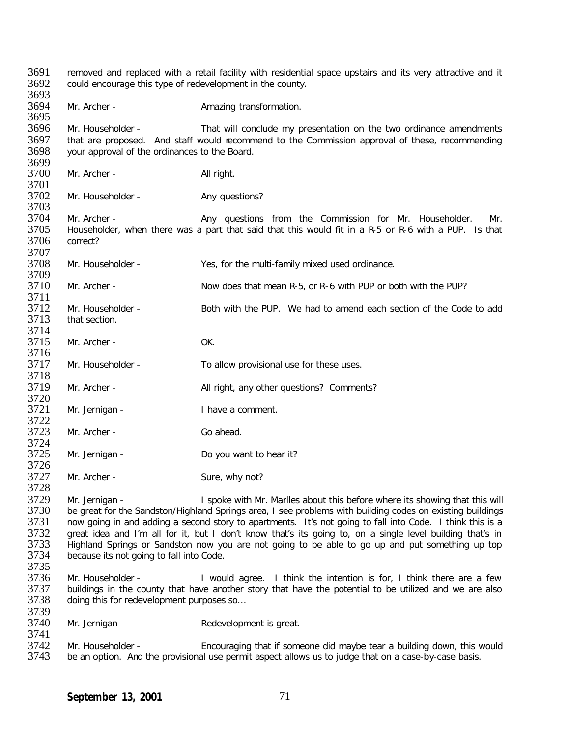3691 removed and replaced with a retail facility with residential space upstairs and its very attractive and it<br>3692 could encourage this type of redevelopment in the county. could encourage this type of redevelopment in the county. 3693<br>3694 Mr. Archer - Amazing transformation. 3695<br>3696 3696 Mr. Householder - That will conclude my presentation on the two ordinance amendments<br>3697 that are proposed. And staff would recommend to the Commission approval of these, recommending 3697 that are proposed. And staff would recommend to the Commission approval of these, recommending 3698 vour approval of the ordinances to the Board. your approval of the ordinances to the Board. 3699<br>3700 Mr. Archer - All right. 3701<br>3702 Mr. Householder - Any questions? 3703<br>3704 3704 Mr. Archer - Any questions from the Commission for Mr. Householder. Mr. 3705 Householder. Mr. 3705 Householder. When there was a part that said that this would fit in a R-5 or R-6 with a PUP. Is that 3705 Householder, when there was a part that said that this would fit in a R-5 or R-6 with a PUP. Is that 3706 correct? correct? 3707<br>3708 Mr. Householder - Yes, for the multi-family mixed used ordinance. 3709<br>3710 3710 Mr. Archer - Now does that mean R-5, or R-6 with PUP or both with the PUP? 3711<br>3712 3712 Mr. Householder - Both with the PUP. We had to amend each section of the Code to add 3713 that section. that section. 3714<br>3715 3715 Mr. Archer - OK. 3716<br>3717 Mr. Householder - To allow provisional use for these uses. 3718<br>3719 Mr. Archer - All right, any other questions? Comments? 3720<br>3721 Mr. Jernigan - I have a comment. 3722<br>3723 Mr. Archer - Go ahead. 3724<br>3725 Mr. Jernigan - Do you want to hear it? 3726<br>3727 Mr. Archer - Sure, why not? 3728 Mr. Jernigan - I spoke with Mr. Marlles about this before where its showing that this will<br>3730 be great for the Sandston/Highland Springs area. I see problems with building codes on existing buildings 3730 be great for the Sandston/Highland Springs area, I see problems with building codes on existing buildings<br>3731 now going in and adding a second story to apartments. It's not going to fall into Code. I think this is a 3731 now going in and adding a second story to apartments. It's not going to fall into Code. I think this is a<br>3732 areat idea and I'm all for it, but I don't know that's its going to, on a single level building that's in 3732 great idea and I'm all for it, but I don't know that's its going to, on a single level building that's in<br>3733 Highland Springs or Sandston now you are not going to be able to go up and put something up top 3733 Highland Springs or Sandston now you are not going to be able to go up and put something up top 3734 because its not going to fall into Code. because its not going to fall into Code. 3735<br>3736 3736 Mr. Householder - I would agree. I think the intention is for, I think there are a few<br>3737 buildings in the county that have another story that have the potential to be utilized and we are also 3737 buildings in the county that have another story that have the potential to be utilized and we are also<br>3738 doing this for redevelopment purposes so... doing this for redevelopment purposes so... 3739<br>3740 Mr. Jernigan - Redevelopment is great. 3741<br>3742 3742 Mr. Householder - Encouraging that if someone did maybe tear a building down, this would<br>3743 be an option. And the provisional use permit aspect allows us to judge that on a case-by-case basis. be an option. And the provisional use permit aspect allows us to judge that on a case-by-case basis.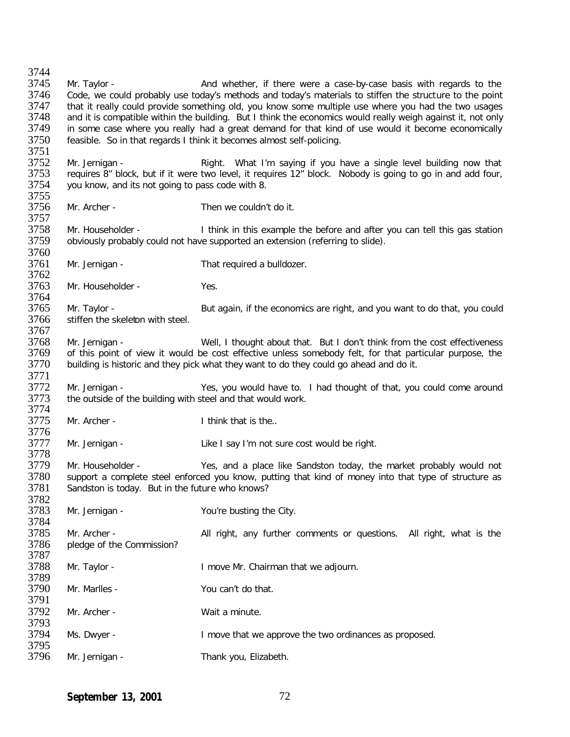3744<br>3745 3745 Mr. Taylor - **And whether, if there were a case-by-case basis with regards to the** 3746 Code, we could probably use today's methods and today's materials to stiffen the structure to the point 3746 Code, we could probably use today's methods and today's materials to stiffen the structure to the point 3747 that it really could provide something old, you know some multiple use where you had the two usages 3747 that it really could provide something old, you know some multiple use where you had the two usages<br>3748 and it is compatible within the building. But I think the economics would really weigh against it, not only 3748 and it is compatible within the building. But I think the economics would really weigh against it, not only<br>3749 in some case where you really had a great demand for that kind of use would it become economically 3749 in some case where you really had a great demand for that kind of use would it become economically 3750 feasible. So in that regards I think it becomes almost self-policing. feasible. So in that regards I think it becomes almost self-policing. 3751<br>3752 3752 Mr. Jernigan - Same Right. What I'm saying if you have a single level building now that Androich Childing now that in the syntax of the Same and add four. 3753 requires 8" block, but if it were two level, it requires 12" block. Nobody is going to go in and add four,<br>3754 vou know, and its not going to pass code with 8. you know, and its not going to pass code with 8. 3755<br>3756 3756 Mr. Archer - Then we couldn't do it. 3757<br>3758 3758 Mr. Householder - I think in this example the before and after you can tell this gas station<br>3759 obviously probably could not have supported an extension (referring to slide). obviously probably could not have supported an extension (referring to slide). 3760<br>3761 Mr. Jernigan - That required a bulldozer. 3762<br>3763 Mr. Householder - Yes. 3764<br>3765 3765 Mr. Taylor - But again, if the economics are right, and you want to do that, you could<br>3766 stiffen the skeleton with steel. stiffen the skeleton with steel. 3767<br>3768 3768 Mr. Jernigan - Well, I thought about that. But I don't think from the cost effectiveness<br>3769 of this point of view it would be cost effective unless somebody felt, for that particular purpose, the 3769 of this point of view it would be cost effective unless somebody felt, for that particular purpose, the 3770 building is historic and they pick what they want to do they could go ahead and do it. building is historic and they pick what they want to do they could go ahead and do it. 3771<br>3772 3772 Mr. Jernigan - Yes, you would have to. I had thought of that, you could come around 3773 the outside of the building with steel and that would work. the outside of the building with steel and that would work. 3774<br>3775 Mr. Archer - Think that is the... 3776<br>3777 Mr. Jernigan - Like I say I'm not sure cost would be right. 3778<br>3779 3779 Mr. Householder - Yes, and a place like Sandston today, the market probably would not<br>3780 support a complete steel enforced you know, putting that kind of money into that type of structure as 3780 support a complete steel enforced you know, putting that kind of money into that type of structure as 3781 Sandston is today. But in the future who knows? Sandston is today. But in the future who knows? 3782<br>3783 Mr. Jernigan - You're busting the City. 3784<br>3785 3785 Mr. Archer - All right, any further comments or questions. All right, what is the 3786 pledge of the Commission? pledge of the Commission? 3787<br>3788 Mr. Taylor - The State Mr. Chairman that we adjourn. 3789<br>3790 Mr. Marlles - The Sou can't do that. 3791<br>3792 Mr. Archer - Wait a minute. 3793<br>3794 Ms. Dwyer - The State of I move that we approve the two ordinances as proposed. 3795<br>3796 Mr. Jernigan - Thank you, Elizabeth.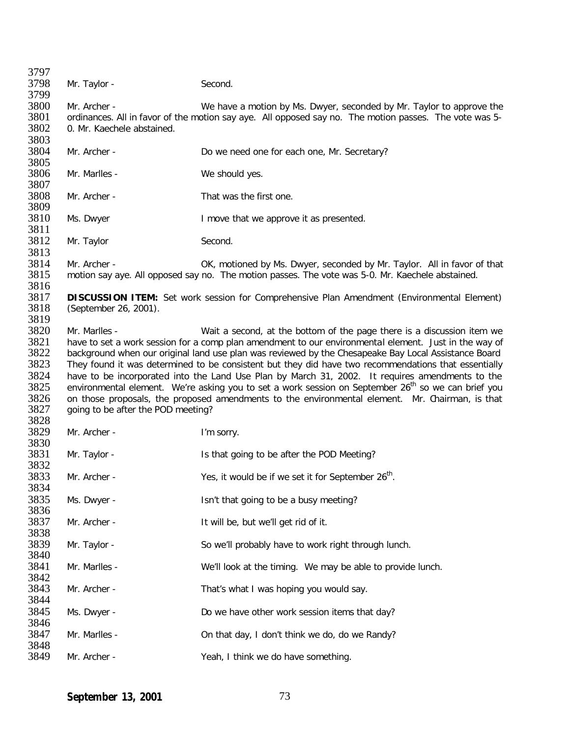3797<br>3798 Mr. Taylor - Second. 3799<br>3800 3800 Mr. Archer - We have a motion by Ms. Dwyer, seconded by Mr. Taylor to approve the 3801 ordinances. All in favor of the motion sav ave. All opposed say no. The motion passes. The vote was 5-3801 ordinances. All in favor of the motion say aye. All opposed say no. The motion passes. The vote was 5-<br>3802 0. Mr. Kaechele abstained. 0. Mr. Kaechele abstained. 3803<br>3804 Mr. Archer - Do we need one for each one, Mr. Secretary? 3805<br>3806 Mr. Marlles - We should yes. 3807<br>3808 Mr. Archer - That was the first one. 3809<br>3810 Ms. Dwyer I move that we approve it as presented. 3811<br>3812 Mr. Taylor Second. 3813<br>3814 3814 Mr. Archer - OK, motioned by Ms. Dwyer, seconded by Mr. Taylor. All in favor of that 3815 motion say ave. All opposed say no. The motion passes. The vote was 5-0. Mr. Kaechele abstained. motion say aye. All opposed say no. The motion passes. The vote was 5-0. Mr. Kaechele abstained. 3816<br>3817 3817 **DISCUSSION ITEM:** Set work session for Comprehensive Plan Amendment (Environmental Element) (September 26, 2001). 3819<br>3820 3820 Mr. Marlles - Wait a second, at the bottom of the page there is a discussion item we 3821 have to set a work session for a comp plan amendment to our environmental element. Just in the way of 3822<br>3822 background when our original land use plan was reviewed by the Chesapeake Bay Local Assistance Board 3822 background when our original land use plan was reviewed by the Chesapeake Bay Local Assistance Board<br>3823 They found it was determined to be consistent but they did have two recommendations that essentially 3823 They found it was determined to be consistent but they did have two recommendations that essentially 3824 have to be incorporated into the Land Use Plan by March 31, 2002. It requires amendments to the 3824 have to be incorporated into the Land Use Plan by March 31, 2002. It requires amendments to the 3825 environmental element. We're asking you to set a work session on September 26<sup>th</sup> so we can brief you 3825 environmental element. We're asking you to set a work session on September 26<sup>th</sup> so we can brief you<br>3826 son those proposals, the proposed amendments to the environmental element. Mr. Chairman, is that 3826 on those proposals, the proposed amendments to the environmental element. Mr. Chairman, is that 3827 aoing to be after the POD meeting? going to be after the POD meeting? 3828<br>3829 Mr. Archer - I'm sorry. 3830<br>3831 Mr. Taylor - Is that going to be after the POD Meeting? 3832<br>3833 Mr. Archer -  $Yes$ , it would be if we set it for September 26<sup>th</sup>. 3834 3835 Ms. Dwyer - Isn't that going to be a busy meeting? 3836<br>3837 Mr. Archer - The Sout will be, but we'll get rid of it. 3838<br>3839 Mr. Taylor - So we'll probably have to work right through lunch. 3840<br>3841 Mr. Marlles - We'll look at the timing. We may be able to provide lunch. 3842<br>3843 Mr. Archer - That's what I was hoping you would say. 3844<br>3845 Ms. Dwyer - **Do we have other work session items that day?** 3846<br>3847 Mr. Marlles - Conthat day, I don't think we do, do we Randy? 3848<br>3849 Mr. Archer - Yeah, I think we do have something.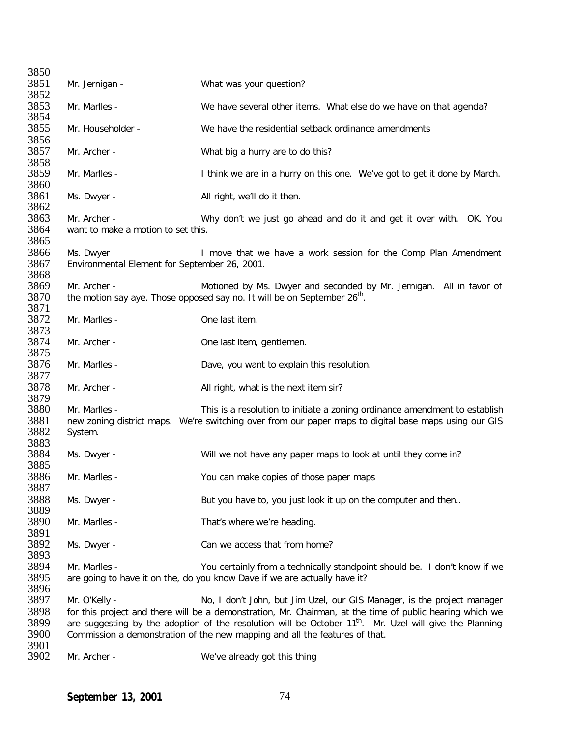| 3850         |                                               |                                                                                                                     |
|--------------|-----------------------------------------------|---------------------------------------------------------------------------------------------------------------------|
| 3851         | Mr. Jernigan -                                | What was your question?                                                                                             |
| 3852         |                                               |                                                                                                                     |
| 3853         | Mr. Marlles -                                 | We have several other items. What else do we have on that agenda?                                                   |
| 3854         |                                               |                                                                                                                     |
| 3855         | Mr. Householder -                             | We have the residential setback ordinance amendments                                                                |
| 3856         |                                               |                                                                                                                     |
| 3857         | Mr. Archer -                                  | What big a hurry are to do this?                                                                                    |
| 3858<br>3859 | Mr. Marlles -                                 |                                                                                                                     |
| 3860         |                                               | I think we are in a hurry on this one. We've got to get it done by March.                                           |
| 3861         | Ms. Dwyer -                                   | All right, we'll do it then.                                                                                        |
| 3862         |                                               |                                                                                                                     |
| 3863         | Mr. Archer -                                  | Why don't we just go ahead and do it and get it over with. OK. You                                                  |
| 3864         | want to make a motion to set this.            |                                                                                                                     |
| 3865         |                                               |                                                                                                                     |
| 3866         | Ms. Dwyer                                     | I move that we have a work session for the Comp Plan Amendment                                                      |
| 3867         | Environmental Element for September 26, 2001. |                                                                                                                     |
| 3868         |                                               |                                                                                                                     |
| 3869         | Mr. Archer -                                  | Motioned by Ms. Dwyer and seconded by Mr. Jernigan. All in favor of                                                 |
| 3870         |                                               | the motion say aye. Those opposed say no. It will be on September 26 <sup>th</sup> .                                |
| 3871         |                                               |                                                                                                                     |
| 3872         | Mr. Marlles -                                 | One last item.                                                                                                      |
| 3873<br>3874 |                                               |                                                                                                                     |
| 3875         | Mr. Archer -                                  | One last item, gentlemen.                                                                                           |
| 3876         | Mr. Marlles -                                 | Dave, you want to explain this resolution.                                                                          |
| 3877         |                                               |                                                                                                                     |
| 3878         | Mr. Archer -                                  | All right, what is the next item sir?                                                                               |
| 3879         |                                               |                                                                                                                     |
| 3880         | Mr. Marlles -                                 | This is a resolution to initiate a zoning ordinance amendment to establish                                          |
| 3881         |                                               | new zoning district maps. We're switching over from our paper maps to digital base maps using our GIS               |
| 3882         | System.                                       |                                                                                                                     |
| 3883         |                                               |                                                                                                                     |
| 3884         | Ms. Dwyer -                                   | Will we not have any paper maps to look at until they come in?                                                      |
| 3885         |                                               |                                                                                                                     |
| 3886         | Mr. Marlles -                                 | You can make copies of those paper maps                                                                             |
| 3887<br>3888 |                                               |                                                                                                                     |
| 3889         | Ms. Dwyer -                                   | But you have to, you just look it up on the computer and then                                                       |
| 3890         | Mr. Marlles -                                 | That's where we're heading.                                                                                         |
| 3891         |                                               |                                                                                                                     |
| 3892         | Ms. Dwyer -                                   | Can we access that from home?                                                                                       |
| 3893         |                                               |                                                                                                                     |
| 3894         | Mr. Marlles -                                 | You certainly from a technically standpoint should be. I don't know if we                                           |
| 3895         |                                               | are going to have it on the, do you know Dave if we are actually have it?                                           |
| 3896         |                                               |                                                                                                                     |
| 3897         | Mr. O'Kelly -                                 | No, I don't John, but Jim Uzel, our GIS Manager, is the project manager                                             |
| 3898         |                                               | for this project and there will be a demonstration, Mr. Chairman, at the time of public hearing which we            |
| 3899         |                                               | are suggesting by the adoption of the resolution will be October 11 <sup>th</sup> . Mr. Uzel will give the Planning |
| 3900         |                                               | Commission a demonstration of the new mapping and all the features of that.                                         |
| 3901         |                                               |                                                                                                                     |
| 3902         | Mr. Archer -                                  | We've already got this thing                                                                                        |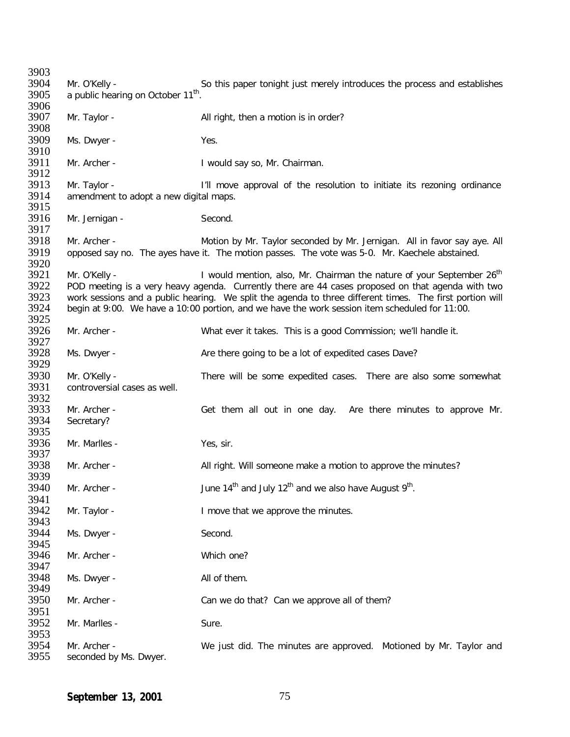3903<br>3904 3904 Mr. O'Kelly - So this paper tonight just merely introduces the process and establishes 3905 a public hearing on October  $11^{\text{th}}$ . a public hearing on October 11<sup>th</sup>. 3906<br>3907 Mr. Taylor - All right, then a motion is in order? 3908<br>3909 Ms. Dwyer - Yes. 3910<br>3911 Mr. Archer - The State of I would say so, Mr. Chairman. 3912<br>3913 3913 Mr. Taylor - I'll move approval of the resolution to initiate its rezoning ordinance<br>3914 amendment to adopt a new digital maps. amendment to adopt a new digital maps. 3915<br>3916 Mr. Jernigan - Second. 3917<br>3918 3918 Mr. Archer - Same Motion by Mr. Taylor seconded by Mr. Jernigan. All in favor say aye. All 3919 opposed say no. The aves have it. The motion passes. The vote was 5-0. Mr. Kaechele abstained. opposed say no. The ayes have it. The motion passes. The vote was 5-0. Mr. Kaechele abstained. 3920<br>3921 Mr. O'Kelly - I would mention, also, Mr. Chairman the nature of your September 26<sup>th</sup> 3922 POD meeting is a very heavy agenda. Currently there are 44 cases proposed on that agenda with two 3922 POD meeting is a very heavy agenda. Currently there are 44 cases proposed on that agenda with two 3923 verk sessions and a public hearing. We split the agenda to three different times. The first portion will 3923 work sessions and a public hearing. We split the agenda to three different times. The first portion will <br>3924 begin at 9:00. We have a 10:00 portion, and we have the work session item scheduled for 11:00. begin at 9:00. We have a 10:00 portion, and we have the work session item scheduled for 11:00. 3925<br>3926 3926 Mr. Archer - What ever it takes. This is a good Commission; we'll handle it. 3927<br>3928 Ms. Dwyer - Are there going to be a lot of expedited cases Dave? 3929<br>3930 3930 Mr. O'Kelly - There will be some expedited cases. There are also some somewhat 3931 controversial cases as well. controversial cases as well. 3932<br>3933 3933 Mr. Archer - Get them all out in one day. Are there minutes to approve Mr.<br>3934 Secretary? Secretary? 3935<br>3936 Mr. Marlles - Yes, sir. 3937<br>3938 Mr. Archer - All right. Will someone make a motion to approve the minutes? 3939<br>3940 Mr. Archer -  $\mu$  June 14<sup>th</sup> and July 12<sup>th</sup> and we also have August 9<sup>th</sup>. 3941<br>3942 Mr. Taylor - The Muslim Cover that we approve the minutes. 3943<br>3944 Ms. Dwyer - Second. 3945<br>3946 Mr. Archer - Which one? 3947<br>3948 Ms. Dwyer - All of them. 3949<br>3950 Mr. Archer - Can we do that? Can we approve all of them? 3951<br>3952 Mr. Marlles - Sure. 3953<br>3954 3954 Mr. Archer - We just did. The minutes are approved. Motioned by Mr. Taylor and 3955 seconded by Ms. Dwyer. seconded by Ms. Dwyer.